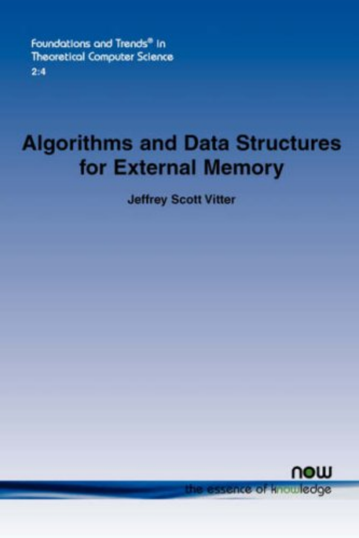Foundations and Trends<sup>®</sup> In **Theoretical Computer Science**  $2:4$ 

# **Algorithms and Data Structures** for External Memory

**Jeffrey Scott Vitter** 

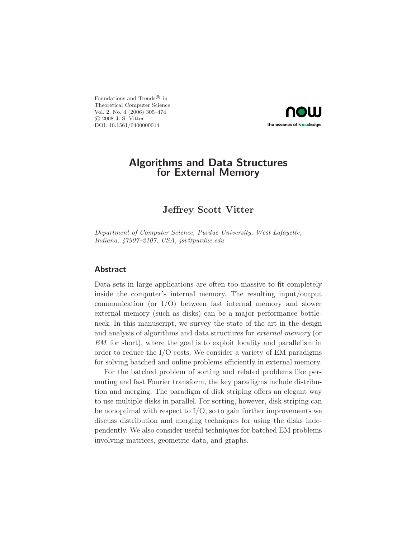Foundations and Trends<sup>®</sup> in Theoretical Computer Science Vol. 2, No. 4 (2006) 305–474 c 2008 J. S. Vitter DOI: 10.1561/0400000014



# **Algorithms and Data Structures for External Memory**

# **Jeffrey Scott Vitter**

*Department of Computer Science, Purdue University, West Lafayette, Indiana, 47907–2107, USA, jsv@purdue.edu*

# **Abstract**

Data sets in large applications are often too massive to fit completely inside the computer's internal memory. The resulting input/output communication (or I/O) between fast internal memory and slower external memory (such as disks) can be a major performance bottleneck. In this manuscript, we survey the state of the art in the design and analysis of algorithms and data structures for *external memory* (or *EM* for short), where the goal is to exploit locality and parallelism in order to reduce the I/O costs. We consider a variety of EM paradigms for solving batched and online problems efficiently in external memory.

For the batched problem of sorting and related problems like permuting and fast Fourier transform, the key paradigms include distribution and merging. The paradigm of disk striping offers an elegant way to use multiple disks in parallel. For sorting, however, disk striping can be nonoptimal with respect to  $I/O$ , so to gain further improvements we discuss distribution and merging techniques for using the disks independently. We also consider useful techniques for batched EM problems involving matrices, geometric data, and graphs.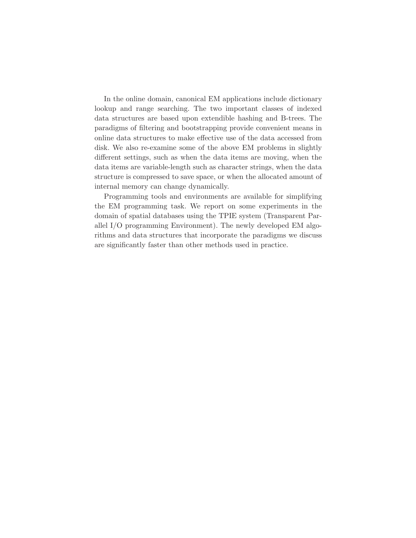In the online domain, canonical EM applications include dictionary lookup and range searching. The two important classes of indexed data structures are based upon extendible hashing and B-trees. The paradigms of filtering and bootstrapping provide convenient means in online data structures to make effective use of the data accessed from disk. We also re-examine some of the above EM problems in slightly different settings, such as when the data items are moving, when the data items are variable-length such as character strings, when the data structure is compressed to save space, or when the allocated amount of internal memory can change dynamically.

Programming tools and environments are available for simplifying the EM programming task. We report on some experiments in the domain of spatial databases using the TPIE system (Transparent Parallel I/O programming Environment). The newly developed EM algorithms and data structures that incorporate the paradigms we discuss are significantly faster than other methods used in practice.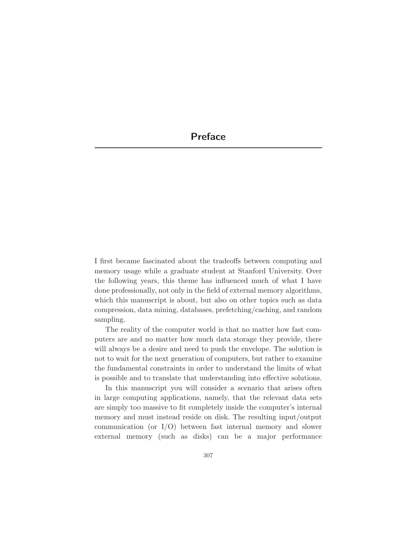# **Preface**

I first became fascinated about the tradeoffs between computing and memory usage while a graduate student at Stanford University. Over the following years, this theme has influenced much of what I have done professionally, not only in the field of external memory algorithms, which this manuscript is about, but also on other topics such as data compression, data mining, databases, prefetching/caching, and random sampling.

The reality of the computer world is that no matter how fast computers are and no matter how much data storage they provide, there will always be a desire and need to push the envelope. The solution is not to wait for the next generation of computers, but rather to examine the fundamental constraints in order to understand the limits of what is possible and to translate that understanding into effective solutions.

In this manuscript you will consider a scenario that arises often in large computing applications, namely, that the relevant data sets are simply too massive to fit completely inside the computer's internal memory and must instead reside on disk. The resulting input/output communication (or I/O) between fast internal memory and slower external memory (such as disks) can be a major performance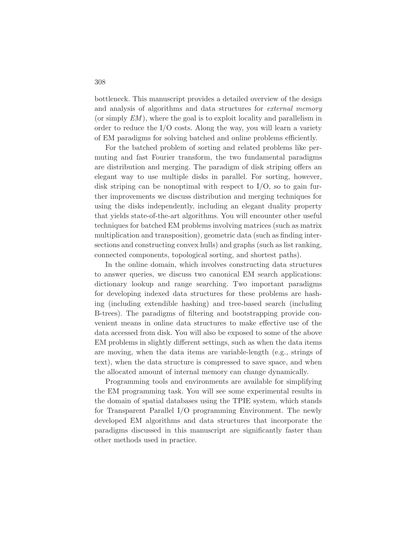bottleneck. This manuscript provides a detailed overview of the design and analysis of algorithms and data structures for *external memory* (or simply *EM* ), where the goal is to exploit locality and parallelism in order to reduce the I/O costs. Along the way, you will learn a variety of EM paradigms for solving batched and online problems efficiently.

For the batched problem of sorting and related problems like permuting and fast Fourier transform, the two fundamental paradigms are distribution and merging. The paradigm of disk striping offers an elegant way to use multiple disks in parallel. For sorting, however, disk striping can be nonoptimal with respect to  $I/O$ , so to gain further improvements we discuss distribution and merging techniques for using the disks independently, including an elegant duality property that yields state-of-the-art algorithms. You will encounter other useful techniques for batched EM problems involving matrices (such as matrix multiplication and transposition), geometric data (such as finding intersections and constructing convex hulls) and graphs (such as list ranking, connected components, topological sorting, and shortest paths).

In the online domain, which involves constructing data structures to answer queries, we discuss two canonical EM search applications: dictionary lookup and range searching. Two important paradigms for developing indexed data structures for these problems are hashing (including extendible hashing) and tree-based search (including B-trees). The paradigms of filtering and bootstrapping provide convenient means in online data structures to make effective use of the data accessed from disk. You will also be exposed to some of the above EM problems in slightly different settings, such as when the data items are moving, when the data items are variable-length (e.g., strings of text), when the data structure is compressed to save space, and when the allocated amount of internal memory can change dynamically.

Programming tools and environments are available for simplifying the EM programming task. You will see some experimental results in the domain of spatial databases using the TPIE system, which stands for Transparent Parallel I/O programming Environment. The newly developed EM algorithms and data structures that incorporate the paradigms discussed in this manuscript are significantly faster than other methods used in practice.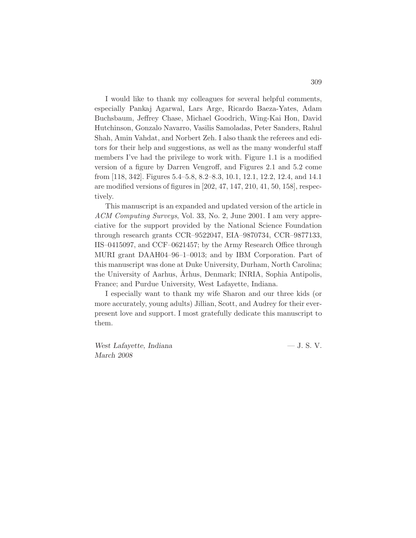I would like to thank my colleagues for several helpful comments, especially Pankaj Agarwal, Lars Arge, Ricardo Baeza-Yates, Adam Buchsbaum, Jeffrey Chase, Michael Goodrich, Wing-Kai Hon, David Hutchinson, Gonzalo Navarro, Vasilis Samoladas, Peter Sanders, Rahul Shah, Amin Vahdat, and Norbert Zeh. I also thank the referees and editors for their help and suggestions, as well as the many wonderful staff members I've had the privilege to work with. Figure 1.1 is a modified version of a figure by Darren Vengroff, and Figures 2.1 and 5.2 come from [118, 342]. Figures 5.4–5.8, 8.2–8.3, 10.1, 12.1, 12.2, 12.4, and 14.1 are modified versions of figures in [202, 47, 147, 210, 41, 50, 158], respectively.

This manuscript is an expanded and updated version of the article in *ACM Computing Surveys*, Vol. 33, No. 2, June 2001. I am very appreciative for the support provided by the National Science Foundation through research grants CCR–9522047, EIA–9870734, CCR–9877133, IIS–0415097, and CCF–0621457; by the Army Research Office through MURI grant DAAH04–96–1–0013; and by IBM Corporation. Part of this manuscript was done at Duke University, Durham, North Carolina; the University of Aarhus, Arhus, Denmark; INRIA, Sophia Antipolis, France; and Purdue University, West Lafayette, Indiana.

I especially want to thank my wife Sharon and our three kids (or more accurately, young adults) Jillian, Scott, and Audrey for their everpresent love and support. I most gratefully dedicate this manuscript to them.

West Lafayette, Indiana — J. S. V. March 2008

309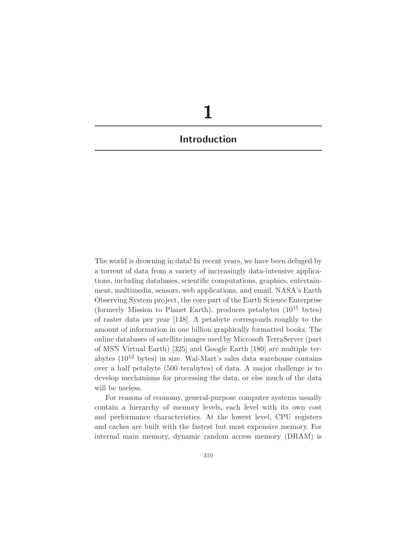# **1 Introduction**

The world is drowning in data! In recent years, we have been deluged by a torrent of data from a variety of increasingly data-intensive applications, including databases, scientific computations, graphics, entertainment, multimedia, sensors, web applications, and email. NASA's Earth Observing System project, the core part of the Earth Science Enterprise (formerly Mission to Planet Earth), produces petabytes  $(10^{15}$  bytes) of raster data per year [148]. A petabyte corresponds roughly to the amount of information in one billion graphically formatted books. The online databases of satellite images used by Microsoft TerraServer (part of MSN Virtual Earth) [325] and Google Earth [180] are multiple terabytes  $(10^{12}$  bytes) in size. Wal-Mart's sales data warehouse contains over a half petabyte (500 terabytes) of data. A major challenge is to develop mechanisms for processing the data, or else much of the data will be useless.

For reasons of economy, general-purpose computer systems usually contain a hierarchy of memory levels, each level with its own cost and performance characteristics. At the lowest level, CPU registers and caches are built with the fastest but most expensive memory. For internal main memory, dynamic random access memory (DRAM) is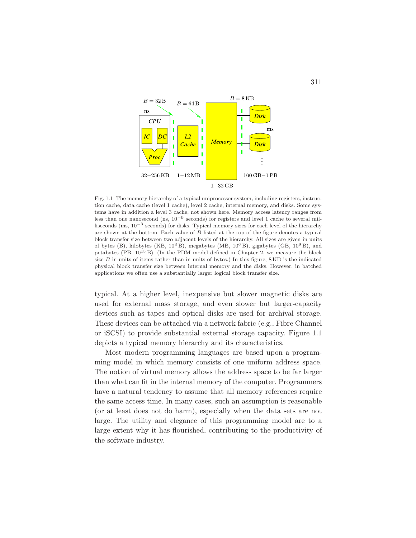

Fig. 1.1 The memory hierarchy of a typical uniprocessor system, including registers, instruction cache, data cache (level 1 cache), level 2 cache, internal memory, and disks. Some systems have in addition a level 3 cache, not shown here. Memory access latency ranges from less than one nanosecond (ns,  $10^{-9}$  seconds) for registers and level 1 cache to several milliseconds (ms, 10−<sup>3</sup> seconds) for disks. Typical memory sizes for each level of the hierarchy are shown at the bottom. Each value of B listed at the top of the figure denotes a typical block transfer size between two adjacent levels of the hierarchy. All sizes are given in units of bytes (B), kilobytes (KB,  $10^3$ B), megabytes (MB,  $10^6$ B), gigabytes (GB,  $10^9$ B), and petabytes (PB, 10<sup>15</sup> B). (In the PDM model defined in Chapter 2, we measure the block size  $B$  in units of items rather than in units of bytes.) In this figure,  $8KB$  is the indicated physical block transfer size between internal memory and the disks. However, in batched applications we often use a substantially larger logical block transfer size.

typical. At a higher level, inexpensive but slower magnetic disks are used for external mass storage, and even slower but larger-capacity devices such as tapes and optical disks are used for archival storage. These devices can be attached via a network fabric (e.g., Fibre Channel or iSCSI) to provide substantial external storage capacity. Figure 1.1 depicts a typical memory hierarchy and its characteristics.

Most modern programming languages are based upon a programming model in which memory consists of one uniform address space. The notion of virtual memory allows the address space to be far larger than what can fit in the internal memory of the computer. Programmers have a natural tendency to assume that all memory references require the same access time. In many cases, such an assumption is reasonable (or at least does not do harm), especially when the data sets are not large. The utility and elegance of this programming model are to a large extent why it has flourished, contributing to the productivity of the software industry.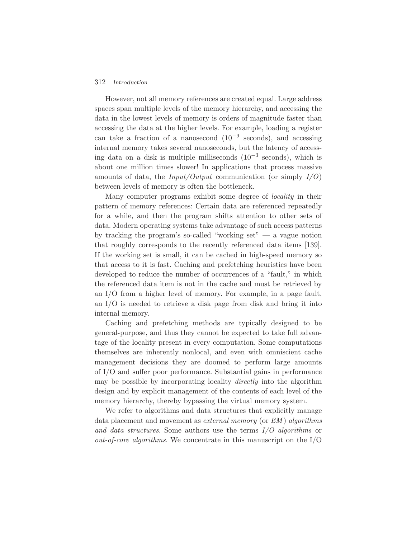## 312 *Introduction*

However, not all memory references are created equal. Large address spaces span multiple levels of the memory hierarchy, and accessing the data in the lowest levels of memory is orders of magnitude faster than accessing the data at the higher levels. For example, loading a register can take a fraction of a nanosecond  $(10^{-9} \text{ seconds})$ , and accessing internal memory takes several nanoseconds, but the latency of accessing data on a disk is multiple milliseconds  $(10^{-3}$  seconds), which is about one million times slower! In applications that process massive amounts of data, the *Input/Output* communication (or simply *I/O*) between levels of memory is often the bottleneck.

Many computer programs exhibit some degree of *locality* in their pattern of memory references: Certain data are referenced repeatedly for a while, and then the program shifts attention to other sets of data. Modern operating systems take advantage of such access patterns by tracking the program's so-called "working set" — a vague notion that roughly corresponds to the recently referenced data items [139]. If the working set is small, it can be cached in high-speed memory so that access to it is fast. Caching and prefetching heuristics have been developed to reduce the number of occurrences of a "fault," in which the referenced data item is not in the cache and must be retrieved by an I/O from a higher level of memory. For example, in a page fault, an I/O is needed to retrieve a disk page from disk and bring it into internal memory.

Caching and prefetching methods are typically designed to be general-purpose, and thus they cannot be expected to take full advantage of the locality present in every computation. Some computations themselves are inherently nonlocal, and even with omniscient cache management decisions they are doomed to perform large amounts of I/O and suffer poor performance. Substantial gains in performance may be possible by incorporating locality *directly* into the algorithm design and by explicit management of the contents of each level of the memory hierarchy, thereby bypassing the virtual memory system.

We refer to algorithms and data structures that explicitly manage data placement and movement as *external memory* (or *EM* ) *algorithms and data structures*. Some authors use the terms *I/O algorithms* or *out-of-core algorithms*. We concentrate in this manuscript on the I/O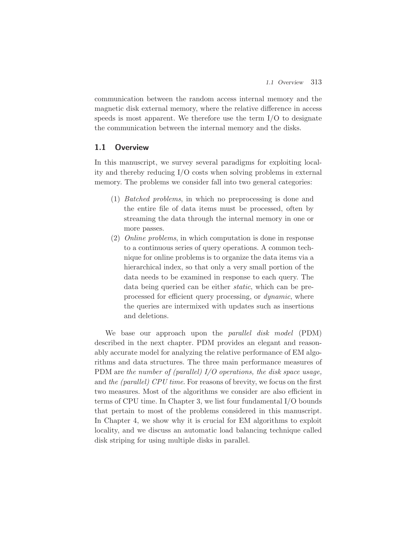communication between the random access internal memory and the magnetic disk external memory, where the relative difference in access speeds is most apparent. We therefore use the term  $I/O$  to designate the communication between the internal memory and the disks.

# **1.1 Overview**

In this manuscript, we survey several paradigms for exploiting locality and thereby reducing I/O costs when solving problems in external memory. The problems we consider fall into two general categories:

- (1) *Batched problems*, in which no preprocessing is done and the entire file of data items must be processed, often by streaming the data through the internal memory in one or more passes.
- (2) *Online problems*, in which computation is done in response to a continuous series of query operations. A common technique for online problems is to organize the data items via a hierarchical index, so that only a very small portion of the data needs to be examined in response to each query. The data being queried can be either *static*, which can be preprocessed for efficient query processing, or *dynamic*, where the queries are intermixed with updates such as insertions and deletions.

We base our approach upon the *parallel disk model* (PDM) described in the next chapter. PDM provides an elegant and reasonably accurate model for analyzing the relative performance of EM algorithms and data structures. The three main performance measures of PDM are *the number of (parallel) I/O operations, the disk space usage,* and *the (parallel) CPU time*. For reasons of brevity, we focus on the first two measures. Most of the algorithms we consider are also efficient in terms of CPU time. In Chapter 3, we list four fundamental I/O bounds that pertain to most of the problems considered in this manuscript. In Chapter 4, we show why it is crucial for EM algorithms to exploit locality, and we discuss an automatic load balancing technique called disk striping for using multiple disks in parallel.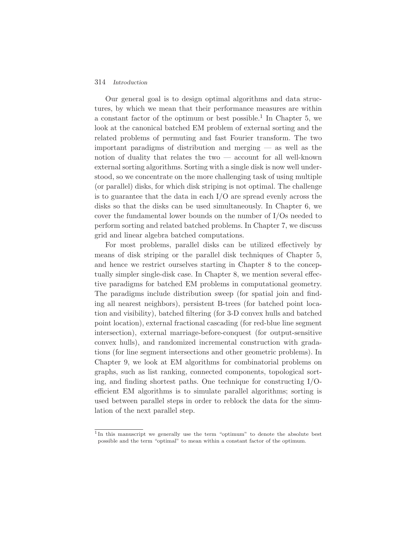## 314 *Introduction*

Our general goal is to design optimal algorithms and data structures, by which we mean that their performance measures are within a constant factor of the optimum or best possible.<sup>1</sup> In Chapter 5, we look at the canonical batched EM problem of external sorting and the related problems of permuting and fast Fourier transform. The two important paradigms of distribution and merging — as well as the notion of duality that relates the two  $-$  account for all well-known external sorting algorithms. Sorting with a single disk is now well understood, so we concentrate on the more challenging task of using multiple (or parallel) disks, for which disk striping is not optimal. The challenge is to guarantee that the data in each I/O are spread evenly across the disks so that the disks can be used simultaneously. In Chapter 6, we cover the fundamental lower bounds on the number of I/Os needed to perform sorting and related batched problems. In Chapter 7, we discuss grid and linear algebra batched computations.

For most problems, parallel disks can be utilized effectively by means of disk striping or the parallel disk techniques of Chapter 5, and hence we restrict ourselves starting in Chapter 8 to the conceptually simpler single-disk case. In Chapter 8, we mention several effective paradigms for batched EM problems in computational geometry. The paradigms include distribution sweep (for spatial join and finding all nearest neighbors), persistent B-trees (for batched point location and visibility), batched filtering (for 3-D convex hulls and batched point location), external fractional cascading (for red-blue line segment intersection), external marriage-before-conquest (for output-sensitive convex hulls), and randomized incremental construction with gradations (for line segment intersections and other geometric problems). In Chapter 9, we look at EM algorithms for combinatorial problems on graphs, such as list ranking, connected components, topological sorting, and finding shortest paths. One technique for constructing I/Oefficient EM algorithms is to simulate parallel algorithms; sorting is used between parallel steps in order to reblock the data for the simulation of the next parallel step.

<sup>&</sup>lt;sup>1</sup>In this manuscript we generally use the term "optimum" to denote the absolute best possible and the term "optimal" to mean within a constant factor of the optimum.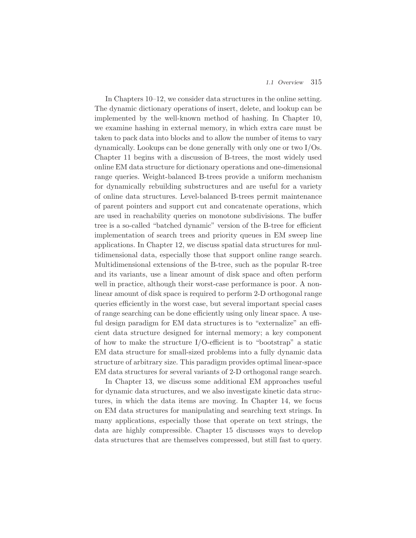### *1.1 Overview* 315

In Chapters 10–12, we consider data structures in the online setting. The dynamic dictionary operations of insert, delete, and lookup can be implemented by the well-known method of hashing. In Chapter 10, we examine hashing in external memory, in which extra care must be taken to pack data into blocks and to allow the number of items to vary dynamically. Lookups can be done generally with only one or two I/Os. Chapter 11 begins with a discussion of B-trees, the most widely used online EM data structure for dictionary operations and one-dimensional range queries. Weight-balanced B-trees provide a uniform mechanism for dynamically rebuilding substructures and are useful for a variety of online data structures. Level-balanced B-trees permit maintenance of parent pointers and support cut and concatenate operations, which are used in reachability queries on monotone subdivisions. The buffer tree is a so-called "batched dynamic" version of the B-tree for efficient implementation of search trees and priority queues in EM sweep line applications. In Chapter 12, we discuss spatial data structures for multidimensional data, especially those that support online range search. Multidimensional extensions of the B-tree, such as the popular R-tree and its variants, use a linear amount of disk space and often perform well in practice, although their worst-case performance is poor. A nonlinear amount of disk space is required to perform 2-D orthogonal range queries efficiently in the worst case, but several important special cases of range searching can be done efficiently using only linear space. A useful design paradigm for EM data structures is to "externalize" an efficient data structure designed for internal memory; a key component of how to make the structure I/O-efficient is to "bootstrap" a static EM data structure for small-sized problems into a fully dynamic data structure of arbitrary size. This paradigm provides optimal linear-space EM data structures for several variants of 2-D orthogonal range search.

In Chapter 13, we discuss some additional EM approaches useful for dynamic data structures, and we also investigate kinetic data structures, in which the data items are moving. In Chapter 14, we focus on EM data structures for manipulating and searching text strings. In many applications, especially those that operate on text strings, the data are highly compressible. Chapter 15 discusses ways to develop data structures that are themselves compressed, but still fast to query.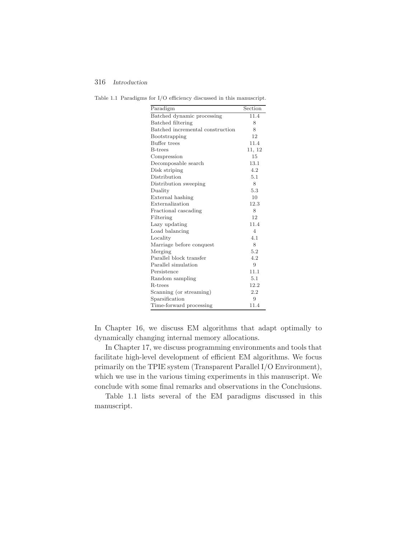# 316 *Introduction*

| Paradigm                         | Section        |
|----------------------------------|----------------|
| Batched dynamic processing       | 11.4           |
| Batched filtering                | 8              |
| Batched incremental construction | 8              |
| Bootstrapping                    | 12             |
| Buffer trees                     | 11.4           |
| <b>B-trees</b>                   | 11, 12         |
| Compression                      | 15             |
| Decomposable search              | 13.1           |
| Disk striping                    | 4.2            |
| Distribution                     | 5.1            |
| Distribution sweeping            | 8              |
| Duality                          | 5.3            |
| External hashing                 | 10             |
| Externalization                  | 12.3           |
| Fractional cascading             | 8              |
| Filtering                        | 12             |
| Lazy updating                    | 11.4           |
| Load balancing                   | $\overline{4}$ |
| Locality                         | 4.1            |
| Marriage before conquest         | 8              |
| Merging                          | 5.2            |
| Parallel block transfer          | 4.2            |
| Parallel simulation              | 9              |
| Persistence                      | 11.1           |
| Random sampling                  | 5.1            |
| R-trees                          | 12.2           |
| Scanning (or streaming)          | 2.2            |
| Sparsification                   | 9              |
| Time-forward processing          | 11.4           |

Table 1.1 Paradigms for I/O efficiency discussed in this manuscript.

In Chapter 16, we discuss EM algorithms that adapt optimally to dynamically changing internal memory allocations.

In Chapter 17, we discuss programming environments and tools that facilitate high-level development of efficient EM algorithms. We focus primarily on the TPIE system (Transparent Parallel I/O Environment), which we use in the various timing experiments in this manuscript. We conclude with some final remarks and observations in the Conclusions.

Table 1.1 lists several of the EM paradigms discussed in this manuscript.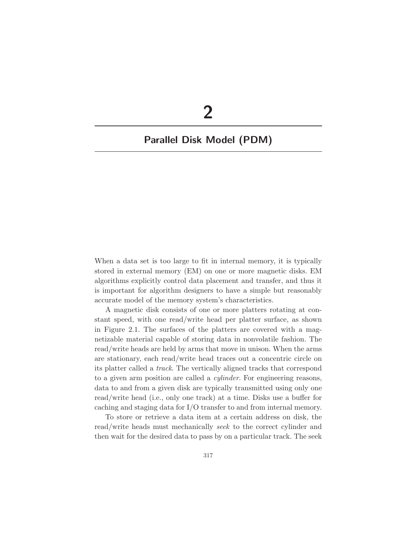# **2**

# **Parallel Disk Model (PDM)**

When a data set is too large to fit in internal memory, it is typically stored in external memory (EM) on one or more magnetic disks. EM algorithms explicitly control data placement and transfer, and thus it is important for algorithm designers to have a simple but reasonably accurate model of the memory system's characteristics.

A magnetic disk consists of one or more platters rotating at constant speed, with one read/write head per platter surface, as shown in Figure 2.1. The surfaces of the platters are covered with a magnetizable material capable of storing data in nonvolatile fashion. The read/write heads are held by arms that move in unison. When the arms are stationary, each read/write head traces out a concentric circle on its platter called a *track*. The vertically aligned tracks that correspond to a given arm position are called a *cylinder*. For engineering reasons, data to and from a given disk are typically transmitted using only one read/write head (i.e., only one track) at a time. Disks use a buffer for caching and staging data for I/O transfer to and from internal memory.

To store or retrieve a data item at a certain address on disk, the read/write heads must mechanically *seek* to the correct cylinder and then wait for the desired data to pass by on a particular track. The seek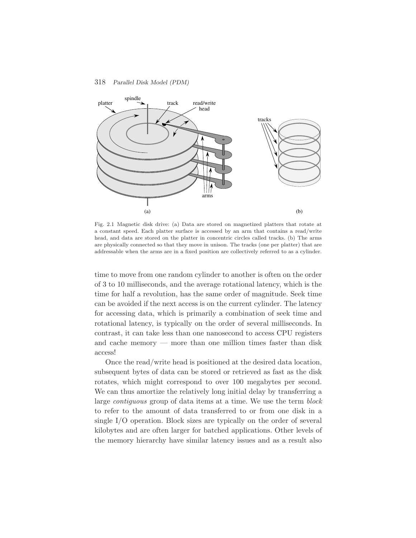#### 318 *Parallel Disk Model (PDM)*



Fig. 2.1 Magnetic disk drive: (a) Data are stored on magnetized platters that rotate at a constant speed. Each platter surface is accessed by an arm that contains a read/write head, and data are stored on the platter in concentric circles called tracks. (b) The arms are physically connected so that they move in unison. The tracks (one per platter) that are addressable when the arms are in a fixed position are collectively referred to as a cylinder.

time to move from one random cylinder to another is often on the order of 3 to 10 milliseconds, and the average rotational latency, which is the time for half a revolution, has the same order of magnitude. Seek time can be avoided if the next access is on the current cylinder. The latency for accessing data, which is primarily a combination of seek time and rotational latency, is typically on the order of several milliseconds. In contrast, it can take less than one nanosecond to access CPU registers and cache memory — more than one million times faster than disk access!

Once the read/write head is positioned at the desired data location, subsequent bytes of data can be stored or retrieved as fast as the disk rotates, which might correspond to over 100 megabytes per second. We can thus amortize the relatively long initial delay by transferring a large *contiguous* group of data items at a time. We use the term *block* to refer to the amount of data transferred to or from one disk in a single I/O operation. Block sizes are typically on the order of several kilobytes and are often larger for batched applications. Other levels of the memory hierarchy have similar latency issues and as a result also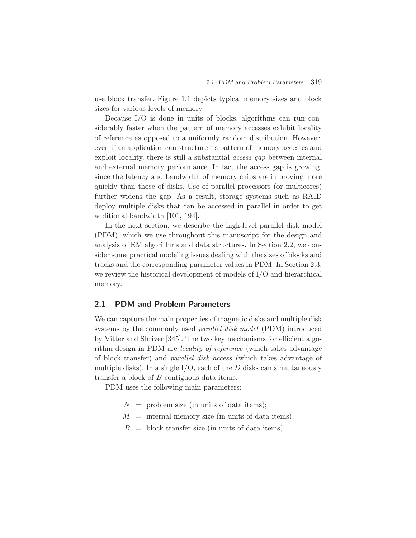use block transfer. Figure 1.1 depicts typical memory sizes and block sizes for various levels of memory.

Because I/O is done in units of blocks, algorithms can run considerably faster when the pattern of memory accesses exhibit locality of reference as opposed to a uniformly random distribution. However, even if an application can structure its pattern of memory accesses and exploit locality, there is still a substantial *access gap* between internal and external memory performance. In fact the access gap is growing, since the latency and bandwidth of memory chips are improving more quickly than those of disks. Use of parallel processors (or multicores) further widens the gap. As a result, storage systems such as RAID deploy multiple disks that can be accessed in parallel in order to get additional bandwidth [101, 194].

In the next section, we describe the high-level parallel disk model (PDM), which we use throughout this manuscript for the design and analysis of EM algorithms and data structures. In Section 2.2, we consider some practical modeling issues dealing with the sizes of blocks and tracks and the corresponding parameter values in PDM. In Section 2.3, we review the historical development of models of I/O and hierarchical memory.

# **2.1 PDM and Problem Parameters**

We can capture the main properties of magnetic disks and multiple disk systems by the commonly used *parallel disk model* (PDM) introduced by Vitter and Shriver [345]. The two key mechanisms for efficient algorithm design in PDM are *locality of reference* (which takes advantage of block transfer) and *parallel disk access* (which takes advantage of multiple disks). In a single  $I/O$ , each of the D disks can simultaneously transfer a block of B contiguous data items.

PDM uses the following main parameters:

- $N =$  problem size (in units of data items);
- $M =$  internal memory size (in units of data items);
- $B = \text{block transfer size (in units of data items)}$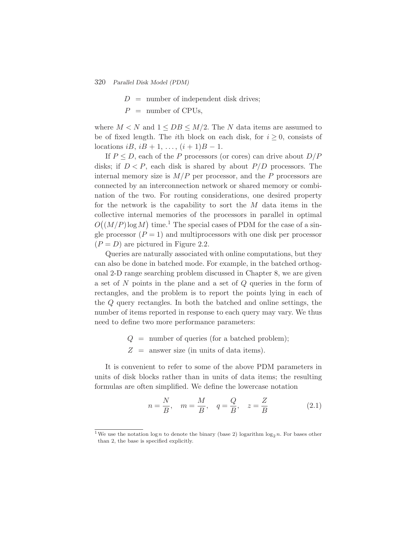320 *Parallel Disk Model (PDM)*

- $D =$  number of independent disk drives;
- $P =$  number of CPUs,

where  $M < N$  and  $1 \leq DB \leq M/2$ . The N data items are assumed to be of fixed length. The *i*th block on each disk, for  $i \geq 0$ , consists of locations  $i, B iB + 1, \ldots, (i + 1)B - 1$ .

If  $P \leq D$ , each of the P processors (or cores) can drive about  $D/P$ disks; if  $D < P$ , each disk is shared by about  $P/D$  processors. The internal memory size is  $M/P$  per processor, and the P processors are connected by an interconnection network or shared memory or combination of the two. For routing considerations, one desired property for the network is the capability to sort the  $M$  data items in the collective internal memories of the processors in parallel in optimal  $O((M/P)\log M)$  time.<sup>1</sup> The special cases of PDM for the case of a single processor  $(P = 1)$  and multiprocessors with one disk per processor  $(P = D)$  are pictured in Figure 2.2.

Queries are naturally associated with online computations, but they can also be done in batched mode. For example, in the batched orthogonal 2-D range searching problem discussed in Chapter 8, we are given a set of N points in the plane and a set of Q queries in the form of rectangles, and the problem is to report the points lying in each of the Q query rectangles. In both the batched and online settings, the number of items reported in response to each query may vary. We thus need to define two more performance parameters:

> $Q =$  number of queries (for a batched problem);  $Z =$  answer size (in units of data items).

It is convenient to refer to some of the above PDM parameters in units of disk blocks rather than in units of data items; the resulting formulas are often simplified. We define the lowercase notation

$$
n = \frac{N}{B}
$$
,  $m = \frac{M}{B}$ ,  $q = \frac{Q}{B}$ ,  $z = \frac{Z}{B}$  (2.1)

<sup>&</sup>lt;sup>1</sup>We use the notation  $\log n$  to denote the binary (base 2) logarithm  $\log_2 n$ . For bases other than 2, the base is specified explicitly.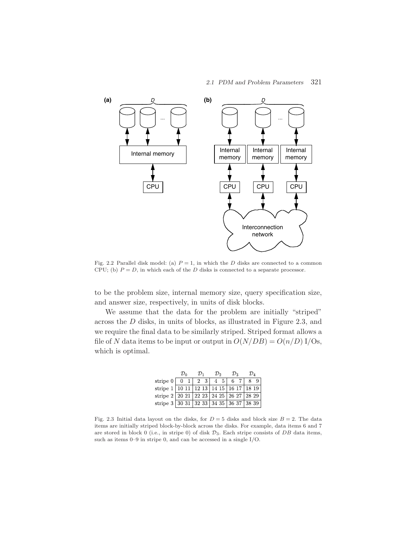# *2.1 PDM and Problem Parameters* 321



Fig. 2.2 Parallel disk model: (a)  $P = 1$ , in which the D disks are connected to a common CPU; (b)  $P = D$ , in which each of the D disks is connected to a separate processor.

to be the problem size, internal memory size, query specification size, and answer size, respectively, in units of disk blocks.

We assume that the data for the problem are initially "striped" across the D disks, in units of blocks, as illustrated in Figure 2.3, and we require the final data to be similarly striped. Striped format allows a file of N data items to be input or output in  $O(N/DB) = O(n/D)$  I/Os, which is optimal.

|                                                                             |              |                  | Dэ  | $\mathcal{D}_2$ | Dл |
|-----------------------------------------------------------------------------|--------------|------------------|-----|-----------------|----|
| stripe 0                                                                    | $0 \quad 11$ | $2 \quad 3 \mid$ | 4 5 |                 |    |
| stripe 1   10 11   12 13   14 15   16 17   18 19                            |              |                  |     |                 |    |
| stripe $2 \mid 20 \n21 \mid 22 \n23 \mid 24 \n25 \mid 26 \n27 \mid 28 \n29$ |              |                  |     |                 |    |
| stripe 3   30 31   32 33   34 35   36 37   38 39                            |              |                  |     |                 |    |

Fig. 2.3 Initial data layout on the disks, for  $D = 5$  disks and block size  $B = 2$ . The data items are initially striped block-by-block across the disks. For example, data items 6 and 7 are stored in block 0 (i.e., in stripe 0) of disk  $\mathcal{D}_3$ . Each stripe consists of DB data items, such as items 0–9 in stripe 0, and can be accessed in a single I/O.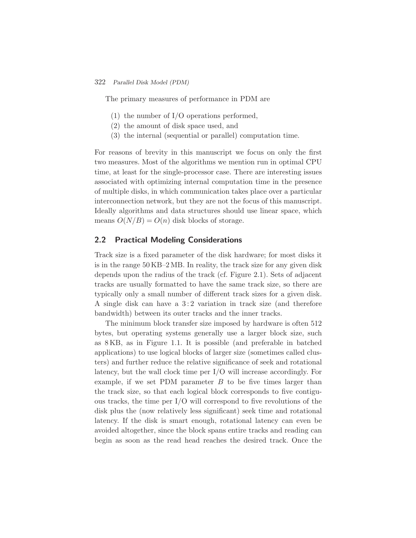### 322 *Parallel Disk Model (PDM)*

The primary measures of performance in PDM are

- (1) the number of I/O operations performed,
- (2) the amount of disk space used, and
- (3) the internal (sequential or parallel) computation time.

For reasons of brevity in this manuscript we focus on only the first two measures. Most of the algorithms we mention run in optimal CPU time, at least for the single-processor case. There are interesting issues associated with optimizing internal computation time in the presence of multiple disks, in which communication takes place over a particular interconnection network, but they are not the focus of this manuscript. Ideally algorithms and data structures should use linear space, which means  $O(N/B) = O(n)$  disk blocks of storage.

# **2.2 Practical Modeling Considerations**

Track size is a fixed parameter of the disk hardware; for most disks it is in the range 50 KB–2 MB. In reality, the track size for any given disk depends upon the radius of the track (cf. Figure 2.1). Sets of adjacent tracks are usually formatted to have the same track size, so there are typically only a small number of different track sizes for a given disk. A single disk can have a  $3:2$  variation in track size (and therefore bandwidth) between its outer tracks and the inner tracks.

The minimum block transfer size imposed by hardware is often 512 bytes, but operating systems generally use a larger block size, such as 8 KB, as in Figure 1.1. It is possible (and preferable in batched applications) to use logical blocks of larger size (sometimes called clusters) and further reduce the relative significance of seek and rotational latency, but the wall clock time per I/O will increase accordingly. For example, if we set PDM parameter  $B$  to be five times larger than the track size, so that each logical block corresponds to five contiguous tracks, the time per I/O will correspond to five revolutions of the disk plus the (now relatively less significant) seek time and rotational latency. If the disk is smart enough, rotational latency can even be avoided altogether, since the block spans entire tracks and reading can begin as soon as the read head reaches the desired track. Once the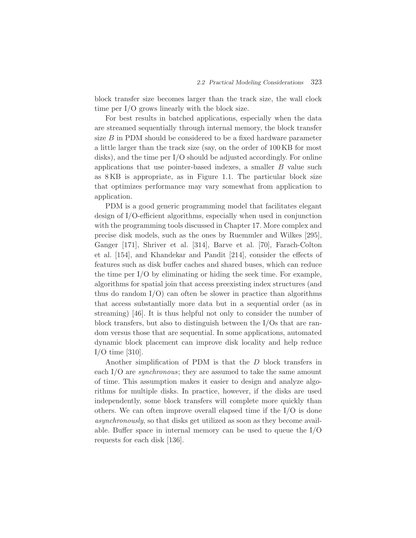block transfer size becomes larger than the track size, the wall clock time per I/O grows linearly with the block size.

For best results in batched applications, especially when the data are streamed sequentially through internal memory, the block transfer size B in PDM should be considered to be a fixed hardware parameter a little larger than the track size (say, on the order of 100 KB for most disks), and the time per I/O should be adjusted accordingly. For online applications that use pointer-based indexes, a smaller  $B$  value such as 8 KB is appropriate, as in Figure 1.1. The particular block size that optimizes performance may vary somewhat from application to application.

PDM is a good generic programming model that facilitates elegant design of I/O-efficient algorithms, especially when used in conjunction with the programming tools discussed in Chapter 17. More complex and precise disk models, such as the ones by Ruemmler and Wilkes [295], Ganger [171], Shriver et al. [314], Barve et al. [70], Farach-Colton et al. [154], and Khandekar and Pandit [214], consider the effects of features such as disk buffer caches and shared buses, which can reduce the time per I/O by eliminating or hiding the seek time. For example, algorithms for spatial join that access preexisting index structures (and thus do random  $I/O$  can often be slower in practice than algorithms that access substantially more data but in a sequential order (as in streaming) [46]. It is thus helpful not only to consider the number of block transfers, but also to distinguish between the I/Os that are random versus those that are sequential. In some applications, automated dynamic block placement can improve disk locality and help reduce I/O time [310].

Another simplification of PDM is that the D block transfers in each I/O are *synchronous*; they are assumed to take the same amount of time. This assumption makes it easier to design and analyze algorithms for multiple disks. In practice, however, if the disks are used independently, some block transfers will complete more quickly than others. We can often improve overall elapsed time if the I/O is done *asynchronously*, so that disks get utilized as soon as they become available. Buffer space in internal memory can be used to queue the I/O requests for each disk [136].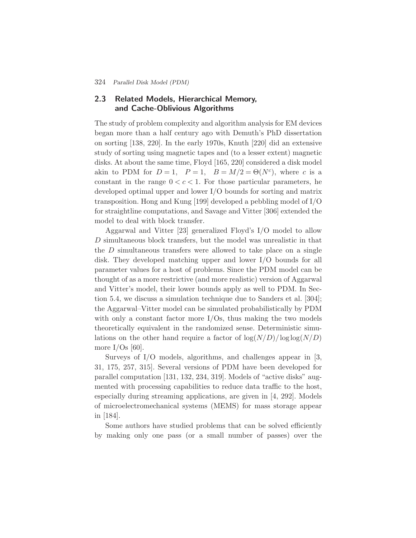#### 324 *Parallel Disk Model (PDM)*

# **2.3 Related Models, Hierarchical Memory, and Cache-Oblivious Algorithms**

The study of problem complexity and algorithm analysis for EM devices began more than a half century ago with Demuth's PhD dissertation on sorting [138, 220]. In the early 1970s, Knuth [220] did an extensive study of sorting using magnetic tapes and (to a lesser extent) magnetic disks. At about the same time, Floyd [165, 220] considered a disk model akin to PDM for  $D=1$ ,  $P=1$ ,  $B=M/2=\Theta(N^c)$ , where c is a constant in the range  $0 < c < 1$ . For those particular parameters, he developed optimal upper and lower I/O bounds for sorting and matrix transposition. Hong and Kung [199] developed a pebbling model of I/O for straightline computations, and Savage and Vitter [306] extended the model to deal with block transfer.

Aggarwal and Vitter [23] generalized Floyd's I/O model to allow D simultaneous block transfers, but the model was unrealistic in that the  $D$  simultaneous transfers were allowed to take place on a single disk. They developed matching upper and lower I/O bounds for all parameter values for a host of problems. Since the PDM model can be thought of as a more restrictive (and more realistic) version of Aggarwal and Vitter's model, their lower bounds apply as well to PDM. In Section 5.4, we discuss a simulation technique due to Sanders et al. [304]; the Aggarwal–Vitter model can be simulated probabilistically by PDM with only a constant factor more I/Os, thus making the two models theoretically equivalent in the randomized sense. Deterministic simulations on the other hand require a factor of  $\log(N/D)/\log\log(N/D)$ more  $I/Os$  [60].

Surveys of I/O models, algorithms, and challenges appear in [3, 31, 175, 257, 315]. Several versions of PDM have been developed for parallel computation [131, 132, 234, 319]. Models of "active disks" augmented with processing capabilities to reduce data traffic to the host, especially during streaming applications, are given in [4, 292]. Models of microelectromechanical systems (MEMS) for mass storage appear in [184].

Some authors have studied problems that can be solved efficiently by making only one pass (or a small number of passes) over the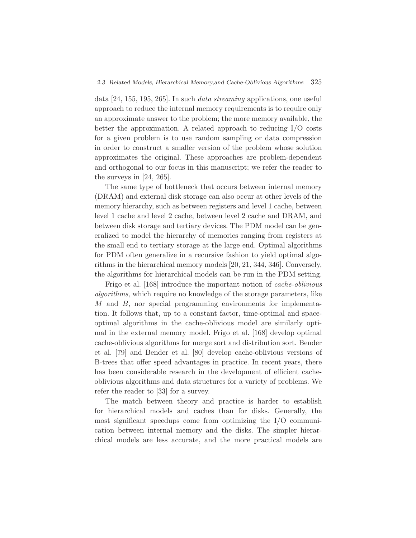data [24, 155, 195, 265]. In such *data streaming* applications, one useful approach to reduce the internal memory requirements is to require only an approximate answer to the problem; the more memory available, the better the approximation. A related approach to reducing I/O costs for a given problem is to use random sampling or data compression in order to construct a smaller version of the problem whose solution approximates the original. These approaches are problem-dependent and orthogonal to our focus in this manuscript; we refer the reader to the surveys in [24, 265].

The same type of bottleneck that occurs between internal memory (DRAM) and external disk storage can also occur at other levels of the memory hierarchy, such as between registers and level 1 cache, between level 1 cache and level 2 cache, between level 2 cache and DRAM, and between disk storage and tertiary devices. The PDM model can be generalized to model the hierarchy of memories ranging from registers at the small end to tertiary storage at the large end. Optimal algorithms for PDM often generalize in a recursive fashion to yield optimal algorithms in the hierarchical memory models [20, 21, 344, 346]. Conversely, the algorithms for hierarchical models can be run in the PDM setting.

Frigo et al. [168] introduce the important notion of *cache-oblivious algorithms*, which require no knowledge of the storage parameters, like M and B, nor special programming environments for implementation. It follows that, up to a constant factor, time-optimal and spaceoptimal algorithms in the cache-oblivious model are similarly optimal in the external memory model. Frigo et al. [168] develop optimal cache-oblivious algorithms for merge sort and distribution sort. Bender et al. [79] and Bender et al. [80] develop cache-oblivious versions of B-trees that offer speed advantages in practice. In recent years, there has been considerable research in the development of efficient cacheoblivious algorithms and data structures for a variety of problems. We refer the reader to [33] for a survey.

The match between theory and practice is harder to establish for hierarchical models and caches than for disks. Generally, the most significant speedups come from optimizing the I/O communication between internal memory and the disks. The simpler hierarchical models are less accurate, and the more practical models are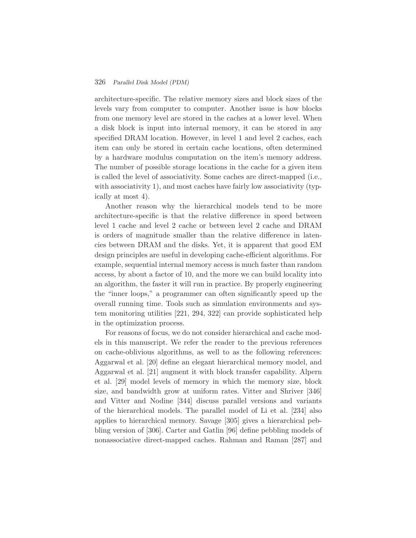# 326 *Parallel Disk Model (PDM)*

architecture-specific. The relative memory sizes and block sizes of the levels vary from computer to computer. Another issue is how blocks from one memory level are stored in the caches at a lower level. When a disk block is input into internal memory, it can be stored in any specified DRAM location. However, in level 1 and level 2 caches, each item can only be stored in certain cache locations, often determined by a hardware modulus computation on the item's memory address. The number of possible storage locations in the cache for a given item is called the level of associativity. Some caches are direct-mapped (i.e., with associativity 1), and most caches have fairly low associativity (typically at most 4).

Another reason why the hierarchical models tend to be more architecture-specific is that the relative difference in speed between level 1 cache and level 2 cache or between level 2 cache and DRAM is orders of magnitude smaller than the relative difference in latencies between DRAM and the disks. Yet, it is apparent that good EM design principles are useful in developing cache-efficient algorithms. For example, sequential internal memory access is much faster than random access, by about a factor of 10, and the more we can build locality into an algorithm, the faster it will run in practice. By properly engineering the "inner loops," a programmer can often significantly speed up the overall running time. Tools such as simulation environments and system monitoring utilities [221, 294, 322] can provide sophisticated help in the optimization process.

For reasons of focus, we do not consider hierarchical and cache models in this manuscript. We refer the reader to the previous references on cache-oblivious algorithms, as well to as the following references: Aggarwal et al. [20] define an elegant hierarchical memory model, and Aggarwal et al. [21] augment it with block transfer capability. Alpern et al. [29] model levels of memory in which the memory size, block size, and bandwidth grow at uniform rates. Vitter and Shriver [346] and Vitter and Nodine [344] discuss parallel versions and variants of the hierarchical models. The parallel model of Li et al. [234] also applies to hierarchical memory. Savage [305] gives a hierarchical pebbling version of [306]. Carter and Gatlin [96] define pebbling models of nonassociative direct-mapped caches. Rahman and Raman [287] and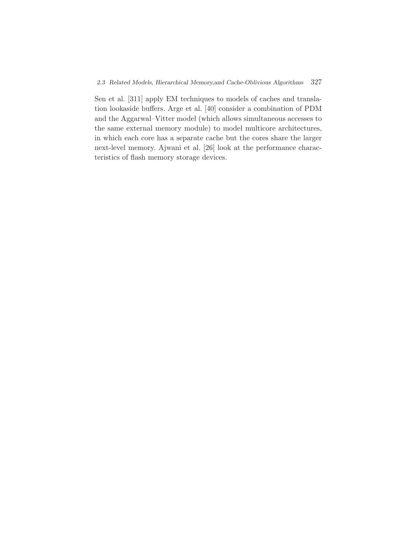Sen et al. [311] apply EM techniques to models of caches and translation lookaside buffers. Arge et al. [40] consider a combination of PDM and the Aggarwal–Vitter model (which allows simultaneous accesses to the same external memory module) to model multicore architectures, in which each core has a separate cache but the cores share the larger next-level memory. Ajwani et al. [26] look at the performance characteristics of flash memory storage devices.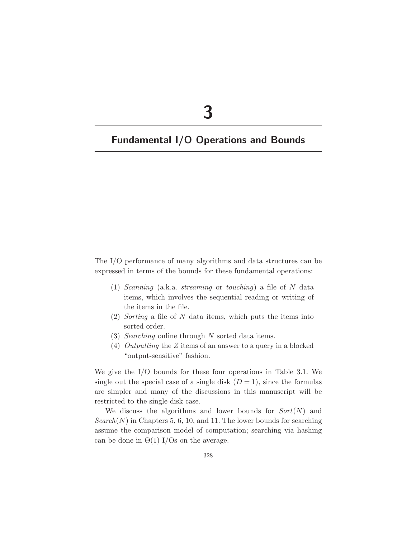# **3**

# **Fundamental I/O Operations and Bounds**

The I/O performance of many algorithms and data structures can be expressed in terms of the bounds for these fundamental operations:

- (1) *Scanning* (a.k.a. *streaming* or *touching*) a file of N data items, which involves the sequential reading or writing of the items in the file.
- (2) *Sorting* a file of N data items, which puts the items into sorted order.
- (3) *Searching* online through N sorted data items.
- (4) *Outputting* the Z items of an answer to a query in a blocked "output-sensitive" fashion.

We give the I/O bounds for these four operations in Table 3.1. We single out the special case of a single disk  $(D = 1)$ , since the formulas are simpler and many of the discussions in this manuscript will be restricted to the single-disk case.

We discuss the algorithms and lower bounds for  $Sort(N)$  and  $Search(N)$  in Chapters 5, 6, 10, and 11. The lower bounds for searching assume the comparison model of computation; searching via hashing can be done in  $\Theta(1)$  I/Os on the average.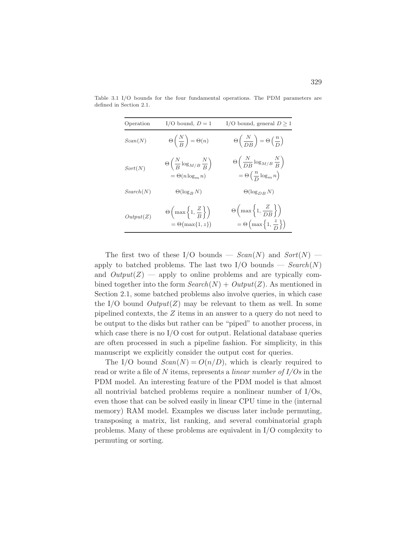| Operation | I/O bound, $D=1$                                                                | I/O bound, general $D \geq 1$                                                                                    |
|-----------|---------------------------------------------------------------------------------|------------------------------------------------------------------------------------------------------------------|
| Scan(N)   | $\Theta\left(\frac{N}{B}\right) = \Theta(n)$                                    | $\Theta\left(\frac{N}{DB}\right) = \Theta\left(\frac{n}{D}\right)$                                               |
| Sort(N)   | $\Theta\left(\frac{N}{B}\log_{M/B}\frac{N}{B}\right)$<br>$= \Theta(n \log_m n)$ | $\Theta\left(\frac{N}{DB}\log_{M/B}\frac{N}{B}\right)$<br>$=\Theta\left(\frac{n}{D}\log_m n\right)$              |
| Search(N) | $\Theta(\log_R N)$                                                              | $\Theta(\log_{DR} N)$                                                                                            |
| Output(Z) | $\Theta\left(\max\left\{1,\frac{Z}{B}\right\}\right)$<br>$=\Theta(\max\{1,z\})$ | $\Theta\left(\max\left\{1,\frac{Z}{DB}\right\}\right)$<br>$=\Theta\left(\max\left\{1,\frac{z}{D}\right\}\right)$ |

Table 3.1 I/O bounds for the four fundamental operations. The PDM parameters are defined in Section 2.1.

The first two of these I/O bounds –  $Scan(N)$  and  $Sort(N)$  – apply to batched problems. The last two  $I/O$  bounds  $-$  *Search* $(N)$ and  $Output(Z)$  — apply to online problems and are typically combined together into the form  $Search(N) + Output(Z)$ . As mentioned in Section 2.1, some batched problems also involve queries, in which case the I/O bound  $Output(Z)$  may be relevant to them as well. In some pipelined contexts, the Z items in an answer to a query do not need to be output to the disks but rather can be "piped" to another process, in which case there is no I/O cost for output. Relational database queries are often processed in such a pipeline fashion. For simplicity, in this manuscript we explicitly consider the output cost for queries.

The I/O bound  $Scan(N) = O(n/D)$ , which is clearly required to read or write a file of N items, represents a *linear number of I/Os* in the PDM model. An interesting feature of the PDM model is that almost all nontrivial batched problems require a nonlinear number of I/Os, even those that can be solved easily in linear CPU time in the (internal memory) RAM model. Examples we discuss later include permuting, transposing a matrix, list ranking, and several combinatorial graph problems. Many of these problems are equivalent in I/O complexity to permuting or sorting.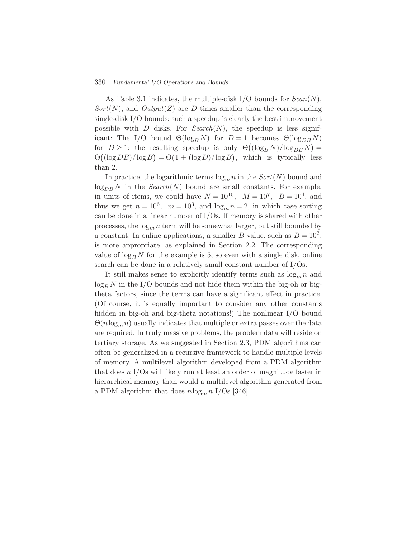### 330 *Fundamental I/O Operations and Bounds*

As Table 3.1 indicates, the multiple-disk I/O bounds for *Scan*(N),  $Sort(N)$ , and  $Output(Z)$  are D times smaller than the corresponding single-disk I/O bounds; such a speedup is clearly the best improvement possible with  $D$  disks. For  $Search(N)$ , the speedup is less significant: The I/O bound  $\Theta(\log_B N)$  for  $D = 1$  becomes  $\Theta(\log_{DB} N)$ for  $D \geq 1$ ; the resulting speedup is only  $\Theta((\log_B N)/\log_{DB} N)$  =  $\Theta((\log DB)/\log B) = \Theta(1 + (\log D)/\log B)$ , which is typically less than 2.

In practice, the logarithmic terms  $\log_m n$  in the  $Sort(N)$  bound and  $\log_{DB} N$  in the *Search*(N) bound are small constants. For example, in units of items, we could have  $N = 10^{10}$ ,  $M = 10^7$ ,  $B = 10^4$ , and thus we get  $n = 10^6$ ,  $m = 10^3$ , and  $\log_m n = 2$ , in which case sorting can be done in a linear number of I/Os. If memory is shared with other processes, the  $\log_m n$  term will be somewhat larger, but still bounded by a constant. In online applications, a smaller B value, such as  $B = 10^2$ , is more appropriate, as explained in Section 2.2. The corresponding value of  $\log_B N$  for the example is 5, so even with a single disk, online search can be done in a relatively small constant number of I/Os.

It still makes sense to explicitly identify terms such as  $\log_m n$  and  $\log_B N$  in the I/O bounds and not hide them within the big-oh or bigtheta factors, since the terms can have a significant effect in practice. (Of course, it is equally important to consider any other constants hidden in big-oh and big-theta notations!) The nonlinear I/O bound  $\Theta(n \log_m n)$  usually indicates that multiple or extra passes over the data are required. In truly massive problems, the problem data will reside on tertiary storage. As we suggested in Section 2.3, PDM algorithms can often be generalized in a recursive framework to handle multiple levels of memory. A multilevel algorithm developed from a PDM algorithm that does n I/Os will likely run at least an order of magnitude faster in hierarchical memory than would a multilevel algorithm generated from a PDM algorithm that does  $n \log_m n$  I/Os [346].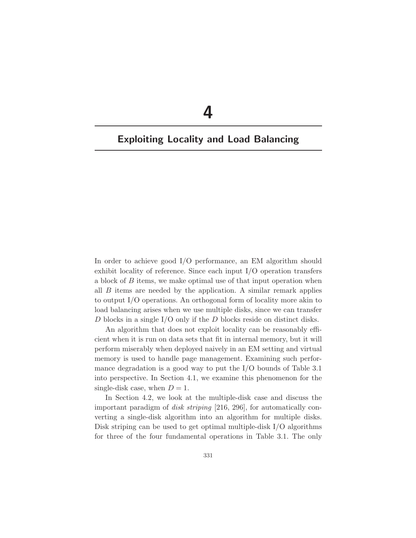# **4**

# **Exploiting Locality and Load Balancing**

In order to achieve good I/O performance, an EM algorithm should exhibit locality of reference. Since each input I/O operation transfers a block of B items, we make optimal use of that input operation when all  $B$  items are needed by the application. A similar remark applies to output I/O operations. An orthogonal form of locality more akin to load balancing arises when we use multiple disks, since we can transfer D blocks in a single I/O only if the D blocks reside on distinct disks.

An algorithm that does not exploit locality can be reasonably efficient when it is run on data sets that fit in internal memory, but it will perform miserably when deployed naively in an EM setting and virtual memory is used to handle page management. Examining such performance degradation is a good way to put the I/O bounds of Table 3.1 into perspective. In Section 4.1, we examine this phenomenon for the single-disk case, when  $D = 1$ .

In Section 4.2, we look at the multiple-disk case and discuss the important paradigm of *disk striping* [216, 296], for automatically converting a single-disk algorithm into an algorithm for multiple disks. Disk striping can be used to get optimal multiple-disk I/O algorithms for three of the four fundamental operations in Table 3.1. The only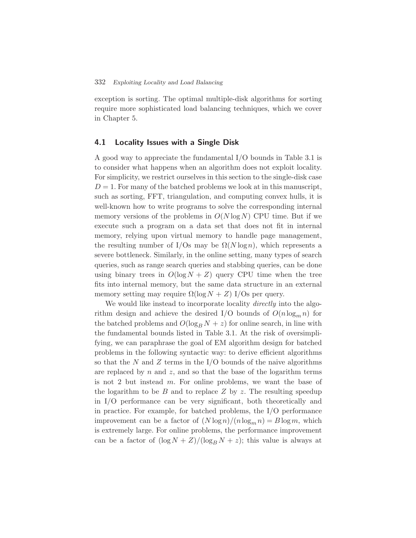exception is sorting. The optimal multiple-disk algorithms for sorting require more sophisticated load balancing techniques, which we cover in Chapter 5.

## **4.1 Locality Issues with a Single Disk**

A good way to appreciate the fundamental I/O bounds in Table 3.1 is to consider what happens when an algorithm does not exploit locality. For simplicity, we restrict ourselves in this section to the single-disk case  $D = 1$ . For many of the batched problems we look at in this manuscript, such as sorting, FFT, triangulation, and computing convex hulls, it is well-known how to write programs to solve the corresponding internal memory versions of the problems in  $O(N \log N)$  CPU time. But if we execute such a program on a data set that does not fit in internal memory, relying upon virtual memory to handle page management, the resulting number of I/Os may be  $\Omega(N \log n)$ , which represents a severe bottleneck. Similarly, in the online setting, many types of search queries, such as range search queries and stabbing queries, can be done using binary trees in  $O(\log N + Z)$  query CPU time when the tree fits into internal memory, but the same data structure in an external memory setting may require  $\Omega(\log N + Z)$  I/Os per query.

We would like instead to incorporate locality *directly* into the algorithm design and achieve the desired I/O bounds of  $O(n \log_m n)$  for the batched problems and  $O(\log_B N + z)$  for online search, in line with the fundamental bounds listed in Table 3.1. At the risk of oversimplifying, we can paraphrase the goal of EM algorithm design for batched problems in the following syntactic way: to derive efficient algorithms so that the  $N$  and  $Z$  terms in the I/O bounds of the naive algorithms are replaced by  $n$  and  $z$ , and so that the base of the logarithm terms is not 2 but instead  $m$ . For online problems, we want the base of the logarithm to be  $B$  and to replace  $Z$  by  $z$ . The resulting speedup in I/O performance can be very significant, both theoretically and in practice. For example, for batched problems, the I/O performance improvement can be a factor of  $(N \log n)/(n \log_m n) = B \log m$ , which is extremely large. For online problems, the performance improvement can be a factor of  $(\log N + Z)/(\log_B N + z)$ ; this value is always at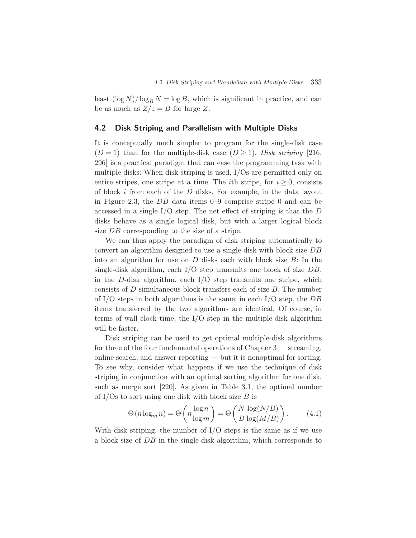least  $(\log N)/\log_B N = \log B$ , which is significant in practice, and can be as much as  $Z/z = B$  for large Z.

# **4.2 Disk Striping and Parallelism with Multiple Disks**

It is conceptually much simpler to program for the single-disk case  $(D = 1)$  than for the multiple-disk case  $(D \geq 1)$ . *Disk striping* [216, 296] is a practical paradigm that can ease the programming task with multiple disks: When disk striping is used, I/Os are permitted only on entire stripes, one stripe at a time. The *i*th stripe, for  $i \geq 0$ , consists of block i from each of the D disks. For example, in the data layout in Figure 2.3, the DB data items 0–9 comprise stripe 0 and can be accessed in a single  $I/O$  step. The net effect of striping is that the  $D$ disks behave as a single logical disk, but with a larger logical block size DB corresponding to the size of a stripe.

We can thus apply the paradigm of disk striping automatically to convert an algorithm designed to use a single disk with block size DB into an algorithm for use on  $D$  disks each with block size  $B$ : In the single-disk algorithm, each  $I/O$  step transmits one block of size  $DB$ ; in the D-disk algorithm, each I/O step transmits one stripe, which consists of  $D$  simultaneous block transfers each of size  $B$ . The number of I/O steps in both algorithms is the same; in each I/O step, the  $DB$ items transferred by the two algorithms are identical. Of course, in terms of wall clock time, the I/O step in the multiple-disk algorithm will be faster.

Disk striping can be used to get optimal multiple-disk algorithms for three of the four fundamental operations of Chapter 3 — streaming, online search, and answer reporting — but it is nonoptimal for sorting. To see why, consider what happens if we use the technique of disk striping in conjunction with an optimal sorting algorithm for one disk, such as merge sort [220]. As given in Table 3.1, the optimal number of I/Os to sort using one disk with block size  $B$  is

$$
\Theta(n \log_m n) = \Theta\left(n \frac{\log n}{\log m}\right) = \Theta\left(\frac{N}{B} \frac{\log(N/B)}{\log(M/B)}\right). \tag{4.1}
$$

With disk striping, the number of  $I/O$  steps is the same as if we use a block size of DB in the single-disk algorithm, which corresponds to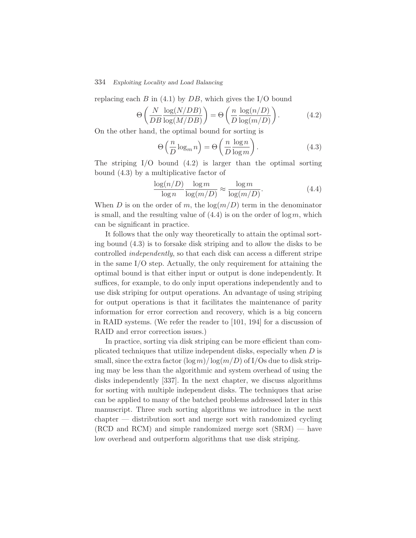### 334 *Exploiting Locality and Load Balancing*

replacing each  $B$  in (4.1) by  $DB$ , which gives the I/O bound

$$
\Theta\left(\frac{N}{DB}\frac{\log(N/DB)}{\log(M/DB)}\right) = \Theta\left(\frac{n}{D}\frac{\log(n/D)}{\log(m/D)}\right). \tag{4.2}
$$

On the other hand, the optimal bound for sorting is

$$
\Theta\left(\frac{n}{D}\log_m n\right) = \Theta\left(\frac{n}{D}\frac{\log n}{\log m}\right). \tag{4.3}
$$

The striping I/O bound (4.2) is larger than the optimal sorting bound (4.3) by a multiplicative factor of

$$
\frac{\log(n/D)}{\log n} \frac{\log m}{\log(m/D)} \approx \frac{\log m}{\log(m/D)}.\tag{4.4}
$$

When D is on the order of m, the  $log(m/D)$  term in the denominator is small, and the resulting value of  $(4.4)$  is on the order of log m, which can be significant in practice.

It follows that the only way theoretically to attain the optimal sorting bound (4.3) is to forsake disk striping and to allow the disks to be controlled *independently*, so that each disk can access a different stripe in the same I/O step. Actually, the only requirement for attaining the optimal bound is that either input or output is done independently. It suffices, for example, to do only input operations independently and to use disk striping for output operations. An advantage of using striping for output operations is that it facilitates the maintenance of parity information for error correction and recovery, which is a big concern in RAID systems. (We refer the reader to [101, 194] for a discussion of RAID and error correction issues.)

In practice, sorting via disk striping can be more efficient than complicated techniques that utilize independent disks, especially when D is small, since the extra factor  $(\log m)/\log(m/D)$  of I/Os due to disk striping may be less than the algorithmic and system overhead of using the disks independently [337]. In the next chapter, we discuss algorithms for sorting with multiple independent disks. The techniques that arise can be applied to many of the batched problems addressed later in this manuscript. Three such sorting algorithms we introduce in the next chapter — distribution sort and merge sort with randomized cycling (RCD and RCM) and simple randomized merge sort (SRM) — have low overhead and outperform algorithms that use disk striping.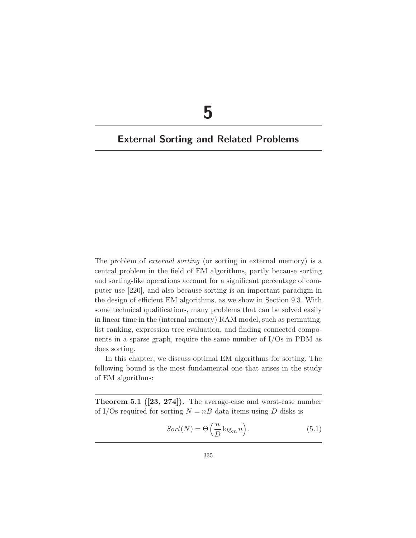# **5**

# **External Sorting and Related Problems**

The problem of *external sorting* (or sorting in external memory) is a central problem in the field of EM algorithms, partly because sorting and sorting-like operations account for a significant percentage of computer use [220], and also because sorting is an important paradigm in the design of efficient EM algorithms, as we show in Section 9.3. With some technical qualifications, many problems that can be solved easily in linear time in the (internal memory) RAM model, such as permuting, list ranking, expression tree evaluation, and finding connected components in a sparse graph, require the same number of I/Os in PDM as does sorting.

In this chapter, we discuss optimal EM algorithms for sorting. The following bound is the most fundamental one that arises in the study of EM algorithms:

**Theorem 5.1 ([23, 274]).** The average-case and worst-case number of I/Os required for sorting  $N = nB$  data items using D disks is

$$
Sort(N) = \Theta\left(\frac{n}{D}\log_m n\right). \tag{5.1}
$$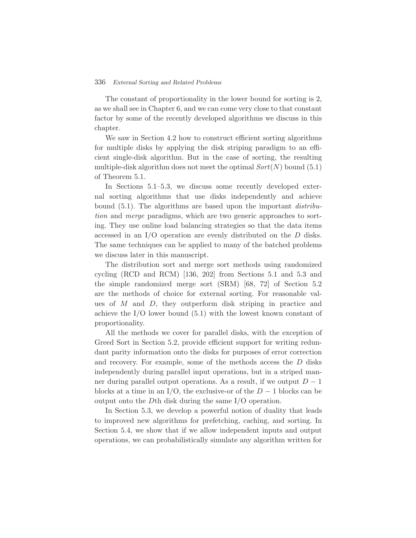### 336 *External Sorting and Related Problems*

The constant of proportionality in the lower bound for sorting is 2, as we shall see in Chapter 6, and we can come very close to that constant factor by some of the recently developed algorithms we discuss in this chapter.

We saw in Section 4.2 how to construct efficient sorting algorithms for multiple disks by applying the disk striping paradigm to an efficient single-disk algorithm. But in the case of sorting, the resulting multiple-disk algorithm does not meet the optimal  $Sort(N)$  bound (5.1) of Theorem 5.1.

In Sections 5.1–5.3, we discuss some recently developed external sorting algorithms that use disks independently and achieve bound (5.1). The algorithms are based upon the important *distribution* and *merge* paradigms, which are two generic approaches to sorting. They use online load balancing strategies so that the data items accessed in an I/O operation are evenly distributed on the D disks. The same techniques can be applied to many of the batched problems we discuss later in this manuscript.

The distribution sort and merge sort methods using randomized cycling (RCD and RCM) [136, 202] from Sections 5.1 and 5.3 and the simple randomized merge sort (SRM) [68, 72] of Section 5.2 are the methods of choice for external sorting. For reasonable values of M and D, they outperform disk striping in practice and achieve the I/O lower bound (5.1) with the lowest known constant of proportionality.

All the methods we cover for parallel disks, with the exception of Greed Sort in Section 5.2, provide efficient support for writing redundant parity information onto the disks for purposes of error correction and recovery. For example, some of the methods access the D disks independently during parallel input operations, but in a striped manner during parallel output operations. As a result, if we output  $D-1$ blocks at a time in an I/O, the exclusive-or of the  $D-1$  blocks can be output onto the Dth disk during the same I/O operation.

In Section 5.3, we develop a powerful notion of duality that leads to improved new algorithms for prefetching, caching, and sorting. In Section 5.4, we show that if we allow independent inputs and output operations, we can probabilistically simulate any algorithm written for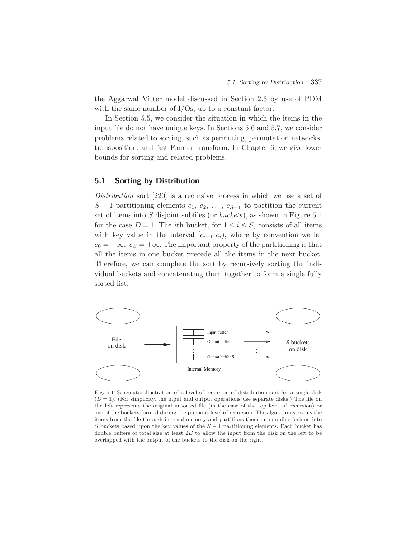the Aggarwal–Vitter model discussed in Section 2.3 by use of PDM with the same number of I/Os, up to a constant factor.

In Section 5.5, we consider the situation in which the items in the input file do not have unique keys. In Sections 5.6 and 5.7, we consider problems related to sorting, such as permuting, permutation networks, transposition, and fast Fourier transform. In Chapter 6, we give lower bounds for sorting and related problems.

# **5.1 Sorting by Distribution**

*Distribution* sort [220] is a recursive process in which we use a set of  $S-1$  partitioning elements  $e_1, e_2, \ldots, e_{S-1}$  to partition the current set of items into S disjoint subfiles (or *buckets*), as shown in Figure 5.1 for the case  $D = 1$ . The *i*th bucket, for  $1 \leq i \leq S$ , consists of all items with key value in the interval  $[e_{i-1},e_i]$ , where by convention we let  $e_0 = -\infty$ ,  $e_S = +\infty$ . The important property of the partitioning is that all the items in one bucket precede all the items in the next bucket. Therefore, we can complete the sort by recursively sorting the individual buckets and concatenating them together to form a single fully sorted list.



Fig. 5.1 Schematic illustration of a level of recursion of distribution sort for a single disk  $(D = 1)$ . (For simplicity, the input and output operations use separate disks.) The file on the left represents the original unsorted file (in the case of the top level of recursion) or one of the buckets formed during the previous level of recursion. The algorithm streams the items from the file through internal memory and partitions them in an online fashion into S buckets based upon the key values of the  $S-1$  partitioning elements. Each bucket has double buffers of total size at least  $2B$  to allow the input from the disk on the left to be overlapped with the output of the buckets to the disk on the right.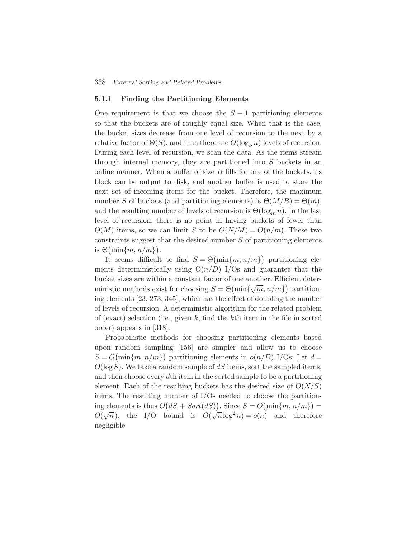### 338 *External Sorting and Related Problems*

## **5.1.1 Finding the Partitioning Elements**

One requirement is that we choose the  $S-1$  partitioning elements so that the buckets are of roughly equal size. When that is the case, the bucket sizes decrease from one level of recursion to the next by a relative factor of  $\Theta(S)$ , and thus there are  $O(\log_S n)$  levels of recursion. During each level of recursion, we scan the data. As the items stream through internal memory, they are partitioned into S buckets in an online manner. When a buffer of size  $B$  fills for one of the buckets, its block can be output to disk, and another buffer is used to store the next set of incoming items for the bucket. Therefore, the maximum number S of buckets (and partitioning elements) is  $\Theta(M/B) = \Theta(m)$ , and the resulting number of levels of recursion is  $\Theta(\log_m n)$ . In the last level of recursion, there is no point in having buckets of fewer than  $\Theta(M)$  items, so we can limit S to be  $O(N/M) = O(n/m)$ . These two constraints suggest that the desired number S of partitioning elements is  $\Theta(\min\{m, n/m\})$ .

It seems difficult to find  $S = \Theta(\min\{m, n/m\})$  partitioning elements deterministically using  $\Theta(n/D)$  I/Os and guarantee that the bucket sizes are within a constant factor of one another. Efficient deterministic methods exist for choosing  $S = \Theta(\min\{\sqrt{m}, n/m\})$  partitioning elements [23, 273, 345], which has the effect of doubling the number of levels of recursion. A deterministic algorithm for the related problem of (exact) selection (i.e., given k, find the kth item in the file in sorted order) appears in [318].

Probabilistic methods for choosing partitioning elements based upon random sampling [156] are simpler and allow us to choose  $S = O(\min\{m, n/m\})$  partitioning elements in  $o(n/D)$  I/Os: Let  $d =$  $O(\log S)$ . We take a random sample of dS items, sort the sampled items, and then choose every dth item in the sorted sample to be a partitioning element. Each of the resulting buckets has the desired size of  $O(N/S)$ items. The resulting number of I/Os needed to choose the partitioning elements is thus  $O(dS + Sort(dS))$ . Since  $S = O(\min\{m, n/m\})$  $O(\sqrt{n})$ , the I/O bound is  $O(\sqrt{n}\log^2 n) = o(n)$  and therefore negligible.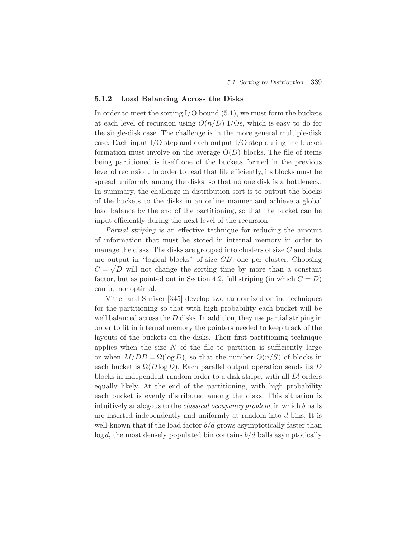### **5.1.2 Load Balancing Across the Disks**

In order to meet the sorting  $I/O$  bound  $(5.1)$ , we must form the buckets at each level of recursion using  $O(n/D)$  I/Os, which is easy to do for the single-disk case. The challenge is in the more general multiple-disk case: Each input I/O step and each output I/O step during the bucket formation must involve on the average  $\Theta(D)$  blocks. The file of items being partitioned is itself one of the buckets formed in the previous level of recursion. In order to read that file efficiently, its blocks must be spread uniformly among the disks, so that no one disk is a bottleneck. In summary, the challenge in distribution sort is to output the blocks of the buckets to the disks in an online manner and achieve a global load balance by the end of the partitioning, so that the bucket can be input efficiently during the next level of the recursion.

*Partial striping* is an effective technique for reducing the amount of information that must be stored in internal memory in order to manage the disks. The disks are grouped into clusters of size  $C$  and data are output in "logical blocks" of size CB, one per cluster. Choosing are output in Togical blocks of size  $CD$ , one per cluster. Choosing  $C = \sqrt{D}$  will not change the sorting time by more than a constant factor, but as pointed out in Section 4.2, full striping (in which  $C = D$ ) can be nonoptimal.

Vitter and Shriver [345] develop two randomized online techniques for the partitioning so that with high probability each bucket will be well balanced across the  $D$  disks. In addition, they use partial striping in order to fit in internal memory the pointers needed to keep track of the layouts of the buckets on the disks. Their first partitioning technique applies when the size  $N$  of the file to partition is sufficiently large or when  $M/DB = \Omega(\log D)$ , so that the number  $\Theta(n/S)$  of blocks in each bucket is  $\Omega(D \log D)$ . Each parallel output operation sends its D blocks in independent random order to a disk stripe, with all D! orders equally likely. At the end of the partitioning, with high probability each bucket is evenly distributed among the disks. This situation is intuitively analogous to the *classical occupancy problem*, in which b balls are inserted independently and uniformly at random into d bins. It is well-known that if the load factor  $b/d$  grows asymptotically faster than  $log d$ , the most densely populated bin contains  $b/d$  balls asymptotically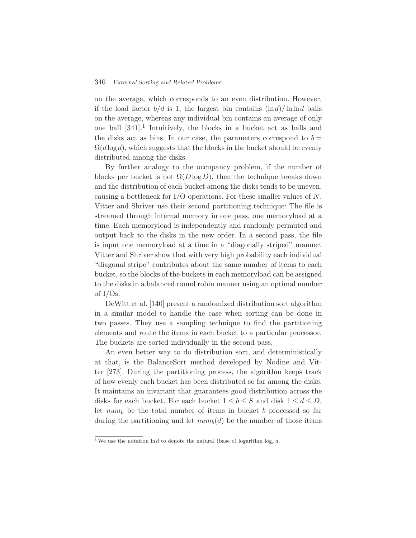on the average, which corresponds to an even distribution. However, if the load factor  $b/d$  is 1, the largest bin contains  $(\ln d)/\ln \ln d$  balls on the average, whereas any individual bin contains an average of only one ball  $[341]$ <sup>1</sup>. Intuitively, the blocks in a bucket act as balls and the disks act as bins. In our case, the parameters correspond to  $b =$  $\Omega(d \log d)$ , which suggests that the blocks in the bucket should be evenly distributed among the disks.

By further analogy to the occupancy problem, if the number of blocks per bucket is not  $\Omega(D \log D)$ , then the technique breaks down and the distribution of each bucket among the disks tends to be uneven, causing a bottleneck for  $I/O$  operations. For these smaller values of N, Vitter and Shriver use their second partitioning technique: The file is streamed through internal memory in one pass, one memoryload at a time. Each memoryload is independently and randomly permuted and output back to the disks in the new order. In a second pass, the file is input one memoryload at a time in a "diagonally striped" manner. Vitter and Shriver show that with very high probability each individual "diagonal stripe" contributes about the same number of items to each bucket, so the blocks of the buckets in each memoryload can be assigned to the disks in a balanced round robin manner using an optimal number of I/Os.

DeWitt et al. [140] present a randomized distribution sort algorithm in a similar model to handle the case when sorting can be done in two passes. They use a sampling technique to find the partitioning elements and route the items in each bucket to a particular processor. The buckets are sorted individually in the second pass.

An even better way to do distribution sort, and deterministically at that, is the BalanceSort method developed by Nodine and Vitter [273]. During the partitioning process, the algorithm keeps track of how evenly each bucket has been distributed so far among the disks. It maintains an invariant that guarantees good distribution across the disks for each bucket. For each bucket  $1 \leq b \leq S$  and disk  $1 \leq d \leq D$ , let  $num_b$  be the total number of items in bucket  $b$  processed so far during the partitioning and let  $num_b(d)$  be the number of those items

<sup>&</sup>lt;sup>1</sup>We use the notation lnd to denote the natural (base e) logarithm  $\log_e d$ .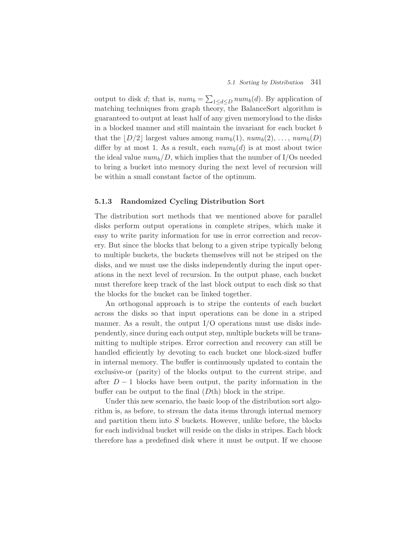output to disk *d*; that is,  $num_b = \sum_{1 \le d \le D} num_b(d)$ . By application of matching techniques from graph theory, the BalanceSort algorithm is guaranteed to output at least half of any given memoryload to the disks in a blocked manner and still maintain the invariant for each bucket b that the  $|D/2|$  largest values among  $num_b(1)$ ,  $num_b(2)$ , ...,  $num_b(D)$ differ by at most 1. As a result, each  $num_b(d)$  is at most about twice the ideal value  $num_b/D$ , which implies that the number of I/Os needed to bring a bucket into memory during the next level of recursion will be within a small constant factor of the optimum.

# **5.1.3 Randomized Cycling Distribution Sort**

The distribution sort methods that we mentioned above for parallel disks perform output operations in complete stripes, which make it easy to write parity information for use in error correction and recovery. But since the blocks that belong to a given stripe typically belong to multiple buckets, the buckets themselves will not be striped on the disks, and we must use the disks independently during the input operations in the next level of recursion. In the output phase, each bucket must therefore keep track of the last block output to each disk so that the blocks for the bucket can be linked together.

An orthogonal approach is to stripe the contents of each bucket across the disks so that input operations can be done in a striped manner. As a result, the output  $I/O$  operations must use disks independently, since during each output step, multiple buckets will be transmitting to multiple stripes. Error correction and recovery can still be handled efficiently by devoting to each bucket one block-sized buffer in internal memory. The buffer is continuously updated to contain the exclusive-or (parity) of the blocks output to the current stripe, and after  $D-1$  blocks have been output, the parity information in the buffer can be output to the final (Dth) block in the stripe.

Under this new scenario, the basic loop of the distribution sort algorithm is, as before, to stream the data items through internal memory and partition them into S buckets. However, unlike before, the blocks for each individual bucket will reside on the disks in stripes. Each block therefore has a predefined disk where it must be output. If we choose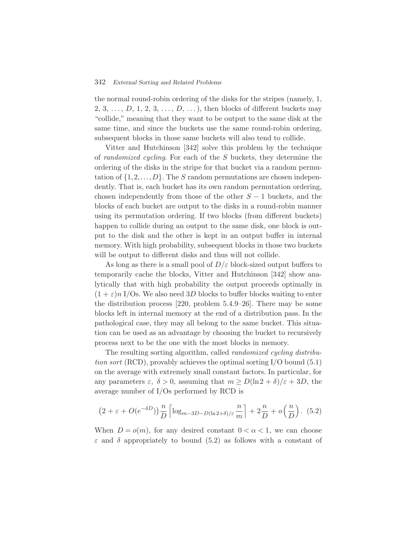the normal round-robin ordering of the disks for the stripes (namely, 1,  $2, 3, \ldots, D, 1, 2, 3, \ldots, D, \ldots$ , then blocks of different buckets may "collide," meaning that they want to be output to the same disk at the same time, and since the buckets use the same round-robin ordering, subsequent blocks in those same buckets will also tend to collide.

Vitter and Hutchinson [342] solve this problem by the technique of *randomized cycling*. For each of the S buckets, they determine the ordering of the disks in the stripe for that bucket via a random permutation of  $\{1,2,\ldots,D\}$ . The S random permutations are chosen independently. That is, each bucket has its own random permutation ordering, chosen independently from those of the other  $S-1$  buckets, and the blocks of each bucket are output to the disks in a round-robin manner using its permutation ordering. If two blocks (from different buckets) happen to collide during an output to the same disk, one block is output to the disk and the other is kept in an output buffer in internal memory. With high probability, subsequent blocks in those two buckets will be output to different disks and thus will not collide.

As long as there is a small pool of  $D/\varepsilon$  block-sized output buffers to temporarily cache the blocks, Vitter and Hutchinson [342] show analytically that with high probability the output proceeds optimally in  $(1 + \varepsilon)n$  I/Os. We also need 3D blocks to buffer blocks waiting to enter the distribution process [220, problem 5.4.9–26]. There may be some blocks left in internal memory at the end of a distribution pass. In the pathological case, they may all belong to the same bucket. This situation can be used as an advantage by choosing the bucket to recursively process next to be the one with the most blocks in memory.

The resulting sorting algorithm, called *randomized cycling distribution sort* (RCD), provably achieves the optimal sorting I/O bound (5.1) on the average with extremely small constant factors. In particular, for any parameters  $\varepsilon$ ,  $\delta > 0$ , assuming that  $m > D(\ln 2 + \delta)/\varepsilon + 3D$ , the average number of I/Os performed by RCD is

$$
(2 + \varepsilon + O(e^{-\delta D})) \frac{n}{D} \left[ \log_{m-3D-D(\ln 2 + \delta)/\varepsilon} \frac{n}{m} \right] + 2\frac{n}{D} + o\left(\frac{n}{D}\right). (5.2)
$$

When  $D = o(m)$ , for any desired constant  $0 < \alpha < 1$ , we can choose  $\varepsilon$  and  $\delta$  appropriately to bound (5.2) as follows with a constant of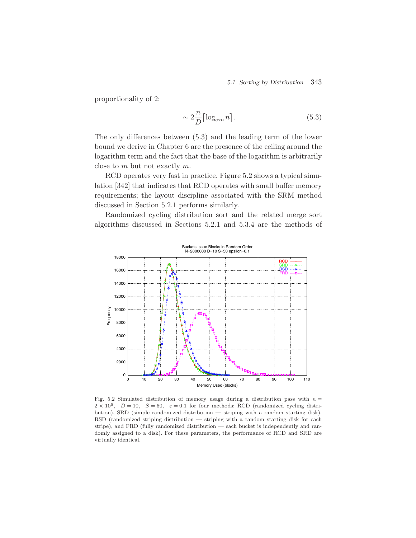proportionality of 2:

$$
\sim 2\frac{n}{D} \lceil \log_{\alpha m} n \rceil. \tag{5.3}
$$

The only differences between (5.3) and the leading term of the lower bound we derive in Chapter 6 are the presence of the ceiling around the logarithm term and the fact that the base of the logarithm is arbitrarily close to m but not exactly m.

RCD operates very fast in practice. Figure 5.2 shows a typical simulation [342] that indicates that RCD operates with small buffer memory requirements; the layout discipline associated with the SRM method discussed in Section 5.2.1 performs similarly.

Randomized cycling distribution sort and the related merge sort algorithms discussed in Sections 5.2.1 and 5.3.4 are the methods of



Fig. 5.2 Simulated distribution of memory usage during a distribution pass with  $n =$  $2 \times 10^6$ ,  $D = 10$ ,  $S = 50$ ,  $\varepsilon = 0.1$  for four methods: RCD (randomized cycling distribution), SRD (simple randomized distribution — striping with a random starting disk), RSD (randomized striping distribution — striping with a random starting disk for each stripe), and FRD (fully randomized distribution — each bucket is independently and randomly assigned to a disk). For these parameters, the performance of RCD and SRD are virtually identical.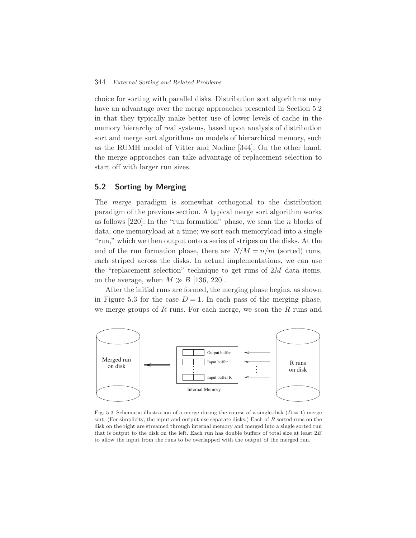choice for sorting with parallel disks. Distribution sort algorithms may have an advantage over the merge approaches presented in Section 5.2 in that they typically make better use of lower levels of cache in the memory hierarchy of real systems, based upon analysis of distribution sort and merge sort algorithms on models of hierarchical memory, such as the RUMH model of Vitter and Nodine [344]. On the other hand, the merge approaches can take advantage of replacement selection to start off with larger run sizes.

# **5.2 Sorting by Merging**

The *merge* paradigm is somewhat orthogonal to the distribution paradigm of the previous section. A typical merge sort algorithm works as follows  $[220]$ : In the "run formation" phase, we scan the *n* blocks of data, one memoryload at a time; we sort each memoryload into a single "run," which we then output onto a series of stripes on the disks. At the end of the run formation phase, there are  $N/M = n/m$  (sorted) runs, each striped across the disks. In actual implementations, we can use the "replacement selection" technique to get runs of  $2M$  data items, on the average, when  $M \gg B$  [136, 220].

After the initial runs are formed, the merging phase begins, as shown in Figure 5.3 for the case  $D = 1$ . In each pass of the merging phase, we merge groups of  $R$  runs. For each merge, we scan the  $R$  runs and



Fig. 5.3 Schematic illustration of a merge during the course of a single-disk  $(D = 1)$  merge sort. (For simplicity, the input and output use separate disks.) Each of  $R$  sorted runs on the disk on the right are streamed through internal memory and merged into a single sorted run that is output to the disk on the left. Each run has double buffers of total size at least 2B to allow the input from the runs to be overlapped with the output of the merged run.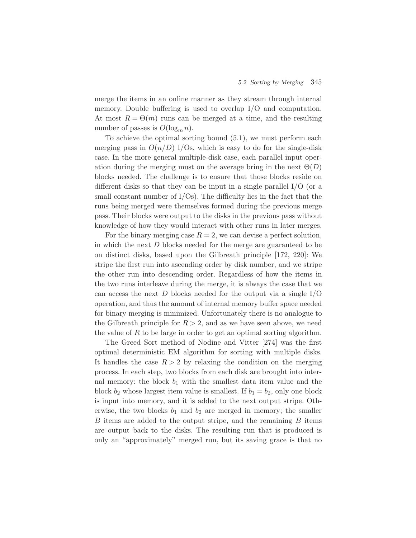merge the items in an online manner as they stream through internal memory. Double buffering is used to overlap I/O and computation. At most  $R = \Theta(m)$  runs can be merged at a time, and the resulting number of passes is  $O(\log_m n)$ .

To achieve the optimal sorting bound (5.1), we must perform each merging pass in  $O(n/D)$  I/Os, which is easy to do for the single-disk case. In the more general multiple-disk case, each parallel input operation during the merging must on the average bring in the next  $\Theta(D)$ blocks needed. The challenge is to ensure that those blocks reside on different disks so that they can be input in a single parallel I/O (or a small constant number of  $I/Os$ ). The difficulty lies in the fact that the runs being merged were themselves formed during the previous merge pass. Their blocks were output to the disks in the previous pass without knowledge of how they would interact with other runs in later merges.

For the binary merging case  $R = 2$ , we can devise a perfect solution, in which the next D blocks needed for the merge are guaranteed to be on distinct disks, based upon the Gilbreath principle [172, 220]: We stripe the first run into ascending order by disk number, and we stripe the other run into descending order. Regardless of how the items in the two runs interleave during the merge, it is always the case that we can access the next D blocks needed for the output via a single  $I/O$ operation, and thus the amount of internal memory buffer space needed for binary merging is minimized. Unfortunately there is no analogue to the Gilbreath principle for  $R > 2$ , and as we have seen above, we need the value of  $R$  to be large in order to get an optimal sorting algorithm.

The Greed Sort method of Nodine and Vitter [274] was the first optimal deterministic EM algorithm for sorting with multiple disks. It handles the case  $R > 2$  by relaxing the condition on the merging process. In each step, two blocks from each disk are brought into internal memory: the block  $b_1$  with the smallest data item value and the block  $b_2$  whose largest item value is smallest. If  $b_1 = b_2$ , only one block is input into memory, and it is added to the next output stripe. Otherwise, the two blocks  $b_1$  and  $b_2$  are merged in memory; the smaller B items are added to the output stripe, and the remaining B items are output back to the disks. The resulting run that is produced is only an "approximately" merged run, but its saving grace is that no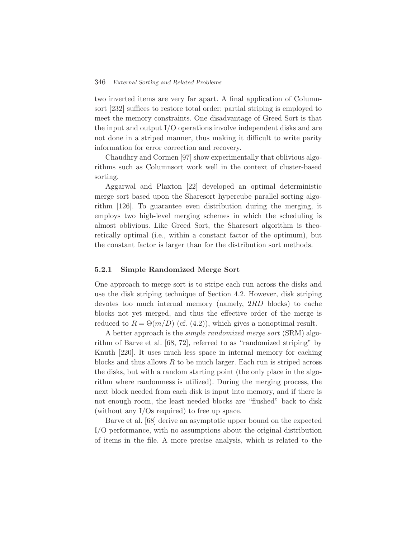two inverted items are very far apart. A final application of Columnsort [232] suffices to restore total order; partial striping is employed to meet the memory constraints. One disadvantage of Greed Sort is that the input and output I/O operations involve independent disks and are not done in a striped manner, thus making it difficult to write parity information for error correction and recovery.

Chaudhry and Cormen [97] show experimentally that oblivious algorithms such as Columnsort work well in the context of cluster-based sorting.

Aggarwal and Plaxton [22] developed an optimal deterministic merge sort based upon the Sharesort hypercube parallel sorting algorithm [126]. To guarantee even distribution during the merging, it employs two high-level merging schemes in which the scheduling is almost oblivious. Like Greed Sort, the Sharesort algorithm is theoretically optimal (i.e., within a constant factor of the optimum), but the constant factor is larger than for the distribution sort methods.

# **5.2.1 Simple Randomized Merge Sort**

One approach to merge sort is to stripe each run across the disks and use the disk striping technique of Section 4.2. However, disk striping devotes too much internal memory (namely, 2RD blocks) to cache blocks not yet merged, and thus the effective order of the merge is reduced to  $R = \Theta(m/D)$  (cf. (4.2)), which gives a nonoptimal result.

A better approach is the *simple randomized merge sort* (SRM) algorithm of Barve et al. [68, 72], referred to as "randomized striping" by Knuth [220]. It uses much less space in internal memory for caching blocks and thus allows  $R$  to be much larger. Each run is striped across the disks, but with a random starting point (the only place in the algorithm where randomness is utilized). During the merging process, the next block needed from each disk is input into memory, and if there is not enough room, the least needed blocks are "flushed" back to disk (without any I/Os required) to free up space.

Barve et al. [68] derive an asymptotic upper bound on the expected I/O performance, with no assumptions about the original distribution of items in the file. A more precise analysis, which is related to the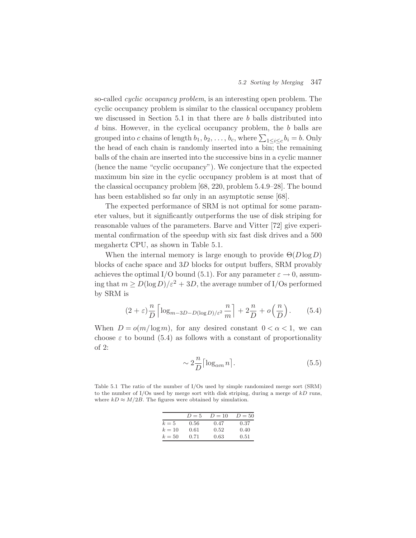so-called *cyclic occupancy problem*, is an interesting open problem. The cyclic occupancy problem is similar to the classical occupancy problem we discussed in Section 5.1 in that there are b balls distributed into d bins. However, in the cyclical occupancy problem, the b balls are grouped into c chains of length  $b_1, b_2, \ldots, b_c$ , where  $\sum_{1 \leq i \leq c} b_i = b$ . Only the head of each chain is randomly inserted into a bin; the remaining balls of the chain are inserted into the successive bins in a cyclic manner (hence the name "cyclic occupancy"). We conjecture that the expected maximum bin size in the cyclic occupancy problem is at most that of the classical occupancy problem [68, 220, problem 5.4.9–28]. The bound has been established so far only in an asymptotic sense [68].

The expected performance of SRM is not optimal for some parameter values, but it significantly outperforms the use of disk striping for reasonable values of the parameters. Barve and Vitter [72] give experimental confirmation of the speedup with six fast disk drives and a 500 megahertz CPU, as shown in Table 5.1.

When the internal memory is large enough to provide  $\Theta(D \log D)$ blocks of cache space and 3D blocks for output buffers, SRM provably achieves the optimal I/O bound (5.1). For any parameter  $\varepsilon \to 0$ , assuming that  $m \geq D(\log D)/\varepsilon^2 + 3D$ , the average number of I/Os performed by SRM is

$$
(2+\varepsilon)\frac{n}{D}\left[\log_{m-3D-D(\log D)/\varepsilon^2}\frac{n}{m}\right] + 2\frac{n}{D} + o\left(\frac{n}{D}\right). \tag{5.4}
$$

When  $D = o(m/\log m)$ , for any desired constant  $0 < \alpha < 1$ , we can choose  $\varepsilon$  to bound (5.4) as follows with a constant of proportionality of 2:

$$
\sim 2\frac{n}{D} \left[ \log_{\alpha m} n \right]. \tag{5.5}
$$

Table 5.1 The ratio of the number of I/Os used by simple randomized merge sort (SRM) to the number of  $I/Os$  used by merge sort with disk striping, during a merge of  $kD$  runs, where  $kD \approx M/2B$ . The figures were obtained by simulation.

|        | $D=5$ | $D = 10$ | $D = 50$ |
|--------|-------|----------|----------|
| $k=5$  | 0.56  | 0.47     | 0.37     |
| $k=10$ | 0.61  | 0.52     | 0.40     |
| $k=50$ | 0.71  | 0.63     | 0.51     |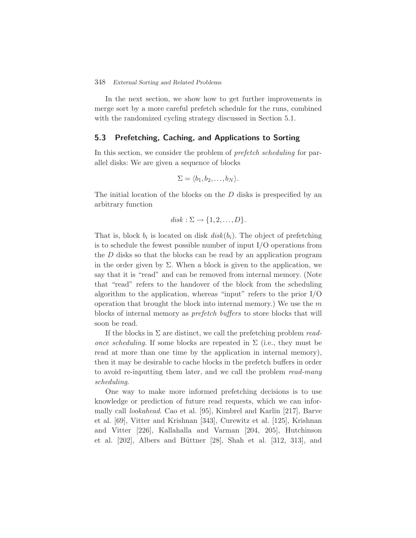In the next section, we show how to get further improvements in merge sort by a more careful prefetch schedule for the runs, combined with the randomized cycling strategy discussed in Section 5.1.

# **5.3 Prefetching, Caching, and Applications to Sorting**

In this section, we consider the problem of *prefetch scheduling* for parallel disks: We are given a sequence of blocks

$$
\Sigma = \langle b_1, b_2, \dots, b_N \rangle.
$$

The initial location of the blocks on the D disks is prespecified by an arbitrary function

$$
disk: \Sigma \to \{1, 2, \dots, D\}.
$$

That is, block  $b_i$  is located on disk  $disk(b_i)$ . The object of prefetching is to schedule the fewest possible number of input I/O operations from the D disks so that the blocks can be read by an application program in the order given by  $\Sigma$ . When a block is given to the application, we say that it is "read" and can be removed from internal memory. (Note that "read" refers to the handover of the block from the scheduling algorithm to the application, whereas "input" refers to the prior  $I/O$ operation that brought the block into internal memory.) We use the  $m$ blocks of internal memory as *prefetch buffers* to store blocks that will soon be read.

If the blocks in Σ are distinct, we call the prefetching problem *readonce scheduling*. If some blocks are repeated in  $\Sigma$  (i.e., they must be read at more than one time by the application in internal memory), then it may be desirable to cache blocks in the prefetch buffers in order to avoid re-inputting them later, and we call the problem *read-many scheduling*.

One way to make more informed prefetching decisions is to use knowledge or prediction of future read requests, which we can informally call *lookahead*. Cao et al. [95], Kimbrel and Karlin [217], Barve et al. [69], Vitter and Krishnan [343], Curewitz et al. [125], Krishnan and Vitter [226], Kallahalla and Varman [204, 205], Hutchinson et al.  $[202]$ , Albers and Büttner  $[28]$ , Shah et al.  $[312, 313]$ , and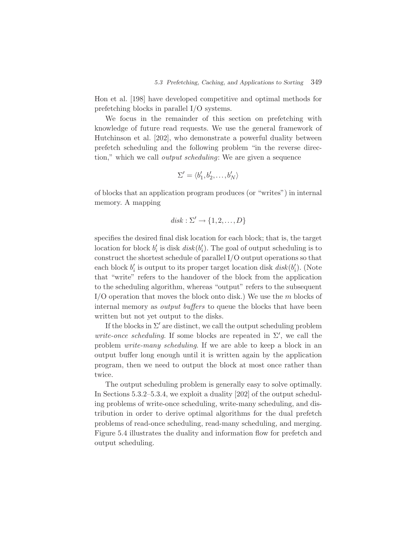Hon et al. [198] have developed competitive and optimal methods for prefetching blocks in parallel I/O systems.

We focus in the remainder of this section on prefetching with knowledge of future read requests. We use the general framework of Hutchinson et al. [202], who demonstrate a powerful duality between prefetch scheduling and the following problem "in the reverse direction," which we call *output scheduling*: We are given a sequence

$$
\Sigma' = \langle b'_1, b'_2, \dots, b'_N \rangle
$$

of blocks that an application program produces (or "writes") in internal memory. A mapping

$$
disk: \Sigma' \to \{1, 2, \dots, D\}
$$

specifies the desired final disk location for each block; that is, the target location for block  $b_i'$  is disk  $\text{disk}(b_i')$ . The goal of output scheduling is to construct the shortest schedule of parallel I/O output operations so that each block  $b_i'$  is output to its proper target location disk  $disk(b_i')$ . (Note that "write" refers to the handover of the block from the application to the scheduling algorithm, whereas "output" refers to the subsequent I/O operation that moves the block onto disk.) We use the  $m$  blocks of internal memory as *output buffers* to queue the blocks that have been written but not yet output to the disks.

If the blocks in  $\Sigma'$  are distinct, we call the output scheduling problem *write-once scheduling*. If some blocks are repeated in  $\Sigma'$ , we call the problem *write-many scheduling*. If we are able to keep a block in an output buffer long enough until it is written again by the application program, then we need to output the block at most once rather than twice.

The output scheduling problem is generally easy to solve optimally. In Sections 5.3.2–5.3.4, we exploit a duality [202] of the output scheduling problems of write-once scheduling, write-many scheduling, and distribution in order to derive optimal algorithms for the dual prefetch problems of read-once scheduling, read-many scheduling, and merging. Figure 5.4 illustrates the duality and information flow for prefetch and output scheduling.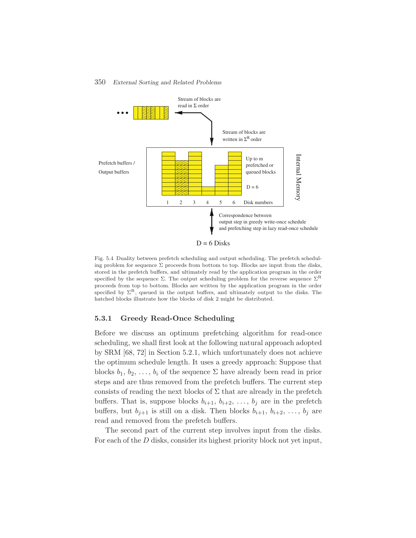



Fig. 5.4 Duality between prefetch scheduling and output scheduling. The prefetch scheduling problem for sequence  $\Sigma$  proceeds from bottom to top. Blocks are input from the disks, stored in the prefetch buffers, and ultimately read by the application program in the order specified by the sequence  $\Sigma$ . The output scheduling problem for the reverse sequence  $\Sigma^{\text{R}}$ proceeds from top to bottom. Blocks are written by the application program in the order specified by  $\Sigma^R$ , queued in the output buffers, and ultimately output to the disks. The hatched blocks illustrate how the blocks of disk 2 might be distributed.

## **5.3.1 Greedy Read-Once Scheduling**

Before we discuss an optimum prefetching algorithm for read-once scheduling, we shall first look at the following natural approach adopted by SRM [68, 72] in Section 5.2.1, which unfortunately does not achieve the optimum schedule length. It uses a greedy approach: Suppose that blocks  $b_1, b_2, \ldots, b_i$  of the sequence  $\Sigma$  have already been read in prior steps and are thus removed from the prefetch buffers. The current step consists of reading the next blocks of  $\Sigma$  that are already in the prefetch buffers. That is, suppose blocks  $b_{i+1}, b_{i+2}, \ldots, b_j$  are in the prefetch buffers, but  $b_{j+1}$  is still on a disk. Then blocks  $b_{i+1}, b_{i+2}, \ldots, b_j$  are read and removed from the prefetch buffers.

The second part of the current step involves input from the disks. For each of the D disks, consider its highest priority block not yet input,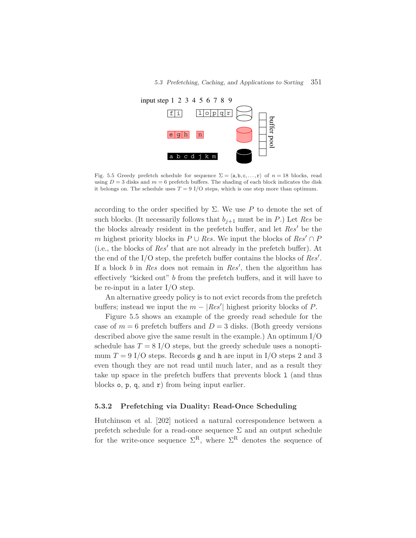

Fig. 5.5 Greedy prefetch schedule for sequence  $\Sigma = \langle a,b,c,\ldots,r \rangle$  of  $n = 18$  blocks, read using  $D = 3$  disks and  $m = 6$  prefetch buffers. The shading of each block indicates the disk it belongs on. The schedule uses  $T = 9$  I/O steps, which is one step more than optimum.

according to the order specified by  $\Sigma$ . We use P to denote the set of such blocks. (It necessarily follows that  $b_{j+1}$  must be in P.) Let Res be the blocks already resident in the prefetch buffer, and let *Res'* be the m highest priority blocks in  $P \cup Res$ . We input the blocks of  $Res' \cap P$ (i.e., the blocks of *Res* that are not already in the prefetch buffer). At the end of the I/O step, the prefetch buffer contains the blocks of *Res* . If a block b in *Res* does not remain in *Res* , then the algorithm has effectively "kicked out" b from the prefetch buffers, and it will have to be re-input in a later I/O step.

An alternative greedy policy is to not evict records from the prefetch buffers; instead we input the  $m - |Res'|$  highest priority blocks of P.

Figure 5.5 shows an example of the greedy read schedule for the case of  $m = 6$  prefetch buffers and  $D = 3$  disks. (Both greedy versions described above give the same result in the example.) An optimum I/O schedule has  $T = 8$  I/O steps, but the greedy schedule uses a nonoptimum  $T = 9$  I/O steps. Records g and h are input in I/O steps 2 and 3 even though they are not read until much later, and as a result they take up space in the prefetch buffers that prevents block l (and thus blocks  $\circ$ ,  $\circ$ ,  $\circ$ , and  $\circ$ ) from being input earlier.

#### **5.3.2 Prefetching via Duality: Read-Once Scheduling**

Hutchinson et al. [202] noticed a natural correspondence between a prefetch schedule for a read-once sequence  $\Sigma$  and an output schedule for the write-once sequence  $\Sigma^R$ , where  $\Sigma^R$  denotes the sequence of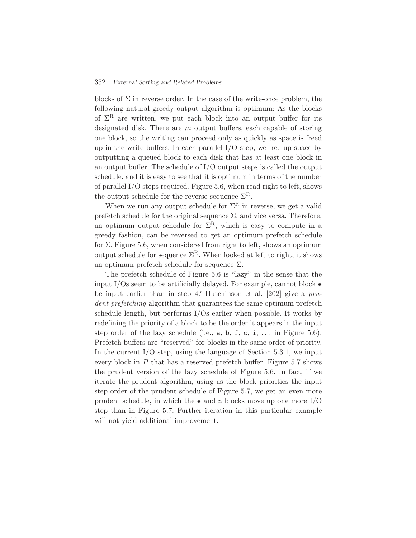blocks of  $\Sigma$  in reverse order. In the case of the write-once problem, the following natural greedy output algorithm is optimum: As the blocks of  $\Sigma^R$  are written, we put each block into an output buffer for its designated disk. There are m output buffers, each capable of storing one block, so the writing can proceed only as quickly as space is freed up in the write buffers. In each parallel  $I/O$  step, we free up space by outputting a queued block to each disk that has at least one block in an output buffer. The schedule of I/O output steps is called the output schedule, and it is easy to see that it is optimum in terms of the number of parallel I/O steps required. Figure 5.6, when read right to left, shows the output schedule for the reverse sequence  $\Sigma^R$ .

When we run any output schedule for  $\Sigma^R$  in reverse, we get a valid prefetch schedule for the original sequence  $\Sigma$ , and vice versa. Therefore, an optimum output schedule for  $\Sigma^R$ , which is easy to compute in a greedy fashion, can be reversed to get an optimum prefetch schedule for  $\Sigma$ . Figure 5.6, when considered from right to left, shows an optimum output schedule for sequence  $\Sigma^R$ . When looked at left to right, it shows an optimum prefetch schedule for sequence  $\Sigma$ .

The prefetch schedule of Figure 5.6 is "lazy" in the sense that the input I/Os seem to be artificially delayed. For example, cannot block e be input earlier than in step 4? Hutchinson et al. [202] give a *prudent prefetching* algorithm that guarantees the same optimum prefetch schedule length, but performs I/Os earlier when possible. It works by redefining the priority of a block to be the order it appears in the input step order of the lazy schedule (i.e.,  $a, b, f, c, i, \ldots$  in Figure 5.6). Prefetch buffers are "reserved" for blocks in the same order of priority. In the current  $I/O$  step, using the language of Section 5.3.1, we input every block in  $P$  that has a reserved prefetch buffer. Figure 5.7 shows the prudent version of the lazy schedule of Figure 5.6. In fact, if we iterate the prudent algorithm, using as the block priorities the input step order of the prudent schedule of Figure 5.7, we get an even more prudent schedule, in which the e and n blocks move up one more I/O step than in Figure 5.7. Further iteration in this particular example will not yield additional improvement.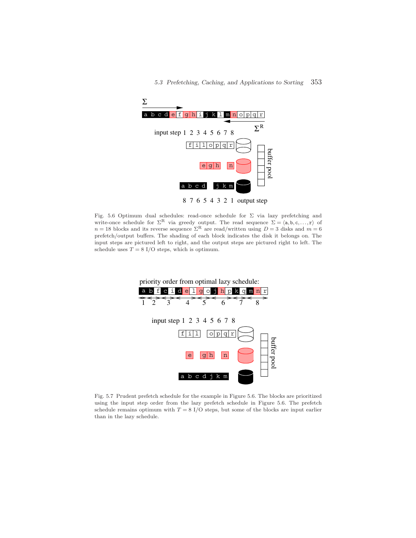

Fig. 5.6 Optimum dual schedules: read-once schedule for Σ via lazy prefetching and write-once schedule for  $\Sigma^R$  via greedy output. The read sequence  $\Sigma = \langle a,b,c,\ldots,r \rangle$  of  $n = 18$  blocks and its reverse sequence  $\Sigma^R$  are read/written using  $D = 3$  disks and  $m = 6$ prefetch/output buffers. The shading of each block indicates the disk it belongs on. The input steps are pictured left to right, and the output steps are pictured right to left. The schedule uses  $T = 8$  I/O steps, which is optimum.



Fig. 5.7 Prudent prefetch schedule for the example in Figure 5.6. The blocks are prioritized using the input step order from the lazy prefetch schedule in Figure 5.6. The prefetch schedule remains optimum with  $T = 8$  I/O steps, but some of the blocks are input earlier than in the lazy schedule.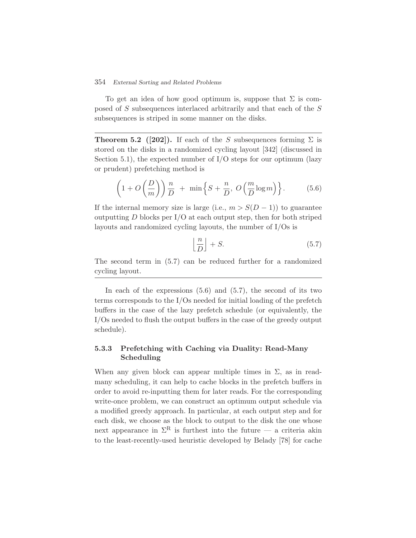To get an idea of how good optimum is, suppose that  $\Sigma$  is composed of S subsequences interlaced arbitrarily and that each of the S subsequences is striped in some manner on the disks.

**Theorem 5.2** ([202]). If each of the S subsequences forming  $\Sigma$  is stored on the disks in a randomized cycling layout [342] (discussed in Section 5.1), the expected number of I/O steps for our optimum (lazy or prudent) prefetching method is

$$
\left(1 + O\left(\frac{D}{m}\right)\right)\frac{n}{D} + \min\left\{S + \frac{n}{D}, O\left(\frac{m}{D}\log m\right)\right\}.
$$
 (5.6)

If the internal memory size is large (i.e.,  $m > S(D-1)$ ) to guarantee outputting  $D$  blocks per I/O at each output step, then for both striped layouts and randomized cycling layouts, the number of I/Os is

$$
\left\lfloor \frac{n}{D} \right\rfloor + S. \tag{5.7}
$$

The second term in (5.7) can be reduced further for a randomized cycling layout.

In each of the expressions  $(5.6)$  and  $(5.7)$ , the second of its two terms corresponds to the I/Os needed for initial loading of the prefetch buffers in the case of the lazy prefetch schedule (or equivalently, the I/Os needed to flush the output buffers in the case of the greedy output schedule).

# **5.3.3 Prefetching with Caching via Duality: Read-Many Scheduling**

When any given block can appear multiple times in  $\Sigma$ , as in readmany scheduling, it can help to cache blocks in the prefetch buffers in order to avoid re-inputting them for later reads. For the corresponding write-once problem, we can construct an optimum output schedule via a modified greedy approach. In particular, at each output step and for each disk, we choose as the block to output to the disk the one whose next appearance in  $\Sigma^R$  is furthest into the future — a criteria akin to the least-recently-used heuristic developed by Belady [78] for cache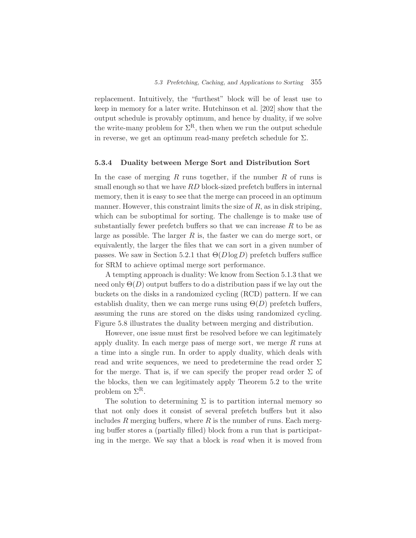replacement. Intuitively, the "furthest" block will be of least use to keep in memory for a later write. Hutchinson et al. [202] show that the output schedule is provably optimum, and hence by duality, if we solve the write-many problem for  $\Sigma^R$ , then when we run the output schedule in reverse, we get an optimum read-many prefetch schedule for  $\Sigma$ .

#### **5.3.4 Duality between Merge Sort and Distribution Sort**

In the case of merging  $R$  runs together, if the number  $R$  of runs is small enough so that we have RD block-sized prefetch buffers in internal memory, then it is easy to see that the merge can proceed in an optimum manner. However, this constraint limits the size of  $R$ , as in disk striping, which can be suboptimal for sorting. The challenge is to make use of substantially fewer prefetch buffers so that we can increase  $R$  to be as large as possible. The larger  $R$  is, the faster we can do merge sort, or equivalently, the larger the files that we can sort in a given number of passes. We saw in Section 5.2.1 that  $\Theta(D \log D)$  prefetch buffers suffice for SRM to achieve optimal merge sort performance.

A tempting approach is duality: We know from Section 5.1.3 that we need only  $\Theta(D)$  output buffers to do a distribution pass if we lay out the buckets on the disks in a randomized cycling (RCD) pattern. If we can establish duality, then we can merge runs using  $\Theta(D)$  prefetch buffers, assuming the runs are stored on the disks using randomized cycling. Figure 5.8 illustrates the duality between merging and distribution.

However, one issue must first be resolved before we can legitimately apply duality. In each merge pass of merge sort, we merge  $R$  runs at a time into a single run. In order to apply duality, which deals with read and write sequences, we need to predetermine the read order  $\Sigma$ for the merge. That is, if we can specify the proper read order  $\Sigma$  of the blocks, then we can legitimately apply Theorem 5.2 to the write problem on  $\Sigma^R$ .

The solution to determining  $\Sigma$  is to partition internal memory so that not only does it consist of several prefetch buffers but it also includes R merging buffers, where R is the number of runs. Each merging buffer stores a (partially filled) block from a run that is participating in the merge. We say that a block is *read* when it is moved from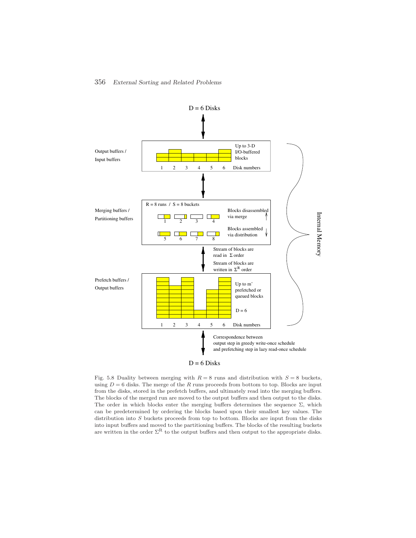

Fig. 5.8 Duality between merging with  $R = 8$  runs and distribution with  $S = 8$  buckets, using  $D = 6$  disks. The merge of the R runs proceeds from bottom to top. Blocks are input from the disks, stored in the prefetch buffers, and ultimately read into the merging buffers. The blocks of the merged run are moved to the output buffers and then output to the disks. The order in which blocks enter the merging buffers determines the sequence  $\Sigma$ , which can be predetermined by ordering the blocks based upon their smallest key values. The distribution into  $S$  buckets proceeds from top to bottom. Blocks are input from the disks into input buffers and moved to the partitioning buffers. The blocks of the resulting buckets are written in the order  $\Sigma^R$  to the output buffers and then output to the appropriate disks.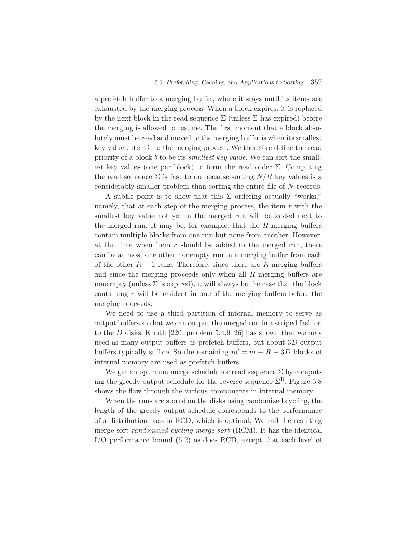a prefetch buffer to a merging buffer, where it stays until its items are exhausted by the merging process. When a block expires, it is replaced by the next block in the read sequence  $\Sigma$  (unless  $\Sigma$  has expired) before the merging is allowed to resume. The first moment that a block absolutely must be read and moved to the merging buffer is when its smallest key value enters into the merging process. We therefore define the read priority of a block b to be its *smallest key value*. We can sort the smallest key values (one per block) to form the read order  $\Sigma$ . Computing the read sequence  $\Sigma$  is fast to do because sorting  $N/B$  key values is a considerably smaller problem than sorting the entire file of N records.

A subtle point is to show that this  $\Sigma$  ordering actually "works," namely, that at each step of the merging process, the item  $r$  with the smallest key value not yet in the merged run will be added next to the merged run. It may be, for example, that the  $R$  merging buffers contain multiple blocks from one run but none from another. However, at the time when item  $r$  should be added to the merged run, there can be at most one other nonempty run in a merging buffer from each of the other  $R-1$  runs. Therefore, since there are R merging buffers and since the merging proceeds only when all R merging buffers are nonempty (unless  $\Sigma$  is expired), it will always be the case that the block containing  $r$  will be resident in one of the merging buffers before the merging proceeds.

We need to use a third partition of internal memory to serve as output buffers so that we can output the merged run in a striped fashion to the D disks. Knuth [220, problem  $5.4.9-26$ ] has shown that we may need as many output buffers as prefetch buffers, but about 3D output buffers typically suffice. So the remaining  $m' = m - R - 3D$  blocks of internal memory are used as prefetch buffers.

We get an optimum merge schedule for read sequence  $\Sigma$  by computing the greedy output schedule for the reverse sequence  $\Sigma^R$ . Figure 5.8 shows the flow through the various components in internal memory.

When the runs are stored on the disks using randomized cycling, the length of the greedy output schedule corresponds to the performance of a distribution pass in RCD, which is optimal. We call the resulting merge sort *randomized cycling merge sort* (RCM). It has the identical I/O performance bound (5.2) as does RCD, except that each level of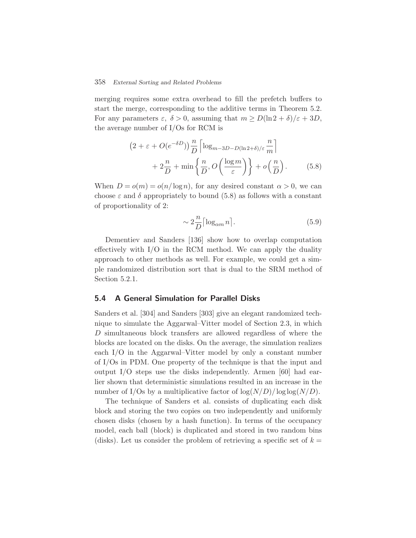merging requires some extra overhead to fill the prefetch buffers to start the merge, corresponding to the additive terms in Theorem 5.2. For any parameters  $\varepsilon$ ,  $\delta > 0$ , assuming that  $m \ge D(\ln 2 + \delta)/\varepsilon + 3D$ , the average number of I/Os for RCM is

$$
(2 + \varepsilon + O(e^{-\delta D})) \frac{n}{D} \left[ \log_{m-3D-D(\ln 2 + \delta)/\varepsilon} \frac{n}{m} \right] + 2\frac{n}{D} + \min \left\{ \frac{n}{D}, O\left(\frac{\log m}{\varepsilon}\right) \right\} + o\left(\frac{n}{D}\right). \tag{5.8}
$$

When  $D = o(m) = o(n/\log n)$ , for any desired constant  $\alpha > 0$ , we can choose  $\varepsilon$  and  $\delta$  appropriately to bound (5.8) as follows with a constant of proportionality of 2:

$$
\sim 2\frac{n}{D} \left[ \log_{\alpha m} n \right].\tag{5.9}
$$

Dementiev and Sanders [136] show how to overlap computation effectively with I/O in the RCM method. We can apply the duality approach to other methods as well. For example, we could get a simple randomized distribution sort that is dual to the SRM method of Section 5.2.1.

# **5.4 A General Simulation for Parallel Disks**

Sanders et al. [304] and Sanders [303] give an elegant randomized technique to simulate the Aggarwal–Vitter model of Section 2.3, in which D simultaneous block transfers are allowed regardless of where the blocks are located on the disks. On the average, the simulation realizes each I/O in the Aggarwal–Vitter model by only a constant number of I/Os in PDM. One property of the technique is that the input and output I/O steps use the disks independently. Armen [60] had earlier shown that deterministic simulations resulted in an increase in the number of I/Os by a multiplicative factor of  $\log(N/D)/\log\log(N/D)$ .

The technique of Sanders et al. consists of duplicating each disk block and storing the two copies on two independently and uniformly chosen disks (chosen by a hash function). In terms of the occupancy model, each ball (block) is duplicated and stored in two random bins (disks). Let us consider the problem of retrieving a specific set of  $k =$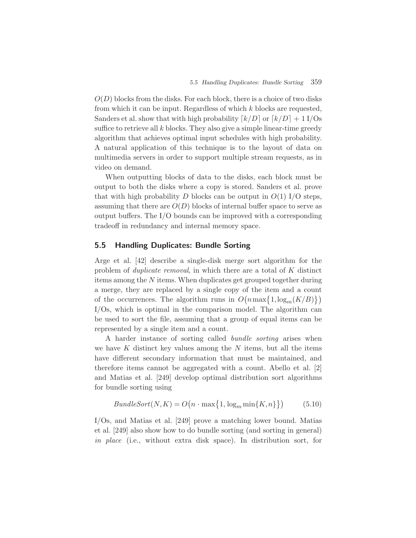$O(D)$  blocks from the disks. For each block, there is a choice of two disks from which it can be input. Regardless of which  $k$  blocks are requested, Sanders et al. show that with high probability  $\lceil k/D \rceil$  or  $\lceil k/D \rceil + 1$  I/Os suffice to retrieve all  $k$  blocks. They also give a simple linear-time greedy algorithm that achieves optimal input schedules with high probability. A natural application of this technique is to the layout of data on multimedia servers in order to support multiple stream requests, as in video on demand.

When outputting blocks of data to the disks, each block must be output to both the disks where a copy is stored. Sanders et al. prove that with high probability D blocks can be output in  $O(1)$  I/O steps, assuming that there are  $O(D)$  blocks of internal buffer space to serve as output buffers. The I/O bounds can be improved with a corresponding tradeoff in redundancy and internal memory space.

# **5.5 Handling Duplicates: Bundle Sorting**

Arge et al. [42] describe a single-disk merge sort algorithm for the problem of *duplicate removal*, in which there are a total of K distinct items among the N items. When duplicates get grouped together during a merge, they are replaced by a single copy of the item and a count of the occurrences. The algorithm runs in  $O(n \max\{1, \log_m(K/B)\})$ I/Os, which is optimal in the comparison model. The algorithm can be used to sort the file, assuming that a group of equal items can be represented by a single item and a count.

A harder instance of sorting called *bundle sorting* arises when we have  $K$  distinct key values among the  $N$  items, but all the items have different secondary information that must be maintained, and therefore items cannot be aggregated with a count. Abello et al. [2] and Matias et al. [249] develop optimal distribution sort algorithms for bundle sorting using

$$
BundleSort(N,K) = O\big(n \cdot \max\{1, \log_m \min\{K, n\}\}\big) \tag{5.10}
$$

I/Os, and Matias et al. [249] prove a matching lower bound. Matias et al. [249] also show how to do bundle sorting (and sorting in general) *in place* (i.e., without extra disk space). In distribution sort, for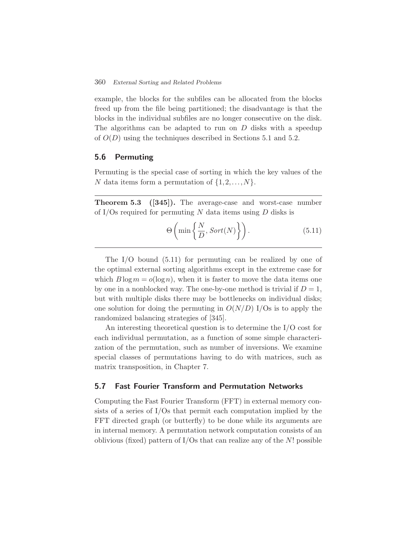example, the blocks for the subfiles can be allocated from the blocks freed up from the file being partitioned; the disadvantage is that the blocks in the individual subfiles are no longer consecutive on the disk. The algorithms can be adapted to run on  $D$  disks with a speedup of  $O(D)$  using the techniques described in Sections 5.1 and 5.2.

# **5.6 Permuting**

Permuting is the special case of sorting in which the key values of the N data items form a permutation of  $\{1,2,\ldots,N\}$ .

**Theorem 5.3 ([345]).** The average-case and worst-case number of I/Os required for permuting  $N$  data items using  $D$  disks is

$$
\Theta\left(\min\left\{\frac{N}{D}, Sort(N)\right\}\right). \tag{5.11}
$$

The I/O bound (5.11) for permuting can be realized by one of the optimal external sorting algorithms except in the extreme case for which  $B \log m = o(\log n)$ , when it is faster to move the data items one by one in a nonblocked way. The one-by-one method is trivial if  $D = 1$ , but with multiple disks there may be bottlenecks on individual disks; one solution for doing the permuting in  $O(N/D)$  I/Os is to apply the randomized balancing strategies of [345].

An interesting theoretical question is to determine the I/O cost for each individual permutation, as a function of some simple characterization of the permutation, such as number of inversions. We examine special classes of permutations having to do with matrices, such as matrix transposition, in Chapter 7.

# **5.7 Fast Fourier Transform and Permutation Networks**

Computing the Fast Fourier Transform (FFT) in external memory consists of a series of I/Os that permit each computation implied by the FFT directed graph (or butterfly) to be done while its arguments are in internal memory. A permutation network computation consists of an oblivious (fixed) pattern of  $I/Os$  that can realize any of the  $N!$  possible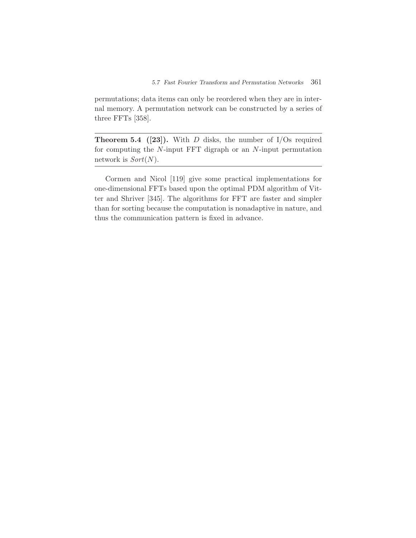permutations; data items can only be reordered when they are in internal memory. A permutation network can be constructed by a series of three FFTs [358].

**Theorem 5.4** ([23]). With D disks, the number of  $I/Os$  required for computing the N-input FFT digraph or an N-input permutation network is *Sort*(N).

Cormen and Nicol [119] give some practical implementations for one-dimensional FFTs based upon the optimal PDM algorithm of Vitter and Shriver [345]. The algorithms for FFT are faster and simpler than for sorting because the computation is nonadaptive in nature, and thus the communication pattern is fixed in advance.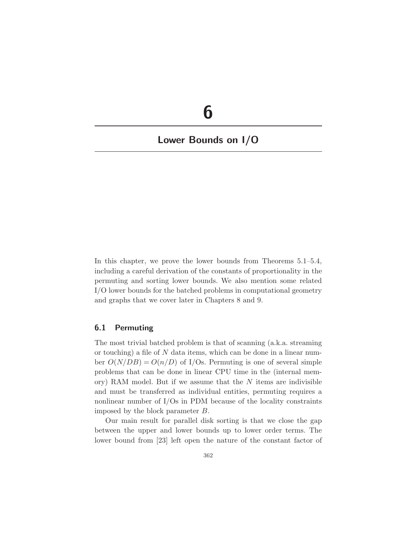# **6**

# **Lower Bounds on I/O**

In this chapter, we prove the lower bounds from Theorems 5.1–5.4, including a careful derivation of the constants of proportionality in the permuting and sorting lower bounds. We also mention some related I/O lower bounds for the batched problems in computational geometry and graphs that we cover later in Chapters 8 and 9.

# **6.1 Permuting**

The most trivial batched problem is that of scanning (a.k.a. streaming or touching) a file of N data items, which can be done in a linear number  $O(N/DB) = O(n/D)$  of I/Os. Permuting is one of several simple problems that can be done in linear CPU time in the (internal memory) RAM model. But if we assume that the  $N$  items are indivisible and must be transferred as individual entities, permuting requires a nonlinear number of I/Os in PDM because of the locality constraints imposed by the block parameter B.

Our main result for parallel disk sorting is that we close the gap between the upper and lower bounds up to lower order terms. The lower bound from [23] left open the nature of the constant factor of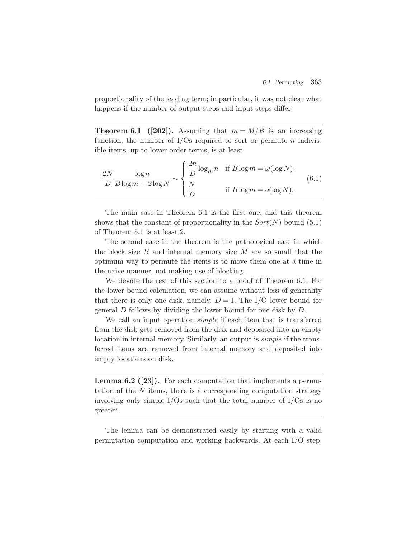proportionality of the leading term; in particular, it was not clear what happens if the number of output steps and input steps differ.

**Theorem 6.1** ([202]). Assuming that  $m = M/B$  is an increasing function, the number of I/Os required to sort or permute n indivisible items, up to lower-order terms, is at least

$$
\frac{2N}{D} \frac{\log n}{B \log m + 2 \log N} \sim \begin{cases} \frac{2n}{D} \log_m n & \text{if } B \log m = \omega(\log N); \\ \frac{N}{D} & \text{if } B \log m = o(\log N). \end{cases} \tag{6.1}
$$

The main case in Theorem 6.1 is the first one, and this theorem shows that the constant of proportionality in the  $Sort(N)$  bound (5.1) of Theorem 5.1 is at least 2.

The second case in the theorem is the pathological case in which the block size  $B$  and internal memory size  $M$  are so small that the optimum way to permute the items is to move them one at a time in the naive manner, not making use of blocking.

We devote the rest of this section to a proof of Theorem 6.1. For the lower bound calculation, we can assume without loss of generality that there is only one disk, namely,  $D = 1$ . The I/O lower bound for general D follows by dividing the lower bound for one disk by D.

We call an input operation *simple* if each item that is transferred from the disk gets removed from the disk and deposited into an empty location in internal memory. Similarly, an output is *simple* if the transferred items are removed from internal memory and deposited into empty locations on disk.

**Lemma 6.2 ([23]).** For each computation that implements a permutation of the  $N$  items, there is a corresponding computation strategy involving only simple  $I/Os$  such that the total number of  $I/Os$  is no greater.

The lemma can be demonstrated easily by starting with a valid permutation computation and working backwards. At each I/O step,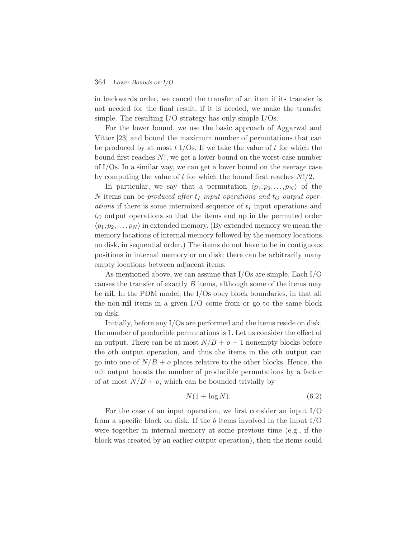## 364 *Lower Bounds on I/O*

in backwards order, we cancel the transfer of an item if its transfer is not needed for the final result; if it is needed, we make the transfer simple. The resulting I/O strategy has only simple I/Os.

For the lower bound, we use the basic approach of Aggarwal and Vitter [23] and bound the maximum number of permutations that can be produced by at most  $t$  I/Os. If we take the value of t for which the bound first reaches N!, we get a lower bound on the worst-case number of I/Os. In a similar way, we can get a lower bound on the average case by computing the value of t for which the bound first reaches  $N!/2$ .

In particular, we say that a permutation  $\langle p_1, p_2, \ldots, p_N \rangle$  of the N items can be *produced after*  $t_I$  *input operations and*  $t_O$  *output operations* if there is some intermixed sequence of  $t_I$  input operations and  $t<sub>O</sub>$  output operations so that the items end up in the permuted order  $\langle p_1, p_2, \ldots, p_N \rangle$  in extended memory. (By extended memory we mean the memory locations of internal memory followed by the memory locations on disk, in sequential order.) The items do not have to be in contiguous positions in internal memory or on disk; there can be arbitrarily many empty locations between adjacent items.

As mentioned above, we can assume that I/Os are simple. Each I/O causes the transfer of exactly  $B$  items, although some of the items may be **nil**. In the PDM model, the I/Os obey block boundaries, in that all the non-**nil** items in a given I/O come from or go to the same block on disk.

Initially, before any I/Os are performed and the items reside on disk, the number of producible permutations is 1. Let us consider the effect of an output. There can be at most  $N/B + o - 1$  nonempty blocks before the oth output operation, and thus the items in the oth output can go into one of  $N/B + o$  places relative to the other blocks. Hence, the oth output boosts the number of producible permutations by a factor of at most  $N/B + o$ , which can be bounded trivially by

$$
N(1 + \log N). \tag{6.2}
$$

For the case of an input operation, we first consider an input I/O from a specific block on disk. If the b items involved in the input  $I/O$ were together in internal memory at some previous time (e.g., if the block was created by an earlier output operation), then the items could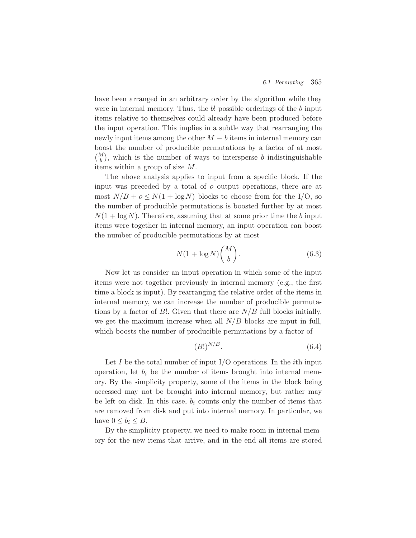have been arranged in an arbitrary order by the algorithm while they were in internal memory. Thus, the  $b!$  possible orderings of the  $b$  input items relative to themselves could already have been produced before the input operation. This implies in a subtle way that rearranging the newly input items among the other  $M - b$  items in internal memory can boost the number of producible permutations by a factor of at most  $\binom{M}{b}$ , which is the number of ways to intersperse b indistinguishable items within a group of size M.

The above analysis applies to input from a specific block. If the input was preceded by a total of o output operations, there are at most  $N/B + o \leq N(1 + \log N)$  blocks to choose from for the I/O, so the number of producible permutations is boosted further by at most  $N(1 + \log N)$ . Therefore, assuming that at some prior time the b input items were together in internal memory, an input operation can boost the number of producible permutations by at most

$$
N(1 + \log N) \binom{M}{b}.\tag{6.3}
$$

Now let us consider an input operation in which some of the input items were not together previously in internal memory (e.g., the first time a block is input). By rearranging the relative order of the items in internal memory, we can increase the number of producible permutations by a factor of  $B!$ . Given that there are  $N/B$  full blocks initially, we get the maximum increase when all  $N/B$  blocks are input in full, which boosts the number of producible permutations by a factor of

$$
(B!)^{N/B}.\t\t(6.4)
$$

Let  $I$  be the total number of input  $I/O$  operations. In the *i*th input operation, let  $b_i$  be the number of items brought into internal memory. By the simplicity property, some of the items in the block being accessed may not be brought into internal memory, but rather may be left on disk. In this case,  $b_i$  counts only the number of items that are removed from disk and put into internal memory. In particular, we have  $0 \leq b_i \leq B$ .

By the simplicity property, we need to make room in internal memory for the new items that arrive, and in the end all items are stored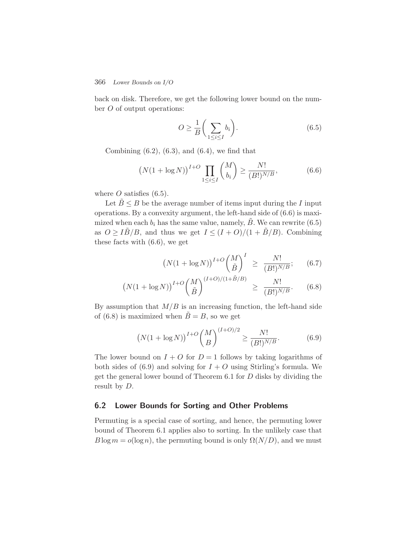### 366 *Lower Bounds on I/O*

back on disk. Therefore, we get the following lower bound on the number O of output operations:

$$
O \ge \frac{1}{B} \bigg( \sum_{1 \le i \le I} b_i \bigg). \tag{6.5}
$$

Combining  $(6.2)$ ,  $(6.3)$ , and  $(6.4)$ , we find that

$$
(N(1 + \log N))^{I+O} \prod_{1 \le i \le I} {M \choose b_i} \ge \frac{N!}{(B!)^{N/B}},
$$
(6.6)

where  $O$  satisfies  $(6.5)$ .

Let  $\tilde{B} \leq B$  be the average number of items input during the I input operations. By a convexity argument, the left-hand side of (6.6) is maximized when each  $b_i$  has the same value, namely, B. We can rewrite (6.5) as  $O \geq \tilde{IB}/B$ , and thus we get  $I \leq (I+O)/(1+\tilde{B}/B)$ . Combining these facts with (6.6), we get

$$
(N(1 + \log N))^{I+O} {M \choose \tilde{B}}^I \ge \frac{N!}{(B!)^{N/B}}; \quad (6.7)
$$

$$
(N(1 + \log N))^{I+O} {M \choose \tilde{B}}^{(I+O)/(1+\tilde{B}/B)} \ge \frac{N!}{(B!)^{N/B}}.
$$
 (6.8)

By assumption that  $M/B$  is an increasing function, the left-hand side of (6.8) is maximized when  $\tilde{B} = B$ , so we get

$$
(N(1 + \log N))^{I+O} {M \choose B}^{(I+O)/2} \ge \frac{N!}{(B!)^{N/B}}.
$$
 (6.9)

The lower bound on  $I + O$  for  $D = 1$  follows by taking logarithms of both sides of (6.9) and solving for  $I + O$  using Stirling's formula. We get the general lower bound of Theorem 6.1 for D disks by dividing the result by D.

## **6.2 Lower Bounds for Sorting and Other Problems**

Permuting is a special case of sorting, and hence, the permuting lower bound of Theorem 6.1 applies also to sorting. In the unlikely case that  $B \log m = o(\log n)$ , the permuting bound is only  $\Omega(N/D)$ , and we must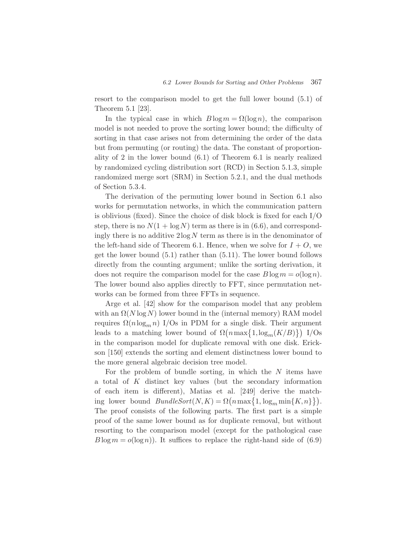resort to the comparison model to get the full lower bound (5.1) of Theorem 5.1 [23].

In the typical case in which  $B \log m = \Omega(\log n)$ , the comparison model is not needed to prove the sorting lower bound; the difficulty of sorting in that case arises not from determining the order of the data but from permuting (or routing) the data. The constant of proportionality of 2 in the lower bound (6.1) of Theorem 6.1 is nearly realized by randomized cycling distribution sort (RCD) in Section 5.1.3, simple randomized merge sort (SRM) in Section 5.2.1, and the dual methods of Section 5.3.4.

The derivation of the permuting lower bound in Section 6.1 also works for permutation networks, in which the communication pattern is oblivious (fixed). Since the choice of disk block is fixed for each I/O step, there is no  $N(1 + \log N)$  term as there is in (6.6), and correspondingly there is no additive  $2\log N$  term as there is in the denominator of the left-hand side of Theorem 6.1. Hence, when we solve for  $I + O$ , we get the lower bound (5.1) rather than (5.11). The lower bound follows directly from the counting argument; unlike the sorting derivation, it does not require the comparison model for the case  $B \log m = o(\log n)$ . The lower bound also applies directly to FFT, since permutation networks can be formed from three FFTs in sequence.

Arge et al. [42] show for the comparison model that any problem with an  $\Omega(N \log N)$  lower bound in the (internal memory) RAM model requires  $\Omega(n \log_m n)$  I/Os in PDM for a single disk. Their argument leads to a matching lower bound of  $\Omega(n \max\{1, \log_m(K/B)\})$  I/Os in the comparison model for duplicate removal with one disk. Erickson [150] extends the sorting and element distinctness lower bound to the more general algebraic decision tree model.

For the problem of bundle sorting, in which the N items have a total of K distinct key values (but the secondary information of each item is different), Matias et al. [249] derive the matching lower bound  $BundleSort(N,K) = \Omega(n \max\{1, \log_m \min\{K,n\}\}).$ The proof consists of the following parts. The first part is a simple proof of the same lower bound as for duplicate removal, but without resorting to the comparison model (except for the pathological case  $B \log m = o(\log n)$ . It suffices to replace the right-hand side of (6.9)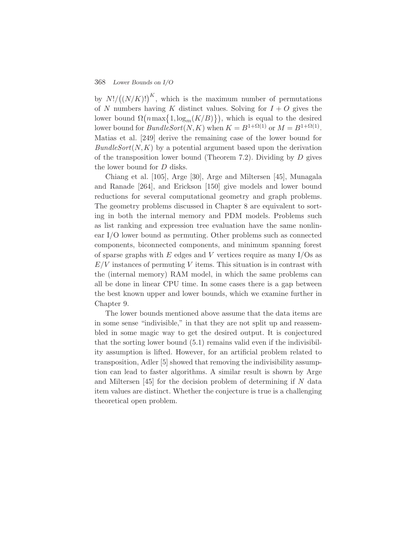### 368 *Lower Bounds on I/O*

by  $N!/((N/K)!)^K$ , which is the maximum number of permutations of N numbers having K distinct values. Solving for  $I + O$  gives the lower bound  $\Omega(n \max\{1, \log_m(K/B)\})$ , which is equal to the desired lower bound for  $BundleSort(N,K)$  when  $K = B^{1+\Omega(1)}$  or  $M = B^{1+\Omega(1)}$ . Matias et al. [249] derive the remaining case of the lower bound for  $BundleSort(N,K)$  by a potential argument based upon the derivation of the transposition lower bound (Theorem 7.2). Dividing by  $D$  gives the lower bound for D disks.

Chiang et al. [105], Arge [30], Arge and Miltersen [45], Munagala and Ranade [264], and Erickson [150] give models and lower bound reductions for several computational geometry and graph problems. The geometry problems discussed in Chapter 8 are equivalent to sorting in both the internal memory and PDM models. Problems such as list ranking and expression tree evaluation have the same nonlinear I/O lower bound as permuting. Other problems such as connected components, biconnected components, and minimum spanning forest of sparse graphs with  $E$  edges and  $V$  vertices require as many I/Os as  $E/V$  instances of permuting V items. This situation is in contrast with the (internal memory) RAM model, in which the same problems can all be done in linear CPU time. In some cases there is a gap between the best known upper and lower bounds, which we examine further in Chapter 9.

The lower bounds mentioned above assume that the data items are in some sense "indivisible," in that they are not split up and reassembled in some magic way to get the desired output. It is conjectured that the sorting lower bound (5.1) remains valid even if the indivisibility assumption is lifted. However, for an artificial problem related to transposition, Adler [5] showed that removing the indivisibility assumption can lead to faster algorithms. A similar result is shown by Arge and Miltersen  $[45]$  for the decision problem of determining if N data item values are distinct. Whether the conjecture is true is a challenging theoretical open problem.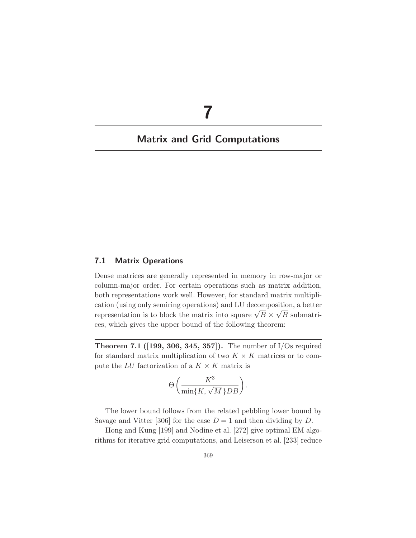# **7**

# **Matrix and Grid Computations**

# **7.1 Matrix Operations**

Dense matrices are generally represented in memory in row-major or column-major order. For certain operations such as matrix addition, both representations work well. However, for standard matrix multiplication (using only semiring operations) and LU decomposition, a better representation is to block the matrix into square  $\sqrt{B} \times \sqrt{B}$  submatrices, which gives the upper bound of the following theorem:

**Theorem 7.1 ([199, 306, 345, 357]).** The number of I/Os required for standard matrix multiplication of two  $K \times K$  matrices or to compute the LU factorization of a  $K \times K$  matrix is

$$
\Theta\left(\frac{K^3}{\min\{K,\sqrt{M}\}DB}\right).
$$

The lower bound follows from the related pebbling lower bound by Savage and Vitter [306] for the case  $D = 1$  and then dividing by D.

Hong and Kung [199] and Nodine et al. [272] give optimal EM algorithms for iterative grid computations, and Leiserson et al. [233] reduce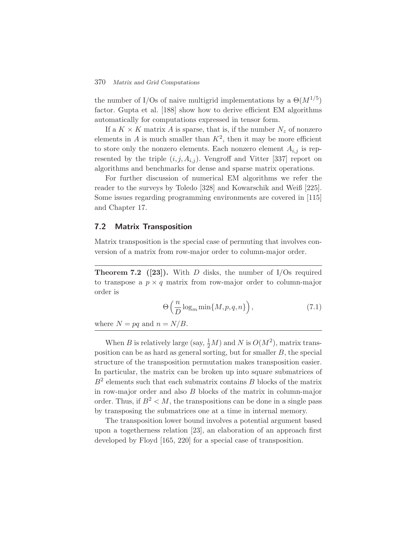### 370 *Matrix and Grid Computations*

the number of I/Os of naive multigrid implementations by a  $\Theta(M^{1/5})$ factor. Gupta et al. [188] show how to derive efficient EM algorithms automatically for computations expressed in tensor form.

If a  $K \times K$  matrix A is sparse, that is, if the number  $N_z$  of nonzero elements in  $A$  is much smaller than  $K^2$ , then it may be more efficient to store only the nonzero elements. Each nonzero element  $A_{i,j}$  is represented by the triple  $(i, j, A_{i,j})$ . Vengroff and Vitter [337] report on algorithms and benchmarks for dense and sparse matrix operations.

For further discussion of numerical EM algorithms we refer the reader to the surveys by Toledo [328] and Kowarschik and Weiß [225]. Some issues regarding programming environments are covered in [115] and Chapter 17.

# **7.2 Matrix Transposition**

Matrix transposition is the special case of permuting that involves conversion of a matrix from row-major order to column-major order.

**Theorem 7.2** ([23]). With D disks, the number of I/Os required to transpose a  $p \times q$  matrix from row-major order to column-major order is

$$
\Theta\left(\frac{n}{D}\log_m\min\{M,p,q,n\}\right),\tag{7.1}
$$

where  $N = pq$  and  $n = N/B$ .

When B is relatively large (say,  $\frac{1}{2}M$ ) and N is  $O(M^2)$ , matrix transposition can be as hard as general sorting, but for smaller B, the special structure of the transposition permutation makes transposition easier. In particular, the matrix can be broken up into square submatrices of  $B<sup>2</sup>$  elements such that each submatrix contains B blocks of the matrix in row-major order and also B blocks of the matrix in column-major order. Thus, if  $B^2 < M$ , the transpositions can be done in a single pass by transposing the submatrices one at a time in internal memory.

The transposition lower bound involves a potential argument based upon a togetherness relation [23], an elaboration of an approach first developed by Floyd [165, 220] for a special case of transposition.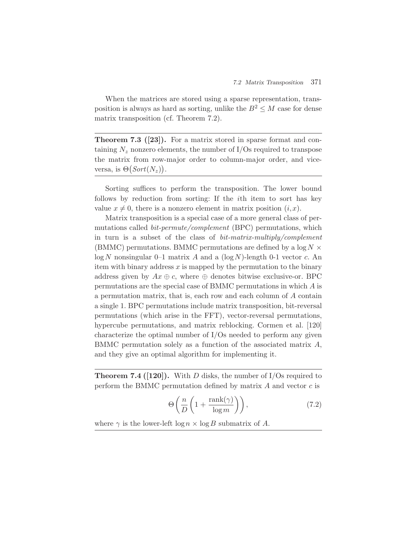When the matrices are stored using a sparse representation, transposition is always as hard as sorting, unlike the  $B^2 \leq M$  case for dense matrix transposition (cf. Theorem 7.2).

**Theorem 7.3 ([23]).** For a matrix stored in sparse format and containing  $N_z$  nonzero elements, the number of I/Os required to transpose the matrix from row-major order to column-major order, and viceversa, is  $\Theta(Sort(N_z)).$ 

Sorting suffices to perform the transposition. The lower bound follows by reduction from sorting: If the ith item to sort has key value  $x \neq 0$ , there is a nonzero element in matrix position  $(i, x)$ .

Matrix transposition is a special case of a more general class of permutations called *bit-permute/complement* (BPC) permutations, which in turn is a subset of the class of *bit-matrix-multiply/complement* (BMMC) permutations. BMMC permutations are defined by a  $\log N \times$  $\log N$  nonsingular 0–1 matrix A and a ( $\log N$ )-length 0-1 vector c. An item with binary address  $x$  is mapped by the permutation to the binary address given by  $Ax \oplus c$ , where  $\oplus$  denotes bitwise exclusive-or. BPC permutations are the special case of BMMC permutations in which A is a permutation matrix, that is, each row and each column of A contain a single 1. BPC permutations include matrix transposition, bit-reversal permutations (which arise in the FFT), vector-reversal permutations, hypercube permutations, and matrix reblocking. Cormen et al. [120] characterize the optimal number of I/Os needed to perform any given BMMC permutation solely as a function of the associated matrix A, and they give an optimal algorithm for implementing it.

**Theorem 7.4 ([120]).** With D disks, the number of I/Os required to perform the BMMC permutation defined by matrix  $A$  and vector  $c$  is

$$
\Theta\left(\frac{n}{D}\left(1+\frac{\text{rank}(\gamma)}{\log m}\right)\right),\tag{7.2}
$$

where  $\gamma$  is the lower-left  $\log n \times \log B$  submatrix of A.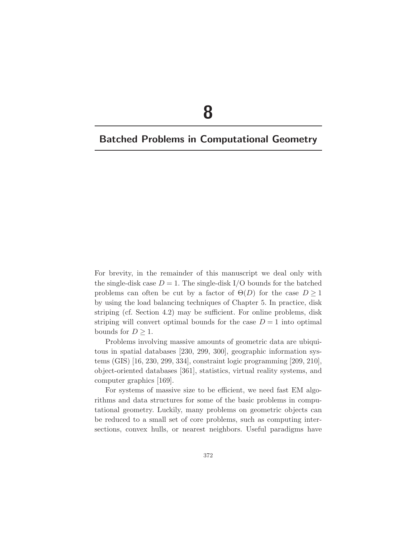# **8**

# **Batched Problems in Computational Geometry**

For brevity, in the remainder of this manuscript we deal only with the single-disk case  $D = 1$ . The single-disk I/O bounds for the batched problems can often be cut by a factor of  $\Theta(D)$  for the case  $D \geq 1$ by using the load balancing techniques of Chapter 5. In practice, disk striping (cf. Section 4.2) may be sufficient. For online problems, disk striping will convert optimal bounds for the case  $D = 1$  into optimal bounds for  $D \geq 1$ .

Problems involving massive amounts of geometric data are ubiquitous in spatial databases [230, 299, 300], geographic information systems (GIS) [16, 230, 299, 334], constraint logic programming [209, 210], object-oriented databases [361], statistics, virtual reality systems, and computer graphics [169].

For systems of massive size to be efficient, we need fast EM algorithms and data structures for some of the basic problems in computational geometry. Luckily, many problems on geometric objects can be reduced to a small set of core problems, such as computing intersections, convex hulls, or nearest neighbors. Useful paradigms have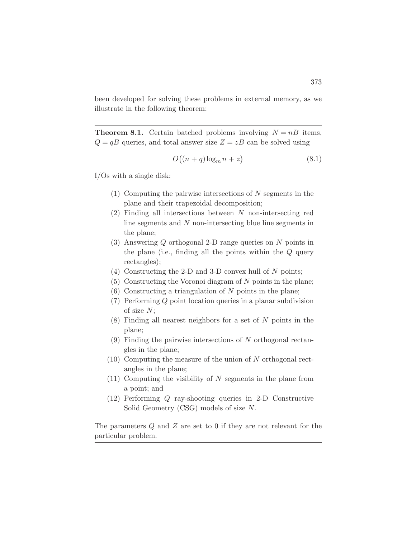been developed for solving these problems in external memory, as we illustrate in the following theorem:

**Theorem 8.1.** Certain batched problems involving  $N = nB$  items,  $Q = qB$  queries, and total answer size  $Z = zB$  can be solved using

$$
O((n+q)\log_m n+z)
$$
\n(8.1)

I/Os with a single disk:

- $(1)$  Computing the pairwise intersections of N segments in the plane and their trapezoidal decomposition;
- (2) Finding all intersections between N non-intersecting red line segments and N non-intersecting blue line segments in the plane;
- (3) Answering Q orthogonal 2-D range queries on N points in the plane (i.e., finding all the points within the Q query rectangles);
- (4) Constructing the 2-D and 3-D convex hull of N points;
- $(5)$  Constructing the Voronoi diagram of N points in the plane;
- $(6)$  Constructing a triangulation of N points in the plane;
- (7) Performing Q point location queries in a planar subdivision of size N;
- $(8)$  Finding all nearest neighbors for a set of N points in the plane;
- $(9)$  Finding the pairwise intersections of N orthogonal rectangles in the plane;
- $(10)$  Computing the measure of the union of N orthogonal rectangles in the plane;
- (11) Computing the visibility of  $N$  segments in the plane from a point; and
- (12) Performing Q ray-shooting queries in 2-D Constructive Solid Geometry (CSG) models of size N.

The parameters Q and Z are set to 0 if they are not relevant for the particular problem.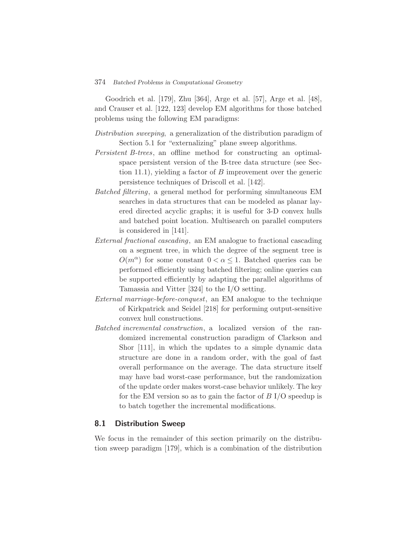## 374 *Batched Problems in Computational Geometry*

Goodrich et al. [179], Zhu [364], Arge et al. [57], Arge et al. [48], and Crauser et al. [122, 123] develop EM algorithms for those batched problems using the following EM paradigms:

- *Distribution sweeping*, a generalization of the distribution paradigm of Section 5.1 for "externalizing" plane sweep algorithms.
- *Persistent B-trees*, an offline method for constructing an optimalspace persistent version of the B-tree data structure (see Section 11.1), yielding a factor of B improvement over the generic persistence techniques of Driscoll et al. [142].
- *Batched filtering*, a general method for performing simultaneous EM searches in data structures that can be modeled as planar layered directed acyclic graphs; it is useful for 3-D convex hulls and batched point location. Multisearch on parallel computers is considered in [141].
- *External fractional cascading*, an EM analogue to fractional cascading on a segment tree, in which the degree of the segment tree is  $O(m^{\alpha})$  for some constant  $0 < \alpha \leq 1$ . Batched queries can be performed efficiently using batched filtering; online queries can be supported efficiently by adapting the parallel algorithms of Tamassia and Vitter [324] to the I/O setting.
- *External marriage-before-conquest*, an EM analogue to the technique of Kirkpatrick and Seidel [218] for performing output-sensitive convex hull constructions.
- *Batched incremental construction*, a localized version of the randomized incremental construction paradigm of Clarkson and Shor [111], in which the updates to a simple dynamic data structure are done in a random order, with the goal of fast overall performance on the average. The data structure itself may have bad worst-case performance, but the randomization of the update order makes worst-case behavior unlikely. The key for the EM version so as to gain the factor of  $B I/O$  speedup is to batch together the incremental modifications.

# **8.1 Distribution Sweep**

We focus in the remainder of this section primarily on the distribution sweep paradigm [179], which is a combination of the distribution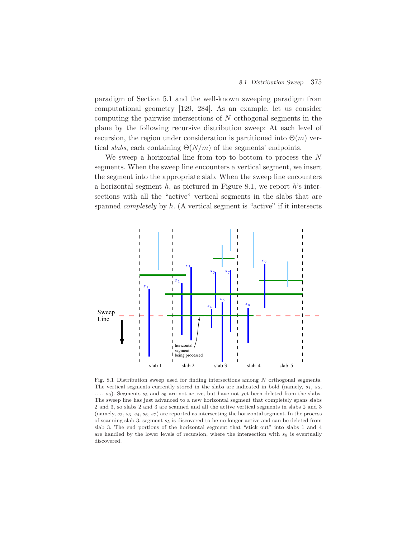paradigm of Section 5.1 and the well-known sweeping paradigm from computational geometry [129, 284]. As an example, let us consider computing the pairwise intersections of N orthogonal segments in the plane by the following recursive distribution sweep: At each level of recursion, the region under consideration is partitioned into  $\Theta(m)$  vertical *slabs*, each containing  $\Theta(N/m)$  of the segments' endpoints.

We sweep a horizontal line from top to bottom to process the N segments. When the sweep line encounters a vertical segment, we insert the segment into the appropriate slab. When the sweep line encounters a horizontal segment  $h$ , as pictured in Figure 8.1, we report  $h$ 's intersections with all the "active" vertical segments in the slabs that are spanned *completely* by h. (A vertical segment is "active" if it intersects



Fig. 8.1 Distribution sweep used for finding intersections among  $N$  orthogonal segments. The vertical segments currently stored in the slabs are indicated in bold (namely,  $s_1$ ,  $s_2$ ,  $..., s<sub>9</sub>$ ). Segments  $s<sub>5</sub>$  and  $s<sub>9</sub>$  are not active, but have not yet been deleted from the slabs. The sweep line has just advanced to a new horizontal segment that completely spans slabs 2 and 3, so slabs 2 and 3 are scanned and all the active vertical segments in slabs 2 and 3 (namely,  $s_2$ ,  $s_3$ ,  $s_4$ ,  $s_6$ ,  $s_7$ ) are reported as intersecting the horizontal segment. In the process of scanning slab 3, segment  $s<sub>5</sub>$  is discovered to be no longer active and can be deleted from slab 3. The end portions of the horizontal segment that "stick out" into slabs 1 and 4 are handled by the lower levels of recursion, where the intersection with  $s_8$  is eventually discovered.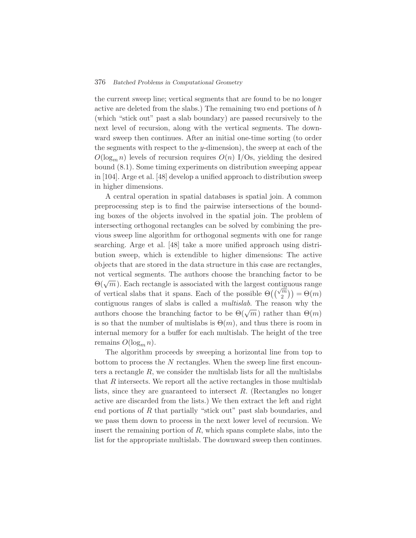#### 376 *Batched Problems in Computational Geometry*

the current sweep line; vertical segments that are found to be no longer active are deleted from the slabs.) The remaining two end portions of h (which "stick out" past a slab boundary) are passed recursively to the next level of recursion, along with the vertical segments. The downward sweep then continues. After an initial one-time sorting (to order the segments with respect to the y-dimension), the sweep at each of the  $O(\log_m n)$  levels of recursion requires  $O(n)$  I/Os, yielding the desired bound (8.1). Some timing experiments on distribution sweeping appear in [104]. Arge et al. [48] develop a unified approach to distribution sweep in higher dimensions.

A central operation in spatial databases is spatial join. A common preprocessing step is to find the pairwise intersections of the bounding boxes of the objects involved in the spatial join. The problem of intersecting orthogonal rectangles can be solved by combining the previous sweep line algorithm for orthogonal segments with one for range searching. Arge et al. [48] take a more unified approach using distribution sweep, which is extendible to higher dimensions: The active objects that are stored in the data structure in this case are rectangles, not vertical segments. The authors choose the branching factor to be  $\Theta(\sqrt{m})$ . Each rectangle is associated with the largest contiguous range  $\Theta(\sqrt{m})$ . Each rectangle is associated with the largest contiguous range of vertical slabs that it spans. Each of the possible  $\Theta((\sqrt{m})) = \Theta(m)$ contiguous ranges of slabs is called a *multislab*. The reason why the authors choose the branching factor to be  $\Theta(\sqrt{m})$  rather than  $\Theta(m)$ is so that the number of multislabs is  $\Theta(m)$ , and thus there is room in internal memory for a buffer for each multislab. The height of the tree remains  $O(\log_m n)$ .

The algorithm proceeds by sweeping a horizontal line from top to bottom to process the N rectangles. When the sweep line first encounters a rectangle  $R$ , we consider the multislab lists for all the multislabs that  $R$  intersects. We report all the active rectangles in those multislab lists, since they are guaranteed to intersect R. (Rectangles no longer active are discarded from the lists.) We then extract the left and right end portions of R that partially "stick out" past slab boundaries, and we pass them down to process in the next lower level of recursion. We insert the remaining portion of  $R$ , which spans complete slabs, into the list for the appropriate multislab. The downward sweep then continues.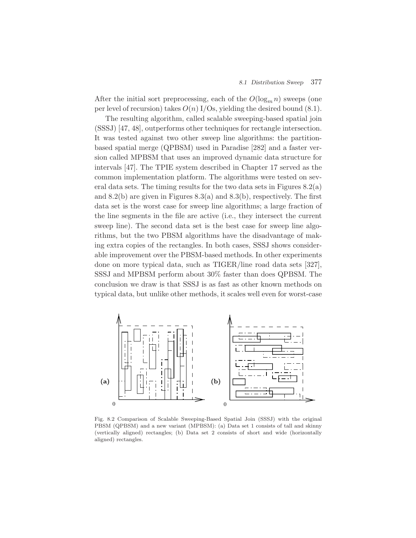#### *8.1 Distribution Sweep* 377

After the initial sort preprocessing, each of the  $O(\log_m n)$  sweeps (one per level of recursion) takes  $O(n)$  I/Os, yielding the desired bound (8.1).

The resulting algorithm, called scalable sweeping-based spatial join (SSSJ) [47, 48], outperforms other techniques for rectangle intersection. It was tested against two other sweep line algorithms: the partitionbased spatial merge (QPBSM) used in Paradise [282] and a faster version called MPBSM that uses an improved dynamic data structure for intervals [47]. The TPIE system described in Chapter 17 served as the common implementation platform. The algorithms were tested on several data sets. The timing results for the two data sets in Figures 8.2(a) and  $8.2(b)$  are given in Figures  $8.3(a)$  and  $8.3(b)$ , respectively. The first data set is the worst case for sweep line algorithms; a large fraction of the line segments in the file are active (i.e., they intersect the current sweep line). The second data set is the best case for sweep line algorithms, but the two PBSM algorithms have the disadvantage of making extra copies of the rectangles. In both cases, SSSJ shows considerable improvement over the PBSM-based methods. In other experiments done on more typical data, such as TIGER/line road data sets [327], SSSJ and MPBSM perform about 30% faster than does QPBSM. The conclusion we draw is that SSSJ is as fast as other known methods on typical data, but unlike other methods, it scales well even for worst-case



Fig. 8.2 Comparison of Scalable Sweeping-Based Spatial Join (SSSJ) with the original PBSM (QPBSM) and a new variant (MPBSM): (a) Data set 1 consists of tall and skinny (vertically aligned) rectangles; (b) Data set 2 consists of short and wide (horizontally aligned) rectangles.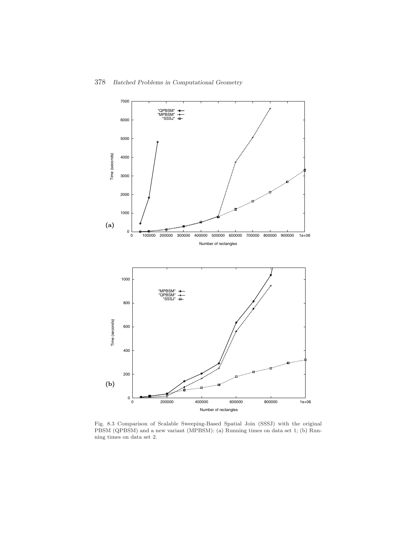



Fig. 8.3 Comparison of Scalable Sweeping-Based Spatial Join (SSSJ) with the original PBSM (QPBSM) and a new variant (MPBSM): (a) Running times on data set 1; (b) Running times on data set 2.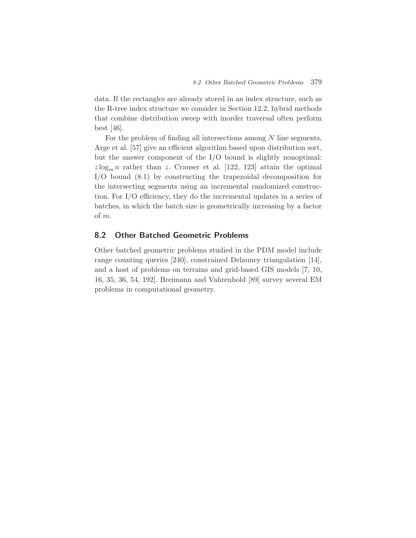data. If the rectangles are already stored in an index structure, such as the R-tree index structure we consider in Section 12.2, hybrid methods that combine distribution sweep with inorder traversal often perform best [46].

For the problem of finding all intersections among N line segments, Arge et al. [57] give an efficient algorithm based upon distribution sort, but the answer component of the I/O bound is slightly nonoptimal:  $z \log_m n$  rather than z. Crauser et al. [122, 123] attain the optimal I/O bound (8.1) by constructing the trapezoidal decomposition for the intersecting segments using an incremental randomized construction. For I/O efficiency, they do the incremental updates in a series of batches, in which the batch size is geometrically increasing by a factor of m.

#### **8.2 Other Batched Geometric Problems**

Other batched geometric problems studied in the PDM model include range counting queries [240], constrained Delauney triangulation [14], and a host of problems on terrains and grid-based GIS models [7, 10, 16, 35, 36, 54, 192]. Breimann and Vahrenhold [89] survey several EM problems in computational geometry.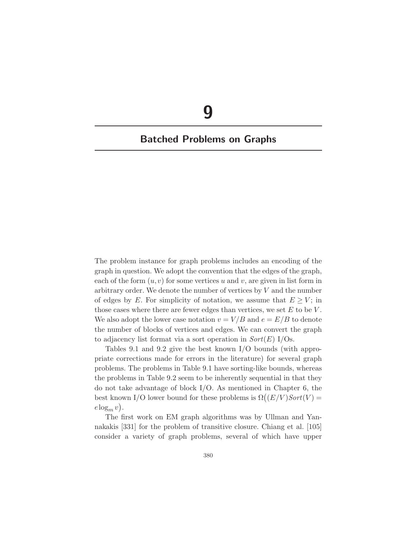## **9**

### **Batched Problems on Graphs**

The problem instance for graph problems includes an encoding of the graph in question. We adopt the convention that the edges of the graph, each of the form  $(u, v)$  for some vertices u and v, are given in list form in arbitrary order. We denote the number of vertices by  $V$  and the number of edges by E. For simplicity of notation, we assume that  $E \geq V$ ; in those cases where there are fewer edges than vertices, we set  $E$  to be  $V$ . We also adopt the lower case notation  $v = V/B$  and  $e = E/B$  to denote the number of blocks of vertices and edges. We can convert the graph to adjacency list format via a sort operation in *Sort*(E) I/Os.

Tables 9.1 and 9.2 give the best known I/O bounds (with appropriate corrections made for errors in the literature) for several graph problems. The problems in Table 9.1 have sorting-like bounds, whereas the problems in Table 9.2 seem to be inherently sequential in that they do not take advantage of block I/O. As mentioned in Chapter 6, the best known I/O lower bound for these problems is  $\Omega(E/V)$  *Sort* $(V)$  =  $e \log_m v$ .

The first work on EM graph algorithms was by Ullman and Yannakakis [331] for the problem of transitive closure. Chiang et al. [105] consider a variety of graph problems, several of which have upper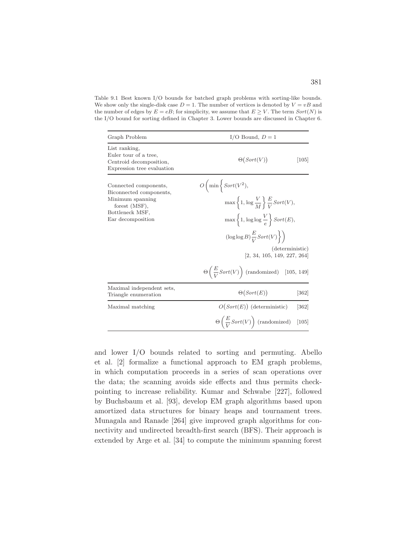Table 9.1 Best known I/O bounds for batched graph problems with sorting-like bounds. We show only the single-disk case  $D = 1$ . The number of vertices is denoted by  $V = vB$  and the number of edges by  $E = eB$ ; for simplicity, we assume that  $E \geq V$ . The term  $Sort(N)$  is the I/O bound for sorting defined in Chapter 3. Lower bounds are discussed in Chapter 6.

| Graph Problem                                                                                                                 | I/O Bound, $D=1$                                                                                                                                                                                                                                                                                                                              |  |  |  |
|-------------------------------------------------------------------------------------------------------------------------------|-----------------------------------------------------------------------------------------------------------------------------------------------------------------------------------------------------------------------------------------------------------------------------------------------------------------------------------------------|--|--|--|
| List ranking,<br>Euler tour of a tree,<br>Centroid decomposition,<br>Expression tree evaluation                               | $\Theta(Sort(V))$<br> 105                                                                                                                                                                                                                                                                                                                     |  |  |  |
| Connected components,<br>Biconnected components,<br>Minimum spanning<br>forest (MSF),<br>Bottleneck MSF,<br>Ear decomposition | $O\left(\min\left\{Sort(V^2\right),\right\}$<br>$\max\left\{1,\log\frac{V}{M}\right\}\frac{E}{V}Sort(V),$<br>$\max\left\{1,\log\log\frac{V}{e}\right\}Sort(E),$<br>$\left(\log \log B\right) \frac{E}{V} Sort(V) \Big\}$<br>(deterministic)<br>[2, 34, 105, 149, 227, 264]<br>$\Theta\left(\frac{E}{V}Sort(V)\right)$ (randomized) [105, 149] |  |  |  |
| Maximal independent sets,<br>Triangle enumeration                                                                             | $\Theta(Sort(E))$<br> 362                                                                                                                                                                                                                                                                                                                     |  |  |  |
| Maximal matching                                                                                                              | $O(Sort(E))$ (deterministic)<br>$\left[362\right]$                                                                                                                                                                                                                                                                                            |  |  |  |
|                                                                                                                               | $\Theta\left(\frac{E}{V}Sort(V)\right)$ (randomized)<br>$\left[105\right]$                                                                                                                                                                                                                                                                    |  |  |  |

and lower I/O bounds related to sorting and permuting. Abello et al. [2] formalize a functional approach to EM graph problems, in which computation proceeds in a series of scan operations over the data; the scanning avoids side effects and thus permits checkpointing to increase reliability. Kumar and Schwabe [227], followed by Buchsbaum et al. [93], develop EM graph algorithms based upon amortized data structures for binary heaps and tournament trees. Munagala and Ranade [264] give improved graph algorithms for connectivity and undirected breadth-first search (BFS). Their approach is extended by Arge et al. [34] to compute the minimum spanning forest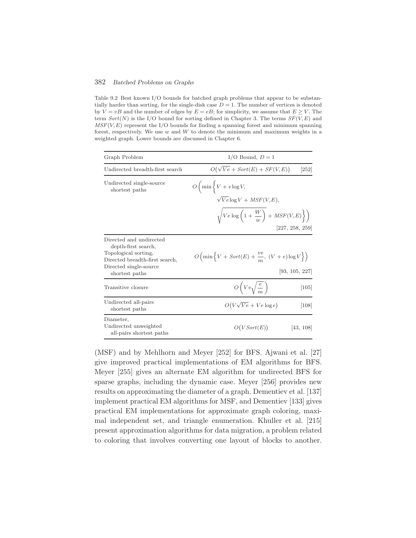#### 382 *Batched Problems on Graphs*

Table 9.2 Best known I/O bounds for batched graph problems that appear to be substantially harder than sorting, for the single-disk case  $D = 1$ . The number of vertices is denoted by  $V = vB$  and the number of edges by  $E = eB$ ; for simplicity, we assume that  $E \geq V$ . The term  $Sort(N)$  is the I/O bound for sorting defined in Chapter 3. The terms  $SF(V, E)$  and  $MSF(V, E)$  represent the I/O bounds for finding a spanning forest and minimum spanning forest, respectively. We use  $w$  and  $W$  to denote the minimum and maximum weights in a weighted graph. Lower bounds are discussed in Chapter 6.

| Graph Problem                                                  | I/O Bound, $D=1$                                                             |  |  |
|----------------------------------------------------------------|------------------------------------------------------------------------------|--|--|
| Undirected breadth-first search                                | $O(\sqrt{Ve + Sort(E) + SF(V,E)})$<br>$\left[ 252\right]$                    |  |  |
| Undirected single-source<br>shortest paths                     | $O\left(\min\left\{V+e\log V\right\}$                                        |  |  |
|                                                                | $\sqrt{Ve \log V + MSF(V,E)}$ .                                              |  |  |
|                                                                | $\sqrt{Ve \log\left(1+\frac{W}{w}\right)+MSF(V,E)}\bigg\}\bigg)$             |  |  |
|                                                                | [227, 258, 259]                                                              |  |  |
| Directed and undirected<br>depth-first search,                 |                                                                              |  |  |
| Topological sorting,<br>Directed breadth-first search,         | $O\left(\min\left\{V + Sort(E) + \frac{ve}{m}, (V + e)\log V\right\}\right)$ |  |  |
| Directed single-source<br>shortest paths                       | [93, 105, 227]                                                               |  |  |
| Transitive closure                                             | $O(Vv\sqrt{\frac{e}{m}})$<br> 105                                            |  |  |
| Undirected all-pairs<br>shortest paths                         | $O(V\sqrt{Ve} + Ve \log e)$<br> 108                                          |  |  |
| Diameter,<br>Undirected unweighted<br>all-pairs shortest paths | O(VSort(E))<br>[43, 108]                                                     |  |  |

(MSF) and by Mehlhorn and Meyer [252] for BFS. Ajwani et al. [27] give improved practical implementations of EM algorithms for BFS. Meyer [255] gives an alternate EM algorithm for undirected BFS for sparse graphs, including the dynamic case. Meyer [256] provides new results on approximating the diameter of a graph. Dementiev et al. [137] implement practical EM algorithms for MSF, and Dementiev [133] gives practical EM implementations for approximate graph coloring, maximal independent set, and triangle enumeration. Khuller et al. [215] present approximation algorithms for data migration, a problem related to coloring that involves converting one layout of blocks to another.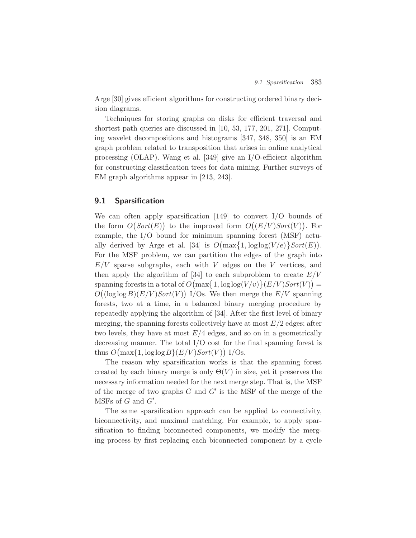Arge [30] gives efficient algorithms for constructing ordered binary decision diagrams.

Techniques for storing graphs on disks for efficient traversal and shortest path queries are discussed in [10, 53, 177, 201, 271]. Computing wavelet decompositions and histograms [347, 348, 350] is an EM graph problem related to transposition that arises in online analytical processing (OLAP). Wang et al. [349] give an I/O-efficient algorithm for constructing classification trees for data mining. Further surveys of EM graph algorithms appear in [213, 243].

#### **9.1 Sparsification**

We can often apply sparsification [149] to convert I/O bounds of the form  $O(Sort(E))$  to the improved form  $O((E/V)Sort(V))$ . For example, the I/O bound for minimum spanning forest (MSF) actually derived by Arge et al. [34] is  $O(max{1, log log(V/e)}\$ Sort $(E)$ . For the MSF problem, we can partition the edges of the graph into  $E/V$  sparse subgraphs, each with  $V$  edges on the  $V$  vertices, and then apply the algorithm of [34] to each subproblem to create  $E/V$ spanning forests in a total of  $O(\max\{1, \log \log(V/v)\}(E/V)$  Sort $(V)$ ) =  $O((\log \log B)(E/V)Sort(V))$  I/Os. We then merge the  $E/V$  spanning forests, two at a time, in a balanced binary merging procedure by repeatedly applying the algorithm of [34]. After the first level of binary merging, the spanning forests collectively have at most  $E/2$  edges; after two levels, they have at most  $E/4$  edges, and so on in a geometrically decreasing manner. The total I/O cost for the final spanning forest is thus  $O(\max\{1, \log \log B\}(E/V)Sort(V))$  I/Os.

The reason why sparsification works is that the spanning forest created by each binary merge is only  $\Theta(V)$  in size, yet it preserves the necessary information needed for the next merge step. That is, the MSF of the merge of two graphs  $G$  and  $G'$  is the MSF of the merge of the MSFs of  $G$  and  $G'$ .

The same sparsification approach can be applied to connectivity, biconnectivity, and maximal matching. For example, to apply sparsification to finding biconnected components, we modify the merging process by first replacing each biconnected component by a cycle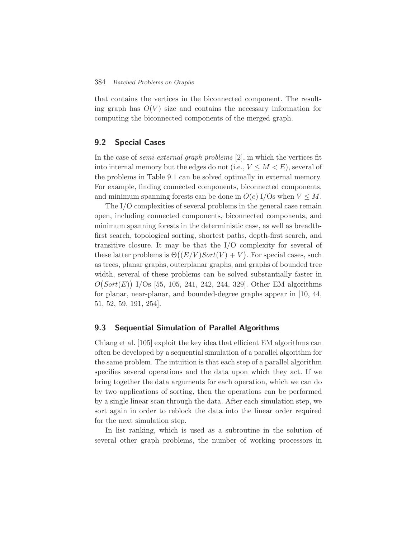#### 384 *Batched Problems on Graphs*

that contains the vertices in the biconnected component. The resulting graph has  $O(V)$  size and contains the necessary information for computing the biconnected components of the merged graph.

#### **9.2 Special Cases**

In the case of *semi-external graph problems* [2], in which the vertices fit into internal memory but the edges do not (i.e.,  $V \leq M \lt E$ ), several of the problems in Table 9.1 can be solved optimally in external memory. For example, finding connected components, biconnected components, and minimum spanning forests can be done in  $O(e)$  I/Os when  $V \leq M$ .

The I/O complexities of several problems in the general case remain open, including connected components, biconnected components, and minimum spanning forests in the deterministic case, as well as breadthfirst search, topological sorting, shortest paths, depth-first search, and transitive closure. It may be that the I/O complexity for several of these latter problems is  $\Theta((E/V)Sort(V) + V)$ . For special cases, such as trees, planar graphs, outerplanar graphs, and graphs of bounded tree width, several of these problems can be solved substantially faster in  $O(Sort(E))$  I/Os [55, 105, 241, 242, 244, 329]. Other EM algorithms for planar, near-planar, and bounded-degree graphs appear in [10, 44, 51, 52, 59, 191, 254].

#### **9.3 Sequential Simulation of Parallel Algorithms**

Chiang et al. [105] exploit the key idea that efficient EM algorithms can often be developed by a sequential simulation of a parallel algorithm for the same problem. The intuition is that each step of a parallel algorithm specifies several operations and the data upon which they act. If we bring together the data arguments for each operation, which we can do by two applications of sorting, then the operations can be performed by a single linear scan through the data. After each simulation step, we sort again in order to reblock the data into the linear order required for the next simulation step.

In list ranking, which is used as a subroutine in the solution of several other graph problems, the number of working processors in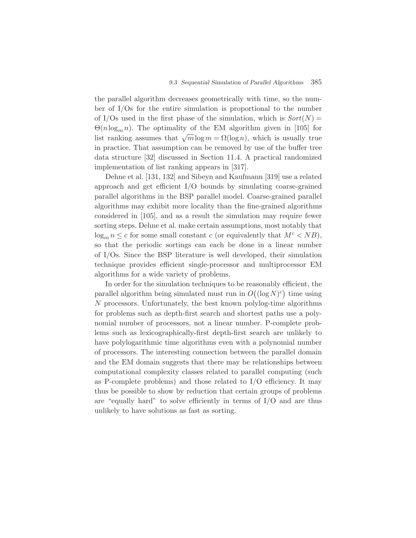the parallel algorithm decreases geometrically with time, so the number of I/Os for the entire simulation is proportional to the number of I/Os used in the first phase of the simulation, which is  $Sort(N)$  $\Theta(n \log_m n)$ . The optimality of the EM algorithm given in [105] for list ranking assumes that  $\sqrt{m} \log m = \Omega(\log n)$ , which is usually true in practice. That assumption can be removed by use of the buffer tree data structure [32] discussed in Section 11.4. A practical randomized implementation of list ranking appears in [317].

Dehne et al. [131, 132] and Sibeyn and Kaufmann [319] use a related approach and get efficient I/O bounds by simulating coarse-grained parallel algorithms in the BSP parallel model. Coarse-grained parallel algorithms may exhibit more locality than the fine-grained algorithms considered in [105], and as a result the simulation may require fewer sorting steps. Dehne et al. make certain assumptions, most notably that  $\log_m n \leq c$  for some small constant c (or equivalently that  $M^c < NB$ ), so that the periodic sortings can each be done in a linear number of I/Os. Since the BSP literature is well developed, their simulation technique provides efficient single-processor and multiprocessor EM algorithms for a wide variety of problems.

In order for the simulation techniques to be reasonably efficient, the parallel algorithm being simulated must run in  $O((\log N)^c)$  time using N processors. Unfortunately, the best known polylog-time algorithms for problems such as depth-first search and shortest paths use a polynomial number of processors, not a linear number. P-complete problems such as lexicographically-first depth-first search are unlikely to have polylogarithmic time algorithms even with a polynomial number of processors. The interesting connection between the parallel domain and the EM domain suggests that there may be relationships between computational complexity classes related to parallel computing (such as P-complete problems) and those related to  $I/O$  efficiency. It may thus be possible to show by reduction that certain groups of problems are "equally hard" to solve efficiently in terms of I/O and are thus unlikely to have solutions as fast as sorting.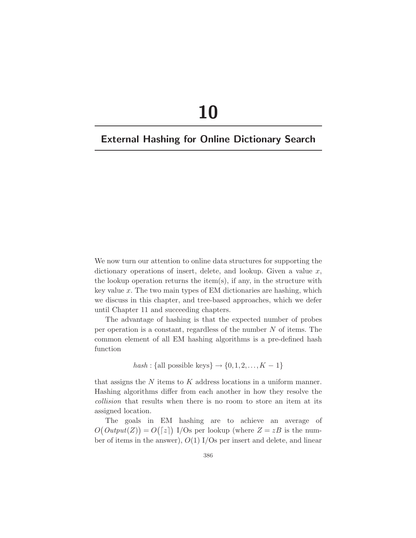## **10**

### **External Hashing for Online Dictionary Search**

We now turn our attention to online data structures for supporting the dictionary operations of insert, delete, and lookup. Given a value  $x$ , the lookup operation returns the item(s), if any, in the structure with key value  $x$ . The two main types of EM dictionaries are hashing, which we discuss in this chapter, and tree-based approaches, which we defer until Chapter 11 and succeeding chapters.

The advantage of hashing is that the expected number of probes per operation is a constant, regardless of the number  $N$  of items. The common element of all EM hashing algorithms is a pre-defined hash function

$$
hash: \{all possible keys\} \rightarrow \{0, 1, 2, \dots, K - 1\}
$$

that assigns the N items to K address locations in a uniform manner. Hashing algorithms differ from each another in how they resolve the *collision* that results when there is no room to store an item at its assigned location.

The goals in EM hashing are to achieve an average of  $O(Output(Z)) = O([z])$  I/Os per lookup (where  $Z = zB$  is the number of items in the answer),  $O(1)$  I/Os per insert and delete, and linear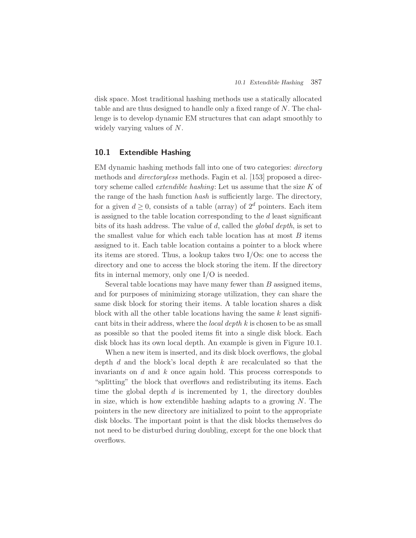disk space. Most traditional hashing methods use a statically allocated table and are thus designed to handle only a fixed range of N. The challenge is to develop dynamic EM structures that can adapt smoothly to widely varying values of N.

#### **10.1 Extendible Hashing**

EM dynamic hashing methods fall into one of two categories: *directory* methods and *directoryless* methods. Fagin et al. [153] proposed a directory scheme called *extendible hashing*: Let us assume that the size K of the range of the hash function *hash* is sufficiently large. The directory, for a given  $d > 0$ , consists of a table (array) of  $2^d$  pointers. Each item is assigned to the table location corresponding to the d least significant bits of its hash address. The value of d, called the *global depth*, is set to the smallest value for which each table location has at most  $B$  items assigned to it. Each table location contains a pointer to a block where its items are stored. Thus, a lookup takes two I/Os: one to access the directory and one to access the block storing the item. If the directory fits in internal memory, only one I/O is needed.

Several table locations may have many fewer than  $B$  assigned items, and for purposes of minimizing storage utilization, they can share the same disk block for storing their items. A table location shares a disk block with all the other table locations having the same  $k$  least significant bits in their address, where the *local depth* k is chosen to be as small as possible so that the pooled items fit into a single disk block. Each disk block has its own local depth. An example is given in Figure 10.1.

When a new item is inserted, and its disk block overflows, the global depth  $d$  and the block's local depth  $k$  are recalculated so that the invariants on d and k once again hold. This process corresponds to "splitting" the block that overflows and redistributing its items. Each time the global depth  $d$  is incremented by 1, the directory doubles in size, which is how extendible hashing adapts to a growing  $N$ . The pointers in the new directory are initialized to point to the appropriate disk blocks. The important point is that the disk blocks themselves do not need to be disturbed during doubling, except for the one block that overflows.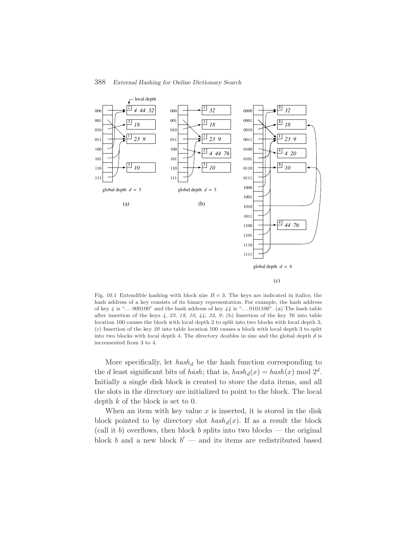

#### *External Hashing for Online Dictionary Search*

Fig. 10.1 Extendible hashing with block size  $B = 3$ . The keys are indicated in italics; the hash address of a key consists of its binary representation. For example, the hash address of key  $\frac{1}{4}$  is "... 000100" and the hash address of key  $\frac{1}{4}$  is "... 0101100". (a) The hash table after insertion of the keys  $\frac{1}{4}$ , 23, 18, 10,  $\frac{1}{4}$ , 32, 9; (b) Insertion of the key 76 into table location 100 causes the block with local depth 2 to split into two blocks with local depth 3; (c) Insertion of the key 20 into table location 100 causes a block with local depth 3 to split into two blocks with local depth 4. The directory doubles in size and the global depth d is incremented from 3 to 4.

More specifically, let  $hash_d$  be the hash function corresponding to the d least significant bits of *hash*; that is,  $hash_d(x) = hash(x) \mod 2^d$ . Initially a single disk block is created to store the data items, and all the slots in the directory are initialized to point to the block. The local depth  $k$  of the block is set to 0.

When an item with key value  $x$  is inserted, it is stored in the disk block pointed to by directory slot  $hash_d(x)$ . If as a result the block (call it b) overflows, then block b splits into two blocks — the original block b and a new block  $b'$  — and its items are redistributed based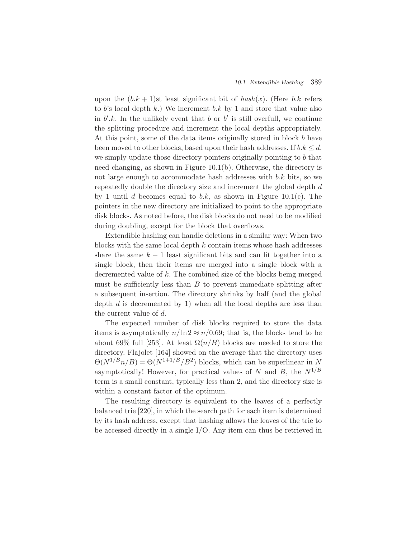upon the  $(b.k + 1)$ st least significant bit of  $hash(x)$ . (Here b.k refers to b's local depth k.) We increment b.k by 1 and store that value also in  $b'.k$ . In the unlikely event that b or b' is still overfull, we continue the splitting procedure and increment the local depths appropriately. At this point, some of the data items originally stored in block b have been moved to other blocks, based upon their hash addresses. If  $b.k \leq d$ , we simply update those directory pointers originally pointing to b that need changing, as shown in Figure 10.1(b). Otherwise, the directory is not large enough to accommodate hash addresses with b.k bits, so we repeatedly double the directory size and increment the global depth d by 1 until d becomes equal to b.k, as shown in Figure 10.1(c). The pointers in the new directory are initialized to point to the appropriate disk blocks. As noted before, the disk blocks do not need to be modified during doubling, except for the block that overflows.

Extendible hashing can handle deletions in a similar way: When two blocks with the same local depth  $k$  contain items whose hash addresses share the same  $k - 1$  least significant bits and can fit together into a single block, then their items are merged into a single block with a decremented value of k. The combined size of the blocks being merged must be sufficiently less than  $B$  to prevent immediate splitting after a subsequent insertion. The directory shrinks by half (and the global depth  $d$  is decremented by 1) when all the local depths are less than the current value of d.

The expected number of disk blocks required to store the data items is asymptotically  $n/\ln 2 \approx n/0.69$ ; that is, the blocks tend to be about 69% full [253]. At least  $\Omega(n/B)$  blocks are needed to store the directory. Flajolet [164] showed on the average that the directory uses  $\Theta(N^{1/B}n/B) = \Theta(N^{1+1/B}/B^2)$  blocks, which can be superlinear in N asymptotically! However, for practical values of N and B, the  $N^{1/B}$ term is a small constant, typically less than 2, and the directory size is within a constant factor of the optimum.

The resulting directory is equivalent to the leaves of a perfectly balanced trie [220], in which the search path for each item is determined by its hash address, except that hashing allows the leaves of the trie to be accessed directly in a single I/O. Any item can thus be retrieved in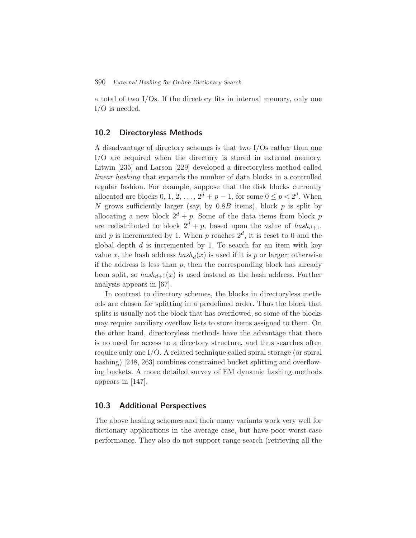a total of two I/Os. If the directory fits in internal memory, only one I/O is needed.

#### **10.2 Directoryless Methods**

A disadvantage of directory schemes is that two I/Os rather than one I/O are required when the directory is stored in external memory. Litwin [235] and Larson [229] developed a directoryless method called *linear hashing* that expands the number of data blocks in a controlled regular fashion. For example, suppose that the disk blocks currently allocated are blocks 0, 1, 2, ...,  $2^d + p - 1$ , for some  $0 \le p < 2^d$ . When N grows sufficiently larger (say, by  $0.8B$  items), block p is split by allocating a new block  $2^d + p$ . Some of the data items from block p are redistributed to block  $2^d + p$ , based upon the value of  $hash_{d+1}$ , and p is incremented by 1. When p reaches  $2^d$ , it is reset to 0 and the global depth  $d$  is incremented by 1. To search for an item with key value x, the hash address  $hash_d(x)$  is used if it is p or larger; otherwise if the address is less than  $p$ , then the corresponding block has already been split, so  $hash_{d+1}(x)$  is used instead as the hash address. Further analysis appears in [67].

In contrast to directory schemes, the blocks in directoryless methods are chosen for splitting in a predefined order. Thus the block that splits is usually not the block that has overflowed, so some of the blocks may require auxiliary overflow lists to store items assigned to them. On the other hand, directoryless methods have the advantage that there is no need for access to a directory structure, and thus searches often require only one I/O. A related technique called spiral storage (or spiral hashing) [248, 263] combines constrained bucket splitting and overflowing buckets. A more detailed survey of EM dynamic hashing methods appears in [147].

#### **10.3 Additional Perspectives**

The above hashing schemes and their many variants work very well for dictionary applications in the average case, but have poor worst-case performance. They also do not support range search (retrieving all the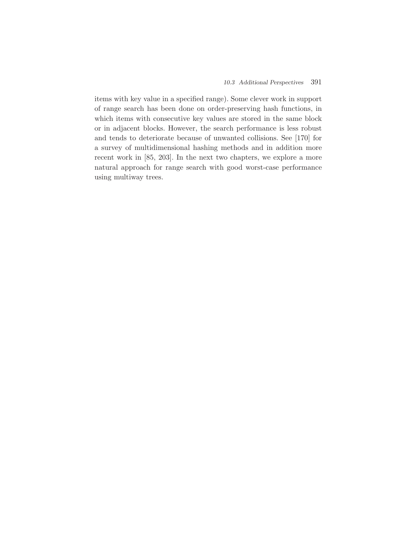items with key value in a specified range). Some clever work in support of range search has been done on order-preserving hash functions, in which items with consecutive key values are stored in the same block or in adjacent blocks. However, the search performance is less robust and tends to deteriorate because of unwanted collisions. See [170] for a survey of multidimensional hashing methods and in addition more recent work in [85, 203]. In the next two chapters, we explore a more natural approach for range search with good worst-case performance using multiway trees.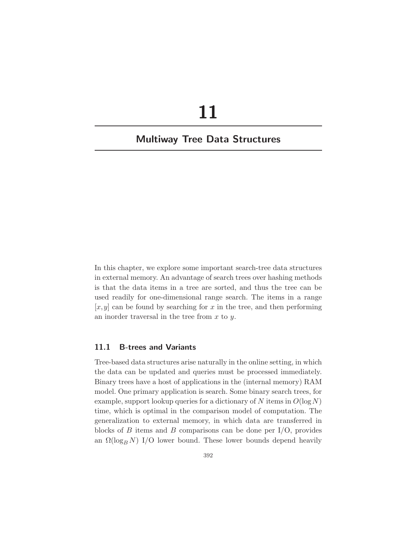# **11**

### **Multiway Tree Data Structures**

In this chapter, we explore some important search-tree data structures in external memory. An advantage of search trees over hashing methods is that the data items in a tree are sorted, and thus the tree can be used readily for one-dimensional range search. The items in a range  $[x, y]$  can be found by searching for x in the tree, and then performing an inorder traversal in the tree from  $x$  to  $y$ .

#### **11.1 B-trees and Variants**

Tree-based data structures arise naturally in the online setting, in which the data can be updated and queries must be processed immediately. Binary trees have a host of applications in the (internal memory) RAM model. One primary application is search. Some binary search trees, for example, support lookup queries for a dictionary of N items in  $O(\log N)$ time, which is optimal in the comparison model of computation. The generalization to external memory, in which data are transferred in blocks of B items and B comparisons can be done per  $I/O$ , provides an  $\Omega(\log_B N)$  I/O lower bound. These lower bounds depend heavily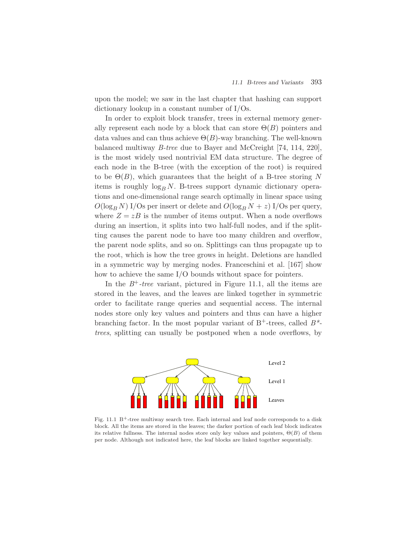upon the model; we saw in the last chapter that hashing can support dictionary lookup in a constant number of I/Os.

In order to exploit block transfer, trees in external memory generally represent each node by a block that can store  $\Theta(B)$  pointers and data values and can thus achieve  $\Theta(B)$ -way branching. The well-known balanced multiway *B-tree* due to Bayer and McCreight [74, 114, 220], is the most widely used nontrivial EM data structure. The degree of each node in the B-tree (with the exception of the root) is required to be  $\Theta(B)$ , which guarantees that the height of a B-tree storing N items is roughly  $\log_B N$ . B-trees support dynamic dictionary operations and one-dimensional range search optimally in linear space using  $O(\log_B N)$  I/Os per insert or delete and  $O(\log_B N + z)$  I/Os per query, where  $Z = zB$  is the number of items output. When a node overflows during an insertion, it splits into two half-full nodes, and if the splitting causes the parent node to have too many children and overflow, the parent node splits, and so on. Splittings can thus propagate up to the root, which is how the tree grows in height. Deletions are handled in a symmetric way by merging nodes. Franceschini et al. [167] show how to achieve the same I/O bounds without space for pointers.

In the  $B^+$ -tree variant, pictured in Figure 11.1, all the items are stored in the leaves, and the leaves are linked together in symmetric order to facilitate range queries and sequential access. The internal nodes store only key values and pointers and thus can have a higher branching factor. In the most popular variant of  $B^+$ -trees, called  $B^*$ *trees*, splitting can usually be postponed when a node overflows, by



Fig. 11.1  $B^+$ -tree multiway search tree. Each internal and leaf node corresponds to a disk block. All the items are stored in the leaves; the darker portion of each leaf block indicates its relative fullness. The internal nodes store only key values and pointers,  $\Theta(B)$  of them per node. Although not indicated here, the leaf blocks are linked together sequentially.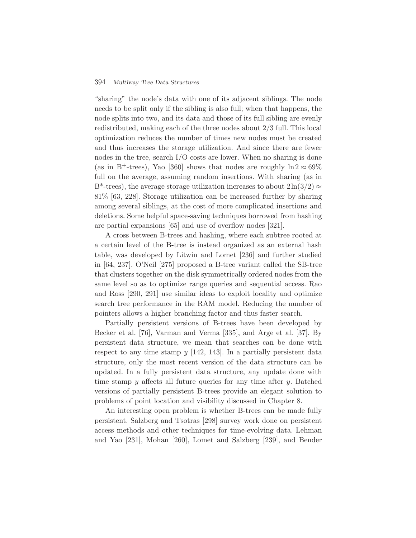#### 394 *Multiway Tree Data Structures*

"sharing" the node's data with one of its adjacent siblings. The node needs to be split only if the sibling is also full; when that happens, the node splits into two, and its data and those of its full sibling are evenly redistributed, making each of the three nodes about 2/3 full. This local optimization reduces the number of times new nodes must be created and thus increases the storage utilization. And since there are fewer nodes in the tree, search I/O costs are lower. When no sharing is done (as in B<sup>+</sup>-trees), Yao [360] shows that nodes are roughly  $\ln 2 \approx 69\%$ full on the average, assuming random insertions. With sharing (as in B<sup>\*</sup>-trees), the average storage utilization increases to about  $2\ln(3/2) \approx$ 81% [63, 228]. Storage utilization can be increased further by sharing among several siblings, at the cost of more complicated insertions and deletions. Some helpful space-saving techniques borrowed from hashing are partial expansions [65] and use of overflow nodes [321].

A cross between B-trees and hashing, where each subtree rooted at a certain level of the B-tree is instead organized as an external hash table, was developed by Litwin and Lomet [236] and further studied in [64, 237]. O'Neil [275] proposed a B-tree variant called the SB-tree that clusters together on the disk symmetrically ordered nodes from the same level so as to optimize range queries and sequential access. Rao and Ross [290, 291] use similar ideas to exploit locality and optimize search tree performance in the RAM model. Reducing the number of pointers allows a higher branching factor and thus faster search.

Partially persistent versions of B-trees have been developed by Becker et al. [76], Varman and Verma [335], and Arge et al. [37]. By persistent data structure, we mean that searches can be done with respect to any time stamp  $y$  [142, 143]. In a partially persistent data structure, only the most recent version of the data structure can be updated. In a fully persistent data structure, any update done with time stamp  $y$  affects all future queries for any time after  $y$ . Batched versions of partially persistent B-trees provide an elegant solution to problems of point location and visibility discussed in Chapter 8.

An interesting open problem is whether B-trees can be made fully persistent. Salzberg and Tsotras [298] survey work done on persistent access methods and other techniques for time-evolving data. Lehman and Yao [231], Mohan [260], Lomet and Salzberg [239], and Bender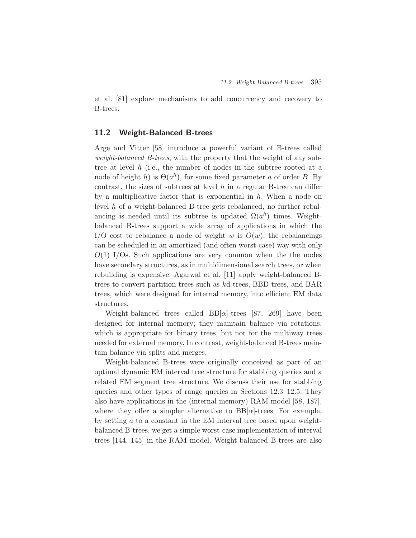et al. [81] explore mechanisms to add concurrency and recovery to B-trees.

#### **11.2 Weight-Balanced B-trees**

Arge and Vitter [58] introduce a powerful variant of B-trees called *weight-balanced B-trees*, with the property that the weight of any subtree at level h (i.e., the number of nodes in the subtree rooted at a node of height h) is  $\Theta(a^h)$ , for some fixed parameter a of order B. By contrast, the sizes of subtrees at level  $h$  in a regular B-tree can differ by a multiplicative factor that is exponential in  $h$ . When a node on level h of a weight-balanced B-tree gets rebalanced, no further rebalancing is needed until its subtree is updated  $\Omega(a^h)$  times. Weightbalanced B-trees support a wide array of applications in which the I/O cost to rebalance a node of weight w is  $O(w)$ ; the rebalancings can be scheduled in an amortized (and often worst-case) way with only  $O(1)$  I/Os. Such applications are very common when the the nodes have secondary structures, as in multidimensional search trees, or when rebuilding is expensive. Agarwal et al. [11] apply weight-balanced Btrees to convert partition trees such as kd-trees, BBD trees, and BAR trees, which were designed for internal memory, into efficient EM data structures.

Weight-balanced trees called  $BB[\alpha]$ -trees [87, 269] have been designed for internal memory; they maintain balance via rotations, which is appropriate for binary trees, but not for the multiway trees needed for external memory. In contrast, weight-balanced B-trees maintain balance via splits and merges.

Weight-balanced B-trees were originally conceived as part of an optimal dynamic EM interval tree structure for stabbing queries and a related EM segment tree structure. We discuss their use for stabbing queries and other types of range queries in Sections 12.3–12.5. They also have applications in the (internal memory) RAM model [58, 187], where they offer a simpler alternative to  $BB[\alpha]$ -trees. For example, by setting a to a constant in the EM interval tree based upon weightbalanced B-trees, we get a simple worst-case implementation of interval trees [144, 145] in the RAM model. Weight-balanced B-trees are also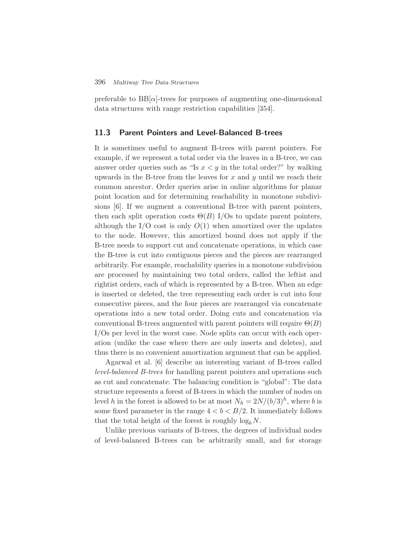#### 396 *Multiway Tree Data Structures*

preferable to  $BB[\alpha]$ -trees for purposes of augmenting one-dimensional data structures with range restriction capabilities [354].

#### **11.3 Parent Pointers and Level-Balanced B-trees**

It is sometimes useful to augment B-trees with parent pointers. For example, if we represent a total order via the leaves in a B-tree, we can answer order queries such as "Is  $x < y$  in the total order?" by walking upwards in the B-tree from the leaves for  $x$  and  $y$  until we reach their common ancestor. Order queries arise in online algorithms for planar point location and for determining reachability in monotone subdivisions [6]. If we augment a conventional B-tree with parent pointers, then each split operation costs  $\Theta(B)$  I/Os to update parent pointers, although the I/O cost is only  $O(1)$  when amortized over the updates to the node. However, this amortized bound does not apply if the B-tree needs to support cut and concatenate operations, in which case the B-tree is cut into contiguous pieces and the pieces are rearranged arbitrarily. For example, reachability queries in a monotone subdivision are processed by maintaining two total orders, called the leftist and rightist orders, each of which is represented by a B-tree. When an edge is inserted or deleted, the tree representing each order is cut into four consecutive pieces, and the four pieces are rearranged via concatenate operations into a new total order. Doing cuts and concatenation via conventional B-trees augmented with parent pointers will require  $\Theta(B)$ I/Os per level in the worst case. Node splits can occur with each operation (unlike the case where there are only inserts and deletes), and thus there is no convenient amortization argument that can be applied.

Agarwal et al. [6] describe an interesting variant of B-trees called *level-balanced B-trees* for handling parent pointers and operations such as cut and concatenate. The balancing condition is "global": The data structure represents a forest of B-trees in which the number of nodes on level h in the forest is allowed to be at most  $N_h = 2N/(b/3)^h$ , where h is some fixed parameter in the range  $4 < b < B/2$ . It immediately follows that the total height of the forest is roughly  $\log_b N$ .

Unlike previous variants of B-trees, the degrees of individual nodes of level-balanced B-trees can be arbitrarily small, and for storage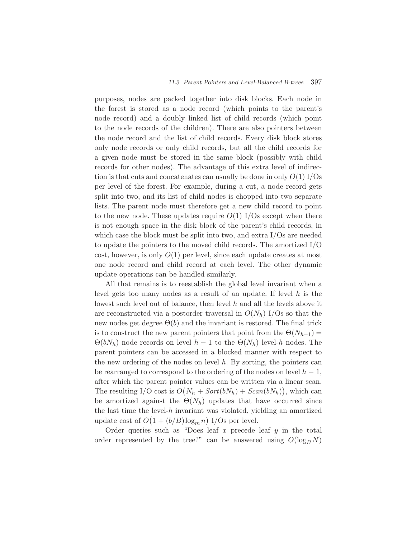purposes, nodes are packed together into disk blocks. Each node in the forest is stored as a node record (which points to the parent's node record) and a doubly linked list of child records (which point to the node records of the children). There are also pointers between the node record and the list of child records. Every disk block stores only node records or only child records, but all the child records for a given node must be stored in the same block (possibly with child records for other nodes). The advantage of this extra level of indirection is that cuts and concatenates can usually be done in only  $O(1)$  I/Os per level of the forest. For example, during a cut, a node record gets split into two, and its list of child nodes is chopped into two separate lists. The parent node must therefore get a new child record to point to the new node. These updates require  $O(1)$  I/Os except when there is not enough space in the disk block of the parent's child records, in which case the block must be split into two, and extra I/Os are needed to update the pointers to the moved child records. The amortized I/O cost, however, is only  $O(1)$  per level, since each update creates at most one node record and child record at each level. The other dynamic update operations can be handled similarly.

All that remains is to reestablish the global level invariant when a level gets too many nodes as a result of an update. If level  $h$  is the lowest such level out of balance, then level  $h$  and all the levels above it are reconstructed via a postorder traversal in  $O(N_h)$  I/Os so that the new nodes get degree  $\Theta(b)$  and the invariant is restored. The final trick is to construct the new parent pointers that point from the  $\Theta(N_{h-1}) =$  $\Theta(bN_h)$  node records on level  $h-1$  to the  $\Theta(N_h)$  level-h nodes. The parent pointers can be accessed in a blocked manner with respect to the new ordering of the nodes on level  $h$ . By sorting, the pointers can be rearranged to correspond to the ordering of the nodes on level  $h - 1$ , after which the parent pointer values can be written via a linear scan. The resulting I/O cost is  $O(N_h + Sort(bN_h) + Scan(bN_h))$ , which can be amortized against the  $\Theta(N_h)$  updates that have occurred since the last time the level- $h$  invariant was violated, yielding an amortized update cost of  $O(1 + (b/B)\log_m n)$  I/Os per level.

Order queries such as "Does leaf x precede leaf  $y$  in the total order represented by the tree?" can be answered using  $O(\log_B N)$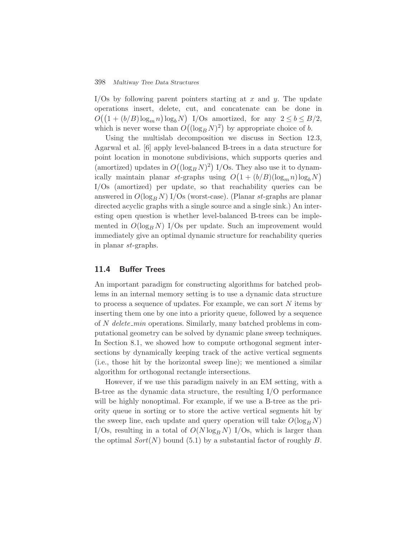#### 398 *Multiway Tree Data Structures*

I/Os by following parent pointers starting at  $x$  and  $y$ . The update operations insert, delete, cut, and concatenate can be done in  $O((1+(b/B)\log_m n)\log_b N)$  I/Os amortized, for any  $2 \le b \le B/2$ , which is never worse than  $O((\log_B N)^2)$  by appropriate choice of b.

Using the multislab decomposition we discuss in Section 12.3, Agarwal et al. [6] apply level-balanced B-trees in a data structure for point location in monotone subdivisions, which supports queries and (amortized) updates in  $O((\log_B N)^2)$  I/Os. They also use it to dynamically maintain planar st-graphs using  $O(1 + (b/B)(\log_m n)\log_b N)$ I/Os (amortized) per update, so that reachability queries can be answered in  $O(\log_B N)$  I/Os (worst-case). (Planar st-graphs are planar directed acyclic graphs with a single source and a single sink.) An interesting open question is whether level-balanced B-trees can be implemented in  $O(\log_B N)$  I/Os per update. Such an improvement would immediately give an optimal dynamic structure for reachability queries in planar st-graphs.

#### **11.4 Buffer Trees**

An important paradigm for constructing algorithms for batched problems in an internal memory setting is to use a dynamic data structure to process a sequence of updates. For example, we can sort N items by inserting them one by one into a priority queue, followed by a sequence of N *delete min* operations. Similarly, many batched problems in computational geometry can be solved by dynamic plane sweep techniques. In Section 8.1, we showed how to compute orthogonal segment intersections by dynamically keeping track of the active vertical segments (i.e., those hit by the horizontal sweep line); we mentioned a similar algorithm for orthogonal rectangle intersections.

However, if we use this paradigm naively in an EM setting, with a B-tree as the dynamic data structure, the resulting I/O performance will be highly nonoptimal. For example, if we use a B-tree as the priority queue in sorting or to store the active vertical segments hit by the sweep line, each update and query operation will take  $O(\log_B N)$ I/Os, resulting in a total of  $O(N \log_B N)$  I/Os, which is larger than the optimal  $Sort(N)$  bound (5.1) by a substantial factor of roughly B.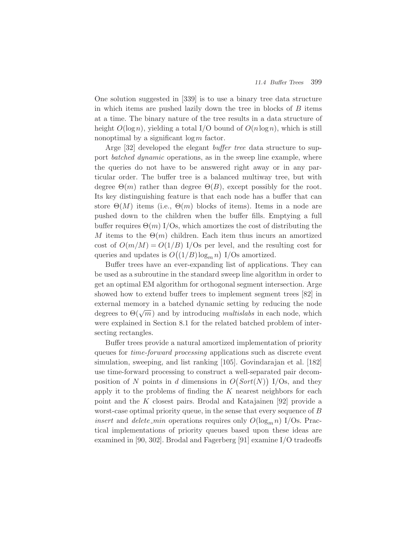One solution suggested in [339] is to use a binary tree data structure in which items are pushed lazily down the tree in blocks of  $B$  items at a time. The binary nature of the tree results in a data structure of height  $O(\log n)$ , yielding a total I/O bound of  $O(n \log n)$ , which is still nonoptimal by a significant  $\log m$  factor.

Arge [32] developed the elegant *buffer tree* data structure to support *batched dynamic* operations, as in the sweep line example, where the queries do not have to be answered right away or in any particular order. The buffer tree is a balanced multiway tree, but with degree  $\Theta(m)$  rather than degree  $\Theta(B)$ , except possibly for the root. Its key distinguishing feature is that each node has a buffer that can store  $\Theta(M)$  items (i.e.,  $\Theta(m)$  blocks of items). Items in a node are pushed down to the children when the buffer fills. Emptying a full buffer requires  $\Theta(m)$  I/Os, which amortizes the cost of distributing the M items to the  $\Theta(m)$  children. Each item thus incurs an amortized cost of  $O(m/M) = O(1/B)$  I/Os per level, and the resulting cost for queries and updates is  $O((1/B)\log_m n)$  I/Os amortized.

Buffer trees have an ever-expanding list of applications. They can be used as a subroutine in the standard sweep line algorithm in order to get an optimal EM algorithm for orthogonal segment intersection. Arge showed how to extend buffer trees to implement segment trees [82] in external memory in a batched dynamic setting by reducing the node degrees to  $\Theta(\sqrt{m})$  and by introducing *multislabs* in each node, which were explained in Section 8.1 for the related batched problem of intersecting rectangles.

Buffer trees provide a natural amortized implementation of priority queues for *time-forward processing* applications such as discrete event simulation, sweeping, and list ranking [105]. Govindarajan et al. [182] use time-forward processing to construct a well-separated pair decomposition of N points in d dimensions in  $O(Sort(N))$  I/Os, and they apply it to the problems of finding the  $K$  nearest neighbors for each point and the K closest pairs. Brodal and Katajainen [92] provide a worst-case optimal priority queue, in the sense that every sequence of B *insert* and *delete\_min* operations requires only  $O(\log_m n)$  I/Os. Practical implementations of priority queues based upon these ideas are examined in [90, 302]. Brodal and Fagerberg [91] examine I/O tradeoffs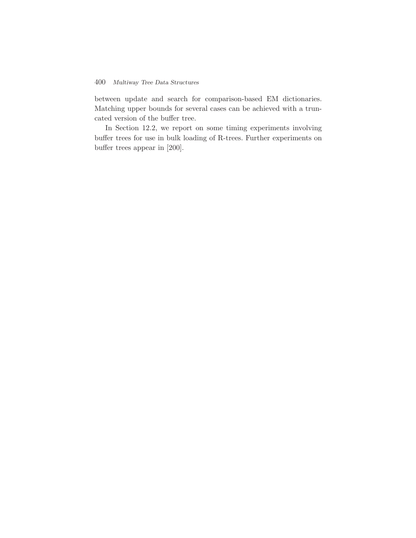#### 400 *Multiway Tree Data Structures*

between update and search for comparison-based EM dictionaries. Matching upper bounds for several cases can be achieved with a truncated version of the buffer tree.

In Section 12.2, we report on some timing experiments involving buffer trees for use in bulk loading of R-trees. Further experiments on buffer trees appear in [200].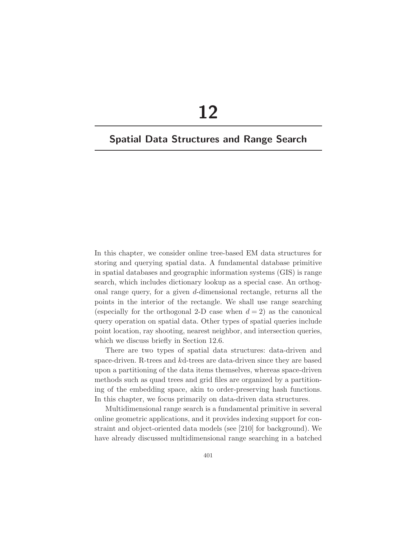# **12**

## **Spatial Data Structures and Range Search**

In this chapter, we consider online tree-based EM data structures for storing and querying spatial data. A fundamental database primitive in spatial databases and geographic information systems (GIS) is range search, which includes dictionary lookup as a special case. An orthogonal range query, for a given d-dimensional rectangle, returns all the points in the interior of the rectangle. We shall use range searching (especially for the orthogonal 2-D case when  $d = 2$ ) as the canonical query operation on spatial data. Other types of spatial queries include point location, ray shooting, nearest neighbor, and intersection queries, which we discuss briefly in Section 12.6.

There are two types of spatial data structures: data-driven and space-driven. R-trees and kd-trees are data-driven since they are based upon a partitioning of the data items themselves, whereas space-driven methods such as quad trees and grid files are organized by a partitioning of the embedding space, akin to order-preserving hash functions. In this chapter, we focus primarily on data-driven data structures.

Multidimensional range search is a fundamental primitive in several online geometric applications, and it provides indexing support for constraint and object-oriented data models (see [210] for background). We have already discussed multidimensional range searching in a batched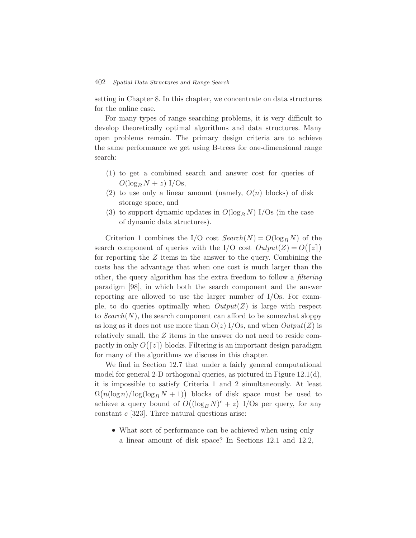#### 402 *Spatial Data Structures and Range Search*

setting in Chapter 8. In this chapter, we concentrate on data structures for the online case.

For many types of range searching problems, it is very difficult to develop theoretically optimal algorithms and data structures. Many open problems remain. The primary design criteria are to achieve the same performance we get using B-trees for one-dimensional range search:

- (1) to get a combined search and answer cost for queries of  $O(\log_B N + z)$  I/Os,
- (2) to use only a linear amount (namely,  $O(n)$  blocks) of disk storage space, and
- (3) to support dynamic updates in  $O(\log_B N)$  I/Os (in the case of dynamic data structures).

Criterion 1 combines the I/O cost  $Search(N) = O(log_B N)$  of the search component of queries with the I/O cost  $Output(Z) = O([z])$ for reporting the  $Z$  items in the answer to the query. Combining the costs has the advantage that when one cost is much larger than the other, the query algorithm has the extra freedom to follow a *filtering* paradigm [98], in which both the search component and the answer reporting are allowed to use the larger number of I/Os. For example, to do queries optimally when  $Output(Z)$  is large with respect to *Search*(N), the search component can afford to be somewhat sloppy as long as it does not use more than  $O(z)$  I/Os, and when  $Output(Z)$  is relatively small, the Z items in the answer do not need to reside compactly in only  $O([z])$  blocks. Filtering is an important design paradigm for many of the algorithms we discuss in this chapter.

We find in Section 12.7 that under a fairly general computational model for general 2-D orthogonal queries, as pictured in Figure  $12.1(d)$ , it is impossible to satisfy Criteria 1 and 2 simultaneously. At least  $\Omega(n(\log n)/\log(\log_B N + 1))$  blocks of disk space must be used to achieve a query bound of  $O((\log_B N)^c + z)$  I/Os per query, for any constant  $c$  [323]. Three natural questions arise:

• What sort of performance can be achieved when using only a linear amount of disk space? In Sections 12.1 and 12.2,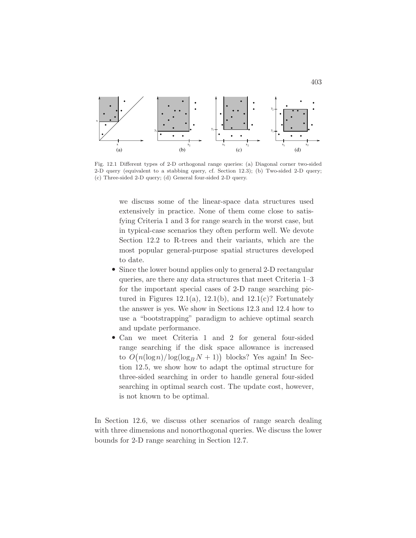

Fig. 12.1 Different types of 2-D orthogonal range queries: (a) Diagonal corner two-sided 2-D query (equivalent to a stabbing query, cf. Section 12.3); (b) Two-sided 2-D query; (c) Three-sided 2-D query; (d) General four-sided 2-D query.

we discuss some of the linear-space data structures used extensively in practice. None of them come close to satisfying Criteria 1 and 3 for range search in the worst case, but in typical-case scenarios they often perform well. We devote Section 12.2 to R-trees and their variants, which are the most popular general-purpose spatial structures developed to date.

- Since the lower bound applies only to general 2-D rectangular queries, are there any data structures that meet Criteria 1–3 for the important special cases of 2-D range searching pictured in Figures  $12.1(a)$ ,  $12.1(b)$ , and  $12.1(c)$ ? Fortunately the answer is yes. We show in Sections 12.3 and 12.4 how to use a "bootstrapping" paradigm to achieve optimal search and update performance.
- Can we meet Criteria 1 and 2 for general four-sided range searching if the disk space allowance is increased to  $O(n(\log n)/\log(\log_B N + 1))$  blocks? Yes again! In Section 12.5, we show how to adapt the optimal structure for three-sided searching in order to handle general four-sided searching in optimal search cost. The update cost, however, is not known to be optimal.

In Section 12.6, we discuss other scenarios of range search dealing with three dimensions and nonorthogonal queries. We discuss the lower bounds for 2-D range searching in Section 12.7.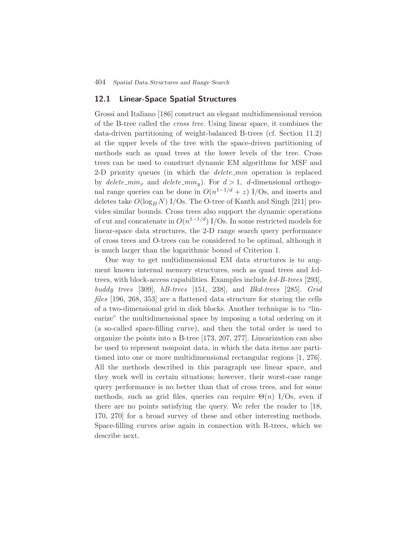#### **12.1 Linear-Space Spatial Structures**

Grossi and Italiano [186] construct an elegant multidimensional version of the B-tree called the *cross tree*. Using linear space, it combines the data-driven partitioning of weight-balanced B-trees (cf. Section 11.2) at the upper levels of the tree with the space-driven partitioning of methods such as quad trees at the lower levels of the tree. Cross trees can be used to construct dynamic EM algorithms for MSF and 2-D priority queues (in which the *delete min* operation is replaced by *delete\_min<sub>x</sub>* and *delete\_min<sub>y</sub>*). For  $d > 1$ , *d*-dimensional orthogonal range queries can be done in  $O(n^{1-1/d} + z)$  I/Os, and inserts and deletes take  $O(\log_B N)$  I/Os. The O-tree of Kanth and Singh [211] provides similar bounds. Cross trees also support the dynamic operations of cut and concatenate in  $O(n^{1-1/d})$  I/Os. In some restricted models for linear-space data structures, the 2-D range search query performance of cross trees and O-trees can be considered to be optimal, although it is much larger than the logarithmic bound of Criterion 1.

One way to get multidimensional EM data structures is to augment known internal memory structures, such as quad trees and kdtrees, with block-access capabilities. Examples include k*d-B-trees* [293], *buddy trees* [309], *hB-trees* [151, 238], and *Bkd-trees* [285]. *Grid files* [196, 268, 353] are a flattened data structure for storing the cells of a two-dimensional grid in disk blocks. Another technique is to "linearize" the multidimensional space by imposing a total ordering on it (a so-called space-filling curve), and then the total order is used to organize the points into a B-tree [173, 207, 277]. Linearization can also be used to represent nonpoint data, in which the data items are partitioned into one or more multidimensional rectangular regions [1, 276]. All the methods described in this paragraph use linear space, and they work well in certain situations; however, their worst-case range query performance is no better than that of cross trees, and for some methods, such as grid files, queries can require  $\Theta(n)$  I/Os, even if there are no points satisfying the query. We refer the reader to [18, 170, 270] for a broad survey of these and other interesting methods. Space-filling curves arise again in connection with R-trees, which we describe next.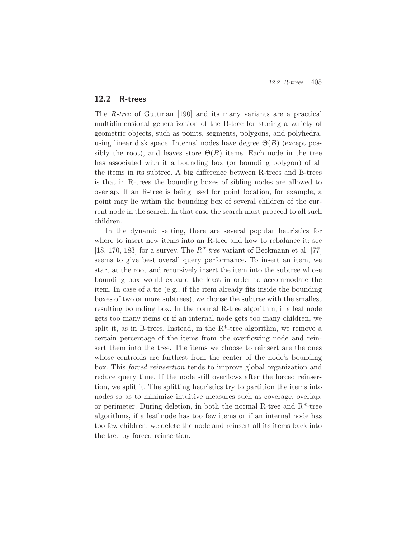#### **12.2 R-trees**

The *R-tree* of Guttman [190] and its many variants are a practical multidimensional generalization of the B-tree for storing a variety of geometric objects, such as points, segments, polygons, and polyhedra, using linear disk space. Internal nodes have degree  $\Theta(B)$  (except possibly the root), and leaves store  $\Theta(B)$  items. Each node in the tree has associated with it a bounding box (or bounding polygon) of all the items in its subtree. A big difference between R-trees and B-trees is that in R-trees the bounding boxes of sibling nodes are allowed to overlap. If an R-tree is being used for point location, for example, a point may lie within the bounding box of several children of the current node in the search. In that case the search must proceed to all such children.

In the dynamic setting, there are several popular heuristics for where to insert new items into an R-tree and how to rebalance it; see [18, 170, 183] for a survey. The *R\*-tree* variant of Beckmann et al. [77] seems to give best overall query performance. To insert an item, we start at the root and recursively insert the item into the subtree whose bounding box would expand the least in order to accommodate the item. In case of a tie (e.g., if the item already fits inside the bounding boxes of two or more subtrees), we choose the subtree with the smallest resulting bounding box. In the normal R-tree algorithm, if a leaf node gets too many items or if an internal node gets too many children, we split it, as in B-trees. Instead, in the  $R^*$ -tree algorithm, we remove a certain percentage of the items from the overflowing node and reinsert them into the tree. The items we choose to reinsert are the ones whose centroids are furthest from the center of the node's bounding box. This *forced reinsertion* tends to improve global organization and reduce query time. If the node still overflows after the forced reinsertion, we split it. The splitting heuristics try to partition the items into nodes so as to minimize intuitive measures such as coverage, overlap, or perimeter. During deletion, in both the normal R-tree and  $R^*$ -tree algorithms, if a leaf node has too few items or if an internal node has too few children, we delete the node and reinsert all its items back into the tree by forced reinsertion.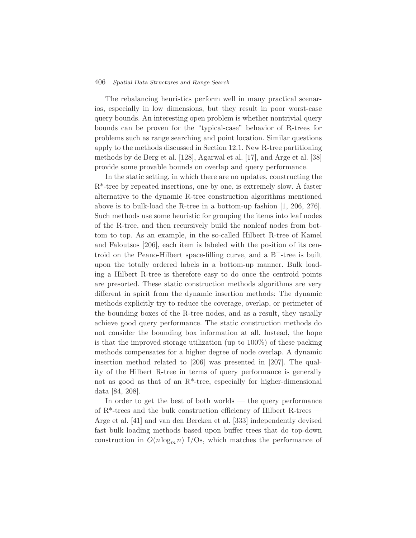#### 406 *Spatial Data Structures and Range Search*

The rebalancing heuristics perform well in many practical scenarios, especially in low dimensions, but they result in poor worst-case query bounds. An interesting open problem is whether nontrivial query bounds can be proven for the "typical-case" behavior of R-trees for problems such as range searching and point location. Similar questions apply to the methods discussed in Section 12.1. New R-tree partitioning methods by de Berg et al. [128], Agarwal et al. [17], and Arge et al. [38] provide some provable bounds on overlap and query performance.

In the static setting, in which there are no updates, constructing the R\*-tree by repeated insertions, one by one, is extremely slow. A faster alternative to the dynamic R-tree construction algorithms mentioned above is to bulk-load the R-tree in a bottom-up fashion [1, 206, 276]. Such methods use some heuristic for grouping the items into leaf nodes of the R-tree, and then recursively build the nonleaf nodes from bottom to top. As an example, in the so-called Hilbert R-tree of Kamel and Faloutsos [206], each item is labeled with the position of its centroid on the Peano-Hilbert space-filling curve, and a  $B^+$ -tree is built upon the totally ordered labels in a bottom-up manner. Bulk loading a Hilbert R-tree is therefore easy to do once the centroid points are presorted. These static construction methods algorithms are very different in spirit from the dynamic insertion methods: The dynamic methods explicitly try to reduce the coverage, overlap, or perimeter of the bounding boxes of the R-tree nodes, and as a result, they usually achieve good query performance. The static construction methods do not consider the bounding box information at all. Instead, the hope is that the improved storage utilization (up to 100%) of these packing methods compensates for a higher degree of node overlap. A dynamic insertion method related to [206] was presented in [207]. The quality of the Hilbert R-tree in terms of query performance is generally not as good as that of an R\*-tree, especially for higher-dimensional data [84, 208].

In order to get the best of both worlds — the query performance of R\*-trees and the bulk construction efficiency of Hilbert R-trees — Arge et al. [41] and van den Bercken et al. [333] independently devised fast bulk loading methods based upon buffer trees that do top-down construction in  $O(n \log_m n)$  I/Os, which matches the performance of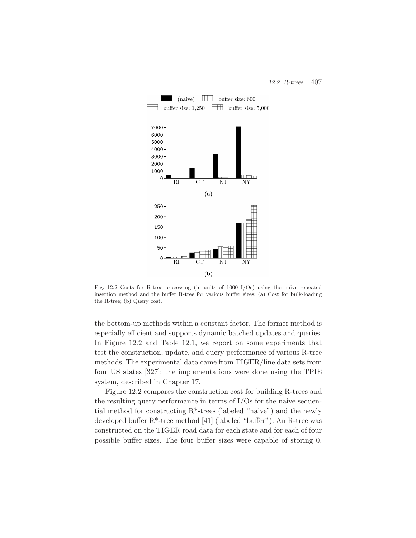

Fig. 12.2 Costs for R-tree processing (in units of 1000 I/Os) using the naive repeated insertion method and the buffer R-tree for various buffer sizes: (a) Cost for bulk-loading the R-tree; (b) Query cost.

the bottom-up methods within a constant factor. The former method is especially efficient and supports dynamic batched updates and queries. In Figure 12.2 and Table 12.1, we report on some experiments that test the construction, update, and query performance of various R-tree methods. The experimental data came from TIGER/line data sets from four US states [327]; the implementations were done using the TPIE system, described in Chapter 17.

Figure 12.2 compares the construction cost for building R-trees and the resulting query performance in terms of  $I/Os$  for the naive sequential method for constructing  $R^*$ -trees (labeled "naive") and the newly developed buffer R\*-tree method [41] (labeled "buffer"). An R-tree was constructed on the TIGER road data for each state and for each of four possible buffer sizes. The four buffer sizes were capable of storing 0,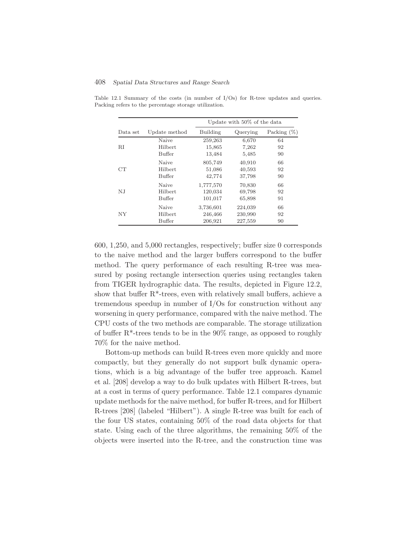#### 408 *Spatial Data Structures and Range Search*

| Data set                         | Update method  | Update with 50% of the data |          |                |
|----------------------------------|----------------|-----------------------------|----------|----------------|
|                                  |                | Building                    | Querying | Packing $(\%)$ |
| $_{\rm RI}$                      | Naive          | 259,263                     | 6,670    | 64             |
|                                  | <b>Hilbert</b> | 15,865                      | 7,262    | 92             |
|                                  | Buffer         | 13,484                      | 5,485    | 90             |
| Naive<br>CT<br>Hilbert<br>Buffer |                | 805,749                     | 40,910   | 66             |
|                                  |                | 51,086                      | 40,593   | 92             |
|                                  |                | 42,774                      | 37,798   | 90             |
| Naive<br>ΝJ<br>Hilbert<br>Buffer |                | 1,777,570                   | 70,830   | 66             |
|                                  |                | 120,034                     | 69,798   | 92             |
|                                  |                | 101,017                     | 65,898   | 91             |
| <b>NY</b>                        | Naive          | 3,736,601                   | 224,039  | 66             |
|                                  | Hilbert        | 246,466                     | 230,990  | 92             |
|                                  | Buffer         | 206,921                     | 227,559  | 90             |

Table 12.1 Summary of the costs (in number of I/Os) for R-tree updates and queries. Packing refers to the percentage storage utilization.

600, 1,250, and 5,000 rectangles, respectively; buffer size 0 corresponds to the naive method and the larger buffers correspond to the buffer method. The query performance of each resulting R-tree was measured by posing rectangle intersection queries using rectangles taken from TIGER hydrographic data. The results, depicted in Figure 12.2, show that buffer  $R^*$ -trees, even with relatively small buffers, achieve a tremendous speedup in number of I/Os for construction without any worsening in query performance, compared with the naive method. The CPU costs of the two methods are comparable. The storage utilization of buffer  $R^*$ -trees tends to be in the 90% range, as opposed to roughly 70% for the naive method.

Bottom-up methods can build R-trees even more quickly and more compactly, but they generally do not support bulk dynamic operations, which is a big advantage of the buffer tree approach. Kamel et al. [208] develop a way to do bulk updates with Hilbert R-trees, but at a cost in terms of query performance. Table 12.1 compares dynamic update methods for the naive method, for buffer R-trees, and for Hilbert R-trees [208] (labeled "Hilbert"). A single R-tree was built for each of the four US states, containing 50% of the road data objects for that state. Using each of the three algorithms, the remaining 50% of the objects were inserted into the R-tree, and the construction time was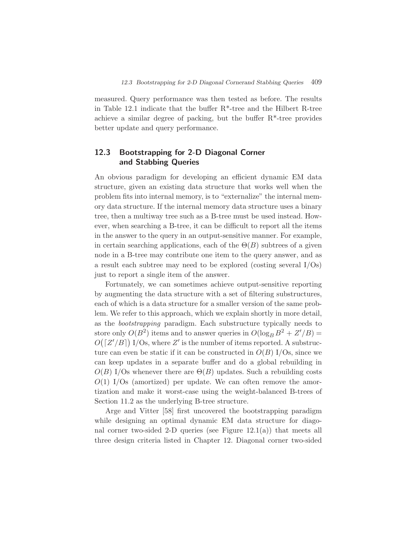measured. Query performance was then tested as before. The results in Table 12.1 indicate that the buffer  $R^*$ -tree and the Hilbert R-tree achieve a similar degree of packing, but the buffer R\*-tree provides better update and query performance.

#### **12.3 Bootstrapping for 2-D Diagonal Corner and Stabbing Queries**

An obvious paradigm for developing an efficient dynamic EM data structure, given an existing data structure that works well when the problem fits into internal memory, is to "externalize" the internal memory data structure. If the internal memory data structure uses a binary tree, then a multiway tree such as a B-tree must be used instead. However, when searching a B-tree, it can be difficult to report all the items in the answer to the query in an output-sensitive manner. For example, in certain searching applications, each of the  $\Theta(B)$  subtrees of a given node in a B-tree may contribute one item to the query answer, and as a result each subtree may need to be explored (costing several I/Os) just to report a single item of the answer.

Fortunately, we can sometimes achieve output-sensitive reporting by augmenting the data structure with a set of filtering substructures, each of which is a data structure for a smaller version of the same problem. We refer to this approach, which we explain shortly in more detail, as the *bootstrapping* paradigm. Each substructure typically needs to store only  $O(B^2)$  items and to answer queries in  $O(\log_B B^2 + Z'/B) =$  $O([Z'/B])$  I/Os, where Z' is the number of items reported. A substructure can even be static if it can be constructed in  $O(B)$  I/Os, since we can keep updates in a separate buffer and do a global rebuilding in  $O(B)$  I/Os whenever there are  $\Theta(B)$  updates. Such a rebuilding costs  $O(1)$  I/Os (amortized) per update. We can often remove the amortization and make it worst-case using the weight-balanced B-trees of Section 11.2 as the underlying B-tree structure.

Arge and Vitter [58] first uncovered the bootstrapping paradigm while designing an optimal dynamic EM data structure for diagonal corner two-sided 2-D queries (see Figure  $12.1(a)$ ) that meets all three design criteria listed in Chapter 12. Diagonal corner two-sided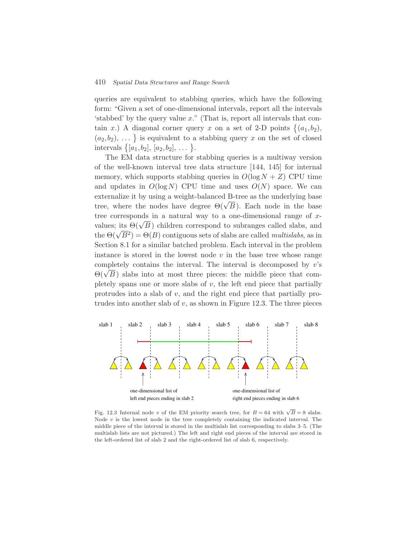#### 410 *Spatial Data Structures and Range Search*

queries are equivalent to stabbing queries, which have the following form: "Given a set of one-dimensional intervals, report all the intervals 'stabbed' by the query value x." (That is, report all intervals that contain x.) A diagonal corner query x on a set of 2-D points  $\{(a_1, b_2),\}$  $(a_2, b_2), \ldots$  is equivalent to a stabbing query x on the set of closed intervals  $\{[a_1, b_2], [a_2, b_2], \dots \}.$ 

The EM data structure for stabbing queries is a multiway version of the well-known interval tree data structure [144, 145] for internal memory, which supports stabbing queries in  $O(\log N + Z)$  CPU time and updates in  $O(\log N)$  CPU time and uses  $O(N)$  space. We can externalize it by using a weight-balanced B-tree as the underlying base externanze it by using a weight-balanced B-tree as the underlying base<br>tree, where the nodes have degree  $\Theta(\sqrt{B})$ . Each node in the base tree corresponds in a natural way to a one-dimensional range of xvalues; its  $\Theta(\sqrt{B})$  children correspond to subranges called slabs, and values, its  $\Theta(\sqrt{B^2}) = \Theta(B)$  contiguous sets of slabs are called *multislabs*, as in Section 8.1 for a similar batched problem. Each interval in the problem instance is stored in the lowest node  $v$  in the base tree whose range completely contains the interval. The interval is decomposed by  $v$ 's Completely contains the linet val. The interval is decomposed by v s<br> $\Theta(\sqrt{B})$  slabs into at most three pieces: the middle piece that completely spans one or more slabs of  $v$ , the left end piece that partially protrudes into a slab of v, and the right end piece that partially protrudes into another slab of  $v$ , as shown in Figure 12.3. The three pieces



Fig. 12.3 Internal node v of the EM priority search tree, for  $B = 64$  with  $\sqrt{B} = 8$  slabs. Node  $v$  is the lowest node in the tree completely containing the indicated interval. The middle piece of the interval is stored in the multislab list corresponding to slabs 3–5. (The multislab lists are not pictured.) The left and right end pieces of the interval are stored in the left-ordered list of slab 2 and the right-ordered list of slab 6, respectively.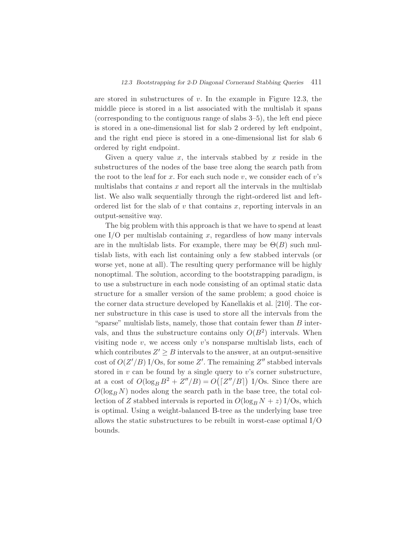are stored in substructures of  $v$ . In the example in Figure 12.3, the middle piece is stored in a list associated with the multislab it spans (corresponding to the contiguous range of slabs 3–5), the left end piece is stored in a one-dimensional list for slab 2 ordered by left endpoint, and the right end piece is stored in a one-dimensional list for slab 6 ordered by right endpoint.

Given a query value x, the intervals stabbed by x reside in the substructures of the nodes of the base tree along the search path from the root to the leaf for x. For each such node v, we consider each of  $v$ 's multislabs that contains  $x$  and report all the intervals in the multislab list. We also walk sequentially through the right-ordered list and leftordered list for the slab of  $v$  that contains  $x$ , reporting intervals in an output-sensitive way.

The big problem with this approach is that we have to spend at least one I/O per multislab containing  $x$ , regardless of how many intervals are in the multislab lists. For example, there may be  $\Theta(B)$  such multislab lists, with each list containing only a few stabbed intervals (or worse yet, none at all). The resulting query performance will be highly nonoptimal. The solution, according to the bootstrapping paradigm, is to use a substructure in each node consisting of an optimal static data structure for a smaller version of the same problem; a good choice is the corner data structure developed by Kanellakis et al. [210]. The corner substructure in this case is used to store all the intervals from the "sparse" multislab lists, namely, those that contain fewer than  $B$  intervals, and thus the substructure contains only  $O(B^2)$  intervals. When visiting node  $v$ , we access only  $v$ 's nonsparse multislab lists, each of which contributes  $Z' \geq B$  intervals to the answer, at an output-sensitive cost of  $O(Z'/B)$  I/Os, for some Z'. The remaining Z'' stabbed intervals stored in  $v$  can be found by a single query to  $v$ 's corner substructure, at a cost of  $O(\log_B B^2 + Z''/B) = O(|Z''/B|)$  I/Os. Since there are  $O(\log_B N)$  nodes along the search path in the base tree, the total collection of Z stabbed intervals is reported in  $O(\log_B N + z)$  I/Os, which is optimal. Using a weight-balanced B-tree as the underlying base tree allows the static substructures to be rebuilt in worst-case optimal I/O bounds.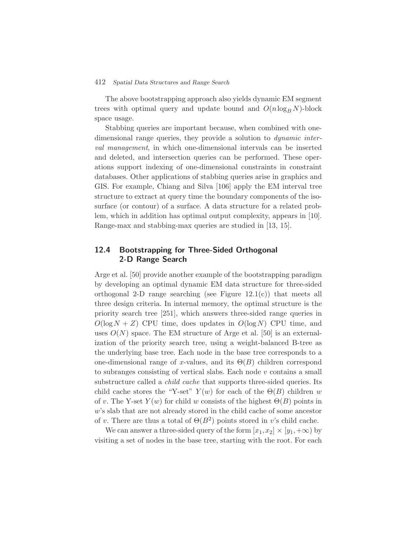#### 412 *Spatial Data Structures and Range Search*

The above bootstrapping approach also yields dynamic EM segment trees with optimal query and update bound and  $O(n \log_B N)$ -block space usage.

Stabbing queries are important because, when combined with onedimensional range queries, they provide a solution to *dynamic interval management*, in which one-dimensional intervals can be inserted and deleted, and intersection queries can be performed. These operations support indexing of one-dimensional constraints in constraint databases. Other applications of stabbing queries arise in graphics and GIS. For example, Chiang and Silva [106] apply the EM interval tree structure to extract at query time the boundary components of the isosurface (or contour) of a surface. A data structure for a related problem, which in addition has optimal output complexity, appears in [10]. Range-max and stabbing-max queries are studied in [13, 15].

# **12.4 Bootstrapping for Three-Sided Orthogonal 2-D Range Search**

Arge et al. [50] provide another example of the bootstrapping paradigm by developing an optimal dynamic EM data structure for three-sided orthogonal 2-D range searching (see Figure  $12.1(c)$ ) that meets all three design criteria. In internal memory, the optimal structure is the priority search tree [251], which answers three-sided range queries in  $O(\log N + Z)$  CPU time, does updates in  $O(\log N)$  CPU time, and uses  $O(N)$  space. The EM structure of Arge et al. [50] is an externalization of the priority search tree, using a weight-balanced B-tree as the underlying base tree. Each node in the base tree corresponds to a one-dimensional range of x-values, and its  $\Theta(B)$  children correspond to subranges consisting of vertical slabs. Each node  $v$  contains a small substructure called a *child cache* that supports three-sided queries. Its child cache stores the "Y-set"  $Y(w)$  for each of the  $\Theta(B)$  children w of v. The Y-set  $Y(w)$  for child w consists of the highest  $\Theta(B)$  points in w's slab that are not already stored in the child cache of some ancestor of v. There are thus a total of  $\Theta(B^2)$  points stored in v's child cache.

We can answer a three-sided query of the form  $[x_1,x_2] \times [y_1,+\infty)$  by visiting a set of nodes in the base tree, starting with the root. For each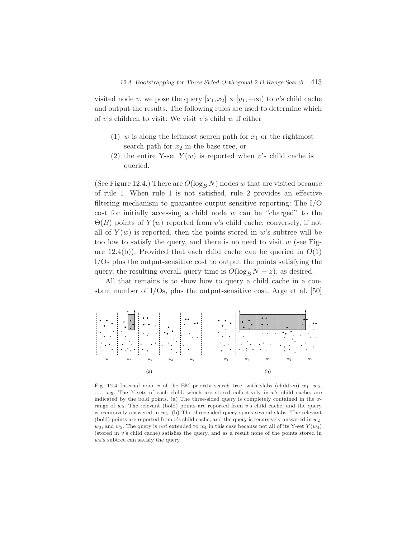visited node v, we pose the query  $[x_1,x_2] \times [y_1,+\infty)$  to v's child cache and output the results. The following rules are used to determine which of v's children to visit: We visit v's child  $w$  if either

- (1) w is along the leftmost search path for  $x_1$  or the rightmost search path for  $x_2$  in the base tree, or
- (2) the entire Y-set  $Y(w)$  is reported when v's child cache is queried.

(See Figure 12.4.) There are  $O(\log_B N)$  nodes w that are visited because of rule 1. When rule 1 is not satisfied, rule 2 provides an effective filtering mechanism to guarantee output-sensitive reporting: The I/O cost for initially accessing a child node w can be "charged" to the  $\Theta(B)$  points of  $Y(w)$  reported from v's child cache; conversely, if not all of  $Y(w)$  is reported, then the points stored in w's subtree will be too low to satisfy the query, and there is no need to visit  $w$  (see Figure 12.4(b)). Provided that each child cache can be queried in  $O(1)$ I/Os plus the output-sensitive cost to output the points satisfying the query, the resulting overall query time is  $O(\log_B N + z)$ , as desired.

All that remains is to show how to query a child cache in a constant number of I/Os, plus the output-sensitive cost. Arge et al. [50]



Fig. 12.4 Internal node v of the EM priority search tree, with slabs (children)  $w_1, w_2$ ,  $..., w_5$ . The Y-sets of each child, which are stored collectively in v's child cache, are indicated by the bold points. (a) The three-sided query is completely contained in the  $x$ range of  $w_2$ . The relevant (bold) points are reported from  $v$ 's child cache, and the query is recursively answered in  $w_2$ . (b) The three-sided query spans several slabs. The relevant (bold) points are reported from v's child cache, and the query is recursively answered in  $w_2$ ,  $w_3$ , and  $w_5$ . The query is not extended to  $w_4$  in this case because not all of its Y-set  $Y(w_4)$ (stored in v's child cache) satisfies the query, and as a result none of the points stored in w4's subtree can satisfy the query.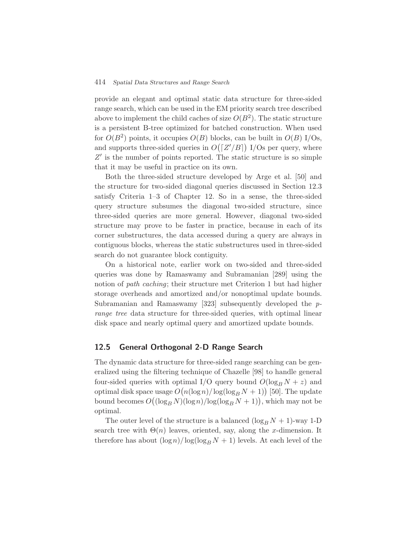#### 414 *Spatial Data Structures and Range Search*

provide an elegant and optimal static data structure for three-sided range search, which can be used in the EM priority search tree described above to implement the child caches of size  $O(B^2)$ . The static structure is a persistent B-tree optimized for batched construction. When used for  $O(B^2)$  points, it occupies  $O(B)$  blocks, can be built in  $O(B)$  I/Os, and supports three-sided queries in  $O([Z'/B])$  I/Os per query, where  $Z'$  is the number of points reported. The static structure is so simple that it may be useful in practice on its own.

Both the three-sided structure developed by Arge et al. [50] and the structure for two-sided diagonal queries discussed in Section 12.3 satisfy Criteria 1–3 of Chapter 12. So in a sense, the three-sided query structure subsumes the diagonal two-sided structure, since three-sided queries are more general. However, diagonal two-sided structure may prove to be faster in practice, because in each of its corner substructures, the data accessed during a query are always in contiguous blocks, whereas the static substructures used in three-sided search do not guarantee block contiguity.

On a historical note, earlier work on two-sided and three-sided queries was done by Ramaswamy and Subramanian [289] using the notion of *path caching*; their structure met Criterion 1 but had higher storage overheads and amortized and/or nonoptimal update bounds. Subramanian and Ramaswamy [323] subsequently developed the *prange tree* data structure for three-sided queries, with optimal linear disk space and nearly optimal query and amortized update bounds.

## **12.5 General Orthogonal 2-D Range Search**

The dynamic data structure for three-sided range searching can be generalized using the filtering technique of Chazelle [98] to handle general four-sided queries with optimal I/O query bound  $O(\log_B N + z)$  and optimal disk space usage  $O(n(\log n)/\log(\log_B N + 1))$  [50]. The update bound becomes  $O((\log_B N)(\log n)/\log(\log_B N + 1))$ , which may not be optimal.

The outer level of the structure is a balanced  $(\log_B N + 1)$ -way 1-D search tree with  $\Theta(n)$  leaves, oriented, say, along the x-dimension. It therefore has about  $(\log n)/\log(\log_B N + 1)$  levels. At each level of the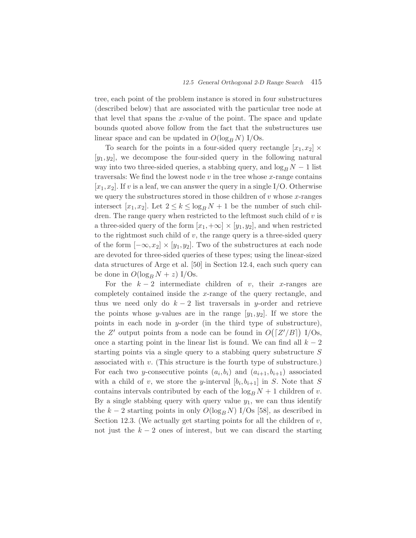tree, each point of the problem instance is stored in four substructures (described below) that are associated with the particular tree node at that level that spans the x-value of the point. The space and update bounds quoted above follow from the fact that the substructures use linear space and can be updated in  $O(\log_B N)$  I/Os.

To search for the points in a four-sided query rectangle  $[x_1,x_2] \times$  $[y_1,y_2]$ , we decompose the four-sided query in the following natural way into two three-sided queries, a stabbing query, and  $\log_B N - 1$  list traversals: We find the lowest node  $v$  in the tree whose  $x$ -range contains  $[x_1,x_2]$ . If v is a leaf, we can answer the query in a single I/O. Otherwise we query the substructures stored in those children of  $v$  whose  $x$ -ranges intersect  $[x_1,x_2]$ . Let  $2 \le k \le \log_B N + 1$  be the number of such children. The range query when restricted to the leftmost such child of  $v$  is a three-sided query of the form  $[x_1,+\infty] \times [y_1,y_2]$ , and when restricted to the rightmost such child of  $v$ , the range query is a three-sided query of the form  $[-\infty, x_2] \times [y_1, y_2]$ . Two of the substructures at each node are devoted for three-sided queries of these types; using the linear-sized data structures of Arge et al. [50] in Section 12.4, each such query can be done in  $O(\log_B N + z)$  I/Os.

For the  $k-2$  intermediate children of v, their x-ranges are completely contained inside the x-range of the query rectangle, and thus we need only do  $k-2$  list traversals in y-order and retrieve the points whose y-values are in the range  $[y_1,y_2]$ . If we store the points in each node in y-order (in the third type of substructure), the Z' output points from a node can be found in  $O([Z'/B])$  I/Os, once a starting point in the linear list is found. We can find all  $k - 2$ starting points via a single query to a stabbing query substructure  $S$ associated with  $v$ . (This structure is the fourth type of substructure.) For each two y-consecutive points  $(a_i, b_i)$  and  $(a_{i+1}, b_{i+1})$  associated with a child of v, we store the y-interval  $[b_i, b_{i+1}]$  in S. Note that S contains intervals contributed by each of the  $\log_B N + 1$  children of v. By a single stabbing query with query value  $y_1$ , we can thus identify the k – 2 starting points in only  $O(\log_B N)$  I/Os [58], as described in Section 12.3. (We actually get starting points for all the children of  $v$ , not just the  $k-2$  ones of interest, but we can discard the starting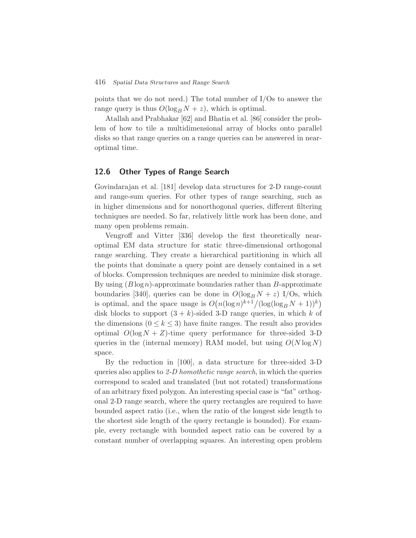points that we do not need.) The total number of I/Os to answer the range query is thus  $O(\log_B N + z)$ , which is optimal.

Atallah and Prabhakar [62] and Bhatia et al. [86] consider the problem of how to tile a multidimensional array of blocks onto parallel disks so that range queries on a range queries can be answered in nearoptimal time.

# **12.6 Other Types of Range Search**

Govindarajan et al. [181] develop data structures for 2-D range-count and range-sum queries. For other types of range searching, such as in higher dimensions and for nonorthogonal queries, different filtering techniques are needed. So far, relatively little work has been done, and many open problems remain.

Vengroff and Vitter [336] develop the first theoretically nearoptimal EM data structure for static three-dimensional orthogonal range searching. They create a hierarchical partitioning in which all the points that dominate a query point are densely contained in a set of blocks. Compression techniques are needed to minimize disk storage. By using  $(B \log n)$ -approximate boundaries rather than B-approximate boundaries [340], queries can be done in  $O(\log_B N + z)$  I/Os, which is optimal, and the space usage is  $O(n(\log n)^{k+1}/(\log(\log n N + 1))^k)$ disk blocks to support  $(3 + k)$ -sided 3-D range queries, in which k of the dimensions  $(0 \leq k \leq 3)$  have finite ranges. The result also provides optimal  $O(\log N + Z)$ -time query performance for three-sided 3-D queries in the (internal memory) RAM model, but using  $O(N \log N)$ space.

By the reduction in [100], a data structure for three-sided 3-D queries also applies to *2-D homothetic range search*, in which the queries correspond to scaled and translated (but not rotated) transformations of an arbitrary fixed polygon. An interesting special case is "fat" orthogonal 2-D range search, where the query rectangles are required to have bounded aspect ratio (i.e., when the ratio of the longest side length to the shortest side length of the query rectangle is bounded). For example, every rectangle with bounded aspect ratio can be covered by a constant number of overlapping squares. An interesting open problem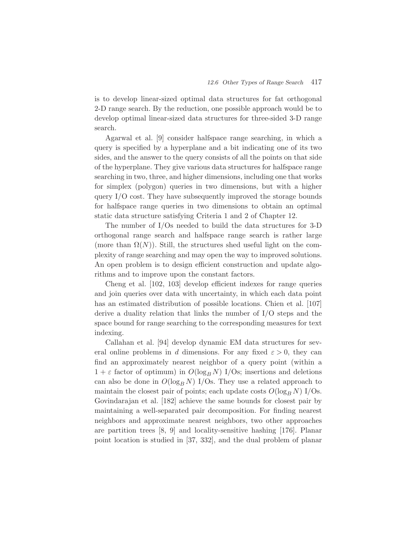is to develop linear-sized optimal data structures for fat orthogonal 2-D range search. By the reduction, one possible approach would be to develop optimal linear-sized data structures for three-sided 3-D range search.

Agarwal et al. [9] consider halfspace range searching, in which a query is specified by a hyperplane and a bit indicating one of its two sides, and the answer to the query consists of all the points on that side of the hyperplane. They give various data structures for halfspace range searching in two, three, and higher dimensions, including one that works for simplex (polygon) queries in two dimensions, but with a higher query I/O cost. They have subsequently improved the storage bounds for halfspace range queries in two dimensions to obtain an optimal static data structure satisfying Criteria 1 and 2 of Chapter 12.

The number of I/Os needed to build the data structures for 3-D orthogonal range search and halfspace range search is rather large (more than  $\Omega(N)$ ). Still, the structures shed useful light on the complexity of range searching and may open the way to improved solutions. An open problem is to design efficient construction and update algorithms and to improve upon the constant factors.

Cheng et al. [102, 103] develop efficient indexes for range queries and join queries over data with uncertainty, in which each data point has an estimated distribution of possible locations. Chien et al. [107] derive a duality relation that links the number of I/O steps and the space bound for range searching to the corresponding measures for text indexing.

Callahan et al. [94] develop dynamic EM data structures for several online problems in d dimensions. For any fixed  $\varepsilon > 0$ , they can find an approximately nearest neighbor of a query point (within a  $1 + \varepsilon$  factor of optimum) in  $O(\log_B N)$  I/Os; insertions and deletions can also be done in  $O(\log_B N)$  I/Os. They use a related approach to maintain the closest pair of points; each update costs  $O(\log_B N)$  I/Os. Govindarajan et al. [182] achieve the same bounds for closest pair by maintaining a well-separated pair decomposition. For finding nearest neighbors and approximate nearest neighbors, two other approaches are partition trees [8, 9] and locality-sensitive hashing [176]. Planar point location is studied in [37, 332], and the dual problem of planar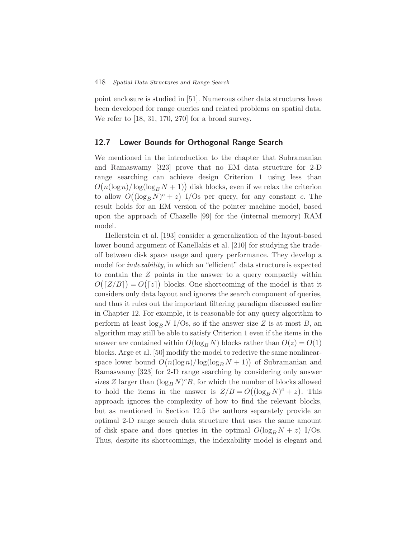point enclosure is studied in [51]. Numerous other data structures have been developed for range queries and related problems on spatial data. We refer to [18, 31, 170, 270] for a broad survey.

### **12.7 Lower Bounds for Orthogonal Range Search**

We mentioned in the introduction to the chapter that Subramanian and Ramaswamy [323] prove that no EM data structure for 2-D range searching can achieve design Criterion 1 using less than  $O(n(\log n)/\log(\log_B N + 1))$  disk blocks, even if we relax the criterion to allow  $O((\log_B N)^c + z)$  I/Os per query, for any constant c. The result holds for an EM version of the pointer machine model, based upon the approach of Chazelle [99] for the (internal memory) RAM model.

Hellerstein et al. [193] consider a generalization of the layout-based lower bound argument of Kanellakis et al. [210] for studying the tradeoff between disk space usage and query performance. They develop a model for *indexability*, in which an "efficient" data structure is expected to contain the Z points in the answer to a query compactly within  $O([Z/B]) = O([z])$  blocks. One shortcoming of the model is that it considers only data layout and ignores the search component of queries, and thus it rules out the important filtering paradigm discussed earlier in Chapter 12. For example, it is reasonable for any query algorithm to perform at least  $\log_B N$  I/Os, so if the answer size Z is at most B, an algorithm may still be able to satisfy Criterion 1 even if the items in the answer are contained within  $O(\log_B N)$  blocks rather than  $O(z) = O(1)$ blocks. Arge et al. [50] modify the model to rederive the same nonlinearspace lower bound  $O(n(\log n)/\log(\log_B N + 1))$  of Subramanian and Ramaswamy [323] for 2-D range searching by considering only answer sizes Z larger than  $(\log_B N)^cB$ , for which the number of blocks allowed to hold the items in the answer is  $Z/B = O((\log_B N)^c + z)$ . This approach ignores the complexity of how to find the relevant blocks, but as mentioned in Section 12.5 the authors separately provide an optimal 2-D range search data structure that uses the same amount of disk space and does queries in the optimal  $O(\log_B N + z)$  I/Os. Thus, despite its shortcomings, the indexability model is elegant and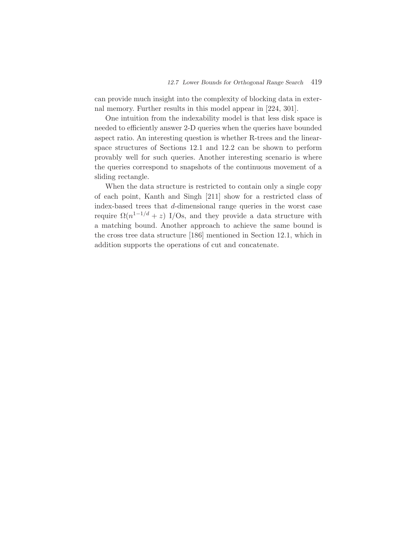can provide much insight into the complexity of blocking data in external memory. Further results in this model appear in [224, 301].

One intuition from the indexability model is that less disk space is needed to efficiently answer 2-D queries when the queries have bounded aspect ratio. An interesting question is whether R-trees and the linearspace structures of Sections 12.1 and 12.2 can be shown to perform provably well for such queries. Another interesting scenario is where the queries correspond to snapshots of the continuous movement of a sliding rectangle.

When the data structure is restricted to contain only a single copy of each point, Kanth and Singh [211] show for a restricted class of index-based trees that d-dimensional range queries in the worst case require  $\Omega(n^{1-1/d} + z)$  I/Os, and they provide a data structure with a matching bound. Another approach to achieve the same bound is the cross tree data structure [186] mentioned in Section 12.1, which in addition supports the operations of cut and concatenate.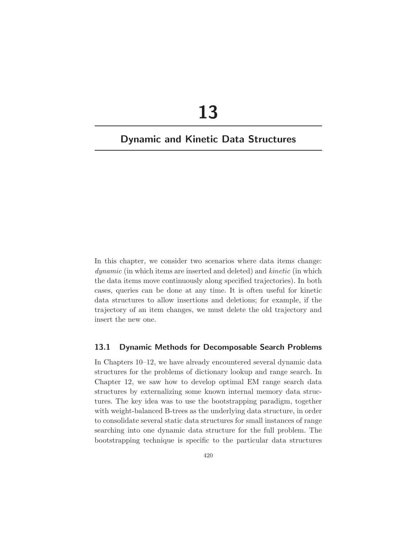# **13**

# **Dynamic and Kinetic Data Structures**

In this chapter, we consider two scenarios where data items change: *dynamic* (in which items are inserted and deleted) and *kinetic* (in which the data items move continuously along specified trajectories). In both cases, queries can be done at any time. It is often useful for kinetic data structures to allow insertions and deletions; for example, if the trajectory of an item changes, we must delete the old trajectory and insert the new one.

## **13.1 Dynamic Methods for Decomposable Search Problems**

In Chapters 10–12, we have already encountered several dynamic data structures for the problems of dictionary lookup and range search. In Chapter 12, we saw how to develop optimal EM range search data structures by externalizing some known internal memory data structures. The key idea was to use the bootstrapping paradigm, together with weight-balanced B-trees as the underlying data structure, in order to consolidate several static data structures for small instances of range searching into one dynamic data structure for the full problem. The bootstrapping technique is specific to the particular data structures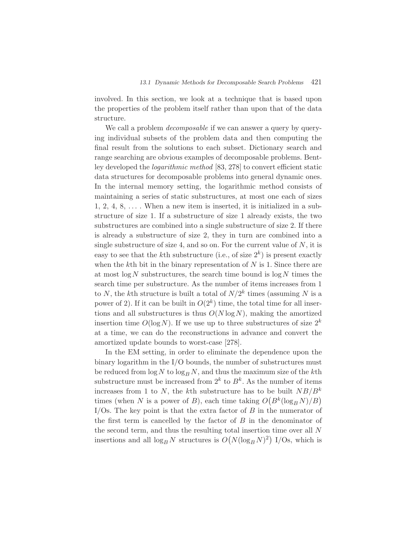involved. In this section, we look at a technique that is based upon the properties of the problem itself rather than upon that of the data structure.

We call a problem *decomposable* if we can answer a query by querying individual subsets of the problem data and then computing the final result from the solutions to each subset. Dictionary search and range searching are obvious examples of decomposable problems. Bentley developed the *logarithmic method* [83, 278] to convert efficient static data structures for decomposable problems into general dynamic ones. In the internal memory setting, the logarithmic method consists of maintaining a series of static substructures, at most one each of sizes  $1, 2, 4, 8, \ldots$ . When a new item is inserted, it is initialized in a substructure of size 1. If a substructure of size 1 already exists, the two substructures are combined into a single substructure of size 2. If there is already a substructure of size 2, they in turn are combined into a single substructure of size 4, and so on. For the current value of  $N$ , it is easy to see that the kth substructure (i.e., of size  $2^k$ ) is present exactly when the kth bit in the binary representation of  $N$  is 1. Since there are at most  $\log N$  substructures, the search time bound is  $\log N$  times the search time per substructure. As the number of items increases from 1 to N, the kth structure is built a total of  $N/2^k$  times (assuming N is a power of 2). If it can be built in  $O(2^k)$  time, the total time for all insertions and all substructures is thus  $O(N \log N)$ , making the amortized insertion time  $O(\log N)$ . If we use up to three substructures of size  $2^k$ at a time, we can do the reconstructions in advance and convert the amortized update bounds to worst-case [278].

In the EM setting, in order to eliminate the dependence upon the binary logarithm in the I/O bounds, the number of substructures must be reduced from  $\log N$  to  $\log_B N$ , and thus the maximum size of the kth substructure must be increased from  $2^k$  to  $B^k$ . As the number of items increases from 1 to N, the kth substructure has to be built  $NB/B^k$ times (when N is a power of B), each time taking  $O(B^k(\log_B N)/B)$ I/Os. The key point is that the extra factor of  $B$  in the numerator of the first term is cancelled by the factor of  $B$  in the denominator of the second term, and thus the resulting total insertion time over all N insertions and all  $\log_B N$  structures is  $O(N(\log_B N)^2)$  I/Os, which is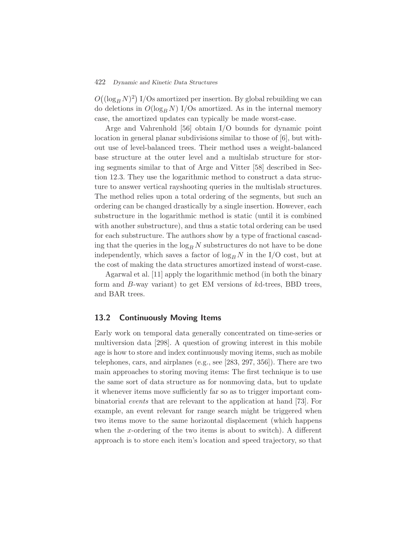### 422 *Dynamic and Kinetic Data Structures*

 $O((\log_B N)^2)$  I/Os amortized per insertion. By global rebuilding we can do deletions in  $O(\log_B N)$  I/Os amortized. As in the internal memory case, the amortized updates can typically be made worst-case.

Arge and Vahrenhold [56] obtain I/O bounds for dynamic point location in general planar subdivisions similar to those of [6], but without use of level-balanced trees. Their method uses a weight-balanced base structure at the outer level and a multislab structure for storing segments similar to that of Arge and Vitter [58] described in Section 12.3. They use the logarithmic method to construct a data structure to answer vertical rayshooting queries in the multislab structures. The method relies upon a total ordering of the segments, but such an ordering can be changed drastically by a single insertion. However, each substructure in the logarithmic method is static (until it is combined with another substructure), and thus a static total ordering can be used for each substructure. The authors show by a type of fractional cascading that the queries in the  $\log_B N$  substructures do not have to be done independently, which saves a factor of  $\log_B N$  in the I/O cost, but at the cost of making the data structures amortized instead of worst-case.

Agarwal et al. [11] apply the logarithmic method (in both the binary form and B-way variant) to get EM versions of kd-trees, BBD trees, and BAR trees.

# **13.2 Continuously Moving Items**

Early work on temporal data generally concentrated on time-series or multiversion data [298]. A question of growing interest in this mobile age is how to store and index continuously moving items, such as mobile telephones, cars, and airplanes (e.g., see [283, 297, 356]). There are two main approaches to storing moving items: The first technique is to use the same sort of data structure as for nonmoving data, but to update it whenever items move sufficiently far so as to trigger important combinatorial *events* that are relevant to the application at hand [73]. For example, an event relevant for range search might be triggered when two items move to the same horizontal displacement (which happens when the x-ordering of the two items is about to switch). A different approach is to store each item's location and speed trajectory, so that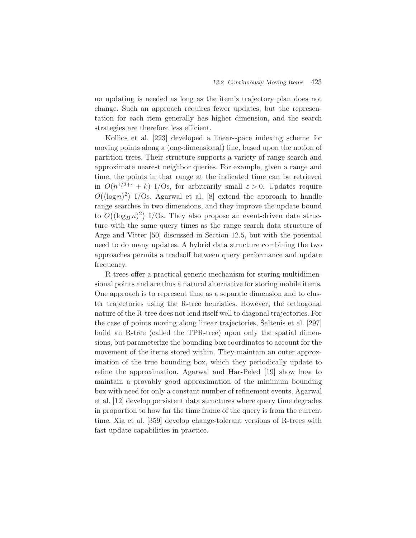no updating is needed as long as the item's trajectory plan does not change. Such an approach requires fewer updates, but the representation for each item generally has higher dimension, and the search strategies are therefore less efficient.

Kollios et al. [223] developed a linear-space indexing scheme for moving points along a (one-dimensional) line, based upon the notion of partition trees. Their structure supports a variety of range search and approximate nearest neighbor queries. For example, given a range and time, the points in that range at the indicated time can be retrieved in  $O(n^{1/2+\epsilon}+k)$  I/Os, for arbitrarily small  $\epsilon > 0$ . Updates require  $O((\log n)^2)$  I/Os. Agarwal et al. [8] extend the approach to handle range searches in two dimensions, and they improve the update bound to  $O((\log_B n)^2)$  I/Os. They also propose an event-driven data structure with the same query times as the range search data structure of Arge and Vitter [50] discussed in Section 12.5, but with the potential need to do many updates. A hybrid data structure combining the two approaches permits a tradeoff between query performance and update frequency.

R-trees offer a practical generic mechanism for storing multidimensional points and are thus a natural alternative for storing mobile items. One approach is to represent time as a separate dimension and to cluster trajectories using the R-tree heuristics. However, the orthogonal nature of the R-tree does not lend itself well to diagonal trajectories. For the case of points moving along linear trajectories, Saltenis et al. [297] build an R-tree (called the TPR-tree) upon only the spatial dimensions, but parameterize the bounding box coordinates to account for the movement of the items stored within. They maintain an outer approximation of the true bounding box, which they periodically update to refine the approximation. Agarwal and Har-Peled [19] show how to maintain a provably good approximation of the minimum bounding box with need for only a constant number of refinement events. Agarwal et al. [12] develop persistent data structures where query time degrades in proportion to how far the time frame of the query is from the current time. Xia et al. [359] develop change-tolerant versions of R-trees with fast update capabilities in practice.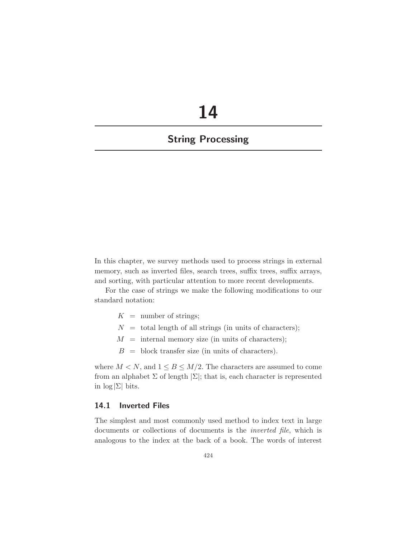# **14**

# **String Processing**

In this chapter, we survey methods used to process strings in external memory, such as inverted files, search trees, suffix trees, suffix arrays, and sorting, with particular attention to more recent developments.

For the case of strings we make the following modifications to our standard notation:

- $K =$  number of strings;
- $N =$  total length of all strings (in units of characters);
- $M =$  internal memory size (in units of characters);
- $B = \text{block transfer size (in units of characters)}.$

where  $M < N$ , and  $1 \leq B \leq M/2$ . The characters are assumed to come from an alphabet  $\Sigma$  of length  $\Sigma$ ; that is, each character is represented in  $\log|\Sigma|$  bits.

## **14.1 Inverted Files**

The simplest and most commonly used method to index text in large documents or collections of documents is the *inverted file*, which is analogous to the index at the back of a book. The words of interest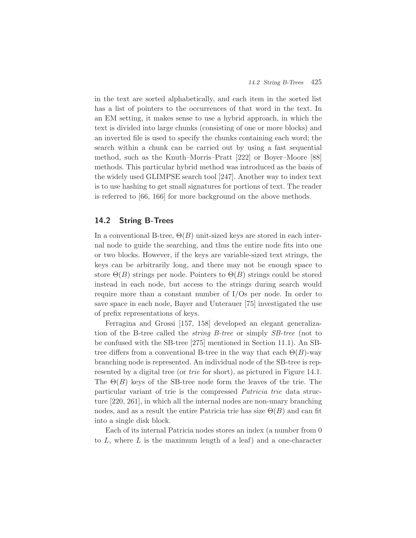in the text are sorted alphabetically, and each item in the sorted list has a list of pointers to the occurrences of that word in the text. In an EM setting, it makes sense to use a hybrid approach, in which the text is divided into large chunks (consisting of one or more blocks) and an inverted file is used to specify the chunks containing each word; the search within a chunk can be carried out by using a fast sequential method, such as the Knuth–Morris–Pratt [222] or Boyer–Moore [88] methods. This particular hybrid method was introduced as the basis of the widely used GLIMPSE search tool [247]. Another way to index text is to use hashing to get small signatures for portions of text. The reader is referred to [66, 166] for more background on the above methods.

## **14.2 String B-Trees**

In a conventional B-tree,  $\Theta(B)$  unit-sized keys are stored in each internal node to guide the searching, and thus the entire node fits into one or two blocks. However, if the keys are variable-sized text strings, the keys can be arbitrarily long, and there may not be enough space to store  $\Theta(B)$  strings per node. Pointers to  $\Theta(B)$  strings could be stored instead in each node, but access to the strings during search would require more than a constant number of I/Os per node. In order to save space in each node, Bayer and Unterauer [75] investigated the use of prefix representations of keys.

Ferragina and Grossi [157, 158] developed an elegant generalization of the B-tree called the *string B-tree* or simply *SB-tree* (not to be confused with the SB-tree [275] mentioned in Section 11.1). An SBtree differs from a conventional B-tree in the way that each  $\Theta(B)$ -way branching node is represented. An individual node of the SB-tree is represented by a digital tree (or *trie* for short), as pictured in Figure 14.1. The  $\Theta(B)$  keys of the SB-tree node form the leaves of the trie. The particular variant of trie is the compressed *Patricia trie* data structure [220, 261], in which all the internal nodes are non-unary branching nodes, and as a result the entire Patricia trie has size  $\Theta(B)$  and can fit into a single disk block.

Each of its internal Patricia nodes stores an index (a number from 0 to  $L$ , where  $L$  is the maximum length of a leaf) and a one-character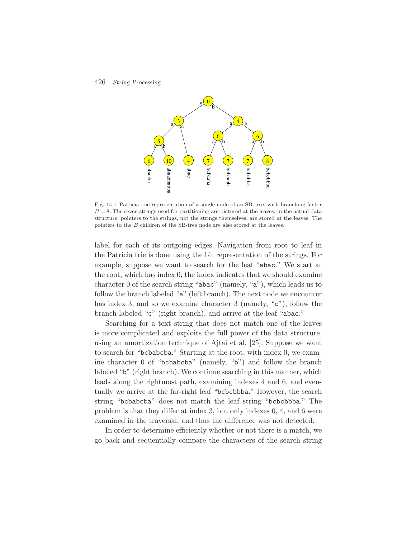#### 426 *String Processing*



Fig. 14.1 Patricia trie representation of a single node of an SB-tree, with branching factor  $B = 8$ . The seven strings used for partitioning are pictured at the leaves; in the actual data structure, pointers to the strings, not the strings themselves, are stored at the leaves. The pointers to the B children of the SB-tree node are also stored at the leaves.

label for each of its outgoing edges. Navigation from root to leaf in the Patricia trie is done using the bit representation of the strings. For example, suppose we want to search for the leaf "abac." We start at the root, which has index 0; the index indicates that we should examine character 0 of the search string "abac" (namely, "a"), which leads us to follow the branch labeled "a" (left branch). The next node we encounter has index 3, and so we examine character 3 (namely, "c"), follow the branch labeled "c" (right branch), and arrive at the leaf "abac."

Searching for a text string that does not match one of the leaves is more complicated and exploits the full power of the data structure, using an amortization technique of Ajtai et al. [25]. Suppose we want to search for "bcbabcba." Starting at the root, with index 0, we examine character 0 of "bcbabcba" (namely, "b") and follow the branch labeled "b" (right branch). We continue searching in this manner, which leads along the rightmost path, examining indexes 4 and 6, and eventually we arrive at the far-right leaf "bcbcbbba." However, the search string "bcbabcba" does not match the leaf string "bcbcbbba." The problem is that they differ at index 3, but only indexes 0, 4, and 6 were examined in the traversal, and thus the difference was not detected.

In order to determine efficiently whether or not there is a match, we go back and sequentially compare the characters of the search string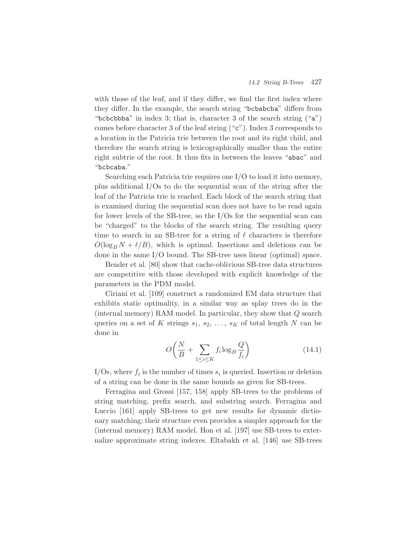with those of the leaf, and if they differ, we find the first index where they differ. In the example, the search string "bcbabcba" differs from "bcbcbbba" in index 3; that is, character 3 of the search string  $("a")$ comes before character 3 of the leaf string ("c"). Index 3 corresponds to a location in the Patricia trie between the root and its right child, and therefore the search string is lexicographically smaller than the entire right subtrie of the root. It thus fits in between the leaves "abac" and "bcbcaba."

Searching each Patricia trie requires one I/O to load it into memory, plus additional I/Os to do the sequential scan of the string after the leaf of the Patricia trie is reached. Each block of the search string that is examined during the sequential scan does not have to be read again for lower levels of the SB-tree, so the I/Os for the sequential scan can be "charged" to the blocks of the search string. The resulting query time to search in an SB-tree for a string of  $\ell$  characters is therefore  $O(\log_B N + \ell/B)$ , which is optimal. Insertions and deletions can be done in the same I/O bound. The SB-tree uses linear (optimal) space.

Bender et al. [80] show that cache-oblivious SB-tree data structures are competitive with those developed with explicit knowledge of the parameters in the PDM model.

Ciriani et al. [109] construct a randomized EM data structure that exhibits static optimality, in a similar way as splay trees do in the (internal memory) RAM model. In particular, they show that Q search queries on a set of K strings  $s_1, s_2, \ldots, s_k$  of total length N can be done in

$$
O\left(\frac{N}{B} + \sum_{1 \le i \le K} f_i \log_B \frac{Q}{f_i}\right) \tag{14.1}
$$

I/Os, where  $f_i$  is the number of times  $s_i$  is queried. Insertion or deletion of a string can be done in the same bounds as given for SB-trees.

Ferragina and Grossi [157, 158] apply SB-trees to the problems of string matching, prefix search, and substring search. Ferragina and Luccio [161] apply SB-trees to get new results for dynamic dictionary matching; their structure even provides a simpler approach for the (internal memory) RAM model. Hon et al. [197] use SB-trees to externalize approximate string indexes. Eltabakh et al. [146] use SB-trees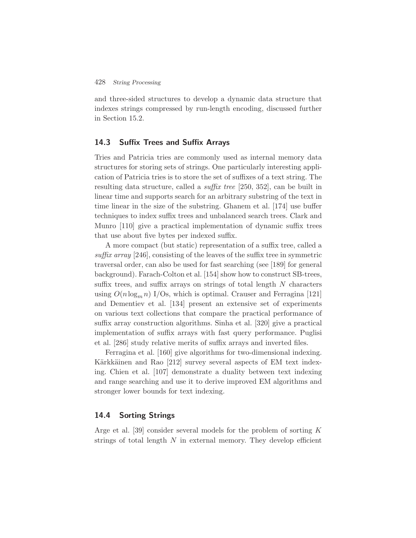### 428 *String Processing*

and three-sided structures to develop a dynamic data structure that indexes strings compressed by run-length encoding, discussed further in Section 15.2.

## **14.3 Suffix Trees and Suffix Arrays**

Tries and Patricia tries are commonly used as internal memory data structures for storing sets of strings. One particularly interesting application of Patricia tries is to store the set of suffixes of a text string. The resulting data structure, called a *suffix tree* [250, 352], can be built in linear time and supports search for an arbitrary substring of the text in time linear in the size of the substring. Ghanem et al. [174] use buffer techniques to index suffix trees and unbalanced search trees. Clark and Munro [110] give a practical implementation of dynamic suffix trees that use about five bytes per indexed suffix.

A more compact (but static) representation of a suffix tree, called a *suffix array* [246], consisting of the leaves of the suffix tree in symmetric traversal order, can also be used for fast searching (see [189] for general background). Farach-Colton et al. [154] show how to construct SB-trees, suffix trees, and suffix arrays on strings of total length  $N$  characters using  $O(n \log_m n)$  I/Os, which is optimal. Crauser and Ferragina [121] and Dementiev et al. [134] present an extensive set of experiments on various text collections that compare the practical performance of suffix array construction algorithms. Sinha et al. [320] give a practical implementation of suffix arrays with fast query performance. Puglisi et al. [286] study relative merits of suffix arrays and inverted files.

Ferragina et al. [160] give algorithms for two-dimensional indexing. Kärkkäinen and Rao [212] survey several aspects of EM text indexing. Chien et al. [107] demonstrate a duality between text indexing and range searching and use it to derive improved EM algorithms and stronger lower bounds for text indexing.

# **14.4 Sorting Strings**

Arge et al. [39] consider several models for the problem of sorting K strings of total length  $N$  in external memory. They develop efficient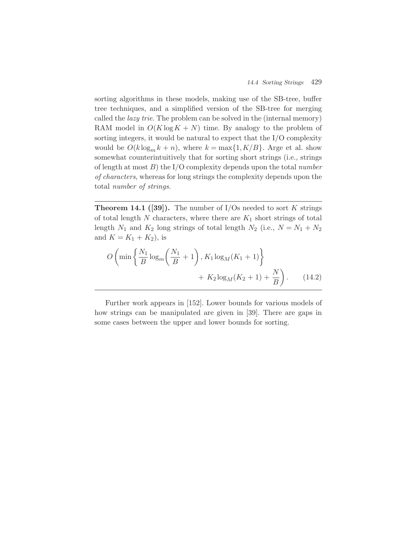sorting algorithms in these models, making use of the SB-tree, buffer tree techniques, and a simplified version of the SB-tree for merging called the *lazy trie*. The problem can be solved in the (internal memory) RAM model in  $O(K \log K + N)$  time. By analogy to the problem of sorting integers, it would be natural to expect that the I/O complexity would be  $O(k \log_m k + n)$ , where  $k = \max\{1, K/B\}$ . Arge et al. show somewhat counterintuitively that for sorting short strings (i.e., strings of length at most B) the I/O complexity depends upon the total *number of characters*, whereas for long strings the complexity depends upon the total *number of strings*.

**Theorem 14.1 ([39]).** The number of  $I/Os$  needed to sort K strings of total length  $N$  characters, where there are  $K_1$  short strings of total length  $N_1$  and  $K_2$  long strings of total length  $N_2$  (i.e.,  $N = N_1 + N_2$ and  $K = K_1 + K_2$ , is

$$
O\left(\min\left\{\frac{N_1}{B}\log_m\left(\frac{N_1}{B}+1\right), K_1\log_M(K_1+1)\right\} + K_2\log_M(K_2+1) + \frac{N}{B}\right).
$$
 (14.2)

Further work appears in [152]. Lower bounds for various models of how strings can be manipulated are given in [39]. There are gaps in some cases between the upper and lower bounds for sorting.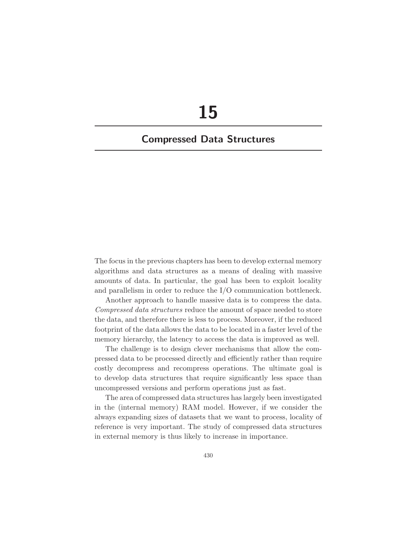# **15**

# **Compressed Data Structures**

The focus in the previous chapters has been to develop external memory algorithms and data structures as a means of dealing with massive amounts of data. In particular, the goal has been to exploit locality and parallelism in order to reduce the I/O communication bottleneck.

Another approach to handle massive data is to compress the data. *Compressed data structures* reduce the amount of space needed to store the data, and therefore there is less to process. Moreover, if the reduced footprint of the data allows the data to be located in a faster level of the memory hierarchy, the latency to access the data is improved as well.

The challenge is to design clever mechanisms that allow the compressed data to be processed directly and efficiently rather than require costly decompress and recompress operations. The ultimate goal is to develop data structures that require significantly less space than uncompressed versions and perform operations just as fast.

The area of compressed data structures has largely been investigated in the (internal memory) RAM model. However, if we consider the always expanding sizes of datasets that we want to process, locality of reference is very important. The study of compressed data structures in external memory is thus likely to increase in importance.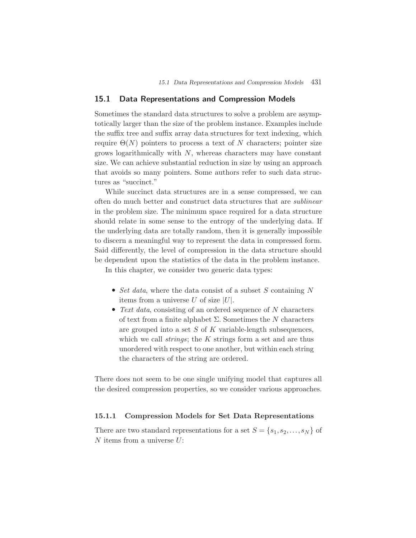## **15.1 Data Representations and Compression Models**

Sometimes the standard data structures to solve a problem are asymptotically larger than the size of the problem instance. Examples include the suffix tree and suffix array data structures for text indexing, which require  $\Theta(N)$  pointers to process a text of N characters; pointer size grows logarithmically with  $N$ , whereas characters may have constant size. We can achieve substantial reduction in size by using an approach that avoids so many pointers. Some authors refer to such data structures as "succinct."

While succinct data structures are in a sense compressed, we can often do much better and construct data structures that are *sublinear* in the problem size. The minimum space required for a data structure should relate in some sense to the entropy of the underlying data. If the underlying data are totally random, then it is generally impossible to discern a meaningful way to represent the data in compressed form. Said differently, the level of compression in the data structure should be dependent upon the statistics of the data in the problem instance.

In this chapter, we consider two generic data types:

- *Set data*, where the data consist of a subset S containing N items from a universe  $U$  of size  $|U|$ .
- *Text data*, consisting of an ordered sequence of N characters of text from a finite alphabet  $\Sigma$ . Sometimes the N characters are grouped into a set  $S$  of  $K$  variable-length subsequences, which we call *strings*; the K strings form a set and are thus unordered with respect to one another, but within each string the characters of the string are ordered.

There does not seem to be one single unifying model that captures all the desired compression properties, so we consider various approaches.

#### **15.1.1 Compression Models for Set Data Representations**

There are two standard representations for a set  $S = \{s_1, s_2, \ldots, s_N\}$  of  $N$  items from a universe  $U$ :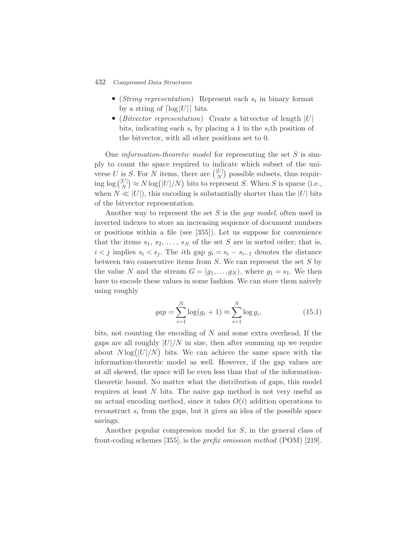### 432 *Compressed Data Structures*

- (*String representation*) Represent each  $s_i$  in binary format by a string of  $\lceil \log |U| \rceil$  bits.
- (*Bitvector representation*) Create a bitvector of length |U| bits, indicating each  $s_i$  by placing a 1 in the  $s_i$ th position of the bitvector, with all other positions set to 0.

One *information-theoretic model* for representing the set S is simply to count the space required to indicate which subset of the universe U is S. For N items, there are  $\binom{|U|}{N}$  possible subsets, thus requiring  $\log {|\mathcal{U}| \choose N} \approx N \log (|\mathcal{U}|/N)$  bits to represent S. When S is sparse (i.e., when  $N \ll |U|$ , this encoding is substantially shorter than the |U| bits of the bitvector representation.

Another way to represent the set S is the *gap model*, often used in inverted indexes to store an increasing sequence of document numbers or positions within a file (see [355]). Let us suppose for convenience that the items  $s_1, s_2, \ldots, s_N$  of the set S are in sorted order; that is,  $i < j$  implies  $s_i < s_j$ . The *i*th gap  $g_i = s_i - s_{i-1}$  denotes the distance between two consecutive items from  $S$ . We can represent the set  $S$  by the value N and the stream  $G = \langle g_1, \ldots, g_N \rangle$ , where  $g_1 = s_1$ . We then have to encode these values in some fashion. We can store them naively using roughly

$$
gap = \sum_{i=1}^{N} \log(g_i + 1) \approx \sum_{i=1}^{N} \log g_i,
$$
 (15.1)

bits, not counting the encoding of N and some extra overhead. If the gaps are all roughly  $|U|/N$  in size, then after summing up we require about  $N \log(|U|/N)$  bits. We can achieve the same space with the information-theoretic model as well. However, if the gap values are at all skewed, the space will be even less than that of the informationtheoretic bound. No matter what the distribution of gaps, this model requires at least N bits. The naive gap method is not very useful as an actual encoding method, since it takes  $O(i)$  addition operations to reconstruct  $s_i$  from the gaps, but it gives an idea of the possible space savings.

Another popular compression model for S, in the general class of front-coding schemes [355], is the *prefix omission method* (POM) [219].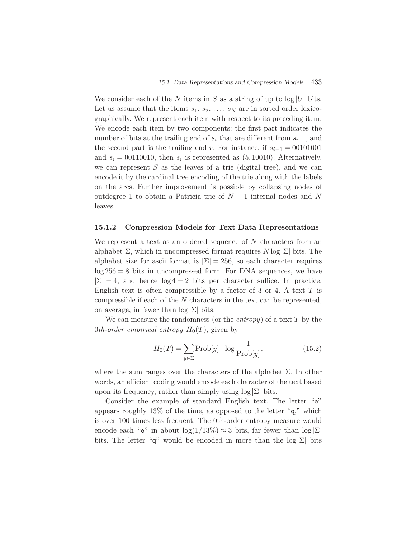We consider each of the N items in S as a string of up to  $log|U|$  bits. Let us assume that the items  $s_1, s_2, \ldots, s_N$  are in sorted order lexicographically. We represent each item with respect to its preceding item. We encode each item by two components: the first part indicates the number of bits at the trailing end of  $s_i$  that are different from  $s_{i-1}$ , and the second part is the trailing end r. For instance, if  $s_{i-1} = 00101001$ and  $s_i = 00110010$ , then  $s_i$  is represented as  $(5,10010)$ . Alternatively, we can represent  $S$  as the leaves of a trie (digital tree), and we can encode it by the cardinal tree encoding of the trie along with the labels on the arcs. Further improvement is possible by collapsing nodes of outdegree 1 to obtain a Patricia trie of  $N-1$  internal nodes and N leaves.

#### **15.1.2 Compression Models for Text Data Representations**

We represent a text as an ordered sequence of  $N$  characters from an alphabet  $\Sigma$ , which in uncompressed format requires  $N \log |\Sigma|$  bits. The alphabet size for ascii format is  $|\Sigma| = 256$ , so each character requires  $log 256 = 8$  bits in uncompressed form. For DNA sequences, we have  $|\Sigma| = 4$ , and hence  $\log 4 = 2$  bits per character suffice. In practice, English text is often compressible by a factor of 3 or 4. A text  $T$  is compressible if each of the  $N$  characters in the text can be represented, on average, in fewer than  $\log|\Sigma|$  bits.

We can measure the randomness (or the *entropy*) of a text T by the 0*th-order empirical entropy*  $H_0(T)$ , given by

$$
H_0(T) = \sum_{y \in \Sigma} \text{Prob}[y] \cdot \log \frac{1}{\text{Prob}[y]},\tag{15.2}
$$

where the sum ranges over the characters of the alphabet  $\Sigma$ . In other words, an efficient coding would encode each character of the text based upon its frequency, rather than simply using  $log|\Sigma|$  bits.

Consider the example of standard English text. The letter "e" appears roughly 13% of the time, as opposed to the letter "q," which is over 100 times less frequent. The 0th-order entropy measure would encode each "e" in about  $\log(1/13\%) \approx 3$  bits, far fewer than  $\log|\Sigma|$ bits. The letter "q" would be encoded in more than the  $log|\Sigma|$  bits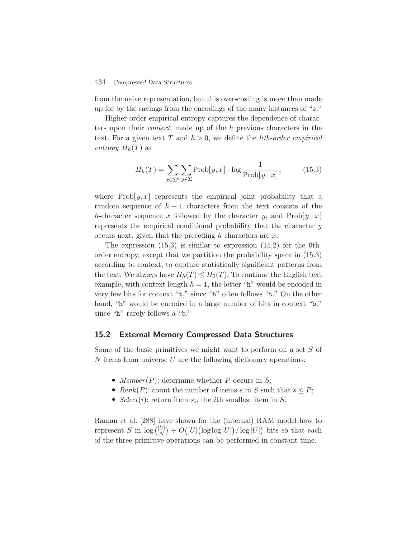### 434 *Compressed Data Structures*

from the naive representation, but this over-costing is more than made up for by the savings from the encodings of the many instances of "e."

Higher-order empirical entropy captures the dependence of characters upon their *context*, made up of the h previous characters in the text. For a given text  $T$  and  $h > 0$ , we define the *hth-order empirical entropy*  $H_h(T)$  as

$$
H_h(T) = \sum_{x \in \Sigma^h} \sum_{y \in \Sigma} \text{Prob}[y, x] \cdot \log \frac{1}{\text{Prob}[y \mid x]},\tag{15.3}
$$

where  $\text{Prob}[y, x]$  represents the empirical joint probability that a random sequence of  $h + 1$  characters from the text consists of the h-character sequence x followed by the character y, and  $\text{Prob}[y \mid x]$ represents the empirical conditional probability that the character  $y$ occurs next, given that the preceding  $h$  characters are  $x$ .

The expression (15.3) is similar to expression (15.2) for the 0thorder entropy, except that we partition the probability space in (15.3) according to context, to capture statistically significant patterns from the text. We always have  $H_h(T) \leq H_0(T)$ . To continue the English text example, with context length  $h = 1$ , the letter "h" would be encoded in very few bits for context "t," since "h" often follows "t." On the other hand, "h" would be encoded in a large number of bits in context "b," since "h" rarely follows a "b."

## **15.2 External Memory Compressed Data Structures**

Some of the basic primitives we might want to perform on a set S of  $N$  items from universe  $U$  are the following dictionary operations:

- $Member(P)$ : determine whether P occurs in S;
- *Rank*(*P*): count the number of items s in S such that  $s \leq P$ ;
- *Select*(*i*): return item  $s_i$ , the *i*th smallest item in  $S$ .

Raman et al. [288] have shown for the (internal) RAM model how to represent S in  $\log {|\mathcal{U}| \choose N} + O(|\mathcal{U}|(\log \log |\mathcal{U}|)/\log |\mathcal{U}|)$  bits so that each of the three primitive operations can be performed in constant time.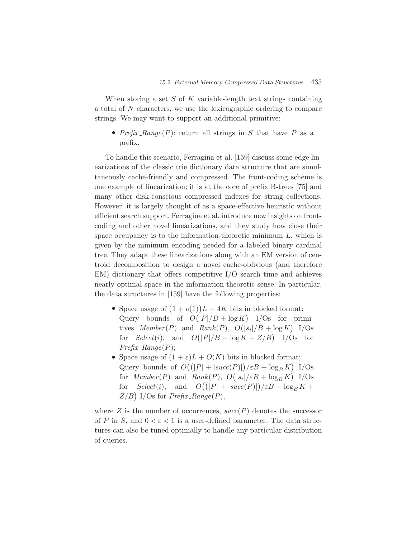When storing a set  $S$  of  $K$  variable-length text strings containing a total of N characters, we use the lexicographic ordering to compare strings. We may want to support an additional primitive:

• *Prefix\_Range(P)*: return all strings in S that have P as a prefix.

To handle this scenario, Ferragina et al. [159] discuss some edge linearizations of the classic trie dictionary data structure that are simultaneously cache-friendly and compressed. The front-coding scheme is one example of linearization; it is at the core of prefix B-trees [75] and many other disk-conscious compressed indexes for string collections. However, it is largely thought of as a space-effective heuristic without efficient search support. Ferragina et al. introduce new insights on frontcoding and other novel linearizations, and they study how close their space occupancy is to the information-theoretic minimum  $L$ , which is given by the minimum encoding needed for a labeled binary cardinal tree. They adapt these linearizations along with an EM version of centroid decomposition to design a novel cache-oblivious (and therefore EM) dictionary that offers competitive I/O search time and achieves nearly optimal space in the information-theoretic sense. In particular, the data structures in [159] have the following properties:

- Space usage of  $(1 + o(1))L + 4K$  bits in blocked format; Query bounds of  $O(|P|/B + \log K)$  I/Os for primitives  $Member(P)$  and  $Rank(P)$ ,  $O(|s_i|/B + \log K)$  I/Os for  $Select(i)$ , and  $O(|P|/B + \log K + Z/B)$  I/Os for *Prefix Range*(P);
- Space usage of  $(1 + \varepsilon)L + O(K)$  bits in blocked format; Query bounds of  $O((|P| + |succ(P)|)/\varepsilon B + \log_B K)$  I/Os for  $Member(P)$  and  $Rank(P)$ ,  $O(|s_i|/\varepsilon B + \log_B K)$  I/Os for  $Select(i)$ , and  $O((|P| + |succ(P)|)/\varepsilon B + \log_B K +$  $Z/B$ ) I/Os for *Prefix*  $Range(P)$ ,

where  $Z$  is the number of occurrences,  $succ(P)$  denotes the successor of P in S, and  $0 < \varepsilon < 1$  is a user-defined parameter. The data structures can also be tuned optimally to handle any particular distribution of queries.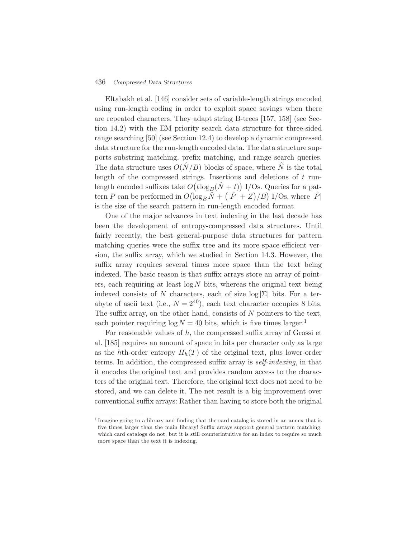### 436 *Compressed Data Structures*

Eltabakh et al. [146] consider sets of variable-length strings encoded using run-length coding in order to exploit space savings when there are repeated characters. They adapt string B-trees [157, 158] (see Section 14.2) with the EM priority search data structure for three-sided range searching [50] (see Section 12.4) to develop a dynamic compressed data structure for the run-length encoded data. The data structure supports substring matching, prefix matching, and range search queries. The data structure uses  $O(N/B)$  blocks of space, where  $N$  is the total length of the compressed strings. Insertions and deletions of  $t$  runlength encoded suffixes take  $O(t \log_B(\hat{N} + t))$  I/Os. Queries for a pattern P can be performed in  $O(\log_B \hat{N} + (|\hat{P}| + Z)/B)$  I/Os, where  $|\hat{P}|$ is the size of the search pattern in run-length encoded format.

One of the major advances in text indexing in the last decade has been the development of entropy-compressed data structures. Until fairly recently, the best general-purpose data structures for pattern matching queries were the suffix tree and its more space-efficient version, the suffix array, which we studied in Section 14.3. However, the suffix array requires several times more space than the text being indexed. The basic reason is that suffix arrays store an array of pointers, each requiring at least  $\log N$  bits, whereas the original text being indexed consists of N characters, each of size  $log|\Sigma|$  bits. For a terabyte of ascii text (i.e.,  $N = 2^{40}$ ), each text character occupies 8 bits. The suffix array, on the other hand, consists of  $N$  pointers to the text, each pointer requiring  $\log N = 40$  bits, which is five times larger.<sup>1</sup>

For reasonable values of  $h$ , the compressed suffix array of Grossi et al. [185] requires an amount of space in bits per character only as large as the hth-order entropy  $H_h(T)$  of the original text, plus lower-order terms. In addition, the compressed suffix array is *self-indexing*, in that it encodes the original text and provides random access to the characters of the original text. Therefore, the original text does not need to be stored, and we can delete it. The net result is a big improvement over conventional suffix arrays: Rather than having to store both the original

<sup>1</sup> Imagine going to a library and finding that the card catalog is stored in an annex that is five times larger than the main library! Suffix arrays support general pattern matching, which card catalogs do not, but it is still counterintuitive for an index to require so much more space than the text it is indexing.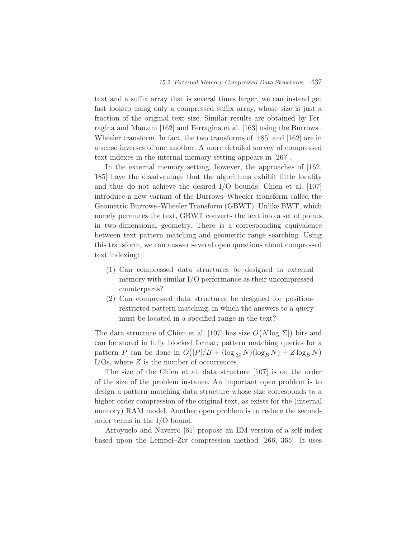text and a suffix array that is several times larger, we can instead get fast lookup using only a compressed suffix array, whose size is just a fraction of the original text size. Similar results are obtained by Ferragina and Manzini [162] and Ferragina et al. [163] using the Burrows– Wheeler transform. In fact, the two transforms of [185] and [162] are in a sense inverses of one another. A more detailed survey of compressed text indexes in the internal memory setting appears in [267].

In the external memory setting, however, the approaches of [162, 185] have the disadvantage that the algorithms exhibit little locality and thus do not achieve the desired I/O bounds. Chien et al. [107] introduce a new variant of the Burrows–Wheeler transform called the Geometric Burrows–Wheeler Transform (GBWT). Unlike BWT, which merely permutes the text, GBWT converts the text into a set of points in two-dimensional geometry. There is a corresponding equivalence between text pattern matching and geometric range searching. Using this transform, we can answer several open questions about compressed text indexing:

- (1) Can compressed data structures be designed in external memory with similar I/O performance as their uncompressed counterparts?
- (2) Can compressed data structures be designed for positionrestricted pattern matching, in which the answers to a query must be located in a specified range in the text?

The data structure of Chien et al. [107] has size  $O(N \log |\Sigma|)$  bits and can be stored in fully blocked format; pattern matching queries for a pattern P can be done in  $O(|P|/B + (\log_{|\Sigma|} N)(\log_B N) + Z \log_B N)$  $I/Os$ , where  $Z$  is the number of occurrences.

The size of the Chien et al. data structure [107] is on the order of the size of the problem instance. An important open problem is to design a pattern matching data structure whose size corresponds to a higher-order compression of the original text, as exists for the (internal memory) RAM model. Another open problem is to reduce the secondorder terms in the I/O bound.

Arroyuelo and Navarro [61] propose an EM version of a self-index based upon the Lempel–Ziv compression method [266, 365]. It uses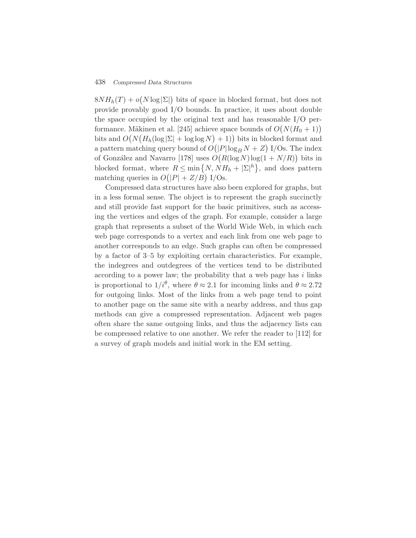### 438 *Compressed Data Structures*

 $8NH_h(T) + o(N \log |\Sigma|)$  bits of space in blocked format, but does not provide provably good I/O bounds. In practice, it uses about double the space occupied by the original text and has reasonable I/O performance. Mäkinen et al. [245] achieve space bounds of  $O(N(H_0+1))$ bits and  $O(N(H_h(\log|\Sigma| + \log \log N) + 1))$  bits in blocked format and a pattern matching query bound of  $O(|P|\log_B N + Z)$  I/Os. The index of González and Navarro [178] uses  $O(R(\log N)\log(1 + N/R))$  bits in blocked format, where  $R \leq \min\{N, NH_h+|\Sigma|^h\}$ , and does pattern matching queries in  $O(|P| + Z/B)$  I/Os.

Compressed data structures have also been explored for graphs, but in a less formal sense. The object is to represent the graph succinctly and still provide fast support for the basic primitives, such as accessing the vertices and edges of the graph. For example, consider a large graph that represents a subset of the World Wide Web, in which each web page corresponds to a vertex and each link from one web page to another corresponds to an edge. Such graphs can often be compressed by a factor of 3–5 by exploiting certain characteristics. For example, the indegrees and outdegrees of the vertices tend to be distributed according to a power law; the probability that a web page has  $i$  links is proportional to  $1/i^{\theta}$ , where  $\theta \approx 2.1$  for incoming links and  $\theta \approx 2.72$ for outgoing links. Most of the links from a web page tend to point to another page on the same site with a nearby address, and thus gap methods can give a compressed representation. Adjacent web pages often share the same outgoing links, and thus the adjacency lists can be compressed relative to one another. We refer the reader to [112] for a survey of graph models and initial work in the EM setting.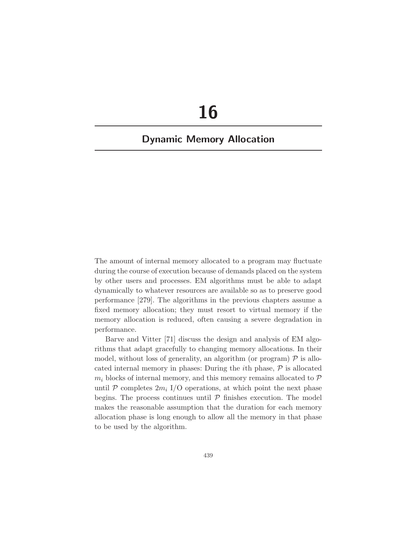# **16**

# **Dynamic Memory Allocation**

The amount of internal memory allocated to a program may fluctuate during the course of execution because of demands placed on the system by other users and processes. EM algorithms must be able to adapt dynamically to whatever resources are available so as to preserve good performance [279]. The algorithms in the previous chapters assume a fixed memory allocation; they must resort to virtual memory if the memory allocation is reduced, often causing a severe degradation in performance.

Barve and Vitter [71] discuss the design and analysis of EM algorithms that adapt gracefully to changing memory allocations. In their model, without loss of generality, an algorithm (or program)  $P$  is allocated internal memory in phases: During the *i*th phase,  $P$  is allocated  $m_i$  blocks of internal memory, and this memory remains allocated to  $\mathcal P$ until  $P$  completes  $2m_i$  I/O operations, at which point the next phase begins. The process continues until  $P$  finishes execution. The model makes the reasonable assumption that the duration for each memory allocation phase is long enough to allow all the memory in that phase to be used by the algorithm.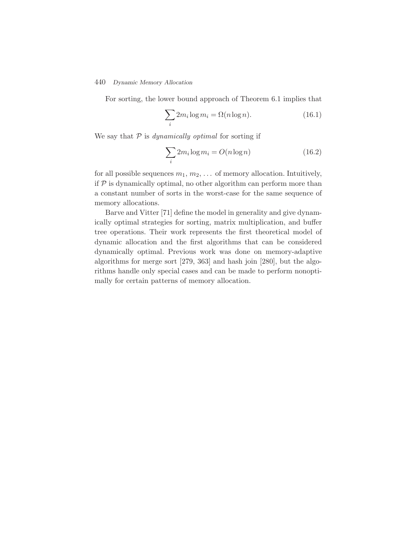#### 440 *Dynamic Memory Allocation*

For sorting, the lower bound approach of Theorem 6.1 implies that

$$
\sum_{i} 2m_i \log m_i = \Omega(n \log n). \tag{16.1}
$$

We say that P is *dynamically optimal* for sorting if

$$
\sum_{i} 2m_i \log m_i = O(n \log n) \tag{16.2}
$$

for all possible sequences  $m_1, m_2, \ldots$  of memory allocation. Intuitively, if  $P$  is dynamically optimal, no other algorithm can perform more than a constant number of sorts in the worst-case for the same sequence of memory allocations.

Barve and Vitter [71] define the model in generality and give dynamically optimal strategies for sorting, matrix multiplication, and buffer tree operations. Their work represents the first theoretical model of dynamic allocation and the first algorithms that can be considered dynamically optimal. Previous work was done on memory-adaptive algorithms for merge sort [279, 363] and hash join [280], but the algorithms handle only special cases and can be made to perform nonoptimally for certain patterns of memory allocation.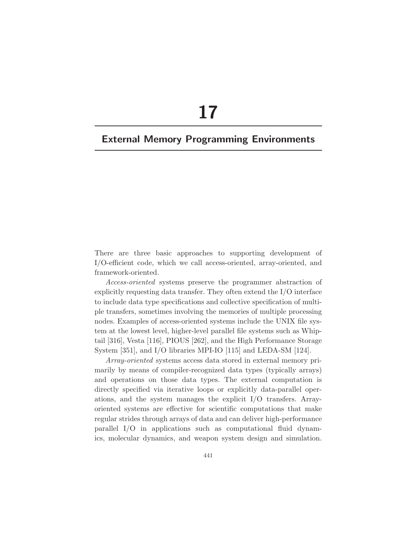# **17**

# **External Memory Programming Environments**

There are three basic approaches to supporting development of I/O-efficient code, which we call access-oriented, array-oriented, and framework-oriented.

*Access-oriented* systems preserve the programmer abstraction of explicitly requesting data transfer. They often extend the I/O interface to include data type specifications and collective specification of multiple transfers, sometimes involving the memories of multiple processing nodes. Examples of access-oriented systems include the UNIX file system at the lowest level, higher-level parallel file systems such as Whiptail [316], Vesta [116], PIOUS [262], and the High Performance Storage System [351], and I/O libraries MPI-IO [115] and LEDA-SM [124].

*Array-oriented* systems access data stored in external memory primarily by means of compiler-recognized data types (typically arrays) and operations on those data types. The external computation is directly specified via iterative loops or explicitly data-parallel operations, and the system manages the explicit I/O transfers. Arrayoriented systems are effective for scientific computations that make regular strides through arrays of data and can deliver high-performance parallel I/O in applications such as computational fluid dynamics, molecular dynamics, and weapon system design and simulation.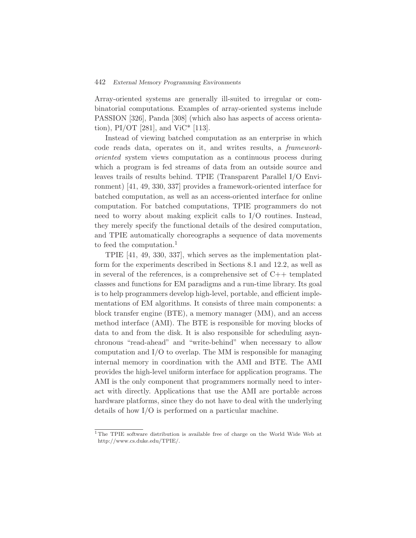#### 442 *External Memory Programming Environments*

Array-oriented systems are generally ill-suited to irregular or combinatorial computations. Examples of array-oriented systems include PASSION [326], Panda [308] (which also has aspects of access orientation), PI/OT [281], and ViC\* [113].

Instead of viewing batched computation as an enterprise in which code reads data, operates on it, and writes results, a *frameworkoriented* system views computation as a continuous process during which a program is fed streams of data from an outside source and leaves trails of results behind. TPIE (Transparent Parallel I/O Environment) [41, 49, 330, 337] provides a framework-oriented interface for batched computation, as well as an access-oriented interface for online computation. For batched computations, TPIE programmers do not need to worry about making explicit calls to I/O routines. Instead, they merely specify the functional details of the desired computation, and TPIE automatically choreographs a sequence of data movements to feed the computation.<sup>1</sup>

TPIE [41, 49, 330, 337], which serves as the implementation platform for the experiments described in Sections 8.1 and 12.2, as well as in several of the references, is a comprehensive set of  $C++$  templated classes and functions for EM paradigms and a run-time library. Its goal is to help programmers develop high-level, portable, and efficient implementations of EM algorithms. It consists of three main components: a block transfer engine (BTE), a memory manager (MM), and an access method interface (AMI). The BTE is responsible for moving blocks of data to and from the disk. It is also responsible for scheduling asynchronous "read-ahead" and "write-behind" when necessary to allow computation and I/O to overlap. The MM is responsible for managing internal memory in coordination with the AMI and BTE. The AMI provides the high-level uniform interface for application programs. The AMI is the only component that programmers normally need to interact with directly. Applications that use the AMI are portable across hardware platforms, since they do not have to deal with the underlying details of how I/O is performed on a particular machine.

<sup>1</sup> The TPIE software distribution is available free of charge on the World Wide Web at http://www.cs.duke.edu/TPIE/.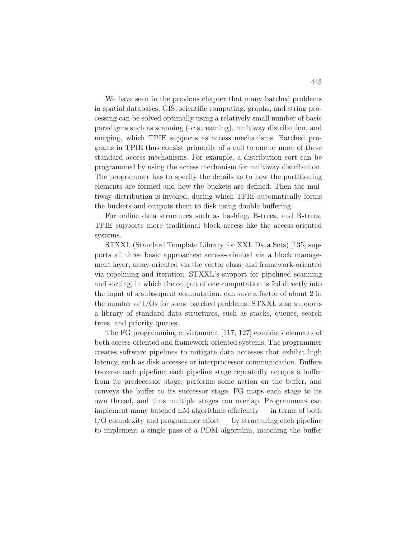We have seen in the previous chapter that many batched problems in spatial databases, GIS, scientific computing, graphs, and string processing can be solved optimally using a relatively small number of basic paradigms such as scanning (or streaming), multiway distribution, and merging, which TPIE supports as access mechanisms. Batched programs in TPIE thus consist primarily of a call to one or more of these standard access mechanisms. For example, a distribution sort can be programmed by using the access mechanism for multiway distribution. The programmer has to specify the details as to how the partitioning elements are formed and how the buckets are defined. Then the multiway distribution is invoked, during which TPIE automatically forms the buckets and outputs them to disk using double buffering.

For online data structures such as hashing, B-trees, and R-trees, TPIE supports more traditional block access like the access-oriented systems.

STXXL (Standard Template Library for XXL Data Sets) [135] supports all three basic approaches: access-oriented via a block management layer, array-oriented via the vector class, and framework-oriented via pipelining and iteration. STXXL's support for pipelined scanning and sorting, in which the output of one computation is fed directly into the input of a subsequent computation, can save a factor of about 2 in the number of I/Os for some batched problems. STXXL also supports a library of standard data structures, such as stacks, queues, search trees, and priority queues.

The FG programming environment [117, 127] combines elements of both access-oriented and framework-oriented systems. The programmer creates software pipelines to mitigate data accesses that exhibit high latency, such as disk accesses or interprocessor communication. Buffers traverse each pipeline; each pipeline stage repeatedly accepts a buffer from its predecessor stage, performs some action on the buffer, and conveys the buffer to its successor stage. FG maps each stage to its own thread, and thus multiple stages can overlap. Programmers can implement many batched EM algorithms efficiently — in terms of both I/O complexity and programmer effort — by structuring each pipeline to implement a single pass of a PDM algorithm, matching the buffer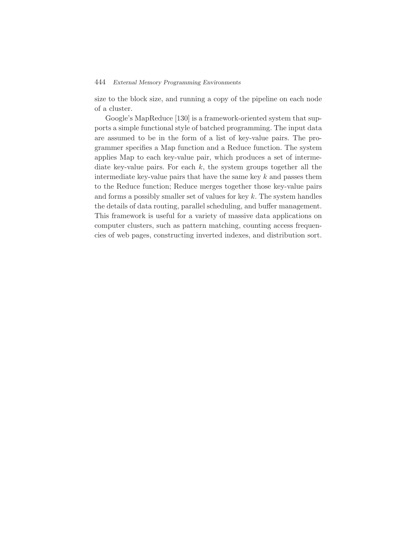#### 444 *External Memory Programming Environments*

size to the block size, and running a copy of the pipeline on each node of a cluster.

Google's MapReduce [130] is a framework-oriented system that supports a simple functional style of batched programming. The input data are assumed to be in the form of a list of key-value pairs. The programmer specifies a Map function and a Reduce function. The system applies Map to each key-value pair, which produces a set of intermediate key-value pairs. For each  $k$ , the system groups together all the intermediate key-value pairs that have the same key  $k$  and passes them to the Reduce function; Reduce merges together those key-value pairs and forms a possibly smaller set of values for key  $k$ . The system handles the details of data routing, parallel scheduling, and buffer management. This framework is useful for a variety of massive data applications on computer clusters, such as pattern matching, counting access frequencies of web pages, constructing inverted indexes, and distribution sort.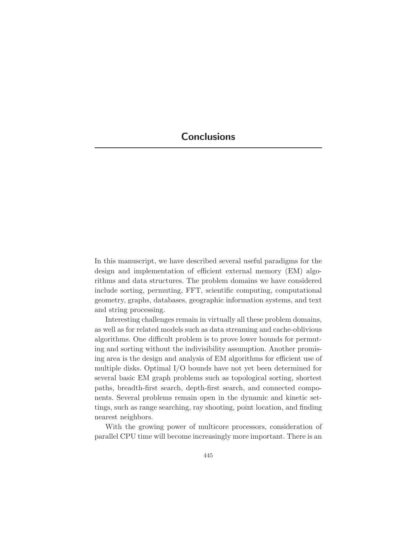# **Conclusions**

In this manuscript, we have described several useful paradigms for the design and implementation of efficient external memory (EM) algorithms and data structures. The problem domains we have considered include sorting, permuting, FFT, scientific computing, computational geometry, graphs, databases, geographic information systems, and text and string processing.

Interesting challenges remain in virtually all these problem domains, as well as for related models such as data streaming and cache-oblivious algorithms. One difficult problem is to prove lower bounds for permuting and sorting without the indivisibility assumption. Another promising area is the design and analysis of EM algorithms for efficient use of multiple disks. Optimal I/O bounds have not yet been determined for several basic EM graph problems such as topological sorting, shortest paths, breadth-first search, depth-first search, and connected components. Several problems remain open in the dynamic and kinetic settings, such as range searching, ray shooting, point location, and finding nearest neighbors.

With the growing power of multicore processors, consideration of parallel CPU time will become increasingly more important. There is an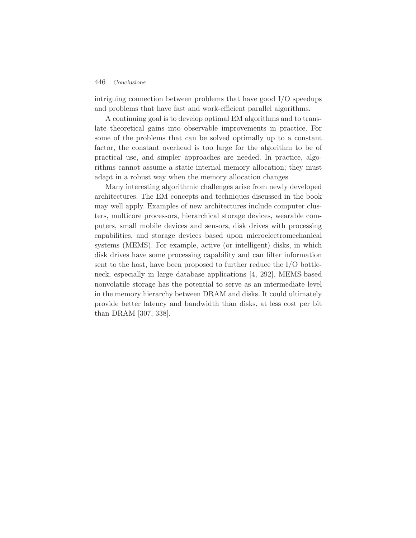#### 446 *Conclusions*

intriguing connection between problems that have good I/O speedups and problems that have fast and work-efficient parallel algorithms.

A continuing goal is to develop optimal EM algorithms and to translate theoretical gains into observable improvements in practice. For some of the problems that can be solved optimally up to a constant factor, the constant overhead is too large for the algorithm to be of practical use, and simpler approaches are needed. In practice, algorithms cannot assume a static internal memory allocation; they must adapt in a robust way when the memory allocation changes.

Many interesting algorithmic challenges arise from newly developed architectures. The EM concepts and techniques discussed in the book may well apply. Examples of new architectures include computer clusters, multicore processors, hierarchical storage devices, wearable computers, small mobile devices and sensors, disk drives with processing capabilities, and storage devices based upon microelectromechanical systems (MEMS). For example, active (or intelligent) disks, in which disk drives have some processing capability and can filter information sent to the host, have been proposed to further reduce the I/O bottleneck, especially in large database applications [4, 292]. MEMS-based nonvolatile storage has the potential to serve as an intermediate level in the memory hierarchy between DRAM and disks. It could ultimately provide better latency and bandwidth than disks, at less cost per bit than DRAM [307, 338].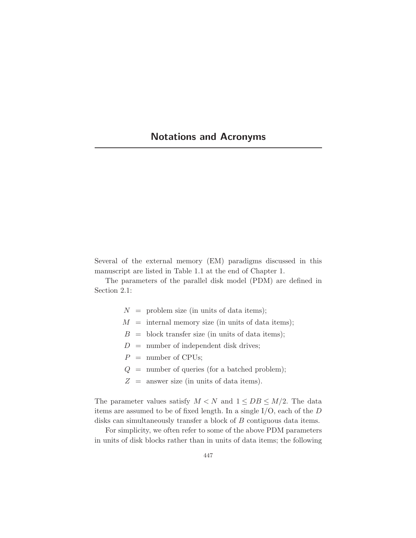# **Notations and Acronyms**

Several of the external memory (EM) paradigms discussed in this manuscript are listed in Table 1.1 at the end of Chapter 1.

The parameters of the parallel disk model (PDM) are defined in Section 2.1:

 $N =$  problem size (in units of data items);

 $M =$  internal memory size (in units of data items);

- $B = \text{block transfer size (in units of data items)};$
- $D =$  number of independent disk drives;
- $P =$  number of CPUs;
- $Q =$  number of queries (for a batched problem);
- $Z =$  answer size (in units of data items).

The parameter values satisfy  $M < N$  and  $1 \leq DB \leq M/2$ . The data items are assumed to be of fixed length. In a single I/O, each of the D disks can simultaneously transfer a block of B contiguous data items.

For simplicity, we often refer to some of the above PDM parameters in units of disk blocks rather than in units of data items; the following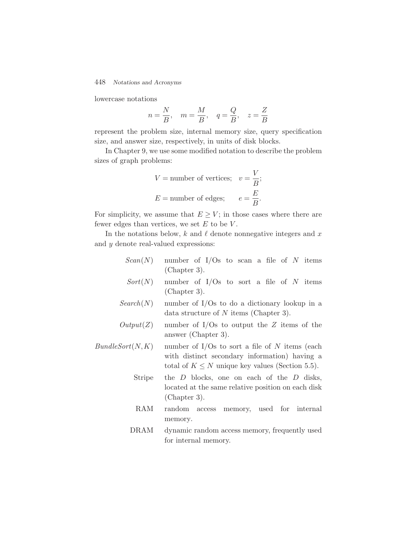# 448 *Notations and Acronyms*

lowercase notations

$$
n = \frac{N}{B}
$$
,  $m = \frac{M}{B}$ ,  $q = \frac{Q}{B}$ ,  $z = \frac{Z}{B}$ 

represent the problem size, internal memory size, query specification size, and answer size, respectively, in units of disk blocks.

In Chapter 9, we use some modified notation to describe the problem sizes of graph problems:

$$
V = \text{number of vertices}; \quad v = \frac{V}{B};
$$
\n
$$
E = \text{number of edges}; \qquad e = \frac{E}{B}.
$$

For simplicity, we assume that  $E \geq V$ ; in those cases where there are fewer edges than vertices, we set  $E$  to be  $V$ .

In the notations below,  $k$  and  $\ell$  denote nonnegative integers and x and  $\boldsymbol{y}$  denote real-valued expressions:

| Scan(N)         | number of I/Os to scan a file of N items<br>(Chapter 3).                                                                                                |
|-----------------|---------------------------------------------------------------------------------------------------------------------------------------------------------|
| Sort(N)         | number of I/Os to sort a file of N items<br>(Chapter 3).                                                                                                |
| Search(N)       | number of $I/Os$ to do a dictionary lookup in a<br>data structure of $N$ items (Chapter 3).                                                             |
| Output(Z)       | number of I/Os to output the $Z$ items of the<br>answer (Chapter 3).                                                                                    |
| BundleSort(N,K) | number of I/Os to sort a file of N items (each<br>with distinct secondary information) having a<br>total of $K \leq N$ unique key values (Section 5.5). |
| Stripe          | the $D$ blocks, one on each of the $D$ disks,<br>located at the same relative position on each disk<br>(Chapter 3).                                     |
| RAM             | access memory, used for internal<br>random<br>memory.                                                                                                   |
| <b>DRAM</b>     | dynamic random access memory, frequently used<br>for internal memory.                                                                                   |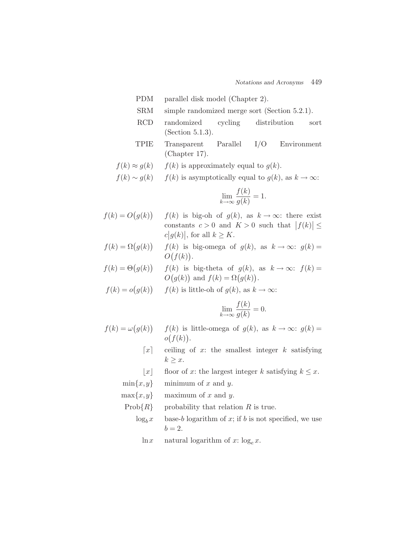- PDM parallel disk model (Chapter 2).
- SRM simple randomized merge sort (Section 5.2.1).
- RCD randomized cycling distribution sort (Section 5.1.3).
- TPIE Transparent Parallel I/O Environment (Chapter 17).
- $f(k) \approx g(k)$  f(k) is approximately equal to  $g(k)$ .

$$
f(k) \sim g(k)
$$
  $f(k)$  is asymptotically equal to  $g(k)$ , as  $k \to \infty$ :

$$
\lim_{k \to \infty} \frac{f(k)}{g(k)} = 1.
$$

$$
f(k) = O(g(k)) \qquad f(k) \text{ is big-oh of } g(k), \text{ as } k \to \infty: \text{ there exist constants } c > 0 \text{ and } K > 0 \text{ such that } |f(k)| \le c|g(k)|, \text{ for all } k \ge K.
$$

$$
f(k) = \Omega(g(k)) \qquad f(k) \text{ is big-omega of } g(k), \text{ as } k \to \infty; \ g(k) = O(f(k)).
$$

$$
f(k) = \Theta(g(k)) \qquad f(k) \text{ is big theta of } g(k), \text{ as } k \to \infty: f(k) =
$$
  

$$
O(g(k)) \text{ and } f(k) = \Omega(g(k)).
$$

 $f(k) = o(g(k))$  f(k) is little-oh of  $g(k)$ , as  $k \to \infty$ :

$$
\lim_{k \to \infty} \frac{f(k)}{g(k)} = 0.
$$

$$
f(k) = \omega(g(k)) \qquad f(k) \text{ is little-omega of } g(k), \text{ as } k \to \infty; \ g(k) = o(f(k)).
$$

- $\lceil x \rceil$  ceiling of x: the smallest integer k satisfying  $k \geq x$ .
- |x| floor of x: the largest integer k satisfying  $k \leq x$ .
- $min\{x,y\}$  minimum of x and y.
- $\max\{x,y\}$  maximum of x and y.
- $\text{Prob}\{R\}$  probability that relation R is true.
	- $\log_b x$  base-b logarithm of x; if b is not specified, we use  $b = 2.$ 
		- $\ln x$  natural logarithm of x:  $\log_e x$ .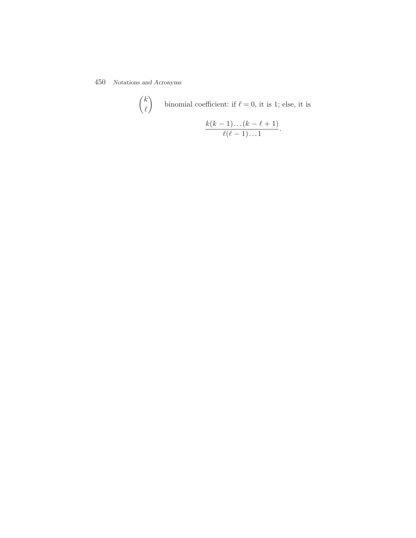450 *Notations and Acronyms*

 $\sqrt{k}$  $\ell$  $\setminus$ binomial coefficient: if  $\ell=0,$  it is 1; else, it is  $\frac{k(k-1)...(k-\ell+1)}{\ell(\ell-1)...1}.$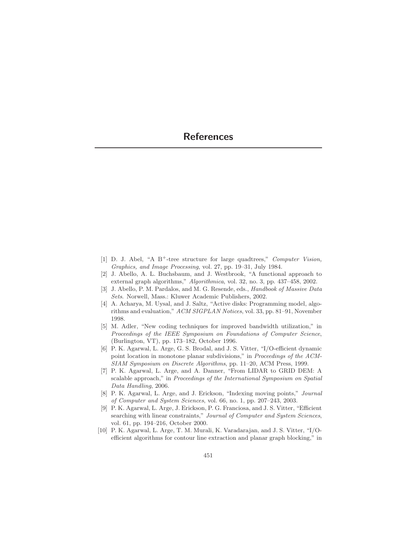- [1] D. J. Abel, "A  $B^+$ -tree structure for large quadtrees," *Computer Vision*, Graphics, and Image Processing, vol. 27, pp. 19–31, July 1984.
- [2] J. Abello, A. L. Buchsbaum, and J. Westbrook, "A functional approach to external graph algorithms," Algorithmica, vol. 32, no. 3, pp. 437–458, 2002.
- [3] J. Abello, P. M. Pardalos, and M. G. Resende, eds., Handbook of Massive Data Sets. Norwell, Mass.: Kluwer Academic Publishers, 2002.
- [4] A. Acharya, M. Uysal, and J. Saltz, "Active disks: Programming model, algorithms and evaluation," ACM SIGPLAN Notices, vol. 33, pp. 81–91, November 1998.
- [5] M. Adler, "New coding techniques for improved bandwidth utilization," in Proceedings of the IEEE Symposium on Foundations of Computer Science, (Burlington, VT), pp. 173–182, October 1996.
- [6] P. K. Agarwal, L. Arge, G. S. Brodal, and J. S. Vitter, "I/O-efficient dynamic point location in monotone planar subdivisions," in Proceedings of the ACM-SIAM Symposium on Discrete Algorithms, pp. 11–20, ACM Press, 1999.
- [7] P. K. Agarwal, L. Arge, and A. Danner, "From LIDAR to GRID DEM: A scalable approach," in Proceedings of the International Symposium on Spatial Data Handling, 2006.
- [8] P. K. Agarwal, L. Arge, and J. Erickson, "Indexing moving points," Journal of Computer and System Sciences, vol. 66, no. 1, pp. 207–243, 2003.
- [9] P. K. Agarwal, L. Arge, J. Erickson, P. G. Franciosa, and J. S. Vitter, "Efficient searching with linear constraints," Journal of Computer and System Sciences, vol. 61, pp. 194–216, October 2000.
- [10] P. K. Agarwal, L. Arge, T. M. Murali, K. Varadarajan, and J. S. Vitter, "I/Oefficient algorithms for contour line extraction and planar graph blocking," in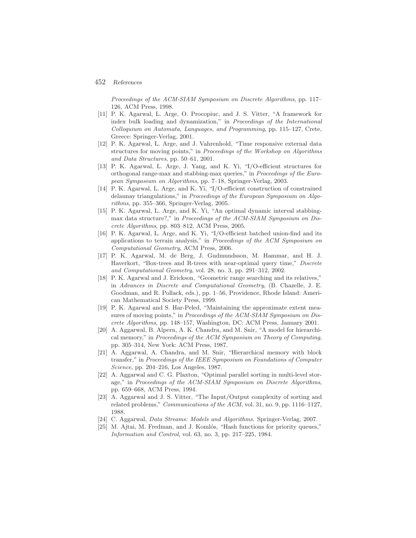Proceedings of the ACM-SIAM Symposium on Discrete Algorithms, pp. 117– 126, ACM Press, 1998.

- [11] P. K. Agarwal, L. Arge, O. Procopiuc, and J. S. Vitter, "A framework for index bulk loading and dynamization," in Proceedings of the International Colloquium on Automata, Languages, and Programming, pp. 115–127, Crete, Greece: Springer-Verlag, 2001.
- [12] P. K. Agarwal, L. Arge, and J. Vahrenhold, "Time responsive external data structures for moving points," in Proceedings of the Workshop on Algorithms and Data Structures, pp. 50–61, 2001.
- [13] P. K. Agarwal, L. Arge, J. Yang, and K. Yi, "I/O-efficient structures for orthogonal range-max and stabbing-max queries," in Proceedings of the European Symposium on Algorithms, pp. 7–18, Springer-Verlag, 2003.
- [14] P. K. Agarwal, L. Arge, and K. Yi, "I/O-efficient construction of constrained delaunay triangulations," in Proceedings of the European Symposium on Algorithms, pp. 355–366, Springer-Verlag, 2005.
- [15] P. K. Agarwal, L. Arge, and K. Yi, "An optimal dynamic interval stabbingmax data structure?," in Proceedings of the ACM-SIAM Symposium on Discrete Algorithms, pp. 803–812, ACM Press, 2005.
- [16] P. K. Agarwal, L. Arge, and K. Yi, "I/O-efficient batched union-find and its applications to terrain analysis," in Proceedings of the ACM Symposium on Computational Geometry, ACM Press, 2006.
- [17] P. K. Agarwal, M. de Berg, J. Gudmundsson, M. Hammar, and H. J. Haverkort, "Box-trees and R-trees with near-optimal query time," Discrete and Computational Geometry, vol. 28, no. 3, pp. 291–312, 2002.
- [18] P. K. Agarwal and J. Erickson, "Geometric range searching and its relatives," in Advances in Discrete and Computational Geometry, (B. Chazelle, J. E. Goodman, and R. Pollack, eds.), pp. 1–56, Providence, Rhode Island: American Mathematical Society Press, 1999.
- [19] P. K. Agarwal and S. Har-Peled, "Maintaining the approximate extent measures of moving points," in *Proceedings of the ACM-SIAM Symposium on Dis*crete Algorithms, pp. 148–157, Washington, DC: ACM Press, January 2001.
- [20] A. Aggarwal, B. Alpern, A. K. Chandra, and M. Snir, "A model for hierarchical memory," in Proceedings of the ACM Symposium on Theory of Computing, pp. 305–314, New York: ACM Press, 1987.
- [21] A. Aggarwal, A. Chandra, and M. Snir, "Hierarchical memory with block transfer," in Proceedings of the IEEE Symposium on Foundations of Computer Science, pp. 204–216, Los Angeles, 1987.
- [22] A. Aggarwal and C. G. Plaxton, "Optimal parallel sorting in multi-level storage," in Proceedings of the ACM-SIAM Symposium on Discrete Algorithms, pp. 659–668, ACM Press, 1994.
- [23] A. Aggarwal and J. S. Vitter, "The Input/Output complexity of sorting and related problems," Communications of the ACM, vol. 31, no. 9, pp. 1116–1127, 1988.
- [24] C. Aggarwal, Data Streams: Models and Algorithms. Springer-Verlag, 2007.
- [25] M. Ajtai, M. Fredman, and J. Komlós, "Hash functions for priority queues," Information and Control, vol. 63, no. 3, pp. 217–225, 1984.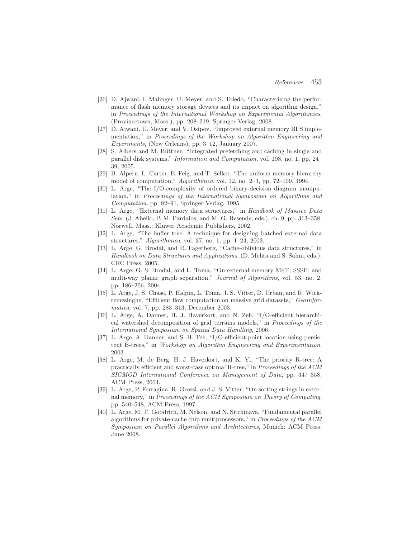- [26] D. Ajwani, I. Malinger, U. Meyer, and S. Toledo, "Characterizing the performance of flash memory storage devices and its impact on algorithm design," in Proceedings of the International Workshop on Experimental Algorithmics, (Provincetown, Mass.), pp. 208–219, Springer-Verlag, 2008.
- [27] D. Ajwani, U. Meyer, and V. Osipov, "Improved external memory BFS implementation," in Proceedings of the Workshop on Algorithm Engineering and Experiments, (New Orleans), pp. 3–12, January 2007.
- [28] S. Albers and M. Büttner, "Integrated prefetching and caching in single and parallel disk systems," Information and Computation, vol. 198, no. 1, pp. 24– 39, 2005.
- [29] B. Alpern, L. Carter, E. Feig, and T. Selker, "The uniform memory hierarchy model of computation," Algorithmica, vol. 12, no. 2–3, pp. 72–109, 1994.
- [30] L. Arge, "The I/O-complexity of ordered binary-decision diagram manipulation," in Proceedings of the International Symposium on Algorithms and Computation, pp. 82–91, Springer-Verlag, 1995.
- [31] L. Arge, "External memory data structures," in Handbook of Massive Data Sets, (J. Abello, P. M. Pardalos, and M. G. Resende, eds.), ch. 9, pp. 313–358, Norwell, Mass.: Kluwer Academic Publishers, 2002.
- [32] L. Arge, "The buffer tree: A technique for designing batched external data structures," Algorithmica, vol. 37, no. 1, pp. 1–24, 2003.
- [33] L. Arge, G. Brodal, and R. Fagerberg, "Cache-oblivious data structures," in Handbook on Data Structures and Applications, (D. Mehta and S. Sahni, eds.), CRC Press, 2005.
- [34] L. Arge, G. S. Brodal, and L. Toma, "On external-memory MST, SSSP, and multi-way planar graph separation," Journal of Algorithms, vol. 53, no. 2, pp. 186–206, 2004.
- [35] L. Arge, J. S. Chase, P. Halpin, L. Toma, J. S. Vitter, D. Urban, and R. Wickremesinghe, "Efficient flow computation on massive grid datasets," GeoInformatica, vol. 7, pp. 283–313, December 2003.
- [36] L. Arge, A. Danner, H. J. Haverkort, and N. Zeh, "I/O-efficient hierarchical watershed decomposition of grid terrains models," in Proceedings of the International Symposium on Spatial Data Handling, 2006.
- [37] L. Arge, A. Danner, and S.-H. Teh, "I/O-efficient point location using persistent B-trees," in Workshop on Algorithm Engineering and Experimentation, 2003.
- [38] L. Arge, M. de Berg, H. J. Haverkort, and K. Yi, "The priority R-tree: A practically efficient and worst-case optimal R-tree," in Proceedings of the ACM SIGMOD International Conference on Management of Data, pp. 347–358, ACM Press, 2004.
- [39] L. Arge, P. Ferragina, R. Grossi, and J. S. Vitter, "On sorting strings in external memory," in Proceedings of the ACM Symposium on Theory of Computing, pp. 540–548, ACM Press, 1997.
- [40] L. Arge, M. T. Goodrich, M. Nelson, and N. Sitchinava, "Fundamental parallel algorithms for private-cache chip multiprocessors," in Proceedings of the ACM Symposium on Parallel Algorithms and Architectures, Munich: ACM Press, June 2008.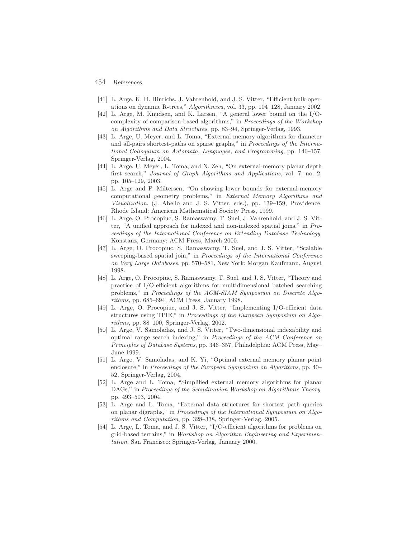- [41] L. Arge, K. H. Hinrichs, J. Vahrenhold, and J. S. Vitter, "Efficient bulk operations on dynamic R-trees," Algorithmica, vol. 33, pp. 104–128, January 2002.
- [42] L. Arge, M. Knudsen, and K. Larsen, "A general lower bound on the I/Ocomplexity of comparison-based algorithms," in *Proceedings of the Workshop* on Algorithms and Data Structures, pp. 83–94, Springer-Verlag, 1993.
- [43] L. Arge, U. Meyer, and L. Toma, "External memory algorithms for diameter and all-pairs shortest-paths on sparse graphs," in Proceedings of the International Colloquium on Automata, Languages, and Programming, pp. 146–157, Springer-Verlag, 2004.
- [44] L. Arge, U. Meyer, L. Toma, and N. Zeh, "On external-memory planar depth first search," Journal of Graph Algorithms and Applications, vol. 7, no. 2, pp. 105–129, 2003.
- [45] L. Arge and P. Miltersen, "On showing lower bounds for external-memory computational geometry problems," in External Memory Algorithms and Visualization, (J. Abello and J. S. Vitter, eds.), pp. 139–159, Providence, Rhode Island: American Mathematical Society Press, 1999.
- [46] L. Arge, O. Procopiuc, S. Ramaswamy, T. Suel, J. Vahrenhold, and J. S. Vitter, "A unified approach for indexed and non-indexed spatial joins," in Proceedings of the International Conference on Extending Database Technology, Konstanz, Germany: ACM Press, March 2000.
- [47] L. Arge, O. Procopiuc, S. Ramaswamy, T. Suel, and J. S. Vitter, "Scalable sweeping-based spatial join," in Proceedings of the International Conference on Very Large Databases, pp. 570–581, New York: Morgan Kaufmann, August 1998.
- [48] L. Arge, O. Procopiuc, S. Ramaswamy, T. Suel, and J. S. Vitter, "Theory and practice of I/O-efficient algorithms for multidimensional batched searching problems," in Proceedings of the ACM-SIAM Symposium on Discrete Algorithms, pp. 685–694, ACM Press, January 1998.
- [49] L. Arge, O. Procopiuc, and J. S. Vitter, "Implementing I/O-efficient data structures using TPIE," in Proceedings of the European Symposium on Algorithms, pp. 88–100, Springer-Verlag, 2002.
- [50] L. Arge, V. Samoladas, and J. S. Vitter, "Two-dimensional indexability and optimal range search indexing," in Proceedings of the ACM Conference on Principles of Database Systems, pp. 346–357, Philadelphia: ACM Press, May– June 1999.
- [51] L. Arge, V. Samoladas, and K. Yi, "Optimal external memory planar point enclosure," in Proceedings of the European Symposium on Algorithms, pp. 40– 52, Springer-Verlag, 2004.
- [52] L. Arge and L. Toma, "Simplified external memory algorithms for planar DAGs," in Proceedings of the Scandinavian Workshop on Algorithmic Theory, pp. 493–503, 2004.
- [53] L. Arge and L. Toma, "External data structures for shortest path queries on planar digraphs," in Proceedings of the International Symposium on Algorithms and Computation, pp. 328–338, Springer-Verlag, 2005.
- [54] L. Arge, L. Toma, and J. S. Vitter, "I/O-efficient algorithms for problems on grid-based terrains," in Workshop on Algorithm Engineering and Experimentation, San Francisco: Springer-Verlag, January 2000.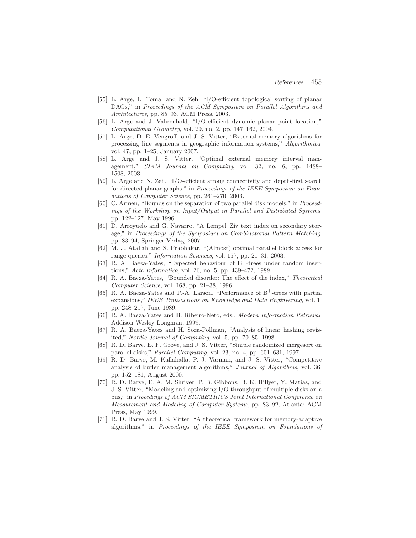- [55] L. Arge, L. Toma, and N. Zeh, "I/O-efficient topological sorting of planar DAGs," in Proceedings of the ACM Symposium on Parallel Algorithms and Architectures, pp. 85–93, ACM Press, 2003.
- [56] L. Arge and J. Vahrenhold, "I/O-efficient dynamic planar point location," Computational Geometry, vol. 29, no. 2, pp. 147–162, 2004.
- [57] L. Arge, D. E. Vengroff, and J. S. Vitter, "External-memory algorithms for processing line segments in geographic information systems," Algorithmica, vol. 47, pp. 1–25, January 2007.
- [58] L. Arge and J. S. Vitter, "Optimal external memory interval management," SIAM Journal on Computing, vol. 32, no. 6, pp. 1488– 1508, 2003.
- [59] L. Arge and N. Zeh, "I/O-efficient strong connectivity and depth-first search for directed planar graphs," in Proceedings of the IEEE Symposium on Foundations of Computer Science, pp. 261–270, 2003.
- [60] C. Armen, "Bounds on the separation of two parallel disk models," in Proceedings of the Workshop on Input/Output in Parallel and Distributed Systems, pp. 122–127, May 1996.
- [61] D. Arroyuelo and G. Navarro, "A Lempel–Ziv text index on secondary storage," in Proceedings of the Symposium on Combinatorial Pattern Matching, pp. 83–94, Springer-Verlag, 2007.
- [62] M. J. Atallah and S. Prabhakar, "(Almost) optimal parallel block access for range queries," Information Sciences, vol. 157, pp. 21–31, 2003.
- [63] R. A. Baeza-Yates, "Expected behaviour of  $B^+$ -trees under random insertions," Acta Informatica, vol. 26, no. 5, pp. 439–472, 1989.
- [64] R. A. Baeza-Yates, "Bounded disorder: The effect of the index," Theoretical Computer Science, vol. 168, pp. 21–38, 1996.
- [65] R. A. Baeza-Yates and P.-A. Larson, "Performance of B<sup>+</sup>-trees with partial expansions," IEEE Transactions on Knowledge and Data Engineering, vol. 1, pp. 248–257, June 1989.
- [66] R. A. Baeza-Yates and B. Ribeiro-Neto, eds., Modern Information Retrieval. Addison Wesley Longman, 1999.
- [67] R. A. Baeza-Yates and H. Soza-Pollman, "Analysis of linear hashing revisited," Nordic Journal of Computing, vol. 5, pp. 70–85, 1998.
- [68] R. D. Barve, E. F. Grove, and J. S. Vitter, "Simple randomized mergesort on parallel disks," Parallel Computing, vol. 23, no. 4, pp. 601–631, 1997.
- [69] R. D. Barve, M. Kallahalla, P. J. Varman, and J. S. Vitter, "Competitive analysis of buffer management algorithms," Journal of Algorithms, vol. 36, pp. 152–181, August 2000.
- [70] R. D. Barve, E. A. M. Shriver, P. B. Gibbons, B. K. Hillyer, Y. Matias, and J. S. Vitter, "Modeling and optimizing I/O throughput of multiple disks on a bus," in Procedings of ACM SIGMETRICS Joint International Conference on Measurement and Modeling of Computer Systems, pp. 83–92, Atlanta: ACM Press, May 1999.
- [71] R. D. Barve and J. S. Vitter, "A theoretical framework for memory-adaptive algorithms," in Proceedings of the IEEE Symposium on Foundations of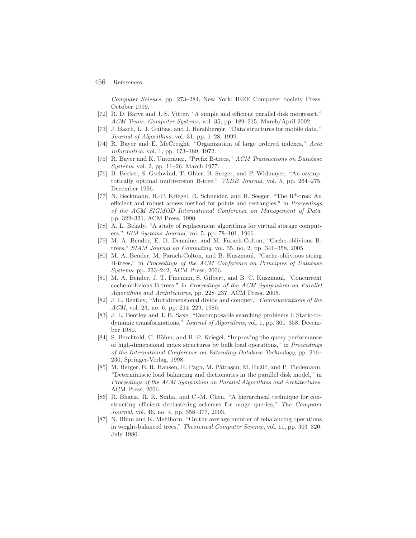Computer Science, pp. 273–284, New York: IEEE Computer Society Press, October 1999.

- [72] R. D. Barve and J. S. Vitter, "A simple and efficient parallel disk mergesort," ACM Trans. Computer Systems, vol. 35, pp. 189–215, March/April 2002.
- [73] J. Basch, L. J. Guibas, and J. Hershberger, "Data structures for mobile data," Journal of Algorithms, vol. 31, pp. 1–28, 1999.
- [74] R. Bayer and E. McCreight, "Organization of large ordered indexes," Acta Informatica, vol. 1, pp. 173–189, 1972.
- [75] R. Bayer and K. Unterauer, "Prefix B-trees," ACM Transactions on Database Systems, vol. 2, pp. 11–26, March 1977.
- [76] B. Becker, S. Gschwind, T. Ohler, B. Seeger, and P. Widmayer, "An asymptotically optimal multiversion B-tree," VLDB Journal, vol. 5, pp. 264–275, December 1996.
- [77] N. Beckmann, H.-P. Kriegel, R. Schneider, and B. Seeger, "The R\*-tree: An efficient and robust access method for points and rectangles," in Proceedings of the ACM SIGMOD International Conference on Management of Data, pp. 322–331, ACM Press, 1990.
- [78] A. L. Belady, "A study of replacement algorithms for virtual storage computers," IBM Systems Journal, vol. 5, pp. 78–101, 1966.
- [79] M. A. Bender, E. D. Demaine, and M. Farach-Colton, "Cache-oblivious Btrees," SIAM Journal on Computing, vol. 35, no. 2, pp. 341–358, 2005.
- [80] M. A. Bender, M. Farach-Colton, and B. Kuszmaul, "Cache-oblivious string B-trees," in Proceedings of the ACM Conference on Principles of Database Systems, pp. 233–242, ACM Press, 2006.
- [81] M. A. Bender, J. T. Fineman, S. Gilbert, and B. C. Kuszmaul, "Concurrent cache-oblivious B-trees," in Proceedings of the ACM Symposium on Parallel Algorithms and Architectures, pp. 228–237, ACM Press, 2005.
- [82] J. L. Bentley, "Multidimensional divide and conquer," Communications of the ACM, vol. 23, no. 6, pp. 214–229, 1980.
- [83] J. L. Bentley and J. B. Saxe, "Decomposable searching problems I: Static-todynamic transformations," Journal of Algorithms, vol. 1, pp. 301–358, December 1980.
- [84] S. Berchtold, C. Böhm, and H.-P. Kriegel, "Improving the query performance of high-dimensional index structures by bulk load operations," in Proceedings of the International Conference on Extending Database Technology, pp. 216– 230, Springer-Verlag, 1998.
- [85] M. Berger, E. R. Hansen, R. Pagh, M. Pǎtraşcu, M. Ružić, and P. Tiedemann, "Deterministic load balancing and dictionaries in the parallel disk model," in Proceedings of the ACM Symposium on Parallel Algorithms and Architectures, ACM Press, 2006.
- [86] R. Bhatia, R. K. Sinha, and C.-M. Chen, "A hierarchical technique for constructing efficient declustering schemes for range queries," The Computer Journal, vol. 46, no. 4, pp. 358–377, 2003.
- [87] N. Blum and K. Mehlhorn, "On the average number of rebalancing operations in weight-balanced trees," Theoretical Computer Science, vol. 11, pp. 303–320, July 1980.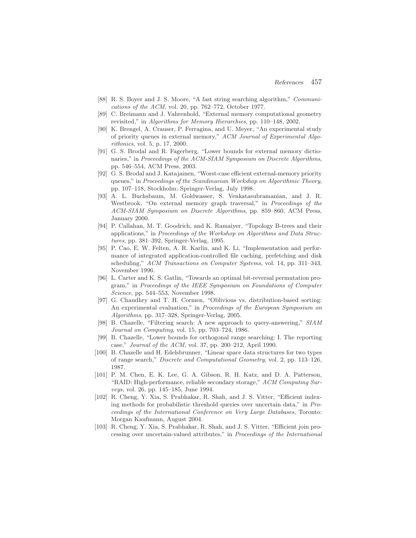- [88] R. S. Boyer and J. S. Moore, "A fast string searching algorithm," Communications of the ACM, vol. 20, pp. 762–772, October 1977.
- [89] C. Breimann and J. Vahrenhold, "External memory computational geometry revisited," in Algorithms for Memory Hierarchies, pp. 110–148, 2002.
- [90] K. Brengel, A. Crauser, P. Ferragina, and U. Meyer, "An experimental study of priority queues in external memory," ACM Journal of Experimental Algorithmics, vol. 5, p. 17, 2000.
- [91] G. S. Brodal and R. Fagerberg, "Lower bounds for external memory dictionaries," in Proceedings of the ACM-SIAM Symposium on Discrete Algorithms, pp. 546–554, ACM Press, 2003.
- [92] G. S. Brodal and J. Katajainen, "Worst-case efficient external-memory priority queues," in Proceedings of the Scandinavian Workshop on Algorithmic Theory, pp. 107–118, Stockholm: Springer-Verlag, July 1998.
- [93] A. L. Buchsbaum, M. Goldwasser, S. Venkatasubramanian, and J. R. Westbrook, "On external memory graph traversal," in Proceedings of the ACM-SIAM Symposium on Discrete Algorithms, pp. 859–860, ACM Press, January 2000.
- [94] P. Callahan, M. T. Goodrich, and K. Ramaiyer, "Topology B-trees and their applications," in Proceedings of the Workshop on Algorithms and Data Structures, pp. 381–392, Springer-Verlag, 1995.
- [95] P. Cao, E. W. Felten, A. R. Karlin, and K. Li, "Implementation and performance of integrated application-controlled file caching, prefetching and disk scheduling," ACM Transactions on Computer Systems, vol. 14, pp. 311–343, November 1996.
- [96] L. Carter and K. S. Gatlin, "Towards an optimal bit-reversal permutation program," in Proceedings of the IEEE Symposium on Foundations of Computer Science, pp. 544–553, November 1998.
- [97] G. Chaudhry and T. H. Cormen, "Oblivious vs. distribution-based sorting: An experimental evaluation," in Proceedings of the European Symposium on Algorithms, pp. 317–328, Springer-Verlag, 2005.
- [98] B. Chazelle, "Filtering search: A new approach to query-answering," SIAM Journal on Computing, vol. 15, pp. 703–724, 1986.
- [99] B. Chazelle, "Lower bounds for orthogonal range searching: I. The reporting case," Journal of the ACM, vol. 37, pp. 200–212, April 1990.
- [100] B. Chazelle and H. Edelsbrunner, "Linear space data structures for two types of range search," Discrete and Computational Geometry, vol. 2, pp. 113–126, 1987.
- [101] P. M. Chen, E. K. Lee, G. A. Gibson, R. H. Katz, and D. A. Patterson, "RAID: High-performance, reliable secondary storage," ACM Computing Surveys, vol. 26, pp. 145–185, June 1994.
- [102] R. Cheng, Y. Xia, S. Prabhakar, R. Shah, and J. S. Vitter, "Efficient indexing methods for probabilistic threshold queries over uncertain data," in Proceedings of the International Conference on Very Large Databases, Toronto: Morgan Kaufmann, August 2004.
- [103] R. Cheng, Y. Xia, S. Prabhakar, R. Shah, and J. S. Vitter, "Efficient join processing over uncertain-valued attributes," in Proceedings of the International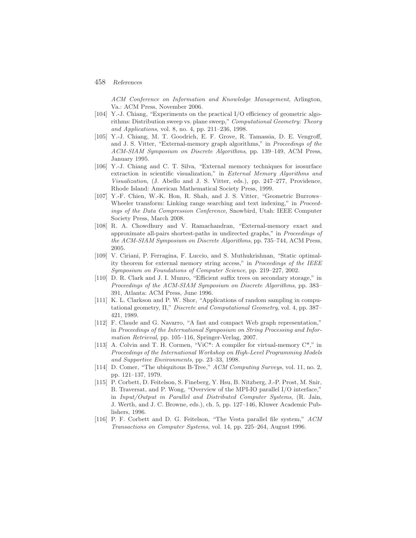ACM Conference on Information and Knowledge Management, Arlington, Va.: ACM Press, November 2006.

- [104] Y.-J. Chiang, "Experiments on the practical I/O efficiency of geometric algorithms: Distribution sweep vs. plane sweep," Computational Geometry: Theory and Applications, vol. 8, no. 4, pp. 211–236, 1998.
- [105] Y.-J. Chiang, M. T. Goodrich, E. F. Grove, R. Tamassia, D. E. Vengroff, and J. S. Vitter, "External-memory graph algorithms," in Proceedings of the ACM-SIAM Symposium on Discrete Algorithms, pp. 139–149, ACM Press, January 1995.
- [106] Y.-J. Chiang and C. T. Silva, "External memory techniques for isosurface extraction in scientific visualization," in External Memory Algorithms and Visualization, (J. Abello and J. S. Vitter, eds.), pp. 247–277, Providence, Rhode Island: American Mathematical Society Press, 1999.
- [107] Y.-F. Chien, W.-K. Hon, R. Shah, and J. S. Vitter, "Geometric Burrows– Wheeler transform: Linking range searching and text indexing," in Proceedings of the Data Compression Conference, Snowbird, Utah: IEEE Computer Society Press, March 2008.
- [108] R. A. Chowdhury and V. Ramachandran, "External-memory exact and approximate all-pairs shortest-paths in undirected graphs," in Proceedings of the ACM-SIAM Symposium on Discrete Algorithms, pp. 735–744, ACM Press, 2005.
- [109] V. Ciriani, P. Ferragina, F. Luccio, and S. Muthukrishnan, "Static optimality theorem for external memory string access," in Proceedings of the IEEE Symposium on Foundations of Computer Science, pp. 219–227, 2002.
- [110] D. R. Clark and J. I. Munro, "Efficient suffix trees on secondary storage," in Proceedings of the ACM-SIAM Symposium on Discrete Algorithms, pp. 383– 391, Atlanta: ACM Press, June 1996.
- [111] K. L. Clarkson and P. W. Shor, "Applications of random sampling in computational geometry, II," Discrete and Computational Geometry, vol. 4, pp. 387– 421, 1989.
- [112] F. Claude and G. Navarro, "A fast and compact Web graph representation," in Proceedings of the International Symposium on String Processing and Information Retrieval, pp. 105–116, Springer-Verlag, 2007.
- [113] A. Colvin and T. H. Cormen, "ViC\*: A compiler for virtual-memory C\*," in Proceedings of the International Workshop on High-Level Programming Models and Supportive Environments, pp. 23–33, 1998.
- [114] D. Comer, "The ubiquitous B-Tree," ACM Computing Surveys, vol. 11, no. 2, pp. 121–137, 1979.
- [115] P. Corbett, D. Feitelson, S. Fineberg, Y. Hsu, B. Nitzberg, J.-P. Prost, M. Snir, B. Traversat, and P. Wong, "Overview of the MPI-IO parallel I/O interface," in Input/Output in Parallel and Distributed Computer Systems, (R. Jain, J. Werth, and J. C. Browne, eds.), ch. 5, pp. 127–146, Kluwer Academic Publishers, 1996.
- [116] P. F. Corbett and D. G. Feitelson, "The Vesta parallel file system," ACM Transactions on Computer Systems, vol. 14, pp. 225–264, August 1996.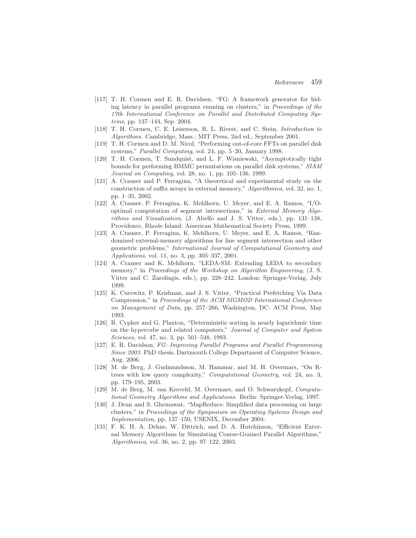- [117] T. H. Cormen and E. R. Davidson, "FG: A framework generator for hiding latency in parallel programs running on clusters," in Proceedings of the 17th International Conference on Parallel and Distributed Computing Systems, pp. 137–144, Sep. 2004.
- [118] T. H. Cormen, C. E. Leiserson, R. L. Rivest, and C. Stein, Introduction to Algorithms. Cambridge, Mass.: MIT Press, 2nd ed., September 2001.
- [119] T. H. Cormen and D. M. Nicol, "Performing out-of-core FFTs on parallel disk systems," Parallel Computing, vol. 24, pp. 5–20, January 1998.
- [120] T. H. Cormen, T. Sundquist, and L. F. Wisniewski, "Asymptotically tight bounds for performing BMMC permutations on parallel disk systems," SIAM Journal on Computing, vol. 28, no. 1, pp. 105–136, 1999.
- [121] A. Crauser and P. Ferragina, "A theoretical and experimental study on the construction of suffix arrays in external memory," Algorithmica, vol. 32, no. 1, pp. 1–35, 2002.
- [122] A. Crauser, P. Ferragina, K. Mehlhorn, U. Meyer, and E. A. Ramos, "I/Ooptimal computation of segment intersections," in External Memory Algorithms and Visualization, (J. Abello and J. S. Vitter, eds.), pp. 131–138, Providence, Rhode Island: American Mathematical Society Press, 1999.
- [123] A. Crauser, P. Ferragina, K. Mehlhorn, U. Meyer, and E. A. Ramos, "Randomized external-memory algorithms for line segment intersection and other geometric problems," International Journal of Computational Geometry and Applications, vol. 11, no. 3, pp. 305–337, 2001.
- [124] A. Crauser and K. Mehlhorn, "LEDA-SM: Extending LEDA to secondary memory," in Proceedings of the Workshop on Algorithm Engineering, (J. S. Vitter and C. Zaroliagis, eds.), pp. 228–242, London: Springer-Verlag, July 1999.
- [125] K. Curewitz, P. Krishnan, and J. S. Vitter, "Practical Prefetching Via Data Compression," in Proceedings of the ACM SIGMOD International Conference on Management of Data, pp. 257–266, Washington, DC: ACM Press, May 1993.
- [126] R. Cypher and G. Plaxton, "Deterministic sorting in nearly logarithmic time on the hypercube and related computers," Journal of Computer and System Sciences, vol. 47, no. 3, pp. 501–548, 1993.
- [127] E. R. Davidson, FG: Improving Parallel Programs and Parallel Programming Since 2003. PhD thesis, Dartmouth College Department of Computer Science, Aug. 2006.
- [128] M. de Berg, J. Gudmundsson, M. Hammar, and M. H. Overmars, "On Rtrees with low query complexity," Computational Geometry, vol. 24, no. 3, pp. 179–195, 2003.
- [129] M. de Berg, M. van Kreveld, M. Overmars, and O. Schwarzkopf, Computational Geometry Algorithms and Applications. Berlin: Springer-Verlag, 1997.
- [130] J. Dean and S. Ghemawat, "MapReduce: Simplified data processing on large clusters," in Proceedings of the Symposium on Operating Systems Design and Implementation, pp. 137–150, USENIX, December 2004.
- [131] F. K. H. A. Dehne, W. Dittrich, and D. A. Hutchinson, "Efficient External Memory Algorithms by Simulating Coarse-Grained Parallel Algorithms," Algorithmica, vol. 36, no. 2, pp. 97–122, 2003.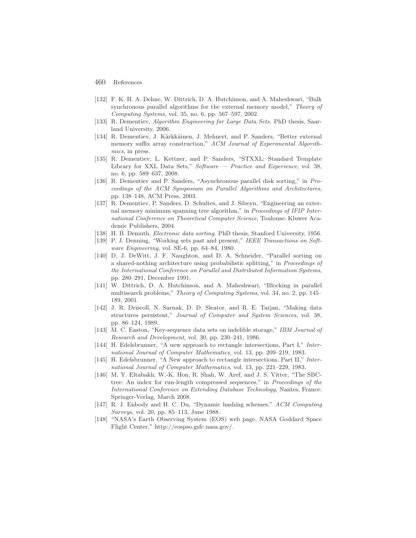- 460 *References*
- [132] F. K. H. A. Dehne, W. Dittrich, D. A. Hutchinson, and A. Maheshwari, "Bulk synchronous parallel algorithms for the external memory model," Theory of Computing Systems, vol. 35, no. 6, pp. 567–597, 2002.
- [133] R. Dementiev, Algorithm Engineering for Large Data Sets. PhD thesis, Saarland University, 2006.
- [134] R. Dementiev, J. Kärkkäinen, J. Mehnert, and P. Sanders, "Better external memory suffix array construction," ACM Journal of Experimental Algorithmics, in press.
- [135] R. Dementiev, L. Kettner, and P. Sanders, "STXXL: Standard Template Library for XXL Data Sets," Software — Practice and Experience, vol. 38, no. 6, pp. 589–637, 2008.
- [136] R. Dementiev and P. Sanders, "Asynchronous parallel disk sorting," in Proceedings of the ACM Symposium on Parallel Algorithms and Architectures, pp. 138–148, ACM Press, 2003.
- [137] R. Dementiev, P. Sanders, D. Schultes, and J. Sibeyn, "Engineering an external memory minimum spanning tree algorithm," in Proceedings of IFIP International Conference on Theoretical Computer Science, Toulouse: Kluwer Academic Publishers, 2004.
- [138] H. B. Demuth, Electronic data sorting. PhD thesis, Stanford University, 1956.
- [139] P. J. Denning, "Working sets past and present," IEEE Transactions on Software Engineering, vol. SE-6, pp. 64–84, 1980.
- [140] D. J. DeWitt, J. F. Naughton, and D. A. Schneider, "Parallel sorting on a shared-nothing architecture using probabilistic splitting," in Proceedings of the International Conference on Parallel and Distributed Information Systems, pp. 280–291, December 1991.
- [141] W. Dittrich, D. A. Hutchinson, and A. Maheshwari, "Blocking in parallel multisearch problems," Theory of Computing Systems, vol. 34, no. 2, pp. 145– 189, 2001.
- [142] J. R. Driscoll, N. Sarnak, D. D. Sleator, and R. E. Tarjan, "Making data structures persistent," Journal of Computer and System Sciences, vol. 38, pp. 86–124, 1989.
- [143] M. C. Easton, "Key-sequence data sets on indelible storage," IBM Journal of Research and Development, vol. 30, pp. 230–241, 1986.
- [144] H. Edelsbrunner, "A new approach to rectangle intersections, Part I," International Journal of Computer Mathematics, vol. 13, pp. 209–219, 1983.
- [145] H. Edelsbrunner, "A New approach to rectangle intersections, Part II," International Journal of Computer Mathematics, vol. 13, pp. 221–229, 1983.
- [146] M. Y. Eltabakh, W.-K. Hon, R. Shah, W. Aref, and J. S. Vitter, "The SBCtree: An index for run-length compressed sequences," in Proceedings of the International Conference on Extending Database Technology, Nantes, France: Springer-Verlag, March 2008.
- [147] R. J. Enbody and H. C. Du, "Dynamic hashing schemes," ACM Computing Surveys, vol. 20, pp. 85–113, June 1988.
- [148] "NASA's Earth Observing System (EOS) web page, NASA Goddard Space Flight Center," http://eospso.gsfc.nasa.gov/.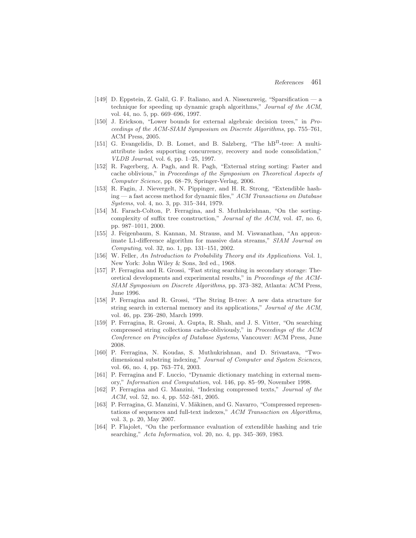- [149] D. Eppstein, Z. Galil, G. F. Italiano, and A. Nissenzweig, "Sparsification a technique for speeding up dynamic graph algorithms," Journal of the ACM, vol. 44, no. 5, pp. 669–696, 1997.
- [150] J. Erickson, "Lower bounds for external algebraic decision trees," in Proceedings of the ACM-SIAM Symposium on Discrete Algorithms, pp. 755–761, ACM Press, 2005.
- [151] G. Evangelidis, D. B. Lomet, and B. Salzberg, "The  $hB<sup>\Pi</sup>$ -tree: A multiattribute index supporting concurrency, recovery and node consolidation," VLDB Journal, vol. 6, pp. 1–25, 1997.
- [152] R. Fagerberg, A. Pagh, and R. Pagh, "External string sorting: Faster and cache oblivious," in Proceedings of the Symposium on Theoretical Aspects of Computer Science, pp. 68–79, Springer-Verlag, 2006.
- [153] R. Fagin, J. Nievergelt, N. Pippinger, and H. R. Strong, "Extendible hash $ing - a$  fast access method for dynamic files," ACM Transactions on Database Systems, vol. 4, no. 3, pp. 315–344, 1979.
- [154] M. Farach-Colton, P. Ferragina, and S. Muthukrishnan, "On the sortingcomplexity of suffix tree construction," Journal of the ACM, vol. 47, no. 6, pp. 987–1011, 2000.
- [155] J. Feigenbaum, S. Kannan, M. Strauss, and M. Viswanathan, "An approximate L1-difference algorithm for massive data streams," SIAM Journal on Computing, vol. 32, no. 1, pp. 131–151, 2002.
- [156] W. Feller, An Introduction to Probability Theory and its Applications. Vol. 1, New York: John Wiley & Sons, 3rd ed., 1968.
- [157] P. Ferragina and R. Grossi, "Fast string searching in secondary storage: Theoretical developments and experimental results," in Proceedings of the ACM-SIAM Symposium on Discrete Algorithms, pp. 373–382, Atlanta: ACM Press, June 1996.
- [158] P. Ferragina and R. Grossi, "The String B-tree: A new data structure for string search in external memory and its applications," Journal of the ACM, vol. 46, pp. 236–280, March 1999.
- [159] P. Ferragina, R. Grossi, A. Gupta, R. Shah, and J. S. Vitter, "On searching compressed string collections cache-obliviously," in Proceedings of the ACM Conference on Principles of Database Systems, Vancouver: ACM Press, June 2008.
- [160] P. Ferragina, N. Koudas, S. Muthukrishnan, and D. Srivastava, "Twodimensional substring indexing," Journal of Computer and System Sciences, vol. 66, no. 4, pp. 763–774, 2003.
- [161] P. Ferragina and F. Luccio, "Dynamic dictionary matching in external memory," Information and Computation, vol. 146, pp. 85–99, November 1998.
- [162] P. Ferragina and G. Manzini, "Indexing compressed texts," Journal of the ACM, vol. 52, no. 4, pp. 552–581, 2005.
- [163] P. Ferragina, G. Manzini, V. Mäkinen, and G. Navarro, "Compressed representations of sequences and full-text indexes," ACM Transaction on Algorithms, vol. 3, p. 20, May 2007.
- [164] P. Flajolet, "On the performance evaluation of extendible hashing and trie searching," Acta Informatica, vol. 20, no. 4, pp. 345–369, 1983.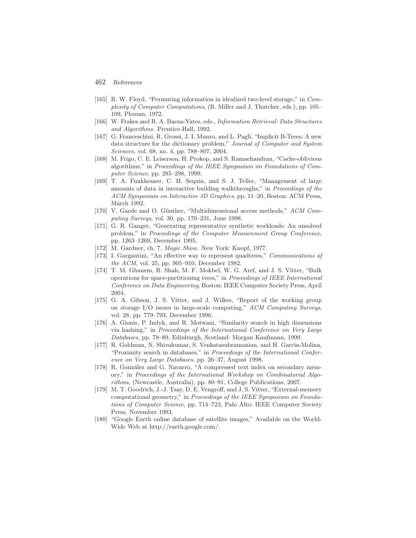- [165] R. W. Floyd, "Permuting information in idealized two-level storage," in Complexity of Computer Computations, (R. Miller and J. Thatcher, eds.), pp. 105– 109, Plenum, 1972.
- [166] W. Frakes and R. A. Baeza-Yates, eds., Information Retrieval: Data Structures and Algorithms. Prentice-Hall, 1992.
- [167] G. Franceschini, R. Grossi, J. I. Munro, and L. Pagli, "Implicit B-Trees: A new data structure for the dictionary problem," Journal of Computer and System Sciences, vol. 68, no. 4, pp. 788–807, 2004.
- [168] M. Frigo, C. E. Leiserson, H. Prokop, and S. Ramachandran, "Cache-oblivious algorithms," in Proceedings of the IEEE Symposium on Foundations of Computer Science, pp. 285–298, 1999.
- [169] T. A. Funkhouser, C. H. Sequin, and S. J. Teller, "Management of large amounts of data in interactive building walkthroughs," in Proceedings of the ACM Symposium on Interactive 3D Graphics, pp. 11–20, Boston: ACM Press, March 1992.
- [170] V. Gaede and O. Günther, "Multidimensional access methods," ACM Computing Surveys, vol. 30, pp. 170–231, June 1998.
- [171] G. R. Ganger, "Generating representative synthetic workloads: An unsolved problem," in Proceedings of the Computer Measurement Group Conference, pp. 1263–1269, December 1995.
- [172] M. Gardner, ch. 7, Magic Show. New York: Knopf, 1977.
- [173] I. Gargantini, "An effective way to represent quadtrees," Communications of the ACM, vol. 25, pp. 905–910, December 1982.
- [174] T. M. Ghanem, R. Shah, M. F. Mokbel, W. G. Aref, and J. S. Vitter, "Bulk operations for space-partitioning trees," in Proceedings of IEEE International Conference on Data Engineering, Boston: IEEE Computer Society Press, April 2004.
- [175] G. A. Gibson, J. S. Vitter, and J. Wilkes, "Report of the working group on storage I/O issues in large-scale computing," ACM Computing Surveys, vol. 28, pp. 779–793, December 1996.
- [176] A. Gionis, P. Indyk, and R. Motwani, "Similarity search in high dimensions via hashing," in Proceedings of the International Conference on Very Large Databases, pp. 78–89, Edinburgh, Scotland: Morgan Kaufmann, 1999.
- [177] R. Goldman, N. Shivakumar, S. Venkatasubramanian, and H. Garcia-Molina, "Proximity search in databases," in Proceedings of the International Conference on Very Large Databases, pp. 26–37, August 1998.
- [178] R. González and G. Navarro, "A compressed text index on secondary memory," in Proceedings of the International Workshop on Combinatorial Algorithms, (Newcastle, Australia), pp. 80–91, College Publications, 2007.
- [179] M. T. Goodrich, J.-J. Tsay, D. E. Vengroff, and J. S. Vitter, "External-memory computational geometry," in Proceedings of the IEEE Symposium on Foundations of Computer Science, pp. 714–723, Palo Alto: IEEE Computer Society Press, November 1993.
- [180] "Google Earth online database of satellite images," Available on the World-Wide Web at http://earth.google.com/.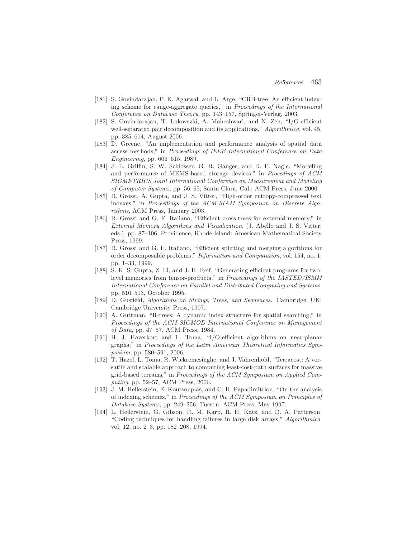- [181] S. Govindarajan, P. K. Agarwal, and L. Arge, "CRB-tree: An efficient indexing scheme for range-aggregate queries," in Proceedings of the International Conference on Database Theory, pp. 143–157, Springer-Verlag, 2003.
- [182] S. Govindarajan, T. Lukovszki, A. Maheshwari, and N. Zeh, "I/O-efficient well-separated pair decomposition and its applications," *Algorithmica*, vol. 45, pp. 385–614, August 2006.
- [183] D. Greene, "An implementation and performance analysis of spatial data access methods," in Proceedings of IEEE International Conference on Data Engineering, pp. 606–615, 1989.
- [184] J. L. Griffin, S. W. Schlosser, G. R. Ganger, and D. F. Nagle, "Modeling and performance of MEMS-based storage devices," in Procedings of ACM SIGMETRICS Joint International Conference on Measurement and Modeling of Computer Systems, pp. 56–65, Santa Clara, Cal.: ACM Press, June 2000.
- [185] R. Grossi, A. Gupta, and J. S. Vitter, "High-order entropy-compressed text indexes," in Proceedings of the ACM-SIAM Symposium on Discrete Algorithms, ACM Press, January 2003.
- [186] R. Grossi and G. F. Italiano, "Efficient cross-trees for external memory," in External Memory Algorithms and Visualization, (J. Abello and J. S. Vitter, eds.), pp. 87–106, Providence, Rhode Island: American Mathematical Society Press, 1999.
- [187] R. Grossi and G. F. Italiano, "Efficient splitting and merging algorithms for order decomposable problems," Information and Computation, vol. 154, no. 1, pp. 1–33, 1999.
- [188] S. K. S. Gupta, Z. Li, and J. H. Reif, "Generating efficient programs for twolevel memories from tensor-products," in Proceedings of the IASTED/ISMM International Conference on Parallel and Distributed Computing and Systems, pp. 510–513, October 1995.
- [189] D. Gusfield, Algorithms on Strings, Trees, and Sequences. Cambridge, UK: Cambridge University Press, 1997.
- [190] A. Guttman, "R-trees: A dynamic index structure for spatial searching," in Proceedings of the ACM SIGMOD International Conference on Management of Data, pp. 47–57, ACM Press, 1984.
- [191] H. J. Haverkort and L. Toma, "I/O-efficient algorithms on near-planar graphs," in Proceedings of the Latin American Theoretical Informatics Symposium, pp. 580–591, 2006.
- [192] T. Hazel, L. Toma, R. Wickremesinghe, and J. Vahrenhold, "Terracost: A versatile and scalable approach to computing least-cost-path surfaces for massive grid-based terrains," in Proceedings of the ACM Symposium on Applied Computing, pp. 52–57, ACM Press, 2006.
- [193] J. M. Hellerstein, E. Koutsoupias, and C. H. Papadimitriou, "On the analysis of indexing schemes," in Proceedings of the ACM Symposium on Principles of Database Systems, pp. 249–256, Tucson: ACM Press, May 1997.
- [194] L. Hellerstein, G. Gibson, R. M. Karp, R. H. Katz, and D. A. Patterson, "Coding techniques for handling failures in large disk arrays," Algorithmica, vol. 12, no. 2–3, pp. 182–208, 1994.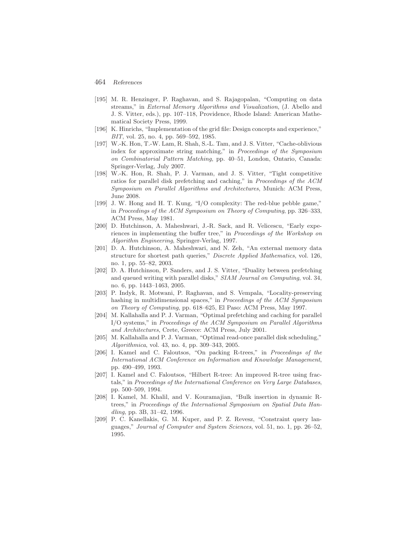- [195] M. R. Henzinger, P. Raghavan, and S. Rajagopalan, "Computing on data streams," in External Memory Algorithms and Visualization, (J. Abello and J. S. Vitter, eds.), pp. 107–118, Providence, Rhode Island: American Mathematical Society Press, 1999.
- [196] K. Hinrichs, "Implementation of the grid file: Design concepts and experience," BIT, vol. 25, no. 4, pp. 569–592, 1985.
- [197] W.-K. Hon, T.-W. Lam, R. Shah, S.-L. Tam, and J. S. Vitter, "Cache-oblivious index for approximate string matching," in Proceedings of the Symposium on Combinatorial Pattern Matching, pp. 40–51, London, Ontario, Canada: Springer-Verlag, July 2007.
- [198] W.-K. Hon, R. Shah, P. J. Varman, and J. S. Vitter, "Tight competitive ratios for parallel disk prefetching and caching," in *Proceedings of the ACM* Symposium on Parallel Algorithms and Architectures, Munich: ACM Press, June 2008.
- [199] J. W. Hong and H. T. Kung, "I/O complexity: The red-blue pebble game," in Proceedings of the ACM Symposium on Theory of Computing, pp. 326–333, ACM Press, May 1981.
- [200] D. Hutchinson, A. Maheshwari, J.-R. Sack, and R. Velicescu, "Early experiences in implementing the buffer tree," in Proceedings of the Workshop on Algorithm Engineering, Springer-Verlag, 1997.
- [201] D. A. Hutchinson, A. Maheshwari, and N. Zeh, "An external memory data structure for shortest path queries," Discrete Applied Mathematics, vol. 126, no. 1, pp. 55–82, 2003.
- [202] D. A. Hutchinson, P. Sanders, and J. S. Vitter, "Duality between prefetching and queued writing with parallel disks," SIAM Journal on Computing, vol. 34, no. 6, pp. 1443–1463, 2005.
- [203] P. Indyk, R. Motwani, P. Raghavan, and S. Vempala, "Locality-preserving hashing in multidimensional spaces," in Proceedings of the ACM Symposium on Theory of Computing, pp. 618–625, El Paso: ACM Press, May 1997.
- [204] M. Kallahalla and P. J. Varman, "Optimal prefetching and caching for parallel I/O systems," in Proceedings of the ACM Symposium on Parallel Algorithms and Architectures, Crete, Greece: ACM Press, July 2001.
- [205] M. Kallahalla and P. J. Varman, "Optimal read-once parallel disk scheduling," Algorithmica, vol. 43, no. 4, pp. 309–343, 2005.
- [206] I. Kamel and C. Faloutsos, "On packing R-trees," in Proceedings of the International ACM Conference on Information and Knowledge Management, pp. 490–499, 1993.
- [207] I. Kamel and C. Faloutsos, "Hilbert R-tree: An improved R-tree using fractals," in Proceedings of the International Conference on Very Large Databases, pp. 500–509, 1994.
- [208] I. Kamel, M. Khalil, and V. Kouramajian, "Bulk insertion in dynamic Rtrees," in Proceedings of the International Symposium on Spatial Data Handling, pp. 3B, 31–42, 1996.
- [209] P. C. Kanellakis, G. M. Kuper, and P. Z. Revesz, "Constraint query languages," Journal of Computer and System Sciences, vol. 51, no. 1, pp. 26–52, 1995.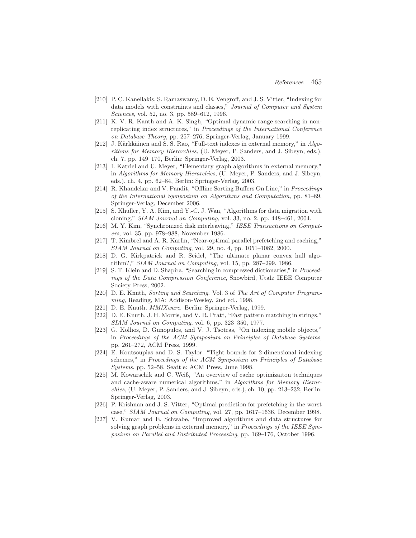- [210] P. C. Kanellakis, S. Ramaswamy, D. E. Vengroff, and J. S. Vitter, "Indexing for data models with constraints and classes," Journal of Computer and System Sciences, vol. 52, no. 3, pp. 589–612, 1996.
- [211] K. V. R. Kanth and A. K. Singh, "Optimal dynamic range searching in nonreplicating index structures," in Proceedings of the International Conference on Database Theory, pp. 257–276, Springer-Verlag, January 1999.
- [212] J. Kärkkäinen and S. S. Rao, "Full-text indexes in external memory," in  $Algo$ rithms for Memory Hierarchies, (U. Meyer, P. Sanders, and J. Sibeyn, eds.), ch. 7, pp. 149–170, Berlin: Springer-Verlag, 2003.
- [213] I. Katriel and U. Meyer, "Elementary graph algorithms in external memory," in Algorithms for Memory Hierarchies, (U. Meyer, P. Sanders, and J. Sibeyn, eds.), ch. 4, pp. 62–84, Berlin: Springer-Verlag, 2003.
- [214] R. Khandekar and V. Pandit, "Offline Sorting Buffers On Line," in Proceedings of the International Symposium on Algorithms and Computation, pp. 81–89, Springer-Verlag, December 2006.
- [215] S. Khuller, Y. A. Kim, and Y.-C. J. Wan, "Algorithms for data migration with cloning," SIAM Journal on Computing, vol. 33, no. 2, pp. 448–461, 2004.
- [216] M. Y. Kim, "Synchronized disk interleaving," IEEE Transactions on Computers, vol. 35, pp. 978–988, November 1986.
- [217] T. Kimbrel and A. R. Karlin, "Near-optimal parallel prefetching and caching," SIAM Journal on Computing, vol. 29, no. 4, pp. 1051–1082, 2000.
- [218] D. G. Kirkpatrick and R. Seidel, "The ultimate planar convex hull algorithm?," SIAM Journal on Computing, vol. 15, pp. 287–299, 1986.
- [219] S. T. Klein and D. Shapira, "Searching in compressed dictionaries," in Proceedings of the Data Compression Conference, Snowbird, Utah: IEEE Computer Society Press, 2002.
- [220] D. E. Knuth, Sorting and Searching. Vol. 3 of The Art of Computer Programming, Reading, MA: Addison-Wesley, 2nd ed., 1998.
- [221] D. E. Knuth, *MMIXware*. Berlin: Springer-Verlag, 1999.
- [222] D. E. Knuth, J. H. Morris, and V. R. Pratt, "Fast pattern matching in strings," SIAM Journal on Computing, vol. 6, pp. 323–350, 1977.
- [223] G. Kollios, D. Gunopulos, and V. J. Tsotras, "On indexing mobile objects," in Proceedings of the ACM Symposium on Principles of Database Systems, pp. 261–272, ACM Press, 1999.
- [224] E. Koutsoupias and D. S. Taylor, "Tight bounds for 2-dimensional indexing schemes," in Proceedings of the ACM Symposium on Principles of Database Systems, pp. 52–58, Seattle: ACM Press, June 1998.
- [225] M. Kowarschik and C. Weiß, "An overview of cache optimizaiton techniques and cache-aware numerical algorithms," in Algorithms for Memory Hierarchies, (U. Meyer, P. Sanders, and J. Sibeyn, eds.), ch. 10, pp. 213–232, Berlin: Springer-Verlag, 2003.
- [226] P. Krishnan and J. S. Vitter, "Optimal prediction for prefetching in the worst case," SIAM Journal on Computing, vol. 27, pp. 1617–1636, December 1998.
- [227] V. Kumar and E. Schwabe, "Improved algorithms and data structures for solving graph problems in external memory," in Proceedings of the IEEE Symposium on Parallel and Distributed Processing, pp. 169–176, October 1996.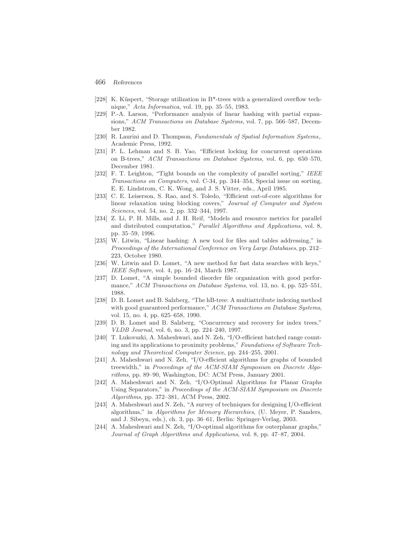- 466 *References*
- [228] K. Küspert, "Storage utilization in B<sup>\*</sup>-trees with a generalized overflow technique," Acta Informatica, vol. 19, pp. 35–55, 1983.
- [229] P.-A. Larson, "Performance analysis of linear hashing with partial expansions," ACM Transactions on Database Systems, vol. 7, pp. 566–587, December 1982.
- [230] R. Laurini and D. Thompson, Fundamentals of Spatial Information Systems,. Academic Press, 1992.
- [231] P. L. Lehman and S. B. Yao, "Efficient locking for concurrent operations on B-trees," ACM Transactions on Database Systems, vol. 6, pp. 650–570, December 1981.
- [232] F. T. Leighton, "Tight bounds on the complexity of parallel sorting," IEEE Transactions on Computers, vol. C-34, pp. 344–354, Special issue on sorting, E. E. Lindstrom, C. K. Wong, and J. S. Vitter, eds., April 1985.
- [233] C. E. Leiserson, S. Rao, and S. Toledo, "Efficient out-of-core algorithms for linear relaxation using blocking covers," Journal of Computer and System Sciences, vol. 54, no. 2, pp. 332–344, 1997.
- [234] Z. Li, P. H. Mills, and J. H. Reif, "Models and resource metrics for parallel and distributed computation," Parallel Algorithms and Applications, vol. 8, pp. 35–59, 1996.
- [235] W. Litwin, "Linear hashing: A new tool for files and tables addressing," in Proceedings of the International Conference on Very Large Databases, pp. 212– 223, October 1980.
- [236] W. Litwin and D. Lomet, "A new method for fast data searches with keys," IEEE Software, vol. 4, pp. 16–24, March 1987.
- [237] D. Lomet, "A simple bounded disorder file organization with good performance," ACM Transactions on Database Systems, vol. 13, no. 4, pp. 525–551, 1988.
- [238] D. B. Lomet and B. Salzberg, "The hB-tree: A multiattribute indexing method with good guaranteed performance," ACM Transactions on Database Systems, vol. 15, no. 4, pp. 625–658, 1990.
- [239] D. B. Lomet and B. Salzberg, "Concurrency and recovery for index trees," VLDB Journal, vol. 6, no. 3, pp. 224–240, 1997.
- [240] T. Lukovszki, A. Maheshwari, and N. Zeh, "I/O-efficient batched range counting and its applications to proximity problems," Foundations of Software Technology and Theoretical Computer Science, pp. 244–255, 2001.
- [241] A. Maheshwari and N. Zeh, "I/O-efficient algorithms for graphs of bounded treewidth," in Proceedings of the ACM-SIAM Symposium on Discrete Algorithms, pp. 89–90, Washington, DC: ACM Press, January 2001.
- [242] A. Maheshwari and N. Zeh, "I/O-Optimal Algorithms for Planar Graphs Using Separators," in Proceedings of the ACM-SIAM Symposium on Discrete Algorithms, pp. 372–381, ACM Press, 2002.
- [243] A. Maheshwari and N. Zeh, "A survey of techniques for designing I/O-efficient algorithms," in Algorithms for Memory Hierarchies, (U. Meyer, P. Sanders, and J. Sibeyn, eds.), ch. 3, pp. 36–61, Berlin: Springer-Verlag, 2003.
- [244] A. Maheshwari and N. Zeh, "I/O-optimal algorithms for outerplanar graphs," Journal of Graph Algorithms and Applications, vol. 8, pp. 47–87, 2004.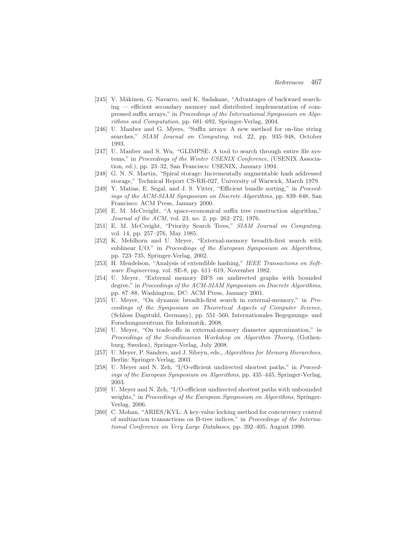- [245] V. Mäkinen, G. Navarro, and K. Sadakane, "Advantages of backward searching — efficient secondary memory and distributed implementation of compressed suffix arrays," in Proceedings of the International Symposium on Algorithms and Computation, pp. 681–692, Springer-Verlag, 2004.
- [246] U. Manber and G. Myers, "Suffix arrays: A new method for on-line string searches," SIAM Journal on Computing, vol. 22, pp. 935–948, October 1993.
- [247] U. Manber and S. Wu, "GLIMPSE: A tool to search through entire file systems," in Proceedings of the Winter USENIX Conference, (USENIX Association, ed.), pp. 23–32, San Francisco: USENIX, January 1994.
- [248] G. N. N. Martin, "Spiral storage: Incrementally augmentable hash addressed storage," Technical Report CS-RR-027, University of Warwick, March 1979.
- [249] Y. Matias, E. Segal, and J. S. Vitter, "Efficient bundle sorting," in Proceedings of the ACM-SIAM Symposium on Discrete Algorithms, pp. 839–848, San Francisco: ACM Press, January 2000.
- [250] E. M. McCreight, "A space-economical suffix tree construction algorithm," Journal of the ACM, vol. 23, no. 2, pp. 262–272, 1976.
- [251] E. M. McCreight, "Priority Search Trees," SIAM Journal on Computing, vol. 14, pp. 257–276, May 1985.
- [252] K. Mehlhorn and U. Meyer, "External-memory breadth-first search with sublinear  $I/O$ ," in Proceedings of the European Symposium on Algorithms, pp. 723–735, Springer-Verlag, 2002.
- [253] H. Mendelson, "Analysis of extendible hashing," IEEE Transactions on Software Engineering, vol. SE-8, pp. 611–619, November 1982.
- [254] U. Meyer, "External memory BFS on undirected graphs with bounded degree," in Proceedings of the ACM-SIAM Symposium on Discrete Algorithms, pp. 87–88, Washington, DC: ACM Press, January 2001.
- [255] U. Meyer, "On dynamic breadth-first search in external-memory," in Proceedings of the Symposium on Theoretical Aspects of Computer Science, (Schloss Dagstuhl, Germany), pp. 551–560, Internationales Begegnungs- und Forschungszentrum für Informatik, 2008.
- [256] U. Meyer, "On trade-offs in external-memory diameter approximation," in Proceedings of the Scandinavian Workshop on Algorithm Theory, (Gothenburg, Sweden), Springer-Verlag, July 2008.
- [257] U. Meyer, P. Sanders, and J. Sibeyn, eds., Algorithms for Memory Hierarchies. Berlin: Springer-Verlag, 2003.
- [258] U. Meyer and N. Zeh, "I/O-efficient undirected shortest paths," in Proceedings of the European Symposium on Algorithms, pp. 435–445, Springer-Verlag, 2003.
- [259] U. Meyer and N. Zeh, "I/O-efficient undirected shortest paths with unbounded weights," in Proceedings of the European Symposium on Algorithms, Springer-Verlag, 2006.
- [260] C. Mohan, "ARIES/KVL: A key-value locking method for concurrency control of multiaction transactions on B-tree indices," in Proceedings of the International Conference on Very Large Databases, pp. 392–405, August 1990.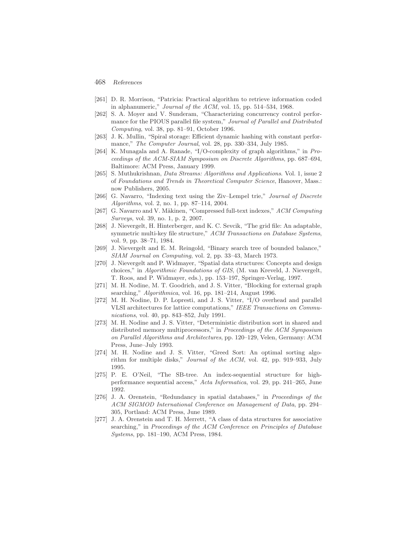- [261] D. R. Morrison, "Patricia: Practical algorithm to retrieve information coded in alphanumeric," Journal of the ACM, vol. 15, pp. 514–534, 1968.
- [262] S. A. Moyer and V. Sunderam, "Characterizing concurrency control performance for the PIOUS parallel file system," Journal of Parallel and Distributed Computing, vol. 38, pp. 81–91, October 1996.
- [263] J. K. Mullin, "Spiral storage: Efficient dynamic hashing with constant performance," The Computer Journal, vol. 28, pp. 330–334, July 1985.
- [264] K. Munagala and A. Ranade, "I/O-complexity of graph algorithms," in Proceedings of the ACM-SIAM Symposium on Discrete Algorithms, pp. 687–694, Baltimore: ACM Press, January 1999.
- [265] S. Muthukrishnan, Data Streams: Algorithms and Applications. Vol. 1, issue 2 of Foundations and Trends in Theoretical Computer Science, Hanover, Mass.: now Publishers, 2005.
- [266] G. Navarro, "Indexing text using the Ziv–Lempel trie," Journal of Discrete Algorithms, vol. 2, no. 1, pp. 87–114, 2004.
- [267] G. Navarro and V. Mäkinen, "Compressed full-text indexes," ACM Computing Surveys, vol. 39, no. 1, p. 2, 2007.
- [268] J. Nievergelt, H. Hinterberger, and K. C. Sevcik, "The grid file: An adaptable, symmetric multi-key file structure," ACM Transactions on Database Systems, vol. 9, pp. 38–71, 1984.
- [269] J. Nievergelt and E. M. Reingold, "Binary search tree of bounded balance," SIAM Journal on Computing, vol. 2, pp. 33–43, March 1973.
- [270] J. Nievergelt and P. Widmayer, "Spatial data structures: Concepts and design choices," in Algorithmic Foundations of GIS, (M. van Kreveld, J. Nievergelt, T. Roos, and P. Widmayer, eds.), pp. 153–197, Springer-Verlag, 1997.
- [271] M. H. Nodine, M. T. Goodrich, and J. S. Vitter, "Blocking for external graph searching," Algorithmica, vol. 16, pp. 181–214, August 1996.
- [272] M. H. Nodine, D. P. Lopresti, and J. S. Vitter, "I/O overhead and parallel VLSI architectures for lattice computations," IEEE Transactions on Communications, vol. 40, pp. 843–852, July 1991.
- [273] M. H. Nodine and J. S. Vitter, "Deterministic distribution sort in shared and distributed memory multiprocessors," in Proceedings of the ACM Symposium on Parallel Algorithms and Architectures, pp. 120–129, Velen, Germany: ACM Press, June–July 1993.
- [274] M. H. Nodine and J. S. Vitter, "Greed Sort: An optimal sorting algorithm for multiple disks," Journal of the ACM, vol. 42, pp. 919–933, July 1995.
- [275] P. E. O'Neil, "The SB-tree. An index-sequential structure for highperformance sequential access," Acta Informatica, vol. 29, pp. 241–265, June 1992.
- [276] J. A. Orenstein, "Redundancy in spatial databases," in Proceedings of the ACM SIGMOD International Conference on Management of Data, pp. 294– 305, Portland: ACM Press, June 1989.
- [277] J. A. Orenstein and T. H. Merrett, "A class of data structures for associative searching," in Proceedings of the ACM Conference on Principles of Database Systems, pp. 181–190, ACM Press, 1984.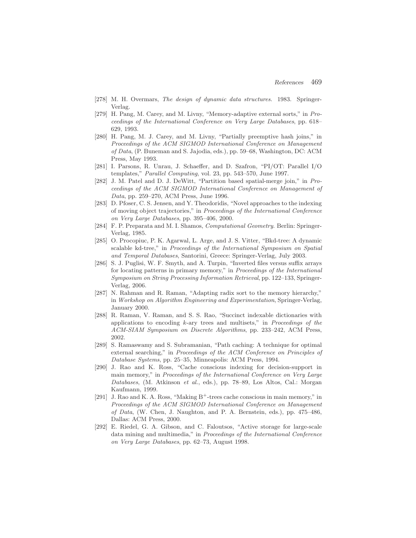- [278] M. H. Overmars, The design of dynamic data structures. 1983. Springer-Verlag.
- [279] H. Pang, M. Carey, and M. Livny, "Memory-adaptive external sorts," in Proceedings of the International Conference on Very Large Databases, pp. 618– 629, 1993.
- [280] H. Pang, M. J. Carey, and M. Livny, "Partially preemptive hash joins," in Proceedings of the ACM SIGMOD International Conference on Management of Data, (P. Buneman and S. Jajodia, eds.), pp. 59–68, Washington, DC: ACM Press, May 1993.
- [281] I. Parsons, R. Unrau, J. Schaeffer, and D. Szafron, "PI/OT: Parallel I/O templates," Parallel Computing, vol. 23, pp. 543–570, June 1997.
- [282] J. M. Patel and D. J. DeWitt, "Partition based spatial-merge join," in Proceedings of the ACM SIGMOD International Conference on Management of Data, pp. 259–270, ACM Press, June 1996.
- [283] D. Pfoser, C. S. Jensen, and Y. Theodoridis, "Novel approaches to the indexing of moving object trajectories," in Proceedings of the International Conference on Very Large Databases, pp. 395–406, 2000.
- [284] F. P. Preparata and M. I. Shamos, Computational Geometry. Berlin: Springer-Verlag, 1985.
- [285] O. Procopiuc, P. K. Agarwal, L. Arge, and J. S. Vitter, "Bkd-tree: A dynamic scalable kd-tree," in Proceedings of the International Symposium on Spatial and Temporal Databases, Santorini, Greece: Springer-Verlag, July 2003.
- [286] S. J. Puglisi, W. F. Smyth, and A. Turpin, "Inverted files versus suffix arrays for locating patterns in primary memory," in Proceedings of the International Symposium on String Processing Information Retrieval, pp. 122–133, Springer-Verlag, 2006.
- [287] N. Rahman and R. Raman, "Adapting radix sort to the memory hierarchy," in Workshop on Algorithm Engineering and Experimentation, Springer-Verlag, January 2000.
- [288] R. Raman, V. Raman, and S. S. Rao, "Succinct indexable dictionaries with applications to encoding  $k$ -ary trees and multisets," in Proceedings of the ACM-SIAM Symposium on Discrete Algorithms, pp. 233–242, ACM Press, 2002.
- [289] S. Ramaswamy and S. Subramanian, "Path caching: A technique for optimal external searching," in Proceedings of the ACM Conference on Principles of Database Systems, pp. 25–35, Minneapolis: ACM Press, 1994.
- [290] J. Rao and K. Ross, "Cache conscious indexing for decision-support in main memory," in Proceedings of the International Conference on Very Large Databases, (M. Atkinson et al., eds.), pp. 78–89, Los Altos, Cal.: Morgan Kaufmann, 1999.
- [291] J. Rao and K. A. Ross, "Making  $B^+$ -trees cache conscious in main memory," in Proceedings of the ACM SIGMOD International Conference on Management of Data, (W. Chen, J. Naughton, and P. A. Bernstein, eds.), pp. 475–486, Dallas: ACM Press, 2000.
- [292] E. Riedel, G. A. Gibson, and C. Faloutsos, "Active storage for large-scale data mining and multimedia," in Proceedings of the International Conference on Very Large Databases, pp. 62–73, August 1998.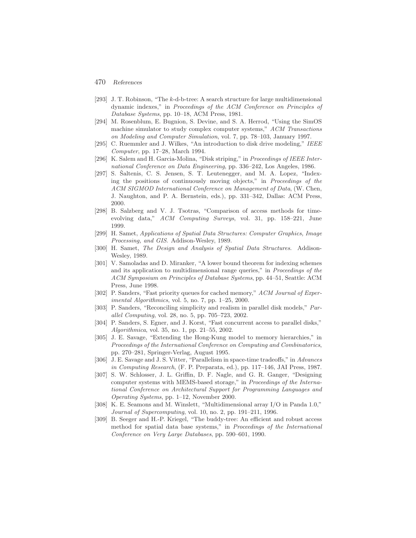- [293] J. T. Robinson, "The k-d-b-tree: A search structure for large multidimensional dynamic indexes," in Proceedings of the ACM Conference on Principles of Database Systems, pp. 10–18, ACM Press, 1981.
- [294] M. Rosenblum, E. Bugnion, S. Devine, and S. A. Herrod, "Using the SimOS machine simulator to study complex computer systems," ACM Transactions on Modeling and Computer Simulation, vol. 7, pp. 78–103, January 1997.
- [295] C. Ruemmler and J. Wilkes, "An introduction to disk drive modeling," IEEE Computer, pp. 17–28, March 1994.
- [296] K. Salem and H. Garcia-Molina, "Disk striping," in Proceedings of IEEE International Conference on Data Engineering, pp. 336–242, Los Angeles, 1986.
- [297] S. Saltenis, C. S. Jensen, S. T. Leutenegger, and M. A. Lopez, "Indexing the positions of continuously moving objects," in Proceedings of the ACM SIGMOD International Conference on Management of Data, (W. Chen, J. Naughton, and P. A. Bernstein, eds.), pp. 331–342, Dallas: ACM Press, 2000.
- [298] B. Salzberg and V. J. Tsotras, "Comparison of access methods for timeevolving data," ACM Computing Surveys, vol. 31, pp. 158–221, June 1999.
- [299] H. Samet, Applications of Spatial Data Structures: Computer Graphics, Image Processing, and GIS. Addison-Wesley, 1989.
- [300] H. Samet, The Design and Analysis of Spatial Data Structures. Addison-Wesley, 1989.
- [301] V. Samoladas and D. Miranker, "A lower bound theorem for indexing schemes and its application to multidimensional range queries," in Proceedings of the ACM Symposium on Principles of Database Systems, pp. 44–51, Seattle: ACM Press, June 1998.
- [302] P. Sanders, "Fast priority queues for cached memory," ACM Journal of Experimental Algorithmics, vol. 5, no. 7, pp. 1–25, 2000.
- [303] P. Sanders, "Reconciling simplicity and realism in parallel disk models," Parallel Computing, vol. 28, no. 5, pp. 705–723, 2002.
- [304] P. Sanders, S. Egner, and J. Korst, "Fast concurrent access to parallel disks," Algorithmica, vol. 35, no. 1, pp. 21–55, 2002.
- [305] J. E. Savage, "Extending the Hong-Kung model to memory hierarchies," in Proceedings of the International Conference on Computing and Combinatorics, pp. 270–281, Springer-Verlag, August 1995.
- [306] J. E. Savage and J. S. Vitter, "Parallelism in space-time tradeoffs," in Advances in Computing Research, (F. P. Preparata, ed.), pp. 117–146, JAI Press, 1987.
- [307] S. W. Schlosser, J. L. Griffin, D. F. Nagle, and G. R. Ganger, "Designing computer systems with MEMS-based storage," in Proceedings of the International Conference on Architectural Support for Programming Languages and Operating Systems, pp. 1–12, November 2000.
- [308] K. E. Seamons and M. Winslett, "Multidimensional array I/O in Panda 1.0," Journal of Supercomputing, vol. 10, no. 2, pp. 191–211, 1996.
- [309] B. Seeger and H.-P. Kriegel, "The buddy-tree: An efficient and robust access method for spatial data base systems," in *Proceedings of the International* Conference on Very Large Databases, pp. 590–601, 1990.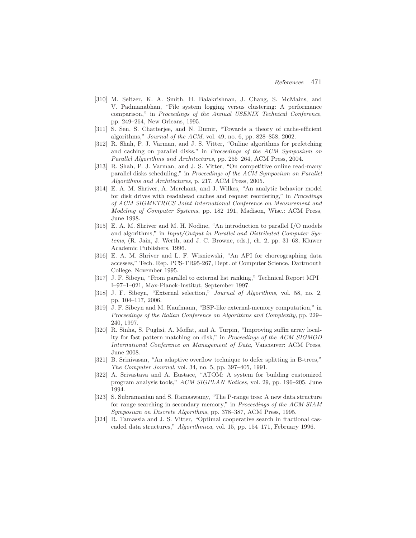- [310] M. Seltzer, K. A. Smith, H. Balakrishnan, J. Chang, S. McMains, and V. Padmanabhan, "File system logging versus clustering: A performance comparison," in Proceedings of the Annual USENIX Technical Conference, pp. 249–264, New Orleans, 1995.
- [311] S. Sen, S. Chatterjee, and N. Dumir, "Towards a theory of cache-efficient algorithms," Journal of the ACM, vol. 49, no. 6, pp. 828–858, 2002.
- [312] R. Shah, P. J. Varman, and J. S. Vitter, "Online algorithms for prefetching and caching on parallel disks," in Proceedings of the ACM Symposium on Parallel Algorithms and Architectures, pp. 255–264, ACM Press, 2004.
- [313] R. Shah, P. J. Varman, and J. S. Vitter, "On competitive online read-many parallel disks scheduling," in Proceedings of the ACM Symposium on Parallel Algorithms and Architectures, p. 217, ACM Press, 2005.
- [314] E. A. M. Shriver, A. Merchant, and J. Wilkes, "An analytic behavior model for disk drives with readahead caches and request reordering," in Procedings of ACM SIGMETRICS Joint International Conference on Measurement and Modeling of Computer Systems, pp. 182–191, Madison, Wisc.: ACM Press, June 1998.
- [315] E. A. M. Shriver and M. H. Nodine, "An introduction to parallel I/O models and algorithms," in *Input/Output in Parallel and Distributed Computer Sys*tems, (R. Jain, J. Werth, and J. C. Browne, eds.), ch. 2, pp. 31–68, Kluwer Academic Publishers, 1996.
- [316] E. A. M. Shriver and L. F. Wisniewski, "An API for choreographing data accesses," Tech. Rep. PCS-TR95-267, Dept. of Computer Science, Dartmouth College, November 1995.
- [317] J. F. Sibeyn, "From parallel to external list ranking," Technical Report MPI– I–97–1–021, Max-Planck-Institut, September 1997.
- [318] J. F. Sibeyn, "External selection," Journal of Algorithms, vol. 58, no. 2, pp. 104–117, 2006.
- [319] J. F. Sibeyn and M. Kaufmann, "BSP-like external-memory computation," in Proceedings of the Italian Conference on Algorithms and Complexity, pp. 229– 240, 1997.
- [320] R. Sinha, S. Puglisi, A. Moffat, and A. Turpin, "Improving suffix array locality for fast pattern matching on disk," in Proceedings of the ACM SIGMOD International Conference on Management of Data, Vancouver: ACM Press, June 2008.
- [321] B. Srinivasan, "An adaptive overflow technique to defer splitting in B-trees," The Computer Journal, vol. 34, no. 5, pp. 397–405, 1991.
- [322] A. Srivastava and A. Eustace, "ATOM: A system for building customized program analysis tools," ACM SIGPLAN Notices, vol. 29, pp. 196–205, June 1994.
- [323] S. Subramanian and S. Ramaswamy, "The P-range tree: A new data structure for range searching in secondary memory," in Proceedings of the ACM-SIAM Symposium on Discrete Algorithms, pp. 378–387, ACM Press, 1995.
- [324] R. Tamassia and J. S. Vitter, "Optimal cooperative search in fractional cascaded data structures," Algorithmica, vol. 15, pp. 154–171, February 1996.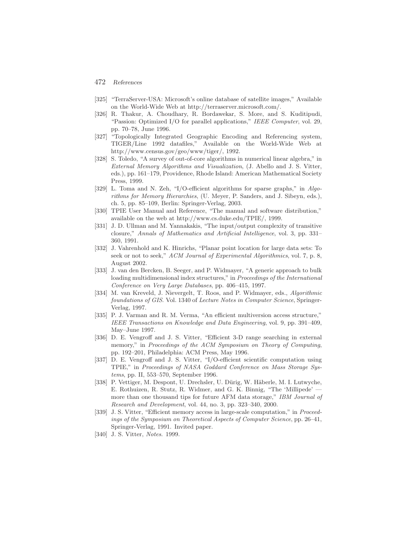- [325] "TerraServer-USA: Microsoft's online database of satellite images," Available on the World-Wide Web at http://terraserver.microsoft.com/.
- [326] R. Thakur, A. Choudhary, R. Bordawekar, S. More, and S. Kuditipudi, "Passion: Optimized I/O for parallel applications," IEEE Computer, vol. 29, pp. 70–78, June 1996.
- [327] "Topologically Integrated Geographic Encoding and Referencing system, TIGER/Line 1992 datafiles," Available on the World-Wide Web at http://www.census.gov/geo/www/tiger/, 1992.
- [328] S. Toledo, "A survey of out-of-core algorithms in numerical linear algebra," in External Memory Algorithms and Visualization, (J. Abello and J. S. Vitter, eds.), pp. 161–179, Providence, Rhode Island: American Mathematical Society Press, 1999.
- [329] L. Toma and N. Zeh, "I/O-efficient algorithms for sparse graphs," in Algorithms for Memory Hierarchies, (U. Meyer, P. Sanders, and J. Sibeyn, eds.), ch. 5, pp. 85–109, Berlin: Springer-Verlag, 2003.
- [330] TPIE User Manual and Reference, "The manual and software distribution," available on the web at http://www.cs.duke.edu/TPIE/, 1999.
- [331] J. D. Ullman and M. Yannakakis, "The input/output complexity of transitive closure," Annals of Mathematics and Artificial Intelligence, vol. 3, pp. 331– 360, 1991.
- [332] J. Vahrenhold and K. Hinrichs, "Planar point location for large data sets: To seek or not to seek," ACM Journal of Experimental Algorithmics, vol. 7, p. 8, August 2002.
- [333] J. van den Bercken, B. Seeger, and P. Widmayer, "A generic approach to bulk loading multidimensional index structures," in *Proceedings of the International* Conference on Very Large Databases, pp. 406–415, 1997.
- [334] M. van Kreveld, J. Nievergelt, T. Roos, and P. Widmayer, eds., Algorithmic foundations of GIS. Vol. 1340 of Lecture Notes in Computer Science, Springer-Verlag, 1997.
- [335] P. J. Varman and R. M. Verma, "An efficient multiversion access structure," IEEE Transactions on Knowledge and Data Engineering, vol. 9, pp. 391–409, May–June 1997.
- [336] D. E. Vengroff and J. S. Vitter, "Efficient 3-D range searching in external memory," in Proceedings of the ACM Symposium on Theory of Computing, pp. 192–201, Philadelphia: ACM Press, May 1996.
- [337] D. E. Vengroff and J. S. Vitter, "I/O-efficient scientific computation using TPIE," in Proceedings of NASA Goddard Conference on Mass Storage Systems, pp. II, 553–570, September 1996.
- [338] P. Vettiger, M. Despont, U. Drechsler, U. Dürig, W. Häberle, M. I. Lutwyche, E. Rothuizen, R. Stutz, R. Widmer, and G. K. Binnig, "The 'Millipede' more than one thousand tips for future AFM data storage," IBM Journal of Research and Development, vol. 44, no. 3, pp. 323–340, 2000.
- [339] J. S. Vitter, "Efficient memory access in large-scale computation," in *Proceed*ings of the Symposium on Theoretical Aspects of Computer Science, pp. 26–41, Springer-Verlag, 1991. Invited paper.
- [340] J. S. Vitter, *Notes*. 1999.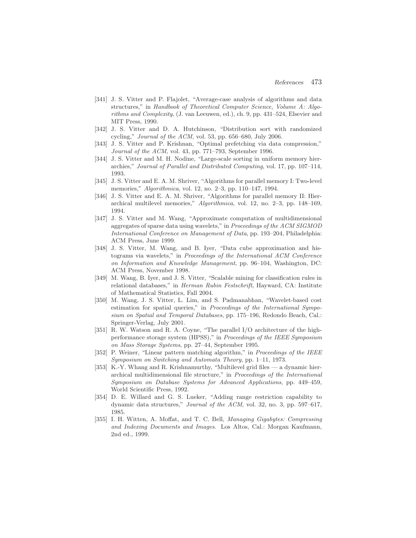- [341] J. S. Vitter and P. Flajolet, "Average-case analysis of algorithms and data structures," in Handbook of Theoretical Computer Science, Volume A: Algorithms and Complexity, (J. van Leeuwen, ed.), ch. 9, pp. 431–524, Elsevier and MIT Press, 1990.
- [342] J. S. Vitter and D. A. Hutchinson, "Distribution sort with randomized cycling," Journal of the ACM, vol. 53, pp. 656–680, July 2006.
- [343] J. S. Vitter and P. Krishnan, "Optimal prefetching via data compression," Journal of the ACM, vol. 43, pp. 771–793, September 1996.
- [344] J. S. Vitter and M. H. Nodine, "Large-scale sorting in uniform memory hierarchies," Journal of Parallel and Distributed Computing, vol. 17, pp. 107–114, 1993.
- [345] J. S. Vitter and E. A. M. Shriver, "Algorithms for parallel memory I: Two-level memories," Algorithmica, vol. 12, no. 2–3, pp. 110–147, 1994.
- [346] J. S. Vitter and E. A. M. Shriver, "Algorithms for parallel memory II: Hierarchical multilevel memories," Algorithmica, vol. 12, no. 2–3, pp. 148–169, 1994.
- [347] J. S. Vitter and M. Wang, "Approximate computation of multidimensional aggregates of sparse data using wavelets," in Proceedings of the ACM SIGMOD International Conference on Management of Data, pp. 193–204, Philadelphia: ACM Press, June 1999.
- [348] J. S. Vitter, M. Wang, and B. Iyer, "Data cube approximation and histograms via wavelets," in Proceedings of the International ACM Conference on Information and Knowledge Management, pp. 96–104, Washington, DC: ACM Press, November 1998.
- [349] M. Wang, B. Iyer, and J. S. Vitter, "Scalable mining for classification rules in relational databases," in Herman Rubin Festschrift, Hayward, CA: Institute of Mathematical Statistics, Fall 2004.
- [350] M. Wang, J. S. Vitter, L. Lim, and S. Padmanabhan, "Wavelet-based cost estimation for spatial queries," in Proceedings of the International Symposium on Spatial and Temporal Databases, pp. 175–196, Redondo Beach, Cal.: Springer-Verlag, July 2001.
- [351] R. W. Watson and R. A. Coyne, "The parallel I/O architecture of the highperformance storage system (HPSS)," in Proceedings of the IEEE Symposium on Mass Storage Systems, pp. 27–44, September 1995.
- [352] P. Weiner, "Linear pattern matching algorithm," in Proceedings of the IEEE Symposium on Switching and Automata Theory, pp. 1–11, 1973.
- [353] K.-Y. Whang and R. Krishnamurthy, "Multilevel grid files a dynamic hierarchical multidimensional file structure," in Proceedings of the International Symposium on Database Systems for Advanced Applications, pp. 449–459, World Scientific Press, 1992.
- [354] D. E. Willard and G. S. Lueker, "Adding range restriction capability to dynamic data structures," Journal of the ACM, vol. 32, no. 3, pp. 597–617, 1985.
- [355] I. H. Witten, A. Moffat, and T. C. Bell, Managing Gigabytes: Compressing and Indexing Documents and Images. Los Altos, Cal.: Morgan Kaufmann, 2nd ed., 1999.